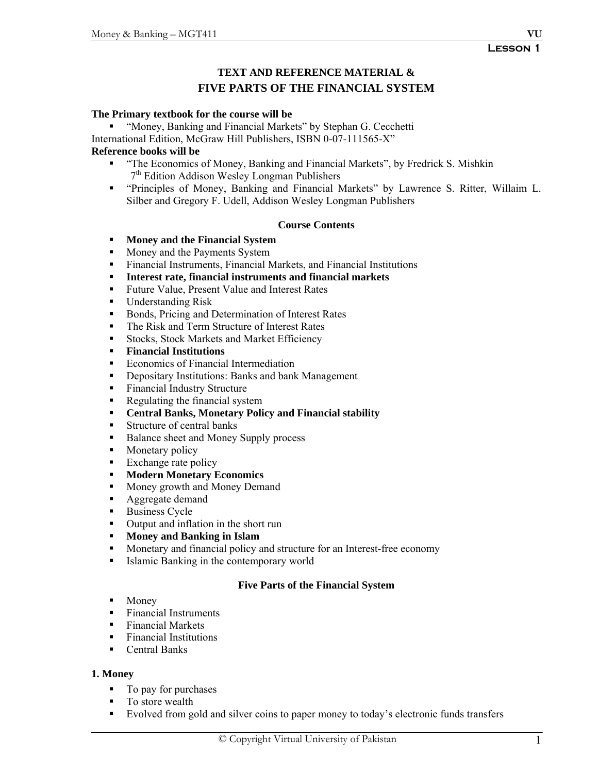## **TEXT AND REFERENCE MATERIAL & FIVE PARTS OF THE FINANCIAL SYSTEM**

#### **The Primary textbook for the course will be**

 "Money, Banking and Financial Markets" by Stephan G. Cecchetti International Edition, McGraw Hill Publishers, ISBN 0-07-111565-X"

#### **Reference books will be**

- "The Economics of Money, Banking and Financial Markets", by Fredrick S. Mishkin  $7<sup>th</sup>$  Edition Addison Wesley Longman Publishers<br>
"<br>
"Principles of Money Banking and Financial N
- "Principles of Money, Banking and Financial Markets" by Lawrence S. Ritter, Willaim L. Silber and Gregory F. Udell, Addison Wesley Longman Publishers

#### **Course Contents**

- **Money and the Financial System**
- **Money and the Payments System**
- Financial Instruments, Financial Markets, and Financial Institutions
- **Interest rate, financial instruments and financial markets**
- Future Value, Present Value and Interest Rates
- **Understanding Risk**
- Bonds, Pricing and Determination of Interest Rates
- The Risk and Term Structure of Interest Rates
- **Stocks, Stock Markets and Market Efficiency**
- **Financial Institutions**
- **Exercise 5 Financial Intermediation**
- **Depositary Institutions: Banks and bank Management**
- **Financial Industry Structure**
- Regulating the financial system
- **Central Banks, Monetary Policy and Financial stability**
- Structure of central banks
- Balance sheet and Money Supply process
- Monetary policy
- Exchange rate policy
- **Modern Monetary Economics**
- Money growth and Money Demand
- Aggregate demand
- **Business Cycle**
- Output and inflation in the short run
- **Money and Banking in Islam**
- Monetary and financial policy and structure for an Interest-free economy
- Islamic Banking in the contemporary world

## **Five Parts of the Financial System**

- Money
- Financial Instruments
- Financial Markets
- Financial Institutions
- Central Banks

#### **1. Money**

- To pay for purchases
- To store wealth
- Evolved from gold and silver coins to paper money to today's electronic funds transfers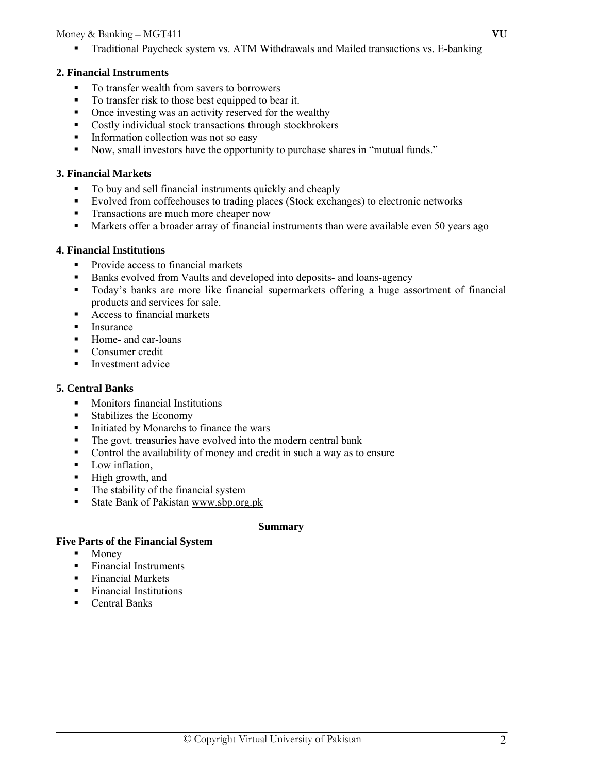## **2. Financial Instruments**

- To transfer wealth from savers to borrowers
- To transfer risk to those best equipped to bear it.
- Once investing was an activity reserved for the wealthy
- Costly individual stock transactions through stockbrokers
- Information collection was not so easy
- Now, small investors have the opportunity to purchase shares in "mutual funds."

## **3. Financial Markets**

- To buy and sell financial instruments quickly and cheaply
- Evolved from coffeehouses to trading places (Stock exchanges) to electronic networks
- Transactions are much more cheaper now
- Markets offer a broader array of financial instruments than were available even 50 years ago

## **4. Financial Institutions**

- **Provide access to financial markets**
- Banks evolved from Vaults and developed into deposits- and loans-agency
- Today's banks are more like financial supermarkets offering a huge assortment of financial products and services for sale.
- Access to financial markets
- **Insurance**
- Home- and car-loans
- Consumer credit
- **Investment advice**

## **5. Central Banks**

- **Monitors financial Institutions**
- Stabilizes the Economy
- Initiated by Monarchs to finance the wars
- The govt. treasuries have evolved into the modern central bank
- Control the availability of money and credit in such a way as to ensure
- **Low inflation,**
- High growth, and
- The stability of the financial system
- State Bank of Pakistan www.sbp.org.pk

#### **Summary**

## **Five Parts of the Financial System**

- Money
- Financial Instruments
- Financial Markets
- Financial Institutions
- Central Banks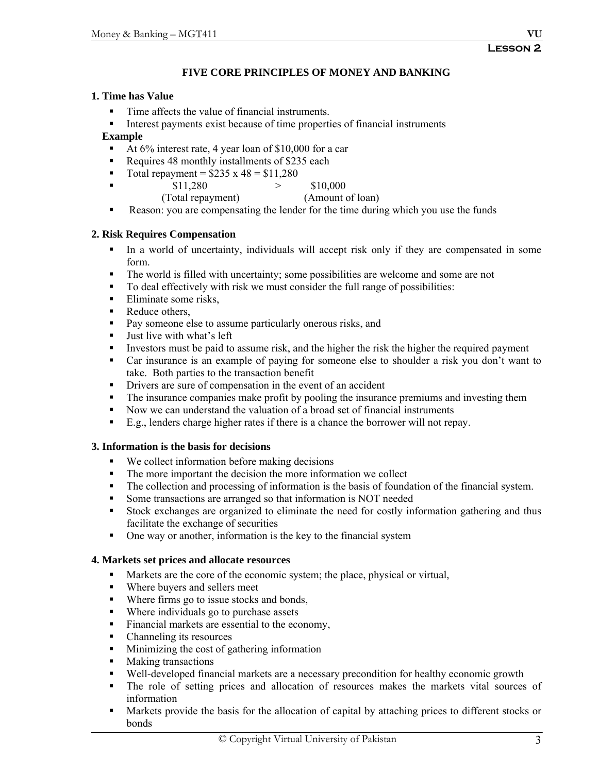#### **FIVE CORE PRINCIPLES OF MONEY AND BANKING**

#### **1. Time has Value**

- $\blacksquare$  Time affects the value of financial instruments.
- Interest payments exist because of time properties of financial instruments

#### **Example**

- At 6% interest rate, 4 year loan of \$10,000 for a car
- Requires 48 monthly installments of \$235 each
- Total repayment =  $$235 \times 48 = $11,280$
- $$11,280$  > \$10,000

(Total repayment) (Amount of loan)

Reason: you are compensating the lender for the time during which you use the funds

#### **2. Risk Requires Compensation**

- In a world of uncertainty, individuals will accept risk only if they are compensated in some form.
- The world is filled with uncertainty; some possibilities are welcome and some are not
- To deal effectively with risk we must consider the full range of possibilities:
- $\blacksquare$  Eliminate some risks,
- Reduce others.
- **Pay someone else to assume particularly onerous risks, and**
- Ust live with what's left
- Investors must be paid to assume risk, and the higher the risk the higher the required payment
- Car insurance is an example of paying for someone else to shoulder a risk you don't want to take. Both parties to the transaction benefit
- Drivers are sure of compensation in the event of an accident
- The insurance companies make profit by pooling the insurance premiums and investing them
- Now we can understand the valuation of a broad set of financial instruments
- E.g., lenders charge higher rates if there is a chance the borrower will not repay.

#### **3. Information is the basis for decisions**

- We collect information before making decisions
- The more important the decision the more information we collect
- The collection and processing of information is the basis of foundation of the financial system.
- Some transactions are arranged so that information is NOT needed
- Stock exchanges are organized to eliminate the need for costly information gathering and thus facilitate the exchange of securities
- One way or another, information is the key to the financial system

#### **4. Markets set prices and allocate resources**

- **Markets are the core of the economic system; the place, physical or virtual,**
- **Where buyers and sellers meet**
- Where firms go to issue stocks and bonds,
- Where individuals go to purchase assets
- Financial markets are essential to the economy,
- Channeling its resources
- **Minimizing the cost of gathering information**
- **Making transactions**
- Well-developed financial markets are a necessary precondition for healthy economic growth
- The role of setting prices and allocation of resources makes the markets vital sources of information
- Markets provide the basis for the allocation of capital by attaching prices to different stocks or bonds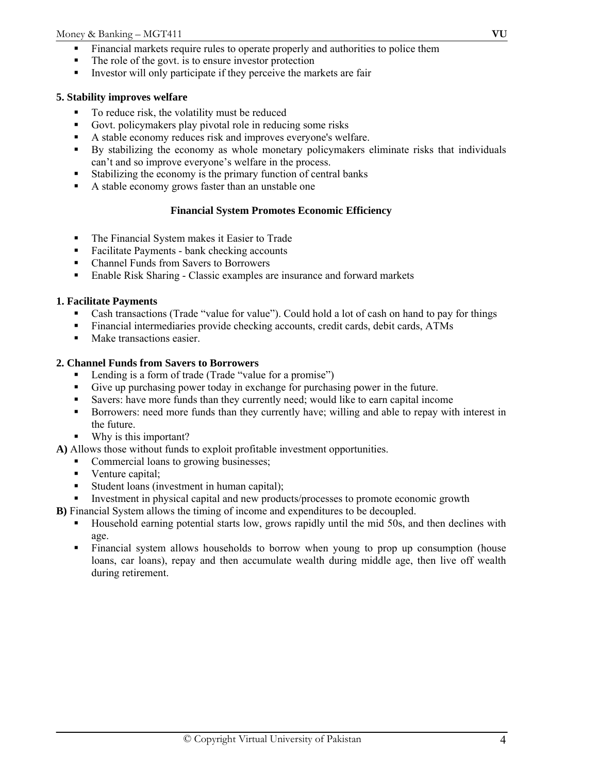- Financial markets require rules to operate properly and authorities to police them
- The role of the govt. is to ensure investor protection
- Investor will only participate if they perceive the markets are fair

## **5. Stability improves welfare**

- To reduce risk, the volatility must be reduced
- Govt. policymakers play pivotal role in reducing some risks
- A stable economy reduces risk and improves everyone's welfare.
- By stabilizing the economy as whole monetary policymakers eliminate risks that individuals can't and so improve everyone's welfare in the process.
- Stabilizing the economy is the primary function of central banks
- A stable economy grows faster than an unstable one

## **Financial System Promotes Economic Efficiency**

- The Financial System makes it Easier to Trade
- Facilitate Payments bank checking accounts
- Channel Funds from Savers to Borrowers
- Enable Risk Sharing Classic examples are insurance and forward markets

## **1. Facilitate Payments**

- Cash transactions (Trade "value for value"). Could hold a lot of cash on hand to pay for things
- Financial intermediaries provide checking accounts, credit cards, debit cards, ATMs
- **Make transactions easier.**

## **2. Channel Funds from Savers to Borrowers**

- Lending is a form of trade (Trade "value for a promise")
- Give up purchasing power today in exchange for purchasing power in the future.
- Savers: have more funds than they currently need; would like to earn capital income
- Borrowers: need more funds than they currently have; willing and able to repay with interest in the future.
- Why is this important?
- **A)** Allows those without funds to exploit profitable investment opportunities.
	- Commercial loans to growing businesses;
		- Venture capital;
		- Student loans (investment in human capital);
	- Investment in physical capital and new products/processes to promote economic growth
- **B)** Financial System allows the timing of income and expenditures to be decoupled.
	- Household earning potential starts low, grows rapidly until the mid 50s, and then declines with age.
	- Financial system allows households to borrow when young to prop up consumption (house loans, car loans), repay and then accumulate wealth during middle age, then live off wealth during retirement.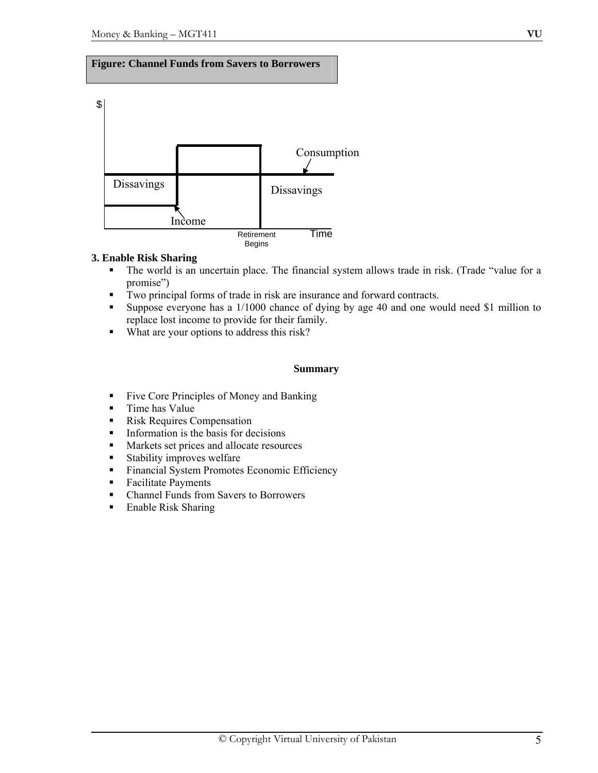## **Figure: Channel Funds from Savers to Borrowers**



#### **3. Enable Risk Sharing**

- The world is an uncertain place. The financial system allows trade in risk. (Trade "value for a promise")
- Two principal forms of trade in risk are insurance and forward contracts.
- Suppose everyone has a 1/1000 chance of dying by age 40 and one would need \$1 million to replace lost income to provide for their family.
- What are your options to address this risk?

#### **Summary**

- Five Core Principles of Money and Banking
- Time has Value
- Risk Requires Compensation
- Information is the basis for decisions
- **Markets set prices and allocate resources**
- **Stability improves welfare**
- **Financial System Promotes Economic Efficiency**
- **Facilitate Payments**
- Channel Funds from Savers to Borrowers
- Enable Risk Sharing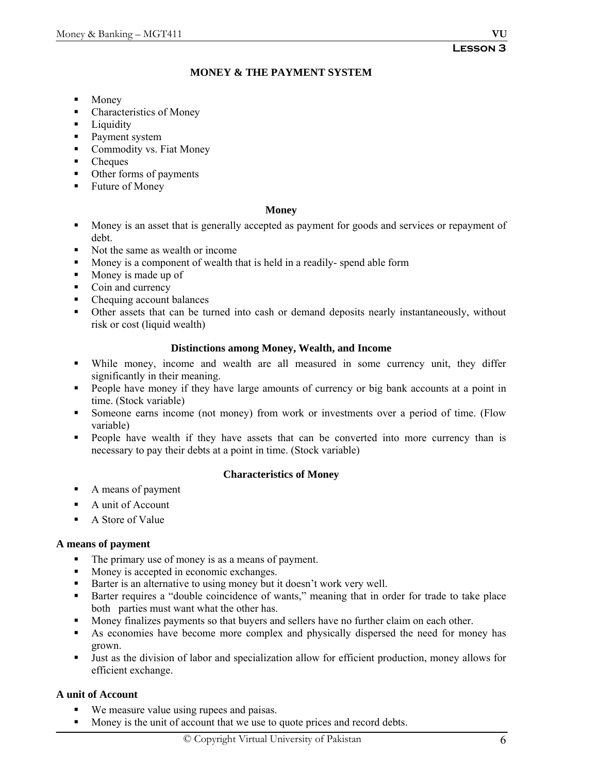## **MONEY & THE PAYMENT SYSTEM**

- Money
- Characteristics of Money
- **Liquidity**
- Payment system
- **Commodity vs. Fiat Money**
- Cheques
- Other forms of payments
- Future of Money

## **Money**

- Money is an asset that is generally accepted as payment for goods and services or repayment of debt.
- Not the same as wealth or income
- Money is a component of wealth that is held in a readily- spend able form
- Money is made up of
- Coin and currency
- Chequing account balances
- Other assets that can be turned into cash or demand deposits nearly instantaneously, without risk or cost (liquid wealth)

## **Distinctions among Money, Wealth, and Income**

- While money, income and wealth are all measured in some currency unit, they differ significantly in their meaning.
- **People have money if they have large amounts of currency or big bank accounts at a point in** time. (Stock variable)
- Someone earns income (not money) from work or investments over a period of time. (Flow variable)
- People have wealth if they have assets that can be converted into more currency than is necessary to pay their debts at a point in time. (Stock variable)

## **Characteristics of Money**

- A means of payment
- A unit of Account
- A Store of Value

## **A means of payment**

- The primary use of money is as a means of payment.
- Money is accepted in economic exchanges.
- Barter is an alternative to using money but it doesn't work very well.
- Barter requires a "double coincidence of wants," meaning that in order for trade to take place both parties must want what the other has.
- Money finalizes payments so that buyers and sellers have no further claim on each other.
- As economies have become more complex and physically dispersed the need for money has grown.
- Just as the division of labor and specialization allow for efficient production, money allows for efficient exchange.

## **A unit of Account**

- We measure value using rupees and paisas.
	- Money is the unit of account that we use to quote prices and record debts.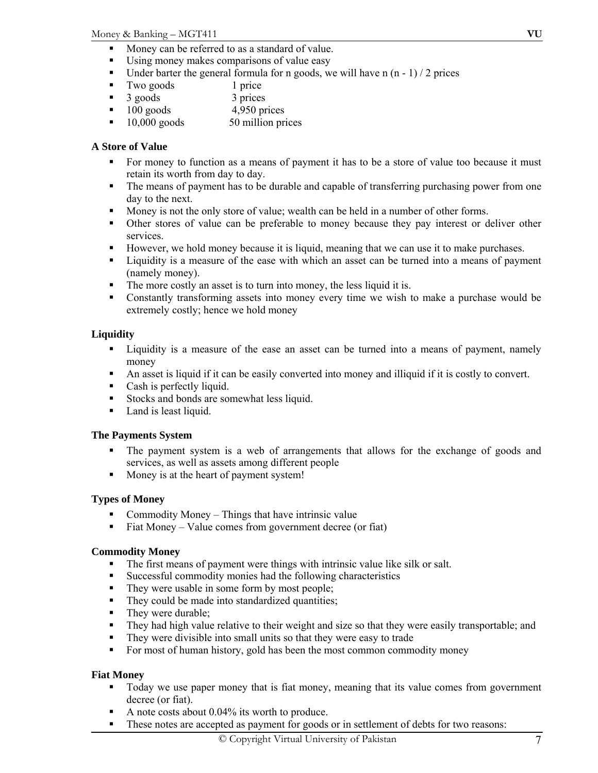- Money can be referred to as a standard of value.
- Using money makes comparisons of value easy
- Under barter the general formula for n goods, we will have n  $(n 1) / 2$  prices
- Two goods 1 price
- 3 goods 3 prices
- $100 \text{ goods}$  4,950 prices
- 10,000 goods 50 million prices

## **A Store of Value**

- For money to function as a means of payment it has to be a store of value too because it must retain its worth from day to day.
- The means of payment has to be durable and capable of transferring purchasing power from one day to the next.
- Money is not the only store of value; wealth can be held in a number of other forms.
- Other stores of value can be preferable to money because they pay interest or deliver other services.
- However, we hold money because it is liquid, meaning that we can use it to make purchases.
- Liquidity is a measure of the ease with which an asset can be turned into a means of payment (namely money).
- The more costly an asset is to turn into money, the less liquid it is.
- Constantly transforming assets into money every time we wish to make a purchase would be extremely costly; hence we hold money

## **Liquidity**

- Liquidity is a measure of the ease an asset can be turned into a means of payment, namely money
- An asset is liquid if it can be easily converted into money and illiquid if it is costly to convert.
- Cash is perfectly liquid.
- Stocks and bonds are somewhat less liquid.
- Land is least liquid.

## **The Payments System**

- The payment system is a web of arrangements that allows for the exchange of goods and services, as well as assets among different people
- Money is at the heart of payment system!

## **Types of Money**

- Commodity Money Things that have intrinsic value
- Fiat Money Value comes from government decree (or fiat)

## **Commodity Money**

- The first means of payment were things with intrinsic value like silk or salt.
- Successful commodity monies had the following characteristics
- They were usable in some form by most people;
- They could be made into standardized quantities;
- They were durable;
- They had high value relative to their weight and size so that they were easily transportable; and
- They were divisible into small units so that they were easy to trade
- For most of human history, gold has been the most common commodity money

## **Fiat Money**

- Today we use paper money that is fiat money, meaning that its value comes from government decree (or fiat).
- A note costs about 0.04% its worth to produce.
- These notes are accepted as payment for goods or in settlement of debts for two reasons: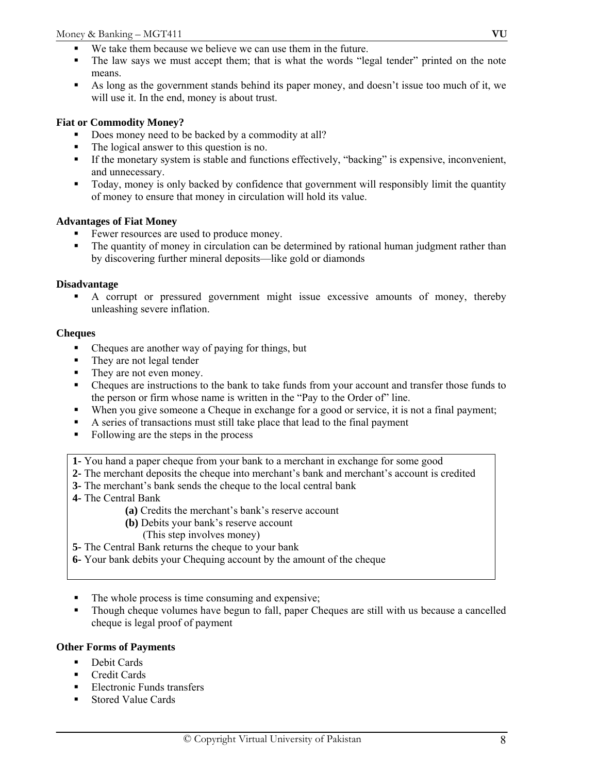- We take them because we believe we can use them in the future.
- The law says we must accept them; that is what the words "legal tender" printed on the note means.
- As long as the government stands behind its paper money, and doesn't issue too much of it, we will use it. In the end, money is about trust.

#### **Fiat or Commodity Money?**

- Does money need to be backed by a commodity at all?
- The logical answer to this question is no.
- If the monetary system is stable and functions effectively, "backing" is expensive, inconvenient, and unnecessary.
- Today, money is only backed by confidence that government will responsibly limit the quantity of money to ensure that money in circulation will hold its value.

#### **Advantages of Fiat Money**

- Fewer resources are used to produce money.
- The quantity of money in circulation can be determined by rational human judgment rather than by discovering further mineral deposits—like gold or diamonds

#### **Disadvantage**

 A corrupt or pressured government might issue excessive amounts of money, thereby unleashing severe inflation.

#### **Cheques**

- Cheques are another way of paying for things, but
- They are not legal tender
- They are not even money.
- Cheques are instructions to the bank to take funds from your account and transfer those funds to the person or firm whose name is written in the "Pay to the Order of" line.
- When you give someone a Cheque in exchange for a good or service, it is not a final payment;
- A series of transactions must still take place that lead to the final payment
- Following are the steps in the process
- **1-** You hand a paper cheque from your bank to a merchant in exchange for some good
- **2-** The merchant deposits the cheque into merchant's bank and merchant's account is credited
- **3-** The merchant's bank sends the cheque to the local central bank
- **4-** The Central Bank
	- **(a)** Credits the merchant's bank's reserve account
	- **(b)** Debits your bank's reserve account
		- (This step involves money)
- **5-** The Central Bank returns the cheque to your bank
- **6-** Your bank debits your Chequing account by the amount of the cheque
- The whole process is time consuming and expensive;
- Though cheque volumes have begun to fall, paper Cheques are still with us because a cancelled cheque is legal proof of payment

## **Other Forms of Payments**

- **Debit Cards**
- Credit Cards
- Electronic Funds transfers
- Stored Value Cards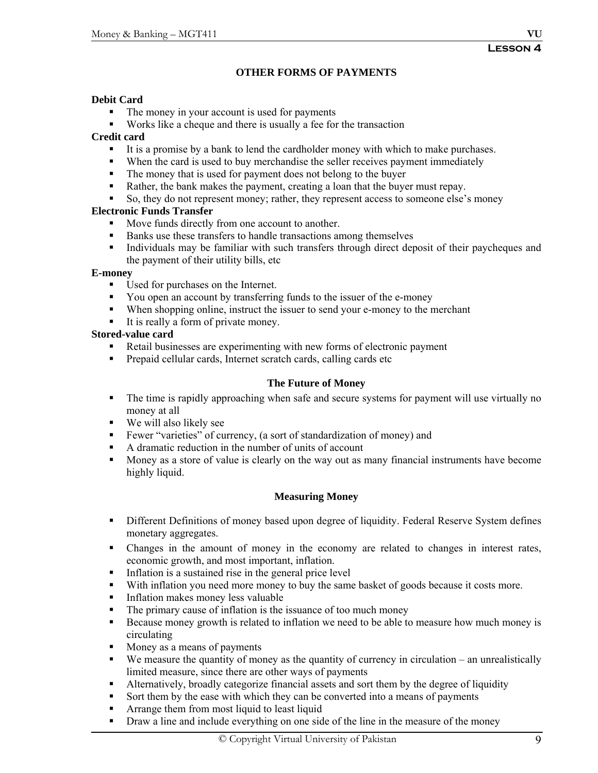## **OTHER FORMS OF PAYMENTS**

#### **Debit Card**

- The money in your account is used for payments
- Works like a cheque and there is usually a fee for the transaction

#### **Credit card**

- It is a promise by a bank to lend the cardholder money with which to make purchases.
- When the card is used to buy merchandise the seller receives payment immediately
- The money that is used for payment does not belong to the buyer
- Rather, the bank makes the payment, creating a loan that the buyer must repay.
- So, they do not represent money; rather, they represent access to someone else's money

#### **Electronic Funds Transfer**

- Move funds directly from one account to another.
- Banks use these transfers to handle transactions among themselves
- Individuals may be familiar with such transfers through direct deposit of their paycheques and the payment of their utility bills, etc

#### **E-money**

- Used for purchases on the Internet.
- You open an account by transferring funds to the issuer of the e-money
- When shopping online, instruct the issuer to send your e-money to the merchant
- It is really a form of private money.

## **Stored-value card**

- Retail businesses are experimenting with new forms of electronic payment
- **Prepaid cellular cards, Internet scratch cards, calling cards etc**

#### **The Future of Money**

- The time is rapidly approaching when safe and secure systems for payment will use virtually no money at all
- We will also likely see
- Fewer "varieties" of currency, (a sort of standardization of money) and
- A dramatic reduction in the number of units of account
- Money as a store of value is clearly on the way out as many financial instruments have become highly liquid.

## **Measuring Money**

- **•** Different Definitions of money based upon degree of liquidity. Federal Reserve System defines monetary aggregates.
- Changes in the amount of money in the economy are related to changes in interest rates, economic growth, and most important, inflation.
- Inflation is a sustained rise in the general price level
- With inflation you need more money to buy the same basket of goods because it costs more.
- Inflation makes money less valuable
- The primary cause of inflation is the issuance of too much money
- Because money growth is related to inflation we need to be able to measure how much money is circulating
- Money as a means of payments
- $\blacksquare$  We measure the quantity of money as the quantity of currency in circulation an unrealistically limited measure, since there are other ways of payments
- Alternatively, broadly categorize financial assets and sort them by the degree of liquidity
- Sort them by the ease with which they can be converted into a means of payments
- **EXECUTE:** Arrange them from most liquid to least liquid
- Draw a line and include everything on one side of the line in the measure of the money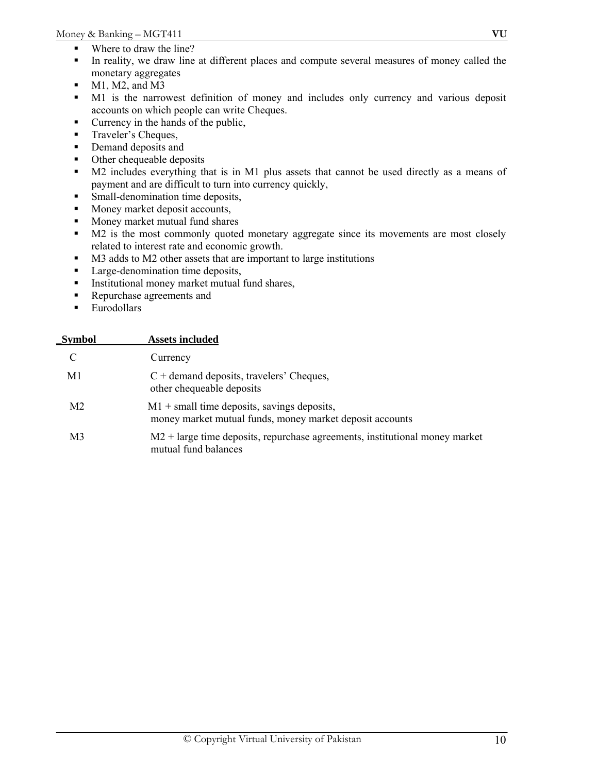- Where to draw the line?
- In reality, we draw line at different places and compute several measures of money called the monetary aggregates
- $M1$ , M2, and M3
- M1 is the narrowest definition of money and includes only currency and various deposit accounts on which people can write Cheques.
- Currency in the hands of the public,
- **Traveler's Cheques,**
- Demand deposits and
- Other chequeable deposits
- M2 includes everything that is in M1 plus assets that cannot be used directly as a means of payment and are difficult to turn into currency quickly,
- Small-denomination time deposits,
- Money market deposit accounts,
- **Money market mutual fund shares**
- M2 is the most commonly quoted monetary aggregate since its movements are most closely related to interest rate and economic growth.
- M3 adds to M2 other assets that are important to large institutions
- Large-denomination time deposits,
- Institutional money market mutual fund shares,
- Repurchase agreements and
- **Eurodollars**

| Symbol         | <b>Assets included</b>                                                                                    |
|----------------|-----------------------------------------------------------------------------------------------------------|
| C              | Currency                                                                                                  |
| M <sub>1</sub> | $C +$ demand deposits, travelers' Cheques,<br>other chequeable deposits                                   |
| M <sub>2</sub> | $M1$ + small time deposits, savings deposits,<br>money market mutual funds, money market deposit accounts |
| M <sub>3</sub> | $M2$ + large time deposits, repurchase agreements, institutional money market<br>mutual fund balances     |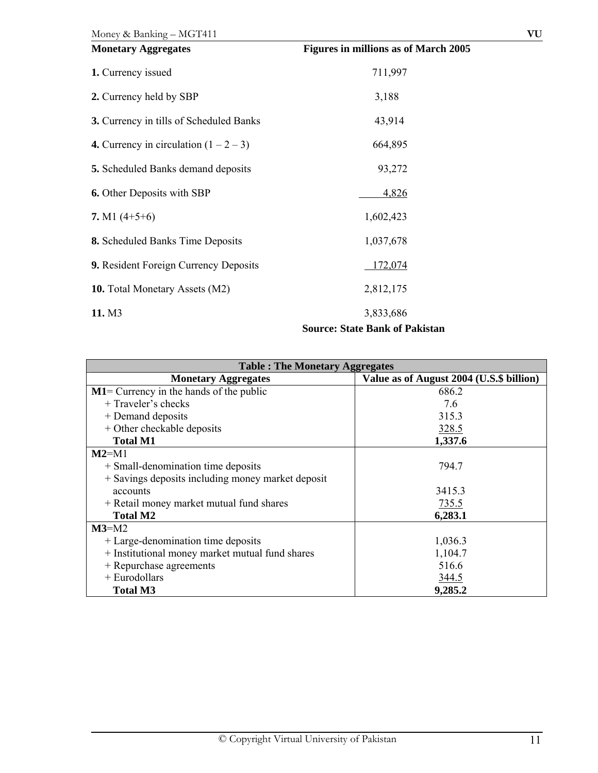| Money & Banking - MGT411                 |                                             |  |
|------------------------------------------|---------------------------------------------|--|
| <b>Monetary Aggregates</b>               | <b>Figures in millions as of March 2005</b> |  |
| 1. Currency issued                       | 711,997                                     |  |
| 2. Currency held by SBP                  | 3,188                                       |  |
| 3. Currency in tills of Scheduled Banks  | 43,914                                      |  |
| 4. Currency in circulation $(1 – 2 – 3)$ | 664,895                                     |  |
| 5. Scheduled Banks demand deposits       | 93,272                                      |  |
| <b>6.</b> Other Deposits with SBP        | 4,826                                       |  |
| 7. M1 $(4+5+6)$                          | 1,602,423                                   |  |
| <b>8.</b> Scheduled Banks Time Deposits  | 1,037,678                                   |  |
| 9. Resident Foreign Currency Deposits    | 172,074                                     |  |
| 10. Total Monetary Assets (M2)           | 2,812,175                                   |  |
| 11. M <sub>3</sub>                       | 3,833,686                                   |  |

| <b>Source: State Bank of Pakistan</b> |  |  |  |  |
|---------------------------------------|--|--|--|--|
|---------------------------------------|--|--|--|--|

| <b>Table: The Monetary Aggregates</b>             |                                          |  |  |
|---------------------------------------------------|------------------------------------------|--|--|
| <b>Monetary Aggregates</b>                        | Value as of August 2004 (U.S.\$ billion) |  |  |
| $M1 =$ Currency in the hands of the public        | 686.2                                    |  |  |
| $+$ Traveler's checks                             | 7.6                                      |  |  |
| + Demand deposits                                 | 315.3                                    |  |  |
| + Other checkable deposits                        | 328.5                                    |  |  |
| <b>Total M1</b>                                   | 1,337.6                                  |  |  |
| $M2=M1$                                           |                                          |  |  |
| + Small-denomination time deposits                | 794.7                                    |  |  |
| + Savings deposits including money market deposit |                                          |  |  |
| accounts                                          | 3415.3                                   |  |  |
| + Retail money market mutual fund shares          | 735.5                                    |  |  |
| <b>Total M2</b>                                   | 6,283.1                                  |  |  |
| $M3=M2$                                           |                                          |  |  |
| + Large-denomination time deposits                | 1,036.3                                  |  |  |
| + Institutional money market mutual fund shares   | 1,104.7                                  |  |  |
| + Repurchase agreements                           | 516.6                                    |  |  |
| $+$ Eurodollars                                   | 344.5                                    |  |  |
| <b>Total M3</b>                                   | 9,285.2                                  |  |  |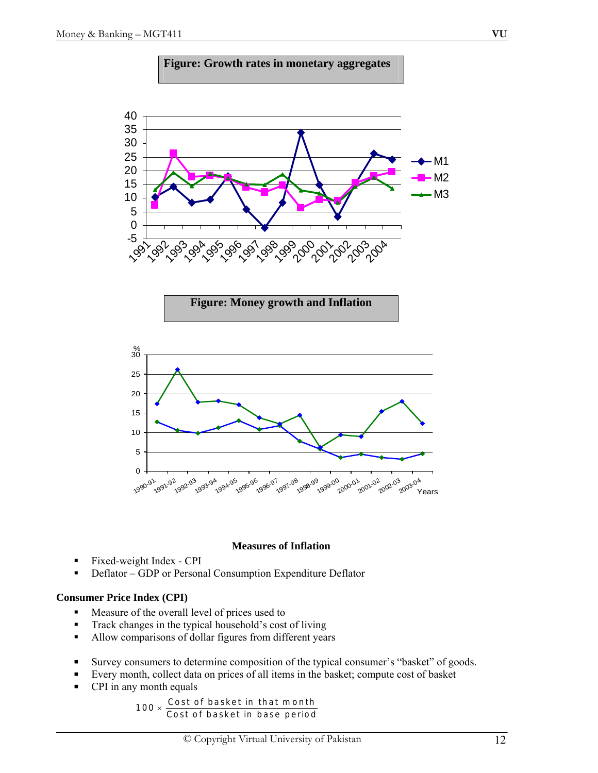

#### 0 1990-91,991-92,992-93,994-95,995-96,996-97,991-98,998-9,998-0,900-0,9001-02,001-02  $-200304$ Years

#### **Measures of Inflation**

- Fixed-weight Index CPI
- Deflator GDP or Personal Consumption Expenditure Deflator

#### **Consumer Price Index (CPI)**

- Measure of the overall level of prices used to
- Track changes in the typical household's cost of living
- Allow comparisons of dollar figures from different years
- Survey consumers to determine composition of the typical consumer's "basket" of goods.
- Every month, collect data on prices of all items in the basket; compute cost of basket
- CPI in any month equals

 $100 \times \frac{\text{Cost of basket in that month}}{\text{Cost of basket in base period}}$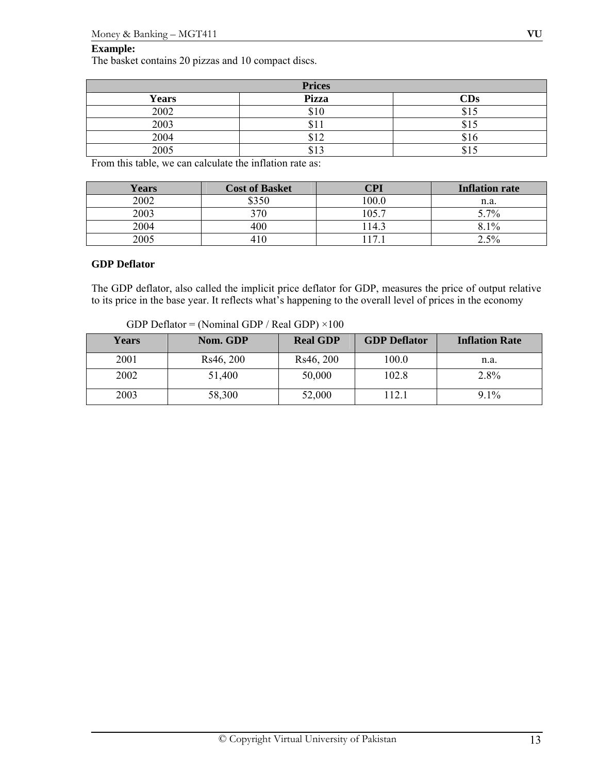## **Example:**

The basket contains 20 pizzas and 10 compact discs.

| <b>Prices</b> |              |      |  |  |
|---------------|--------------|------|--|--|
| <b>Years</b>  | <b>Pizza</b> | CDs  |  |  |
| 2002          | \$10         | \$15 |  |  |
| 2003          |              | \$15 |  |  |
| 2004          | \$12         | \$16 |  |  |
| 2005          |              |      |  |  |

From this table, we can calculate the inflation rate as:

| <b>Years</b> | <b>Cost of Basket</b> | <b>CPI</b> | <b>Inflation rate</b> |
|--------------|-----------------------|------------|-----------------------|
| 2002         | \$350                 | 0.001      | n.a.                  |
| 2003         | 370                   | 105.7      | $7\%$                 |
| 2004         | 400                   | 14.3       | $8.1\%$               |
| 2005         | 410                   |            | 2.5%                  |

## **GDP Deflator**

The GDP deflator, also called the implicit price deflator for GDP, measures the price of output relative to its price in the base year. It reflects what's happening to the overall level of prices in the economy

| Years | Nom. GDP  | <b>Real GDP</b> | <b>GDP Deflator</b> | <b>Inflation Rate</b> |
|-------|-----------|-----------------|---------------------|-----------------------|
| 2001  | Rs46, 200 | Rs46, 200       | 100.0               | n.a.                  |
| 2002  | 51,400    | 50,000          | 102.8               | 2.8%                  |
| 2003  | 58,300    | 52,000          | 112.1               | 9.1%                  |

GDP Deflator = (Nominal GDP / Real GDP)  $\times$ 100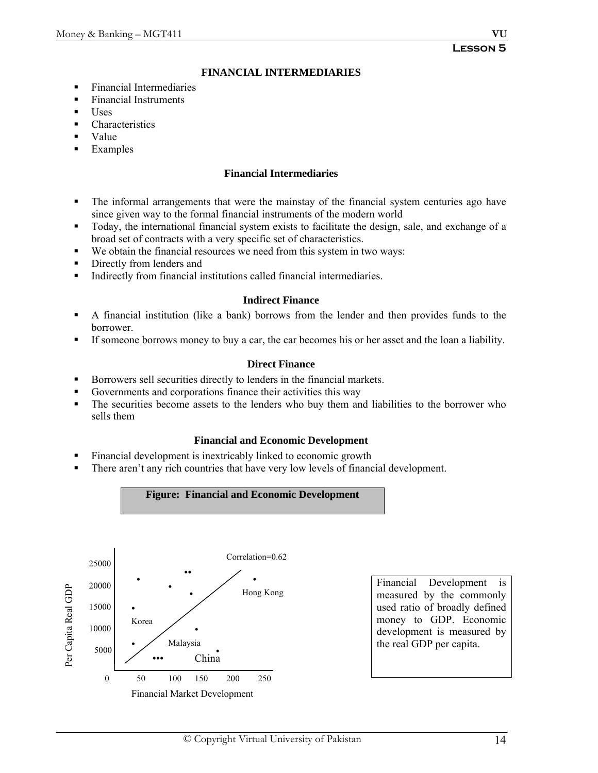## **FINANCIAL INTERMEDIARIES**

- **Financial Intermediaries**
- Financial Instruments
- $\blacksquare$  Uses
- Characteristics
- Value
- **Examples**

#### **Financial Intermediaries**

- The informal arrangements that were the mainstay of the financial system centuries ago have since given way to the formal financial instruments of the modern world
- Today, the international financial system exists to facilitate the design, sale, and exchange of a broad set of contracts with a very specific set of characteristics.
- We obtain the financial resources we need from this system in two ways:
- **Directly from lenders and**
- Indirectly from financial institutions called financial intermediaries.

## **Indirect Finance**

- A financial institution (like a bank) borrows from the lender and then provides funds to the borrower.
- If someone borrows money to buy a car, the car becomes his or her asset and the loan a liability.

#### **Direct Finance**

- Borrowers sell securities directly to lenders in the financial markets.
- Governments and corporations finance their activities this way
- The securities become assets to the lenders who buy them and liabilities to the borrower who sells them

## **Financial and Economic Development**

- Financial development is inextricably linked to economic growth
- There aren't any rich countries that have very low levels of financial development.



Financial Development is measured by the commonly used ratio of broadly defined money to GDP. Economic development is measured by the real GDP per capita.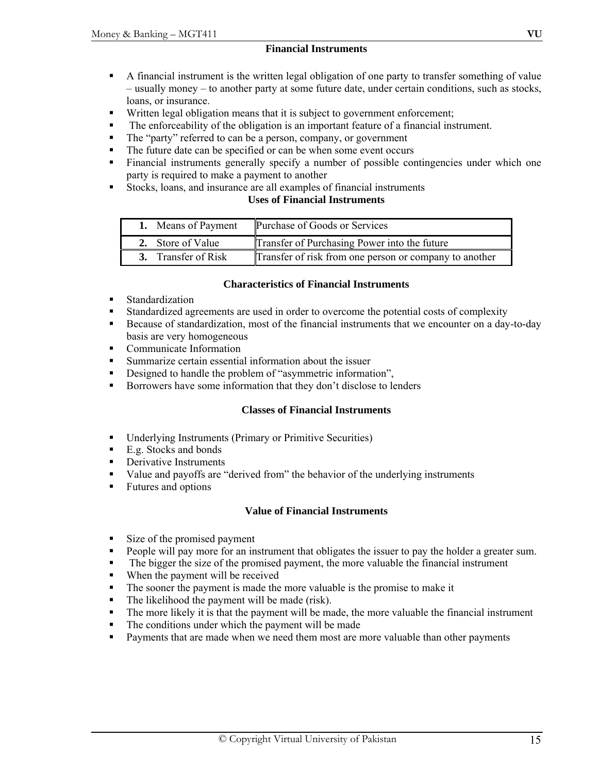## **Financial Instruments**

- A financial instrument is the written legal obligation of one party to transfer something of value – usually money – to another party at some future date, under certain conditions, such as stocks, loans, or insurance.
- Written legal obligation means that it is subject to government enforcement;
- The enforceability of the obligation is an important feature of a financial instrument.
- The "party" referred to can be a person, company, or government
- The future date can be specified or can be when some event occurs
- Financial instruments generally specify a number of possible contingencies under which one party is required to make a payment to another
- Stocks, loans, and insurance are all examples of financial instruments

## **Uses of Financial Instruments**

| 1. Means of Payment        | Purchase of Goods or Services                          |
|----------------------------|--------------------------------------------------------|
| 2. Store of Value          | Transfer of Purchasing Power into the future           |
| <b>3.</b> Transfer of Risk | Transfer of risk from one person or company to another |

## **Characteristics of Financial Instruments**

- Standardization
- Standardized agreements are used in order to overcome the potential costs of complexity
- Because of standardization, most of the financial instruments that we encounter on a day-to-day basis are very homogeneous
- Communicate Information
- Summarize certain essential information about the issuer
- Designed to handle the problem of "asymmetric information",
- Borrowers have some information that they don't disclose to lenders

#### **Classes of Financial Instruments**

- Underlying Instruments (Primary or Primitive Securities)
- E.g. Stocks and bonds
- Derivative Instruments
- Value and payoffs are "derived from" the behavior of the underlying instruments
- Futures and options

#### **Value of Financial Instruments**

- Size of the promised payment
- **People will pay more for an instrument that obligates the issuer to pay the holder a greater sum.**
- The bigger the size of the promised payment, the more valuable the financial instrument
- When the payment will be received
- The sooner the payment is made the more valuable is the promise to make it
- $\blacksquare$  The likelihood the payment will be made (risk).
- The more likely it is that the payment will be made, the more valuable the financial instrument
- The conditions under which the payment will be made
- **Payments that are made when we need them most are more valuable than other payments**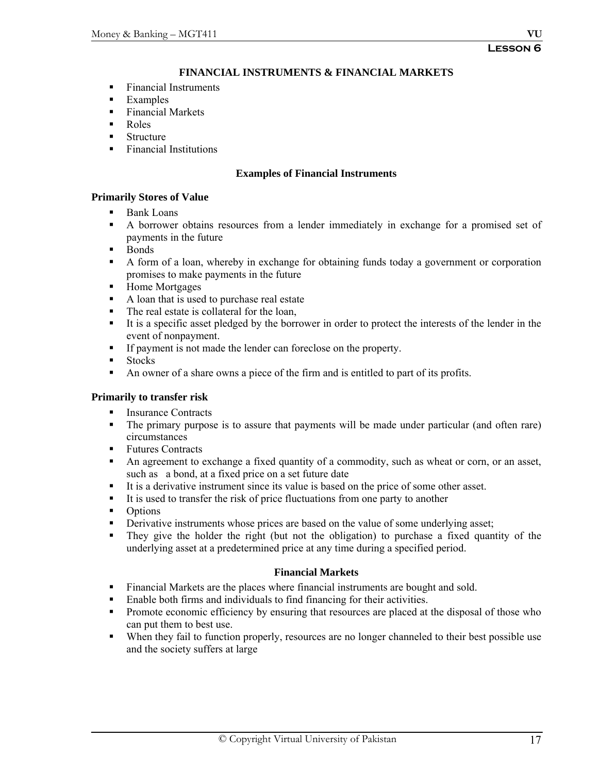## **FINANCIAL INSTRUMENTS & FINANCIAL MARKETS**

- Financial Instruments
- Examples
- **Financial Markets**
- Roles
- **Structure**
- Financial Institutions

#### **Examples of Financial Instruments**

#### **Primarily Stores of Value**

- $\blacksquare$  Bank Loans
- A borrower obtains resources from a lender immediately in exchange for a promised set of payments in the future
- $\blacksquare$  Bonds
- A form of a loan, whereby in exchange for obtaining funds today a government or corporation promises to make payments in the future
- Home Mortgages
- A loan that is used to purchase real estate
- The real estate is collateral for the loan,
- It is a specific asset pledged by the borrower in order to protect the interests of the lender in the event of nonpayment.
- If payment is not made the lender can foreclose on the property.
- Stocks
- An owner of a share owns a piece of the firm and is entitled to part of its profits.

## **Primarily to transfer risk**

- Insurance Contracts
- The primary purpose is to assure that payments will be made under particular (and often rare) circumstances
- Futures Contracts
- An agreement to exchange a fixed quantity of a commodity, such as wheat or corn, or an asset, such as a bond, at a fixed price on a set future date
- It is a derivative instrument since its value is based on the price of some other asset.
- It is used to transfer the risk of price fluctuations from one party to another
- Options
- **PERICITE:** Derivative instruments whose prices are based on the value of some underlying asset;
- They give the holder the right (but not the obligation) to purchase a fixed quantity of the underlying asset at a predetermined price at any time during a specified period.

## **Financial Markets**

- Financial Markets are the places where financial instruments are bought and sold.
- Enable both firms and individuals to find financing for their activities.
- Promote economic efficiency by ensuring that resources are placed at the disposal of those who can put them to best use.
- When they fail to function properly, resources are no longer channeled to their best possible use and the society suffers at large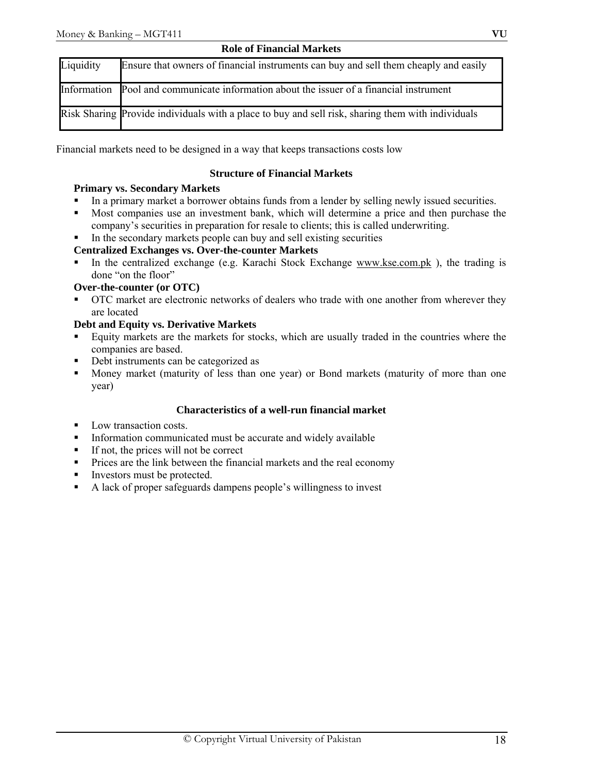#### **Role of Financial Markets**

| Liquidity | Ensure that owners of financial instruments can buy and sell them cheaply and easily              |
|-----------|---------------------------------------------------------------------------------------------------|
|           | Information Pool and communicate information about the issuer of a financial instrument           |
|           | Risk Sharing Provide individuals with a place to buy and sell risk, sharing them with individuals |

Financial markets need to be designed in a way that keeps transactions costs low

## **Structure of Financial Markets**

#### **Primary vs. Secondary Markets**

- In a primary market a borrower obtains funds from a lender by selling newly issued securities.
- Most companies use an investment bank, which will determine a price and then purchase the company's securities in preparation for resale to clients; this is called underwriting.
- In the secondary markets people can buy and sell existing securities

## **Centralized Exchanges vs. Over-the-counter Markets**

In the centralized exchange (e.g. Karachi Stock Exchange www.kse.com.pk), the trading is done "on the floor"

#### **Over-the-counter (or OTC)**

 OTC market are electronic networks of dealers who trade with one another from wherever they are located

## **Debt and Equity vs. Derivative Markets**

- Equity markets are the markets for stocks, which are usually traded in the countries where the companies are based.
- Debt instruments can be categorized as
- Money market (maturity of less than one year) or Bond markets (maturity of more than one year)

## **Characteristics of a well-run financial market**

- Low transaction costs.
- **Information communicated must be accurate and widely available**
- If not, the prices will not be correct
- **Prices are the link between the financial markets and the real economy**
- Investors must be protected.
- A lack of proper safeguards dampens people's willingness to invest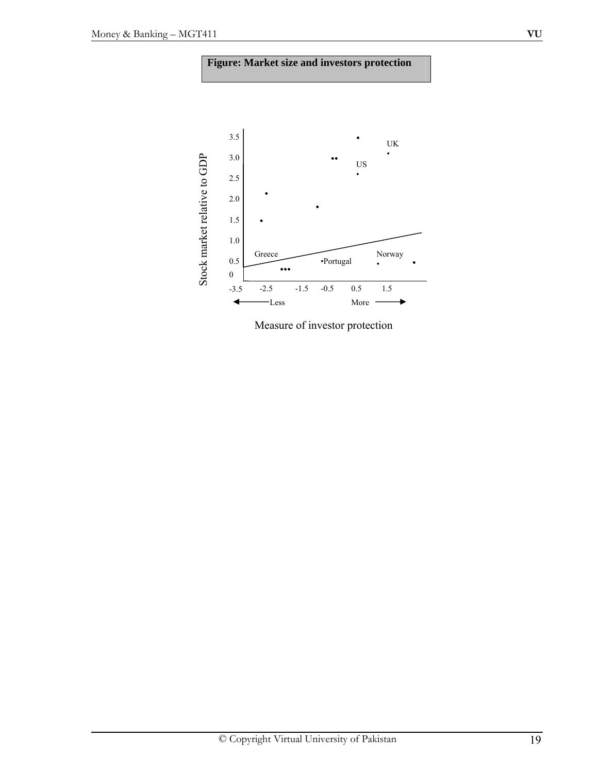



Measure of investor protection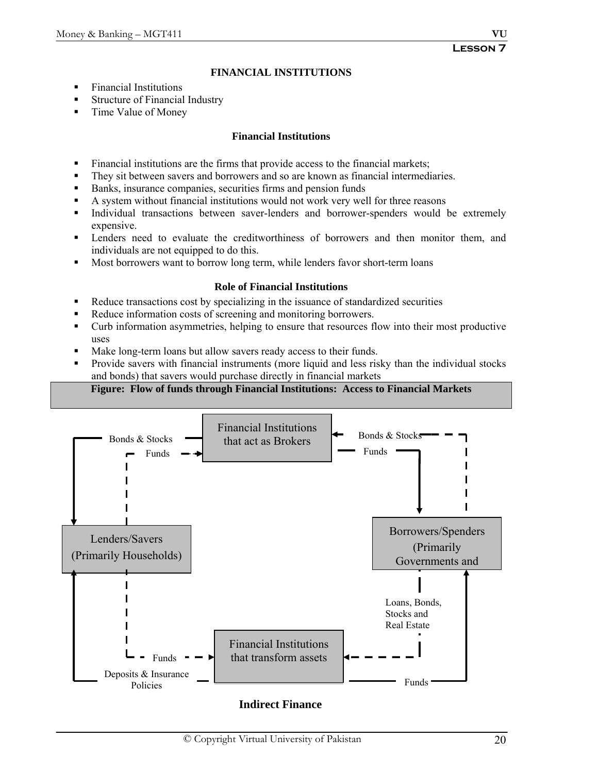## **FINANCIAL INSTITUTIONS**

- **Financial Institutions**
- **Structure of Financial Industry**
- Time Value of Money

#### **Financial Institutions**

- Financial institutions are the firms that provide access to the financial markets;
- They sit between savers and borrowers and so are known as financial intermediaries.
- Banks, insurance companies, securities firms and pension funds
- A system without financial institutions would not work very well for three reasons
- Individual transactions between saver-lenders and borrower-spenders would be extremely expensive.
- Lenders need to evaluate the creditworthiness of borrowers and then monitor them, and individuals are not equipped to do this.
- Most borrowers want to borrow long term, while lenders favor short-term loans

#### **Role of Financial Institutions**

- Reduce transactions cost by specializing in the issuance of standardized securities
- Reduce information costs of screening and monitoring borrowers.
- Curb information asymmetries, helping to ensure that resources flow into their most productive uses
- Make long-term loans but allow savers ready access to their funds.
- **•** Provide savers with financial instruments (more liquid and less risky than the individual stocks and bonds) that savers would purchase directly in financial markets

#### **Figure: Flow of funds through Financial Institutions: Access to Financial Markets**



## **Indirect Finance**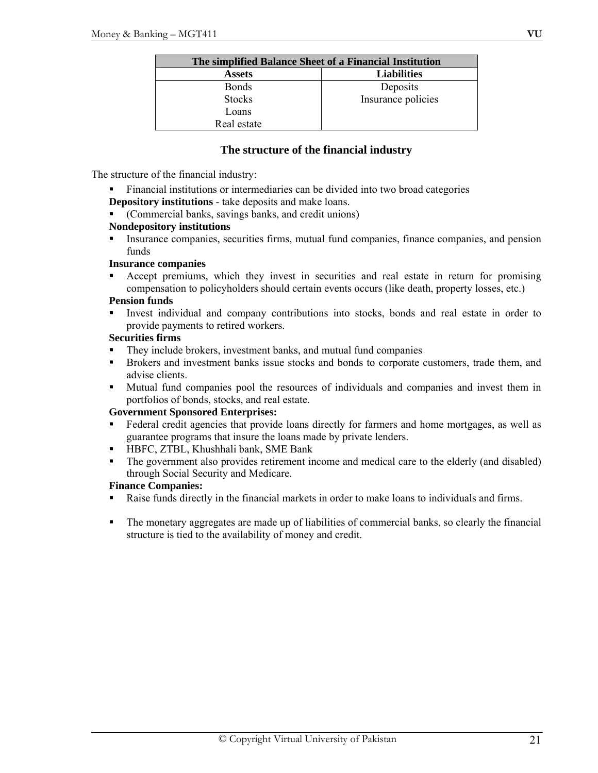| The simplified Balance Sheet of a Financial Institution |                    |  |  |
|---------------------------------------------------------|--------------------|--|--|
| <b>Assets</b>                                           | <b>Liabilities</b> |  |  |
| <b>Bonds</b>                                            | Deposits           |  |  |
| <b>Stocks</b>                                           | Insurance policies |  |  |
| Loans                                                   |                    |  |  |
| Real estate                                             |                    |  |  |

## **The structure of the financial industry**

The structure of the financial industry:

- Financial institutions or intermediaries can be divided into two broad categories
- **Depository institutions** take deposits and make loans.
- (Commercial banks, savings banks, and credit unions)

## **Nondepository institutions**

 Insurance companies, securities firms, mutual fund companies, finance companies, and pension funds

## **Insurance companies**

 Accept premiums, which they invest in securities and real estate in return for promising compensation to policyholders should certain events occurs (like death, property losses, etc.)

## **Pension funds**

 Invest individual and company contributions into stocks, bonds and real estate in order to provide payments to retired workers.

## **Securities firms**

- They include brokers, investment banks, and mutual fund companies
- Brokers and investment banks issue stocks and bonds to corporate customers, trade them, and advise clients.
- Mutual fund companies pool the resources of individuals and companies and invest them in portfolios of bonds, stocks, and real estate.

## **Government Sponsored Enterprises:**

- Federal credit agencies that provide loans directly for farmers and home mortgages, as well as guarantee programs that insure the loans made by private lenders.
- HBFC, ZTBL, Khushhali bank, SME Bank
- The government also provides retirement income and medical care to the elderly (and disabled) through Social Security and Medicare.

## **Finance Companies:**

- Raise funds directly in the financial markets in order to make loans to individuals and firms.
- The monetary aggregates are made up of liabilities of commercial banks, so clearly the financial structure is tied to the availability of money and credit.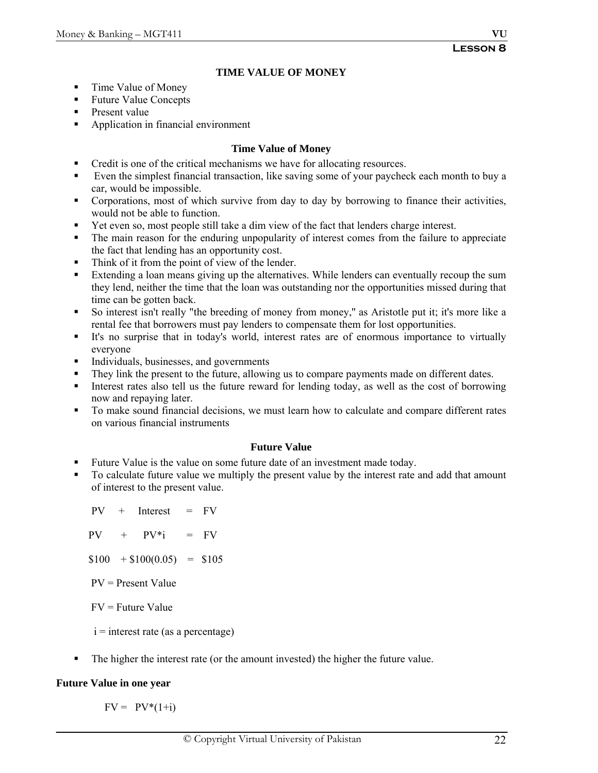## **TIME VALUE OF MONEY**

- **Time Value of Money**
- Future Value Concepts
- Present value
- Application in financial environment

## **Time Value of Money**

- Credit is one of the critical mechanisms we have for allocating resources.
- **Even the simplest financial transaction, like saving some of your paycheck each month to buy a** car, would be impossible.
- **Corporations, most of which survive from day to day by borrowing to finance their activities,** would not be able to function.
- Yet even so, most people still take a dim view of the fact that lenders charge interest.
- The main reason for the enduring unpopularity of interest comes from the failure to appreciate the fact that lending has an opportunity cost.
- Think of it from the point of view of the lender.
- Extending a loan means giving up the alternatives. While lenders can eventually recoup the sum they lend, neither the time that the loan was outstanding nor the opportunities missed during that time can be gotten back.
- So interest isn't really "the breeding of money from money,'' as Aristotle put it; it's more like a rental fee that borrowers must pay lenders to compensate them for lost opportunities.
- It's no surprise that in today's world, interest rates are of enormous importance to virtually everyone
- Individuals, businesses, and governments
- They link the present to the future, allowing us to compare payments made on different dates.
- Interest rates also tell us the future reward for lending today, as well as the cost of borrowing now and repaying later.
- To make sound financial decisions, we must learn how to calculate and compare different rates on various financial instruments

#### **Future Value**

- Future Value is the value on some future date of an investment made today.
- To calculate future value we multiply the present value by the interest rate and add that amount of interest to the present value.

 $PV + Interest = FV$  $PV + PV^*i = FV$  $$100 + $100(0.05) = $105$  PV = Present Value  $FV =$  Future Value  $i =$  interest rate (as a percentage)

• The higher the interest rate (or the amount invested) the higher the future value.

## **Future Value in one year**

 $FV = PV*(1+i)$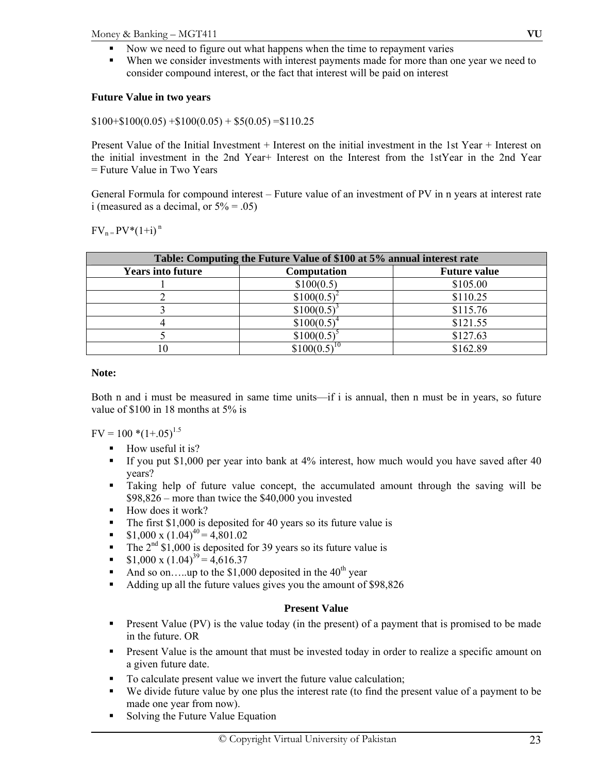- Now we need to figure out what happens when the time to repayment varies
- When we consider investments with interest payments made for more than one year we need to consider compound interest, or the fact that interest will be paid on interest

## **Future Value in two years**

 $$100+$100(0.05) + $100(0.05) + $5(0.05) = $110.25$ 

Present Value of the Initial Investment + Interest on the initial investment in the 1st Year + Interest on the initial investment in the 2nd Year+ Interest on the Interest from the 1stYear in the 2nd Year = Future Value in Two Years

General Formula for compound interest – Future value of an investment of PV in n years at interest rate i (measured as a decimal, or  $5\% = .05$ )

 $FV_{n} = PV*(1+i)^{n}$ 

| Table: Computing the Future Value of \$100 at 5% annual interest rate |                  |          |  |  |  |
|-----------------------------------------------------------------------|------------------|----------|--|--|--|
| <b>Years into future</b>                                              | Computation      |          |  |  |  |
|                                                                       | \$100(0.5)       | \$105.00 |  |  |  |
|                                                                       | \$100(0.5)       | \$110.25 |  |  |  |
|                                                                       | $$100(0.5)^3$    | \$115.76 |  |  |  |
|                                                                       | $$100(0.5)^4$    | \$121.55 |  |  |  |
|                                                                       | \$100(0.5)       | \$127.63 |  |  |  |
|                                                                       | $$100(0.5)^{10}$ | \$162.89 |  |  |  |

#### **Note:**

Both n and i must be measured in same time units—if i is annual, then n must be in years, so future value of \$100 in 18 months at 5% is

 $FV = 100 * (1+.05)^{1.5}$ 

- $\blacksquare$  How useful it is?
- If you put \$1,000 per year into bank at 4% interest, how much would you have saved after 40 years?
- Taking help of future value concept, the accumulated amount through the saving will be \$98,826 – more than twice the \$40,000 you invested
- How does it work?
- The first \$1,000 is deposited for 40 years so its future value is
- $\bullet$  \$1,000 x  $(1.04)^{40} = 4,801.02$
- The  $2<sup>nd</sup>$  \$1,000 is deposited for 39 years so its future value is
- $$1,000 \times (1.04)^{39} = 4,616.37$
- And so on.....up to the \$1,000 deposited in the  $40<sup>th</sup>$  year
- Adding up all the future values gives you the amount of \$98,826

## **Present Value**

- **Present Value (PV)** is the value today (in the present) of a payment that is promised to be made in the future. OR
- **Present Value is the amount that must be invested today in order to realize a specific amount on** a given future date.
- To calculate present value we invert the future value calculation;
- We divide future value by one plus the interest rate (to find the present value of a payment to be made one year from now).
- Solving the Future Value Equation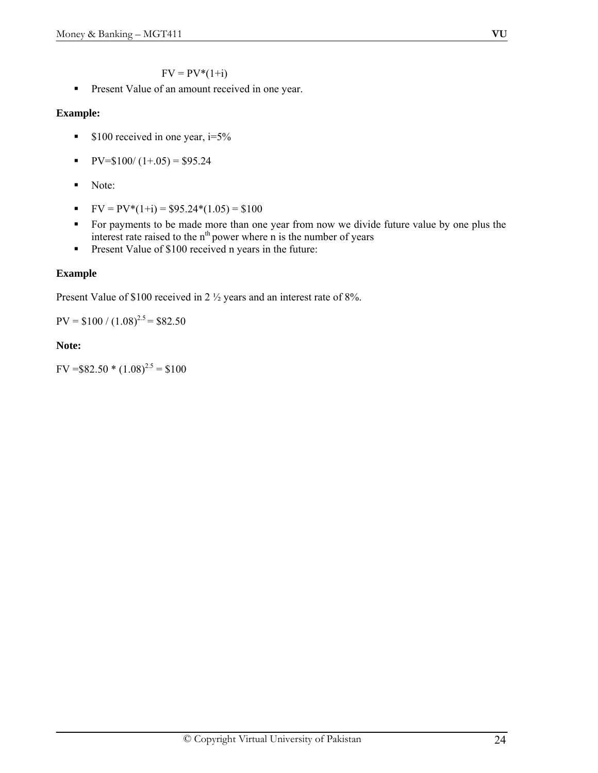$$
FV = PV*(1+i)
$$

**Present Value of an amount received in one year.** 

## **Example:**

- $\bullet$  \$100 received in one year, i=5%
- $\bullet$  PV=\$100/ (1+.05) = \$95.24
- Note:
- $\bullet$  FV = PV\*(1+i) = \$95.24\*(1.05) = \$100
- For payments to be made more than one year from now we divide future value by one plus the interest rate raised to the  $n<sup>th</sup>$  power where n is the number of years
- **Present Value of \$100 received n years in the future:**

## **Example**

Present Value of \$100 received in 2  $\frac{1}{2}$  years and an interest rate of 8%.

 $PV = $100 / (1.08)^{2.5} = $82.50$ 

## **Note:**

 $FV = $82.50 * (1.08)^{2.5} = $100$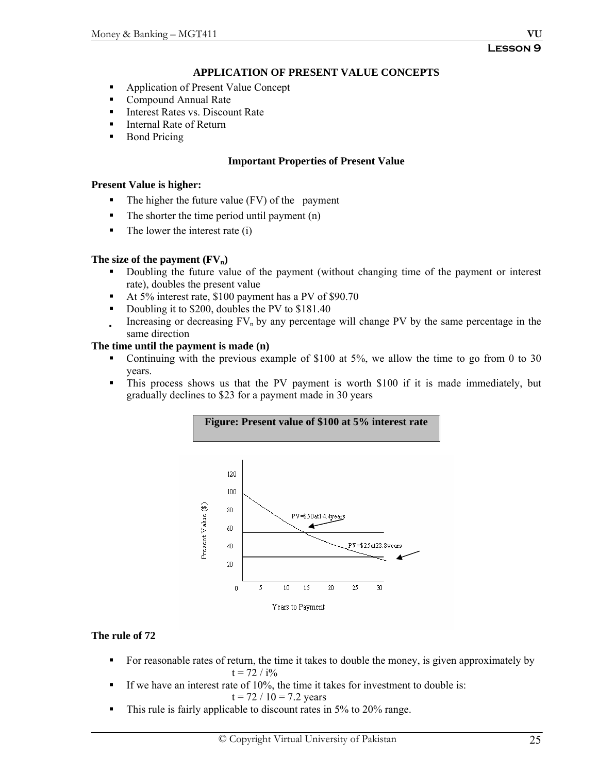## **APPLICATION OF PRESENT VALUE CONCEPTS**

- **Application of Present Value Concept**
- Compound Annual Rate
- Interest Rates vs. Discount Rate
- Internal Rate of Return
- Bond Pricing

## **Important Properties of Present Value**

#### **Present Value is higher:**

- $\blacksquare$  The higher the future value (FV) of the payment
- $\blacksquare$  The shorter the time period until payment (n)
- $\blacksquare$  The lower the interest rate (i)

## The size of the payment  $(FV_n)$

- Doubling the future value of the payment (without changing time of the payment or interest rate), doubles the present value
- At  $5\%$  interest rate, \$100 payment has a PV of \$90.70
- Doubling it to \$200, doubles the PV to \$181.40
- Increasing or decreasing  $FV_n$  by any percentage will change PV by the same percentage in the same direction

## **The time until the payment is made (n)**

- Continuing with the previous example of \$100 at 5%, we allow the time to go from 0 to 30 years.
- This process shows us that the PV payment is worth \$100 if it is made immediately, but gradually declines to \$23 for a payment made in 30 years

**Figure: Present value of \$100 at 5% interest rate** 



## **The rule of 72**

- For reasonable rates of return, the time it takes to double the money, is given approximately by  $t = 72 / i\%$
- If we have an interest rate of  $10\%$ , the time it takes for investment to double is:  $t = 72 / 10 = 7.2$  years
- This rule is fairly applicable to discount rates in 5% to 20% range.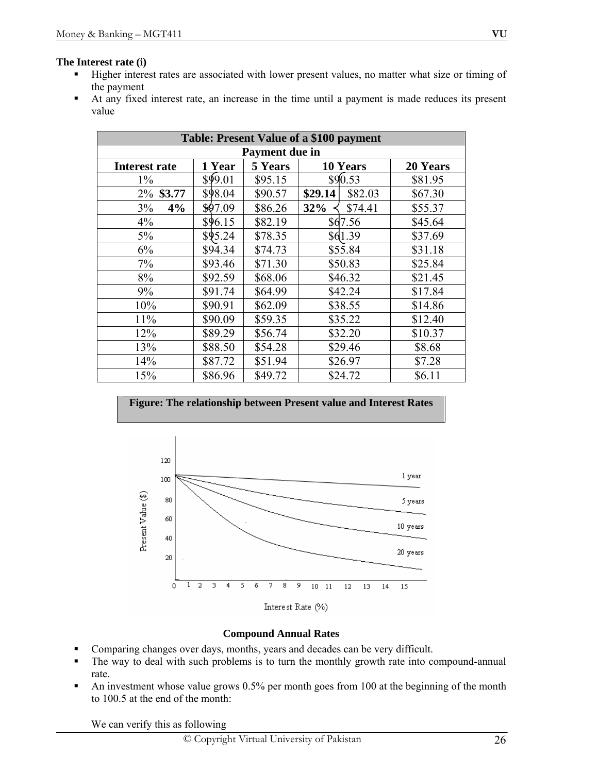## **The Interest rate (i)**

- Higher interest rates are associated with lower present values, no matter what size or timing of the payment
- At any fixed interest rate, an increase in the time until a payment is made reduces its present value

| <b>Table: Present Value of a \$100 payment</b> |         |         |                    |          |  |  |
|------------------------------------------------|---------|---------|--------------------|----------|--|--|
| Payment due in                                 |         |         |                    |          |  |  |
| <b>Interest rate</b>                           | 1 Year  | 5 Years | <b>10 Years</b>    | 20 Years |  |  |
| $1\%$                                          | \$99.01 | \$95.15 | \$90.53            | \$81.95  |  |  |
| 2% \$3.77                                      | \$98.04 | \$90.57 | \$29.14<br>\$82.03 | \$67.30  |  |  |
| 3%<br>4%                                       | \$97.09 | \$86.26 | 32%<br>\$74.41     | \$55.37  |  |  |
| 4%                                             | \$96.15 | \$82.19 | \$67.56            | \$45.64  |  |  |
| 5%                                             | \$95.24 | \$78.35 | \$61.39            | \$37.69  |  |  |
| 6%                                             | \$94.34 | \$74.73 | \$55.84            | \$31.18  |  |  |
| 7%                                             | \$93.46 | \$71.30 | \$50.83            | \$25.84  |  |  |
| 8%                                             | \$92.59 | \$68.06 | \$46.32            | \$21.45  |  |  |
| 9%                                             | \$91.74 | \$64.99 | \$42.24            | \$17.84  |  |  |
| 10%                                            | \$90.91 | \$62.09 | \$38.55            | \$14.86  |  |  |
| 11%                                            | \$90.09 | \$59.35 | \$35.22            | \$12.40  |  |  |
| 12%                                            | \$89.29 | \$56.74 | \$32.20            | \$10.37  |  |  |
| 13%                                            | \$88.50 | \$54.28 | \$29.46            | \$8.68   |  |  |
| 14%                                            | \$87.72 | \$51.94 | \$26.97            | \$7.28   |  |  |
| 15%                                            | \$86.96 | \$49.72 | \$24.72            | \$6.11   |  |  |

# **Figure: The relationship between Present value and Interest Rates**



#### **Compound Annual Rates**

- Comparing changes over days, months, years and decades can be very difficult.
- The way to deal with such problems is to turn the monthly growth rate into compound-annual rate.
- An investment whose value grows 0.5% per month goes from 100 at the beginning of the month to 100.5 at the end of the month:

We can verify this as following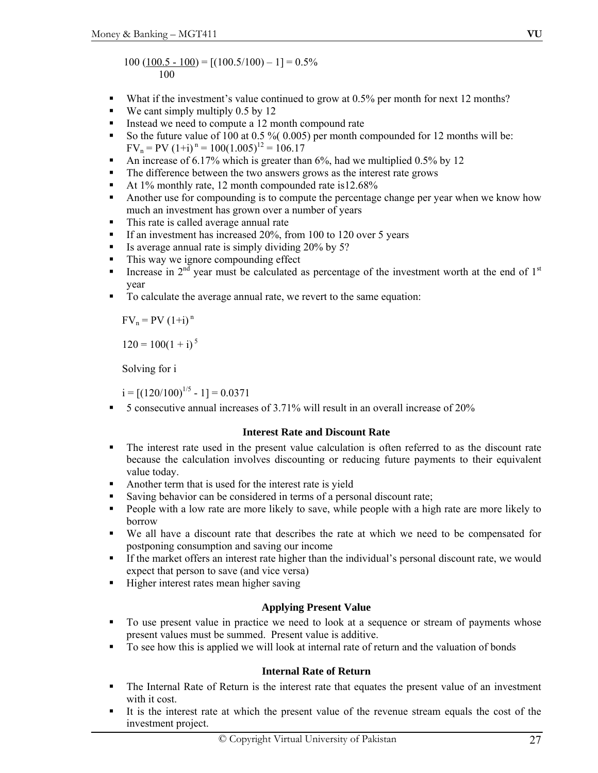$100 (100.5 - 100) = [(100.5/100) - 1] = 0.5\%$ 100

- What if the investment's value continued to grow at 0.5% per month for next 12 months?
- We cant simply multiply 0.5 by 12
- Instead we need to compute a 12 month compound rate
- So the future value of 100 at 0.5 % (0.005) per month compounded for 12 months will be:  $FV_n = PV (1+i)^n = 100(1.005)^{12} = 106.17$
- An increase of 6.17% which is greater than 6%, had we multiplied 0.5% by 12
- The difference between the two answers grows as the interest rate grows
- At  $1\%$  monthly rate, 12 month compounded rate is 12.68%
- Another use for compounding is to compute the percentage change per year when we know how much an investment has grown over a number of years
- This rate is called average annual rate
- If an investment has increased  $20\%$ , from 100 to 120 over 5 years
- Is average annual rate is simply dividing  $20\%$  by 5?
- This way we ignore compounding effect
- Increase in  $2<sup>nd</sup>$  year must be calculated as percentage of the investment worth at the end of  $1<sup>st</sup>$ year
- To calculate the average annual rate, we revert to the same equation:

 $FV_n = PV (1+i)^n$ 

 $120 = 100(1 + i)^{5}$ 

Solving for i

 $i = [(120/100)^{1/5} - 1] = 0.0371$ 

5 consecutive annual increases of 3.71% will result in an overall increase of 20%

## **Interest Rate and Discount Rate**

- The interest rate used in the present value calculation is often referred to as the discount rate because the calculation involves discounting or reducing future payments to their equivalent value today.
- Another term that is used for the interest rate is yield
- Saving behavior can be considered in terms of a personal discount rate;
- **People with a low rate are more likely to save, while people with a high rate are more likely to** borrow
- We all have a discount rate that describes the rate at which we need to be compensated for postponing consumption and saving our income
- If the market offers an interest rate higher than the individual's personal discount rate, we would expect that person to save (and vice versa)
- Higher interest rates mean higher saving

## **Applying Present Value**

- To use present value in practice we need to look at a sequence or stream of payments whose present values must be summed. Present value is additive.
- To see how this is applied we will look at internal rate of return and the valuation of bonds

## **Internal Rate of Return**

- The Internal Rate of Return is the interest rate that equates the present value of an investment with it cost.
- It is the interest rate at which the present value of the revenue stream equals the cost of the investment project.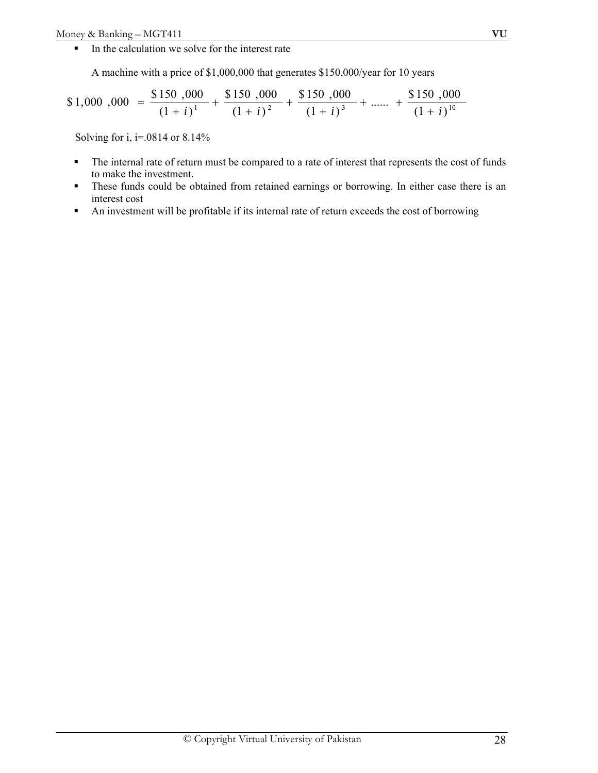In the calculation we solve for the interest rate

A machine with a price of \$1,000,000 that generates \$150,000/year for 10 years

$$
$1,000,000 = \frac{$150,000}{$(1+i)^{1}} + \frac{$150,000}{$(1+i)^{2}} + \frac{$150,000}{$(1+i)^{3}} + \dots + \frac{$150,000}{$(1+i)^{10}}
$$

Solving for i,  $i=0814$  or  $8.14\%$ 

- The internal rate of return must be compared to a rate of interest that represents the cost of funds to make the investment.
- These funds could be obtained from retained earnings or borrowing. In either case there is an interest cost
- An investment will be profitable if its internal rate of return exceeds the cost of borrowing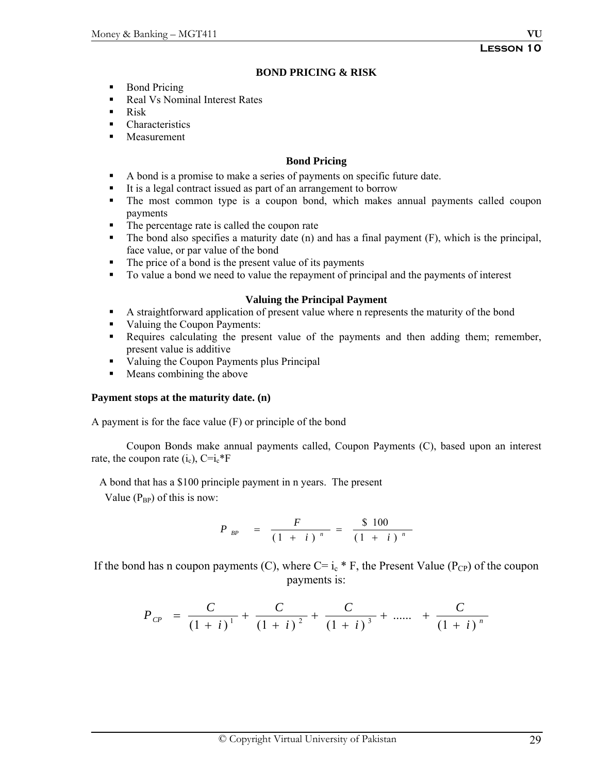#### **BOND PRICING & RISK**

- Bond Pricing
- Real Vs Nominal Interest Rates
- Risk
- Characteristics
- Measurement

## **Bond Pricing**

- A bond is a promise to make a series of payments on specific future date.
- It is a legal contract issued as part of an arrangement to borrow
- The most common type is a coupon bond, which makes annual payments called coupon payments
- The percentage rate is called the coupon rate
- The bond also specifies a maturity date  $(n)$  and has a final payment  $(F)$ , which is the principal, face value, or par value of the bond
- The price of a bond is the present value of its payments
- To value a bond we need to value the repayment of principal and the payments of interest

## **Valuing the Principal Payment**

- A straightforward application of present value where n represents the maturity of the bond
- Valuing the Coupon Payments:
- Requires calculating the present value of the payments and then adding them; remember, present value is additive
- Valuing the Coupon Payments plus Principal
- **Means combining the above**

## **Payment stops at the maturity date. (n)**

A payment is for the face value (F) or principle of the bond

 Coupon Bonds make annual payments called, Coupon Payments (C), based upon an interest rate, the coupon rate  $(i_c)$ ,  $C=i_c*F$ 

A bond that has a \$100 principle payment in n years. The present

Value  $(P_{BP})$  of this is now:

$$
P_{BP} = \frac{F}{(1 + i)^{n}} = \frac{\$ 100}{(1 + i)^{n}}
$$

If the bond has n coupon payments (C), where  $C = i_c * F$ , the Present Value (P<sub>CP</sub>) of the coupon payments is:

$$
P_{CP} = \frac{C}{(1+i)^{1}} + \frac{C}{(1+i)^{2}} + \frac{C}{(1+i)^{3}} + \dots + \frac{C}{(1+i)^{n}}
$$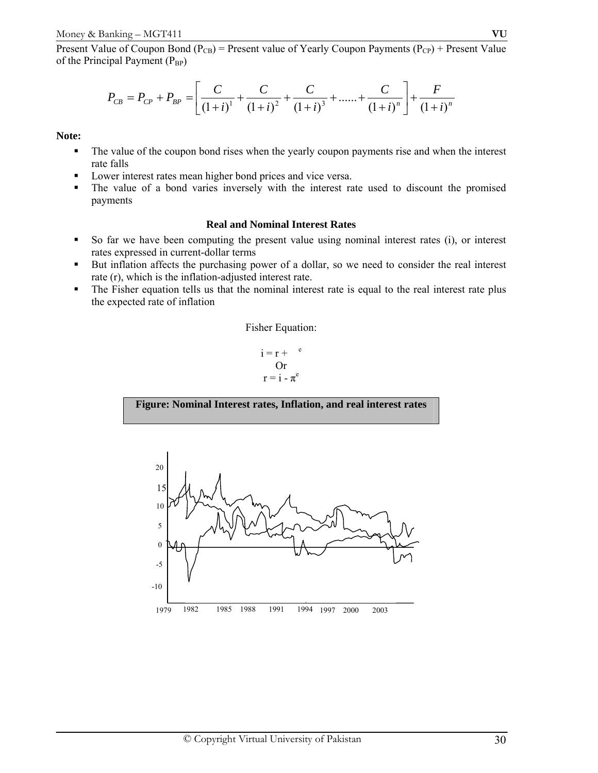Present Value of Coupon Bond ( $P_{CB}$ ) = Present value of Yearly Coupon Payments ( $P_{CP}$ ) + Present Value of the Principal Payment  $(P_{BP})$ 

$$
P_{CB} = P_{CP} + P_{BP} = \left[ \frac{C}{(1+i)^1} + \frac{C}{(1+i)^2} + \frac{C}{(1+i)^3} + \dots + \frac{C}{(1+i)^n} \right] + \frac{F}{(1+i)^n}
$$

**Note:** 

- The value of the coupon bond rises when the yearly coupon payments rise and when the interest rate falls
- **Lower interest rates mean higher bond prices and vice versa.**
- The value of a bond varies inversely with the interest rate used to discount the promised payments

#### **Real and Nominal Interest Rates**

- So far we have been computing the present value using nominal interest rates (i), or interest rates expressed in current-dollar terms
- But inflation affects the purchasing power of a dollar, so we need to consider the real interest rate (r), which is the inflation-adjusted interest rate.
- The Fisher equation tells us that the nominal interest rate is equal to the real interest rate plus the expected rate of inflation

Fisher Equation:

$$
i = r + \n\begin{cases} \n\text{or} \\ \n\text{or} \\ \nr = i - \pi^e \n\end{cases}
$$

**Figure: Nominal Interest rates, Inflation, and real interest rates** 

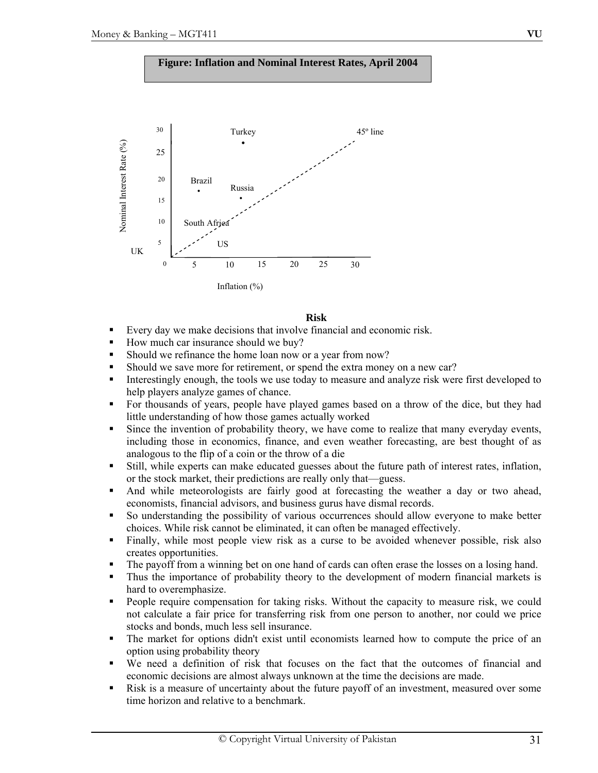

#### **Risk**

- Every day we make decisions that involve financial and economic risk.
- How much car insurance should we buy?
- Should we refinance the home loan now or a year from now?
- Should we save more for retirement, or spend the extra money on a new car?
- Interestingly enough, the tools we use today to measure and analyze risk were first developed to help players analyze games of chance.
- For thousands of years, people have played games based on a throw of the dice, but they had little understanding of how those games actually worked
- Since the invention of probability theory, we have come to realize that many everyday events, including those in economics, finance, and even weather forecasting, are best thought of as analogous to the flip of a coin or the throw of a die
- Still, while experts can make educated guesses about the future path of interest rates, inflation, or the stock market, their predictions are really only that—guess.
- And while meteorologists are fairly good at forecasting the weather a day or two ahead, economists, financial advisors, and business gurus have dismal records.
- So understanding the possibility of various occurrences should allow everyone to make better choices. While risk cannot be eliminated, it can often be managed effectively.
- Finally, while most people view risk as a curse to be avoided whenever possible, risk also creates opportunities.
- The payoff from a winning bet on one hand of cards can often erase the losses on a losing hand.
- Thus the importance of probability theory to the development of modern financial markets is hard to overemphasize.
- People require compensation for taking risks. Without the capacity to measure risk, we could not calculate a fair price for transferring risk from one person to another, nor could we price stocks and bonds, much less sell insurance.
- The market for options didn't exist until economists learned how to compute the price of an option using probability theory
- We need a definition of risk that focuses on the fact that the outcomes of financial and economic decisions are almost always unknown at the time the decisions are made.
- Risk is a measure of uncertainty about the future payoff of an investment, measured over some time horizon and relative to a benchmark.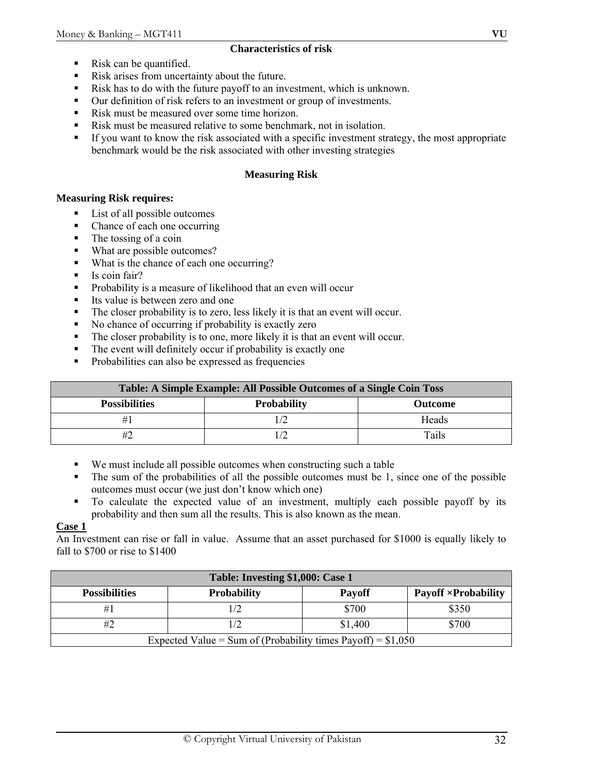## **Characteristics of risk**

- $\blacksquare$  Risk can be quantified.
- Risk arises from uncertainty about the future.
- Risk has to do with the future payoff to an investment, which is unknown.
- Our definition of risk refers to an investment or group of investments.
- Risk must be measured over some time horizon.
- Risk must be measured relative to some benchmark, not in isolation.
- If you want to know the risk associated with a specific investment strategy, the most appropriate benchmark would be the risk associated with other investing strategies

## **Measuring Risk**

## **Measuring Risk requires:**

- List of all possible outcomes
- Chance of each one occurring
- $\blacksquare$  The tossing of a coin
- What are possible outcomes?
- What is the chance of each one occurring?
- $\blacksquare$  Is coin fair?
- **Probability is a measure of likelihood that an even will occur**
- Its value is between zero and one
- The closer probability is to zero, less likely it is that an event will occur.<br>No chance of occurring if probability is exactly zero
- No chance of occurring if probability is exactly zero
- The closer probability is to one, more likely it is that an event will occur.
- The event will definitely occur if probability is exactly one
- Probabilities can also be expressed as frequencies

| Table: A Simple Example: All Possible Outcomes of a Single Coin Toss |                    |                |  |  |
|----------------------------------------------------------------------|--------------------|----------------|--|--|
| <b>Possibilities</b>                                                 | <b>Probability</b> | <b>Outcome</b> |  |  |
| #1                                                                   |                    | Heads          |  |  |
| #2                                                                   |                    | Tails          |  |  |

- We must include all possible outcomes when constructing such a table
- The sum of the probabilities of all the possible outcomes must be 1, since one of the possible outcomes must occur (we just don't know which one)
- To calculate the expected value of an investment, multiply each possible payoff by its probability and then sum all the results. This is also known as the mean.

## **Case 1**

An Investment can rise or fall in value. Assume that an asset purchased for \$1000 is equally likely to fall to \$700 or rise to \$1400

| Table: Investing \$1,000: Case 1                              |                    |               |                      |  |  |
|---------------------------------------------------------------|--------------------|---------------|----------------------|--|--|
| <b>Possibilities</b>                                          | <b>Probability</b> | <b>Payoff</b> | Payoff × Probability |  |  |
| #1                                                            |                    | \$700         | \$350                |  |  |
| #2                                                            |                    | \$1,400       | \$700                |  |  |
| Expected Value = Sum of (Probability times Payoff) = $$1,050$ |                    |               |                      |  |  |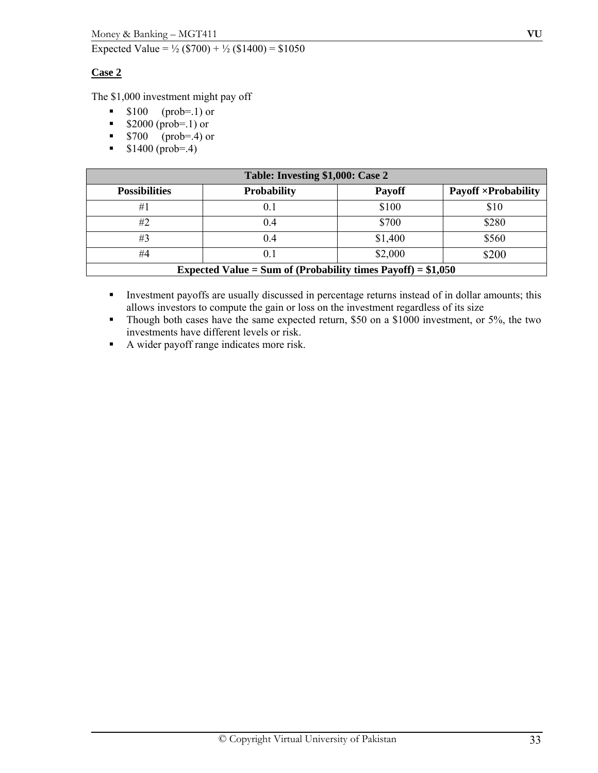Expected Value =  $\frac{1}{2}$  (\$700) +  $\frac{1}{2}$  (\$1400) = \$1050

## **Case 2**

The \$1,000 investment might pay off

- $\bullet$  \$100 (prob=.1) or
- $\bullet$  \$2000 (prob=.1) or
- $\bullet$  \$700 (prob=.4) or
- $\bullet$  \$1400 (prob=.4)

| Table: Investing \$1,000: Case 2                              |                    |               |                            |  |  |
|---------------------------------------------------------------|--------------------|---------------|----------------------------|--|--|
| <b>Possibilities</b>                                          | <b>Probability</b> | <b>Payoff</b> | <b>Payoff ×Probability</b> |  |  |
| #1                                                            | 0.1                | \$100         | \$10                       |  |  |
| #2                                                            | 0.4                | \$700         | \$280                      |  |  |
| #3                                                            | 0.4                | \$1,400       | \$560                      |  |  |
| #4                                                            |                    | \$2,000       | \$200                      |  |  |
| Expected Value = Sum of (Probability times Payoff) = $$1,050$ |                    |               |                            |  |  |

- Investment payoffs are usually discussed in percentage returns instead of in dollar amounts; this allows investors to compute the gain or loss on the investment regardless of its size
- Though both cases have the same expected return, \$50 on a \$1000 investment, or 5%, the two investments have different levels or risk.
- A wider payoff range indicates more risk.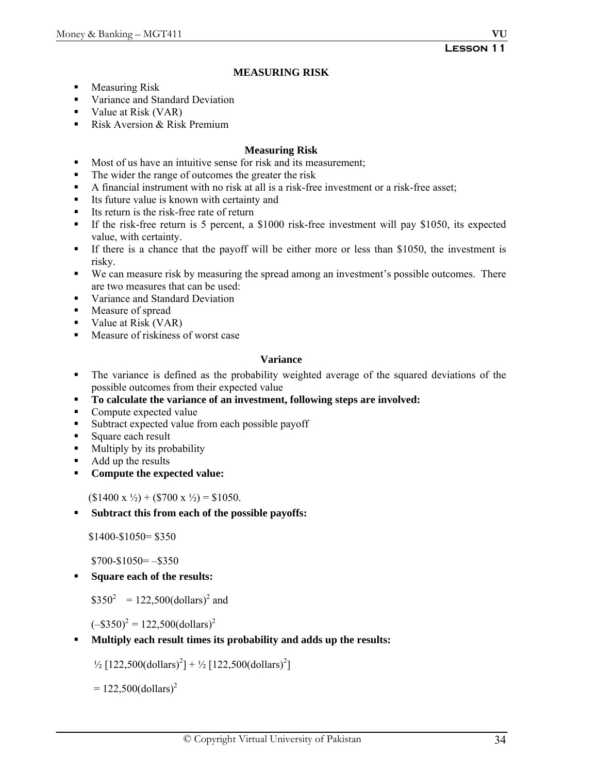## **MEASURING RISK**

- **Measuring Risk**
- **Variance and Standard Deviation**
- Value at Risk (VAR)
- Risk Aversion & Risk Premium

## **Measuring Risk**

- Most of us have an intuitive sense for risk and its measurement;
- The wider the range of outcomes the greater the risk
- A financial instrument with no risk at all is a risk-free investment or a risk-free asset;
- Its future value is known with certainty and
- Its return is the risk-free rate of return
- If the risk-free return is 5 percent, a \$1000 risk-free investment will pay \$1050, its expected value, with certainty.
- If there is a chance that the payoff will be either more or less than \$1050, the investment is risky.
- We can measure risk by measuring the spread among an investment's possible outcomes. There are two measures that can be used:
- **Variance and Standard Deviation**
- Measure of spread
- Value at Risk (VAR)
- Measure of riskiness of worst case

## **Variance**

- The variance is defined as the probability weighted average of the squared deviations of the possible outcomes from their expected value
- **To calculate the variance of an investment, following steps are involved:**
- Compute expected value
- Subtract expected value from each possible payoff
- Square each result
- $\blacksquare$  Multiply by its probability
- Add up the results
- **Compute the expected value:**

 $($1400 \times \frac{1}{2}) + ($700 \times \frac{1}{2}) = $1050.$ 

**Subtract this from each of the possible payoffs:** 

\$1400-\$1050= \$350

 $$700-S1050=-\$350$ 

**Square each of the results:** 

 $$350^2$  = 122,500(dollars)<sup>2</sup> and

 $(-\$350)^2 = 122,500 \text{(dollars)}^2$ 

**Multiply each result times its probability and adds up the results:** 

 $\frac{1}{2}$  [122,500(dollars)<sup>2</sup>] +  $\frac{1}{2}$  [122,500(dollars)<sup>2</sup>]

 $= 122,500 (dollars)^{2}$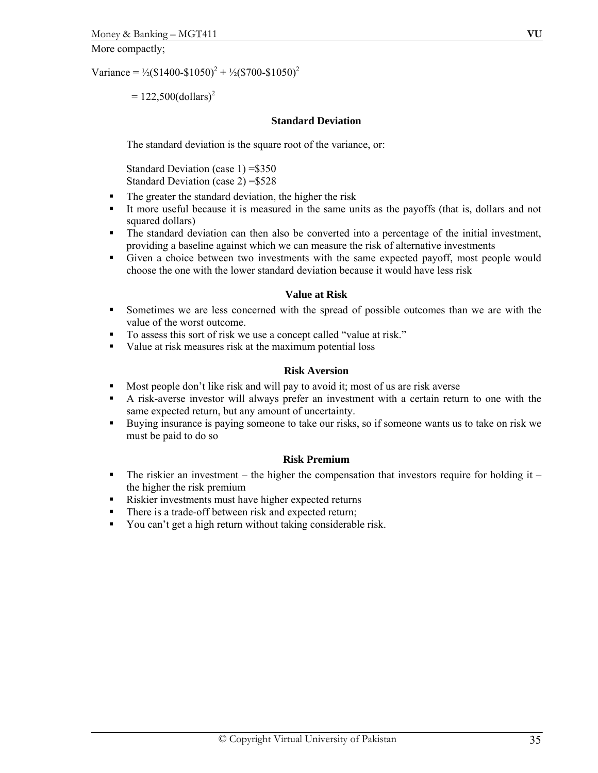More compactly;

Variance =  $\frac{1}{2}$ (\$1400-\$1050)<sup>2</sup> +  $\frac{1}{2}$ (\$700-\$1050)<sup>2</sup>

 $= 122,500 (dollars)<sup>2</sup>$ 

#### **Standard Deviation**

The standard deviation is the square root of the variance, or:

 Standard Deviation (case 1) =\$350 Standard Deviation (case 2) =\$528

- The greater the standard deviation, the higher the risk
- It more useful because it is measured in the same units as the payoffs (that is, dollars and not squared dollars)
- The standard deviation can then also be converted into a percentage of the initial investment, providing a baseline against which we can measure the risk of alternative investments
- Given a choice between two investments with the same expected payoff, most people would choose the one with the lower standard deviation because it would have less risk

#### **Value at Risk**

- Sometimes we are less concerned with the spread of possible outcomes than we are with the value of the worst outcome.
- To assess this sort of risk we use a concept called "value at risk."
- Value at risk measures risk at the maximum potential loss

#### **Risk Aversion**

- Most people don't like risk and will pay to avoid it; most of us are risk averse
- A risk-averse investor will always prefer an investment with a certain return to one with the same expected return, but any amount of uncertainty.
- Buying insurance is paying someone to take our risks, so if someone wants us to take on risk we must be paid to do so

#### **Risk Premium**

- $\blacksquare$  The riskier an investment the higher the compensation that investors require for holding it the higher the risk premium
- Riskier investments must have higher expected returns
- There is a trade-off between risk and expected return;
- You can't get a high return without taking considerable risk.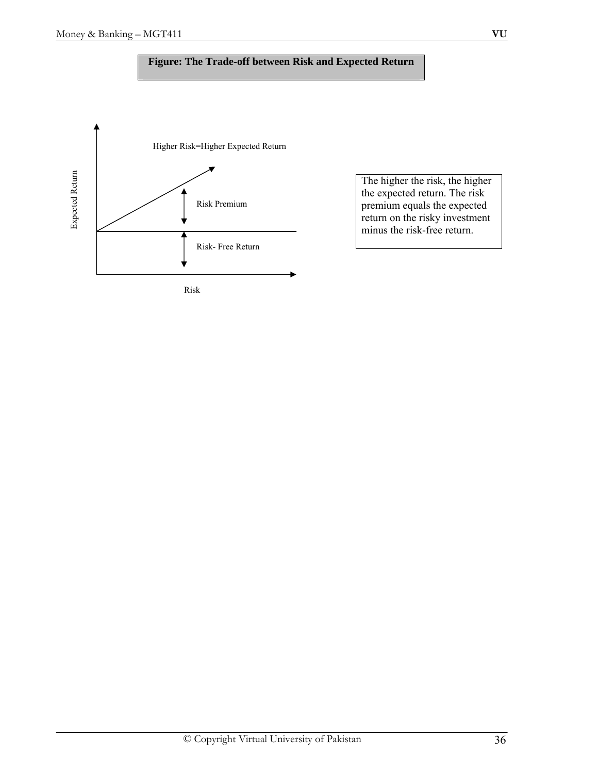## **Figure: The Trade-off between Risk and Expected Return**



The higher the risk, the higher the expected return. The risk premium equals the expected return on the risky investment minus the risk-free return.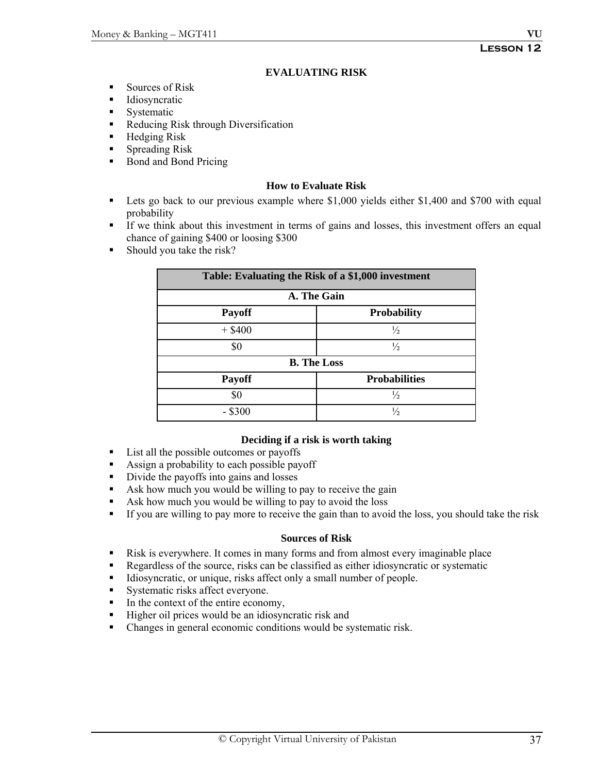## **EVALUATING RISK**

- Sources of Risk
- **Idiosyncratic**
- Systematic
- Reducing Risk through Diversification
- Hedging Risk
- **Spreading Risk**
- Bond and Bond Pricing

### **How to Evaluate Risk**

- Lets go back to our previous example where \$1,000 yields either \$1,400 and \$700 with equal probability
- If we think about this investment in terms of gains and losses, this investment offers an equal chance of gaining \$400 or loosing \$300
- Should you take the risk?

| Table: Evaluating the Risk of a \$1,000 investment |                      |  |  |
|----------------------------------------------------|----------------------|--|--|
|                                                    | A. The Gain          |  |  |
| <b>Payoff</b>                                      | <b>Probability</b>   |  |  |
| $+$ \$400                                          | $\frac{1}{2}$        |  |  |
| \$0                                                | $\frac{1}{2}$        |  |  |
|                                                    | <b>B.</b> The Loss   |  |  |
| <b>Payoff</b>                                      | <b>Probabilities</b> |  |  |
| \$0                                                | $\frac{1}{2}$        |  |  |
| $-$ \$300                                          | $\frac{1}{2}$        |  |  |

## **Deciding if a risk is worth taking**

- List all the possible outcomes or payoffs
- Assign a probability to each possible payoff
- Divide the payoffs into gains and losses
- Ask how much you would be willing to pay to receive the gain
- Ask how much you would be willing to pay to avoid the loss
- If you are willing to pay more to receive the gain than to avoid the loss, you should take the risk

#### **Sources of Risk**

- Risk is everywhere. It comes in many forms and from almost every imaginable place
- Regardless of the source, risks can be classified as either idiosyncratic or systematic
- Idiosyncratic, or unique, risks affect only a small number of people.
- Systematic risks affect everyone.
- In the context of the entire economy,
- Higher oil prices would be an idiosyncratic risk and
- Changes in general economic conditions would be systematic risk.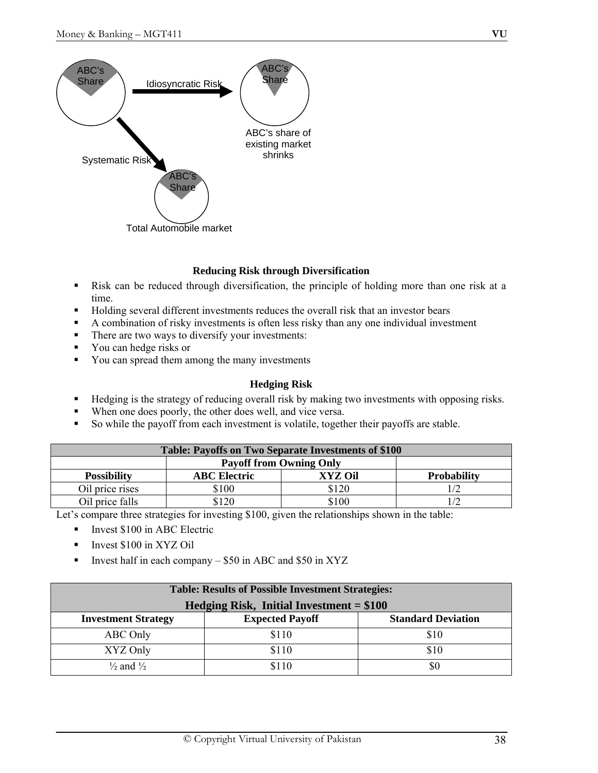

## **Reducing Risk through Diversification**

- Risk can be reduced through diversification, the principle of holding more than one risk at a time.
- Holding several different investments reduces the overall risk that an investor bears
- A combination of risky investments is often less risky than any one individual investment
- There are two ways to diversify your investments:
- You can hedge risks or
- You can spread them among the many investments

### **Hedging Risk**

- Hedging is the strategy of reducing overall risk by making two investments with opposing risks.
- When one does poorly, the other does well, and vice versa.
- So while the payoff from each investment is volatile, together their payoffs are stable.

| <b>Table: Payoffs on Two Separate Investments of \$100</b>                 |                                |       |  |  |  |
|----------------------------------------------------------------------------|--------------------------------|-------|--|--|--|
|                                                                            | <b>Payoff from Owning Only</b> |       |  |  |  |
| XYZ Oil<br><b>Possibility</b><br><b>ABC</b> Electric<br><b>Probability</b> |                                |       |  |  |  |
| Oil price rises                                                            | \$100                          | \$120 |  |  |  |
| Oil price falls                                                            | \$100                          |       |  |  |  |

Let's compare three strategies for investing \$100, given the relationships shown in the table:

- Invest \$100 in ABC Electric
- $\blacksquare$  Invest \$100 in XYZ Oil
- Invest half in each company  $$50$  in ABC and  $$50$  in XYZ

| <b>Table: Results of Possible Investment Strategies:</b>                          |  |  |  |  |
|-----------------------------------------------------------------------------------|--|--|--|--|
| Hedging Risk, Initial Investment $= $100$                                         |  |  |  |  |
| <b>Expected Payoff</b><br><b>Standard Deviation</b><br><b>Investment Strategy</b> |  |  |  |  |
| ABC Only<br>\$110<br>\$10                                                         |  |  |  |  |
| \$110<br>XYZ Only<br>\$10                                                         |  |  |  |  |
| $\frac{1}{2}$ and $\frac{1}{2}$<br>\$110<br>\$0                                   |  |  |  |  |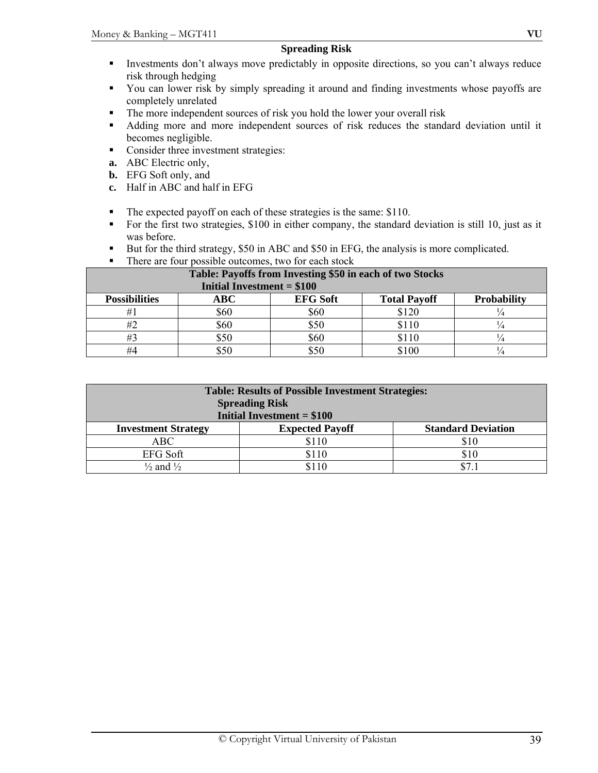# **Spreading Risk**

- Investments don't always move predictably in opposite directions, so you can't always reduce risk through hedging
- You can lower risk by simply spreading it around and finding investments whose payoffs are completely unrelated
- The more independent sources of risk you hold the lower your overall risk
- Adding more and more independent sources of risk reduces the standard deviation until it becomes negligible.
- Consider three investment strategies:
- **a.** ABC Electric only,
- **b.** EFG Soft only, and
- **c.** Half in ABC and half in EFG
- The expected payoff on each of these strategies is the same: \$110.
- For the first two strategies, \$100 in either company, the standard deviation is still 10, just as it was before.
- But for the third strategy, \$50 in ABC and \$50 in EFG, the analysis is more complicated.
- There are four possible outcomes, two for each stock

| Table: Payoffs from Investing \$50 in each of two Stocks<br><b>Initial Investment = <math>\$100</math></b> |                                                                     |       |       |  |  |  |
|------------------------------------------------------------------------------------------------------------|---------------------------------------------------------------------|-------|-------|--|--|--|
| <b>Possibilities</b>                                                                                       | <b>EFG Soft</b><br>ABC<br><b>Probability</b><br><b>Total Payoff</b> |       |       |  |  |  |
|                                                                                                            | \$60                                                                | \$120 |       |  |  |  |
| #2                                                                                                         | \$60                                                                | \$50  | \$110 |  |  |  |
|                                                                                                            | \$50                                                                | \$60  | \$110 |  |  |  |
|                                                                                                            | \$50                                                                |       | \$100 |  |  |  |

| <b>Table: Results of Possible Investment Strategies:</b><br><b>Spreading Risk</b><br><b>Initial Investment = <math>\$100</math></b> |                                                     |  |  |  |  |
|-------------------------------------------------------------------------------------------------------------------------------------|-----------------------------------------------------|--|--|--|--|
| <b>Investment Strategy</b>                                                                                                          | <b>Expected Payoff</b><br><b>Standard Deviation</b> |  |  |  |  |
| ABC .                                                                                                                               | \$110<br>\$10                                       |  |  |  |  |
| EFG Soft<br>\$110<br>\$10                                                                                                           |                                                     |  |  |  |  |
| $\frac{1}{2}$ and $\frac{1}{2}$<br>\$7<br>\$110                                                                                     |                                                     |  |  |  |  |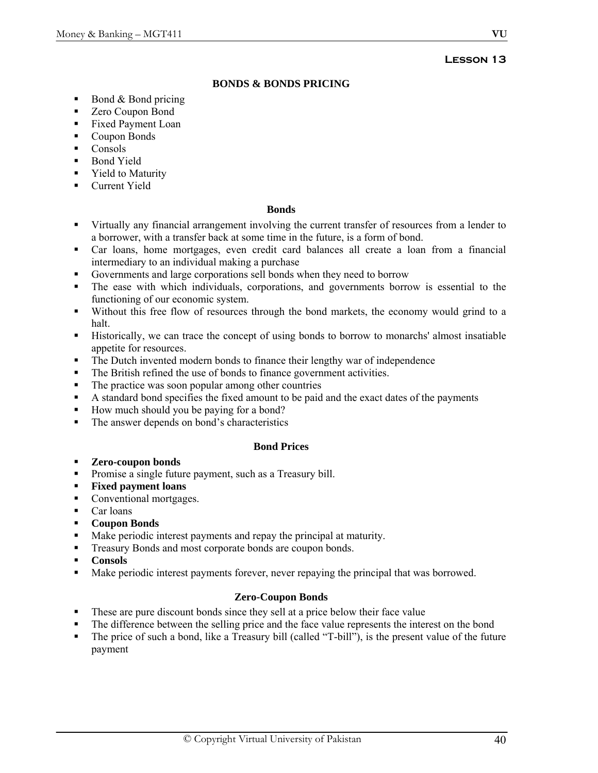# **Lesson 13**

## **BONDS & BONDS PRICING**

- Bond  $&$  Bond pricing
- Zero Coupon Bond
- **Fixed Payment Loan**
- Coupon Bonds
- Consols
- **Bond Yield**
- **Teld to Maturity**
- Current Yield

### **Bonds**

- Virtually any financial arrangement involving the current transfer of resources from a lender to a borrower, with a transfer back at some time in the future, is a form of bond.
- Car loans, home mortgages, even credit card balances all create a loan from a financial intermediary to an individual making a purchase
- Governments and large corporations sell bonds when they need to borrow
- The ease with which individuals, corporations, and governments borrow is essential to the functioning of our economic system.
- Without this free flow of resources through the bond markets, the economy would grind to a halt.
- Historically, we can trace the concept of using bonds to borrow to monarchs' almost insatiable appetite for resources.
- The Dutch invented modern bonds to finance their lengthy war of independence
- The British refined the use of bonds to finance government activities.
- The practice was soon popular among other countries
- A standard bond specifies the fixed amount to be paid and the exact dates of the payments
- How much should you be paying for a bond?
- The answer depends on bond's characteristics

#### **Bond Prices**

- **Zero-coupon bonds**
- Promise a single future payment, such as a Treasury bill.
- **Fixed payment loans**
- Conventional mortgages.
- Car loans
- **Coupon Bonds**
- Make periodic interest payments and repay the principal at maturity.
- **Treasury Bonds and most corporate bonds are coupon bonds.**
- **Consols**
- Make periodic interest payments forever, never repaying the principal that was borrowed.

#### **Zero-Coupon Bonds**

- These are pure discount bonds since they sell at a price below their face value
- The difference between the selling price and the face value represents the interest on the bond
- The price of such a bond, like a Treasury bill (called "T-bill"), is the present value of the future payment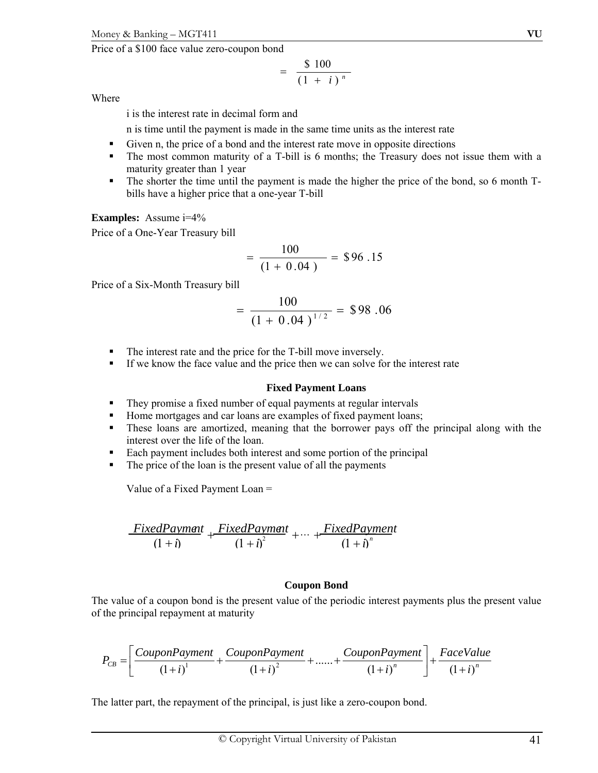Price of a \$100 face value zero-coupon bond

$$
= \frac{\$~100}{\left(1 + i\right)^n}
$$

Where

i is the interest rate in decimal form and

n is time until the payment is made in the same time units as the interest rate

- Given n, the price of a bond and the interest rate move in opposite directions
- The most common maturity of a T-bill is 6 months; the Treasury does not issue them with a maturity greater than 1 year
- The shorter the time until the payment is made the higher the price of the bond, so 6 month Tbills have a higher price that a one-year T-bill

**Examples:** Assume i=4%

Price of a One-Year Treasury bill

$$
=\frac{100}{(1+0.04)} = $96.15
$$

Price of a Six-Month Treasury bill

$$
= \frac{100}{\left(1 + 0.04\right)^{1/2}} = $98.06
$$

- The interest rate and the price for the T-bill move inversely.
- If we know the face value and the price then we can solve for the interest rate

#### **Fixed Payment Loans**

- They promise a fixed number of equal payments at regular intervals
- Home mortgages and car loans are examples of fixed payment loans;
- These loans are amortized, meaning that the borrower pays off the principal along with the interest over the life of the loan.
- Each payment includes both interest and some portion of the principal
- The price of the loan is the present value of all the payments

Value of a Fixed Payment Loan =

$$
\frac{FixedPayment}{(1+i)} + \frac{FixedPayment}{(1+i)^{2}} + \cdots + \frac{FixedPayment}{(1+i)^{n}}
$$

#### **Coupon Bond**

The value of a coupon bond is the present value of the periodic interest payments plus the present value of the principal repayment at maturity

$$
P_{CB} = \left[ \frac{CouponPayment}{(1+i)^{1}} + \frac{CouponPayment}{(1+i)^{2}} + \dots + \frac{CouponPayment}{(1+i)^{n}} \right] + \frac{FaceValue}{(1+i)^{n}}
$$

The latter part, the repayment of the principal, is just like a zero-coupon bond.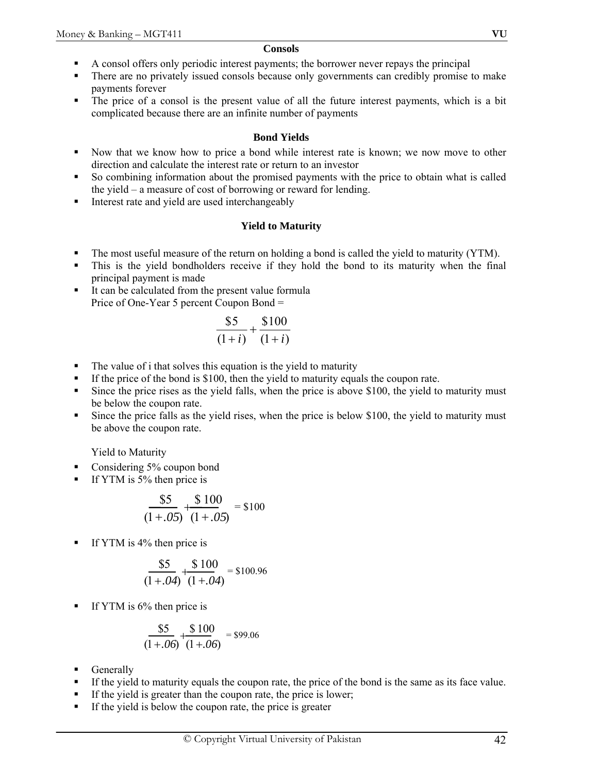#### **Consols**

- A consol offers only periodic interest payments; the borrower never repays the principal
- There are no privately issued consols because only governments can credibly promise to make payments forever
- The price of a consol is the present value of all the future interest payments, which is a bit complicated because there are an infinite number of payments

### **Bond Yields**

- Now that we know how to price a bond while interest rate is known; we now move to other direction and calculate the interest rate or return to an investor
- So combining information about the promised payments with the price to obtain what is called the yield – a measure of cost of borrowing or reward for lending.
- **IF Interest rate and yield are used interchangeably**

### **Yield to Maturity**

- The most useful measure of the return on holding a bond is called the yield to maturity (YTM).
- This is the yield bondholders receive if they hold the bond to its maturity when the final principal payment is made
- It can be calculated from the present value formula Price of One-Year 5 percent Coupon Bond =

$$
\frac{\$5}{(1+i)} + \frac{\$100}{(1+i)}
$$

- $\blacksquare$  The value of i that solves this equation is the yield to maturity
- If the price of the bond is \$100, then the yield to maturity equals the coupon rate.
- Since the price rises as the yield falls, when the price is above \$100, the yield to maturity must be below the coupon rate.
- Since the price falls as the yield rises, when the price is below \$100, the yield to maturity must be above the coupon rate.

Yield to Maturity

- Considering 5% coupon bond
- If YTM is  $5\%$  then price is

$$
\frac{\$5}{(1+.05)} + \frac{\$100}{(1+.05)} = \$100
$$

If YTM is  $4\%$  then price is

$$
\frac{$5}{(1+.04)} + \frac{$100}{(1+.04)} = $100.96
$$

If YTM is  $6\%$  then price is

$$
\frac{\$5}{(1+.06)} + \frac{\$100}{(1+.06)} = \$99.06
$$

- **Generally**
- If the yield to maturity equals the coupon rate, the price of the bond is the same as its face value.
- If the yield is greater than the coupon rate, the price is lower;
- $\blacksquare$  If the yield is below the coupon rate, the price is greater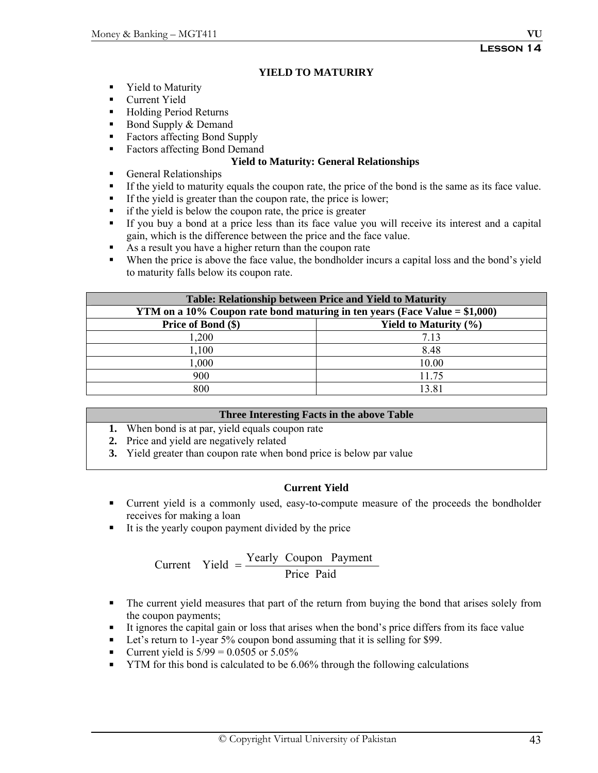# **YIELD TO MATURIRY**

- Yield to Maturity
- **Current Yield**
- Holding Period Returns
- Bond Supply & Demand
- Factors affecting Bond Supply
- Factors affecting Bond Demand

# **Yield to Maturity: General Relationships**

- General Relationships
- If the yield to maturity equals the coupon rate, the price of the bond is the same as its face value.
- If the yield is greater than the coupon rate, the price is lower;
- $\blacksquare$  if the yield is below the coupon rate, the price is greater
- If you buy a bond at a price less than its face value you will receive its interest and a capital gain, which is the difference between the price and the face value.
- As a result you have a higher return than the coupon rate
- When the price is above the face value, the bondholder incurs a capital loss and the bond's yield to maturity falls below its coupon rate.

| Table: Relationship between Price and Yield to Maturity                       |       |  |  |
|-------------------------------------------------------------------------------|-------|--|--|
| YTM on a $10\%$ Coupon rate bond maturing in ten years (Face Value = \$1,000) |       |  |  |
| Price of Bond (\$)<br>Yield to Maturity $(\% )$                               |       |  |  |
| .200                                                                          | 7.13  |  |  |
| .100                                                                          | 8.48  |  |  |
| 000,1                                                                         | 10.00 |  |  |
| 900                                                                           | 11.75 |  |  |
| 800                                                                           | 13.81 |  |  |

#### **Three Interesting Facts in the above Table**

- **1.** When bond is at par, yield equals coupon rate
- **2.** Price and yield are negatively related
- **3.** Yield greater than coupon rate when bond price is below par value

## **Current Yield**

- Current yield is a commonly used, easy-to-compute measure of the proceeds the bondholder receives for making a loan
- $\blacksquare$  It is the yearly coupon payment divided by the price

$$
Current \quad Yield = \frac{Yearly \quad Coupon \quad Payment}{Price \quad Paid}
$$

- The current yield measures that part of the return from buying the bond that arises solely from the coupon payments;
- It ignores the capital gain or loss that arises when the bond's price differs from its face value
- Let's return to 1-year 5% coupon bond assuming that it is selling for \$99.
- Current yield is  $5/99 = 0.0505$  or  $5.05\%$
- **TYM** for this bond is calculated to be 6.06% through the following calculations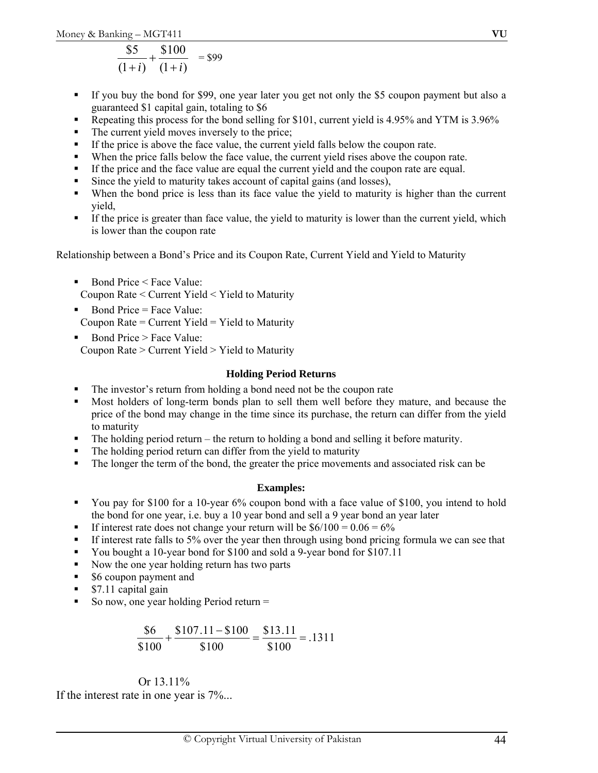$$
\frac{\$5}{(1+i)} + \frac{\$100}{(1+i)} = \$99
$$

- If you buy the bond for \$99, one year later you get not only the \$5 coupon payment but also a guaranteed \$1 capital gain, totaling to \$6
- Repeating this process for the bond selling for \$101, current yield is 4.95% and YTM is 3.96%
- $\blacksquare$  The current yield moves inversely to the price;
- If the price is above the face value, the current yield falls below the coupon rate.
- When the price falls below the face value, the current yield rises above the coupon rate.
- If the price and the face value are equal the current yield and the coupon rate are equal.
- Since the yield to maturity takes account of capital gains (and losses),
- When the bond price is less than its face value the yield to maturity is higher than the current yield,
- If the price is greater than face value, the yield to maturity is lower than the current yield, which is lower than the coupon rate

Relationship between a Bond's Price and its Coupon Rate, Current Yield and Yield to Maturity

- Bond Price < Face Value: Coupon Rate < Current Yield < Yield to Maturity
- $\blacksquare$  Bond Price = Face Value: Coupon Rate  $=$  Current Yield  $=$  Yield to Maturity
- $\blacksquare$  Bond Price > Face Value: Coupon Rate > Current Yield > Yield to Maturity

# **Holding Period Returns**

- The investor's return from holding a bond need not be the coupon rate
- Most holders of long-term bonds plan to sell them well before they mature, and because the price of the bond may change in the time since its purchase, the return can differ from the yield to maturity
- The holding period return the return to holding a bond and selling it before maturity.
- The holding period return can differ from the yield to maturity
- The longer the term of the bond, the greater the price movements and associated risk can be

# **Examples:**

- You pay for \$100 for a 10-year 6% coupon bond with a face value of \$100, you intend to hold the bond for one year, i.e. buy a 10 year bond and sell a 9 year bond an year later
- If interest rate does not change your return will be  $$6/100 = 0.06 = 6\%$
- If interest rate falls to 5% over the year then through using bond pricing formula we can see that
- You bought a 10-year bond for \$100 and sold a 9-year bond for \$107.11
- Now the one year holding return has two parts
- **56** coupon payment and
- $\bullet$  \$7.11 capital gain
- So now, one year holding Period return  $=$

$$
\frac{$6}{$100} + \frac{$107.11 - $100}{$100} = \frac{$13.11}{$100} = .1311
$$

 Or 13.11% If the interest rate in one year is 7%...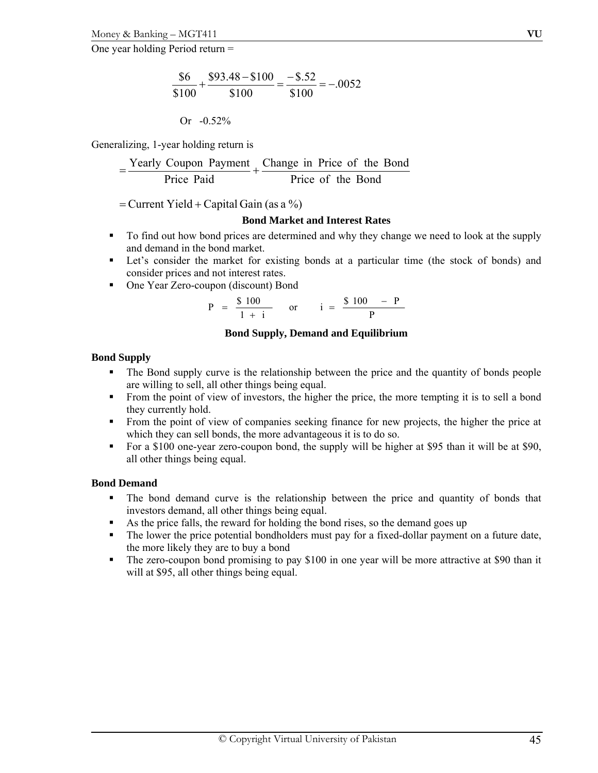One year holding Period return =

$$
\frac{$6}{$100} + \frac{$93.48 - $100}{$100} = \frac{-.552}{$100} = -.0052
$$

Or 
$$
-0.52\%
$$

Generalizing, 1-year holding return is

$$
= \frac{\text{Yearly Coupon Payment}}{\text{Price Paid}} + \frac{\text{Change in Price of the Bond}}{\text{Price of the Bond}}
$$

 $=$  Current Yield + Capital Gain (as a %)

### **Bond Market and Interest Rates**

- To find out how bond prices are determined and why they change we need to look at the supply and demand in the bond market.
- Let's consider the market for existing bonds at a particular time (the stock of bonds) and consider prices and not interest rates.
- One Year Zero-coupon (discount) Bond

$$
P = \frac{\$ 100}{1 + i}
$$
 or  $i = \frac{\$ 100 - P}{P}$ 

### **Bond Supply, Demand and Equilibrium**

### **Bond Supply**

- The Bond supply curve is the relationship between the price and the quantity of bonds people are willing to sell, all other things being equal.
- From the point of view of investors, the higher the price, the more tempting it is to sell a bond they currently hold.
- From the point of view of companies seeking finance for new projects, the higher the price at which they can sell bonds, the more advantageous it is to do so.
- For a \$100 one-year zero-coupon bond, the supply will be higher at \$95 than it will be at \$90, all other things being equal.

### **Bond Demand**

- The bond demand curve is the relationship between the price and quantity of bonds that investors demand, all other things being equal.
- As the price falls, the reward for holding the bond rises, so the demand goes up
- The lower the price potential bondholders must pay for a fixed-dollar payment on a future date, the more likely they are to buy a bond
- The zero-coupon bond promising to pay \$100 in one year will be more attractive at \$90 than it will at \$95, all other things being equal.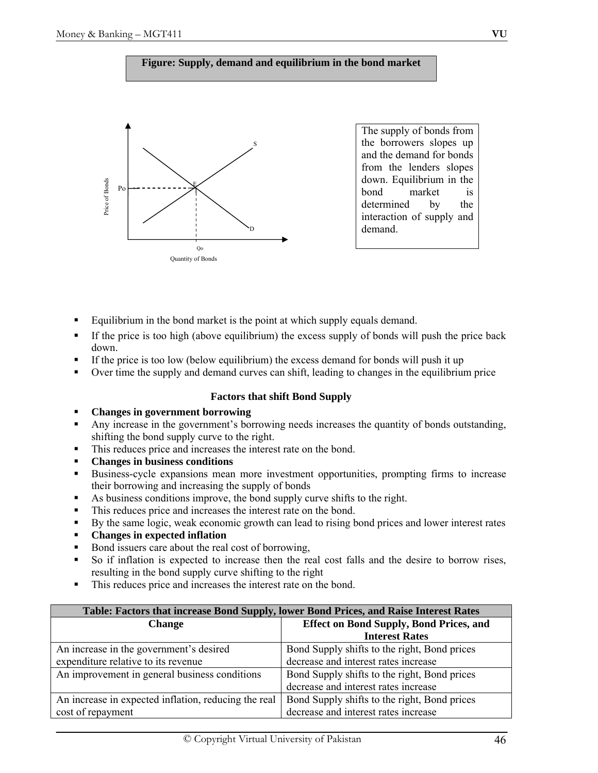# **Figure: Supply, demand and equilibrium in the bond market**



The supply of bonds from the borrowers slopes up and the demand for bonds from the lenders slopes down. Equilibrium in the bond market is determined by the interaction of supply and demand.

- Equilibrium in the bond market is the point at which supply equals demand.
- If the price is too high (above equilibrium) the excess supply of bonds will push the price back down.
- If the price is too low (below equilibrium) the excess demand for bonds will push it up
- Over time the supply and demand curves can shift, leading to changes in the equilibrium price

#### **Factors that shift Bond Supply**

- **Changes in government borrowing**
- Any increase in the government's borrowing needs increases the quantity of bonds outstanding, shifting the bond supply curve to the right.
- This reduces price and increases the interest rate on the bond.
- **Changes in business conditions**
- Business-cycle expansions mean more investment opportunities, prompting firms to increase their borrowing and increasing the supply of bonds
- As business conditions improve, the bond supply curve shifts to the right.
- This reduces price and increases the interest rate on the bond.
- By the same logic, weak economic growth can lead to rising bond prices and lower interest rates
- **Changes in expected inflation**
- Bond issuers care about the real cost of borrowing,
- So if inflation is expected to increase then the real cost falls and the desire to borrow rises, resulting in the bond supply curve shifting to the right
- This reduces price and increases the interest rate on the bond.

| Table: Factors that increase Bond Supply, lower Bond Prices, and Raise Interest Rates |                                                |  |  |
|---------------------------------------------------------------------------------------|------------------------------------------------|--|--|
| <b>Change</b>                                                                         | <b>Effect on Bond Supply, Bond Prices, and</b> |  |  |
|                                                                                       | <b>Interest Rates</b>                          |  |  |
| An increase in the government's desired                                               | Bond Supply shifts to the right, Bond prices   |  |  |
| expenditure relative to its revenue                                                   | decrease and interest rates increase           |  |  |
| An improvement in general business conditions                                         | Bond Supply shifts to the right, Bond prices   |  |  |
|                                                                                       | decrease and interest rates increase           |  |  |
| An increase in expected inflation, reducing the real                                  | Bond Supply shifts to the right, Bond prices   |  |  |
| cost of repayment                                                                     | decrease and interest rates increase           |  |  |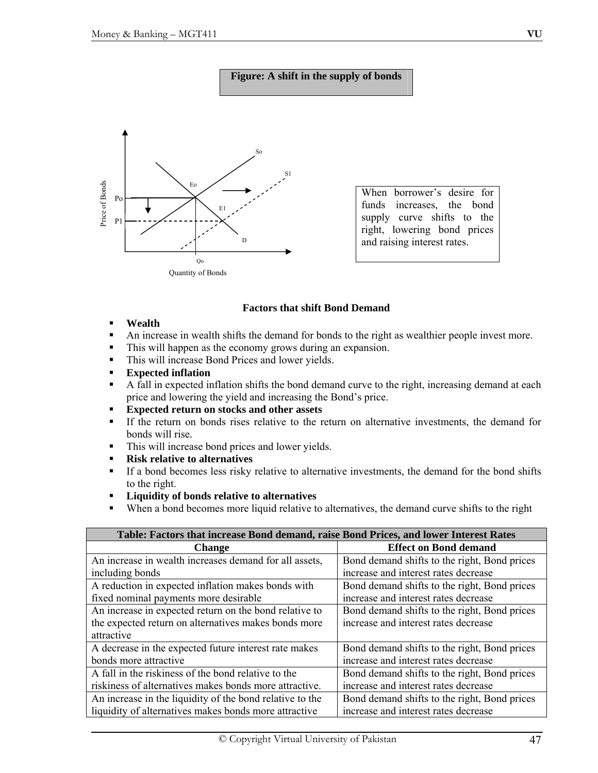

When borrower's desire for funds increases, the bond supply curve shifts to the right, lowering bond prices and raising interest rates.

### **Factors that shift Bond Demand**

- **Wealth**
- An increase in wealth shifts the demand for bonds to the right as wealthier people invest more.
- This will happen as the economy grows during an expansion.
- This will increase Bond Prices and lower yields.
- **Expected inflation**
- A fall in expected inflation shifts the bond demand curve to the right, increasing demand at each price and lowering the yield and increasing the Bond's price.
- **Expected return on stocks and other assets**
- If the return on bonds rises relative to the return on alternative investments, the demand for bonds will rise.
- This will increase bond prices and lower yields.
- **Risk relative to alternatives**
- If a bond becomes less risky relative to alternative investments, the demand for the bond shifts to the right.
- **Liquidity of bonds relative to alternatives**
- When a bond becomes more liquid relative to alternatives, the demand curve shifts to the right

| Table: Factors that increase Bond demand, raise Bond Prices, and lower Interest Rates |                                              |  |  |
|---------------------------------------------------------------------------------------|----------------------------------------------|--|--|
| <b>Change</b>                                                                         | <b>Effect on Bond demand</b>                 |  |  |
| An increase in wealth increases demand for all assets,                                | Bond demand shifts to the right, Bond prices |  |  |
| including bonds                                                                       | increase and interest rates decrease         |  |  |
| A reduction in expected inflation makes bonds with                                    | Bond demand shifts to the right, Bond prices |  |  |
| fixed nominal payments more desirable                                                 | increase and interest rates decrease         |  |  |
| An increase in expected return on the bond relative to                                | Bond demand shifts to the right, Bond prices |  |  |
| the expected return on alternatives makes bonds more                                  | increase and interest rates decrease         |  |  |
| attractive                                                                            |                                              |  |  |
| A decrease in the expected future interest rate makes                                 | Bond demand shifts to the right, Bond prices |  |  |
| bonds more attractive                                                                 | increase and interest rates decrease         |  |  |
| A fall in the riskiness of the bond relative to the                                   | Bond demand shifts to the right, Bond prices |  |  |
| riskiness of alternatives makes bonds more attractive.                                | increase and interest rates decrease         |  |  |
| An increase in the liquidity of the bond relative to the                              | Bond demand shifts to the right, Bond prices |  |  |
| liquidity of alternatives makes bonds more attractive                                 | increase and interest rates decrease         |  |  |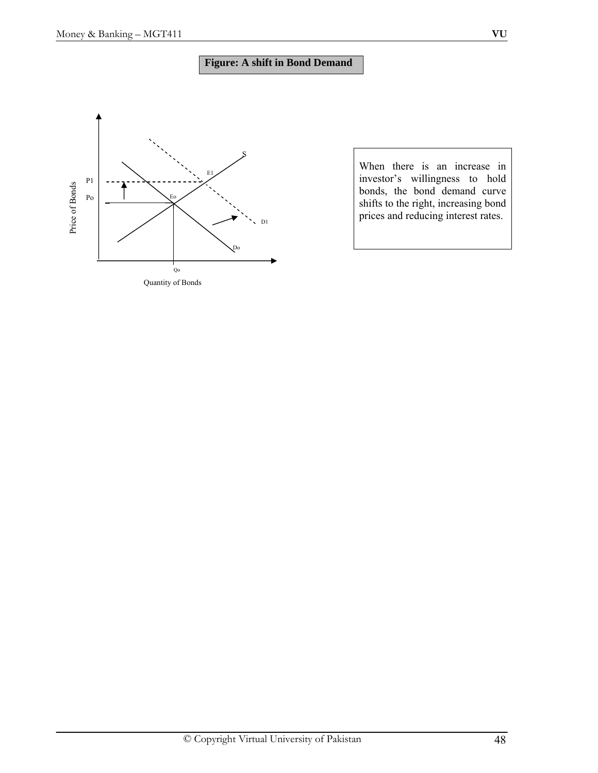# **Figure: A shift in Bond Demand**



When there is an increase in investor's willingness to hold bonds, the bond demand curve shifts to the right, increasing bond prices and reducing interest rates.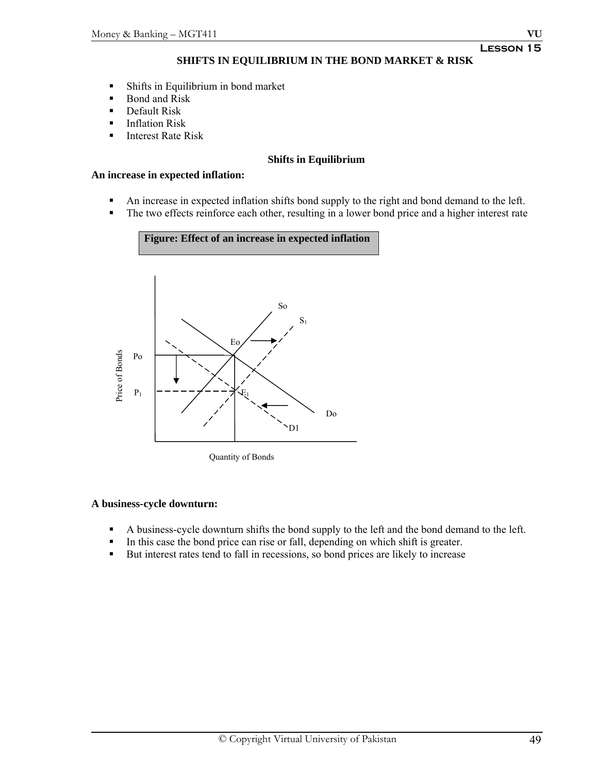### **SHIFTS IN EQUILIBRIUM IN THE BOND MARKET & RISK**

- Shifts in Equilibrium in bond market
- Bond and Risk
- **Default Risk**
- **Inflation Risk**
- **Interest Rate Risk**

### **Shifts in Equilibrium**

#### **An increase in expected inflation:**

- An increase in expected inflation shifts bond supply to the right and bond demand to the left.
- The two effects reinforce each other, resulting in a lower bond price and a higher interest rate



Quantity of Bonds

#### **A business-cycle downturn:**

- A business-cycle downturn shifts the bond supply to the left and the bond demand to the left.
- In this case the bond price can rise or fall, depending on which shift is greater.
- But interest rates tend to fall in recessions, so bond prices are likely to increase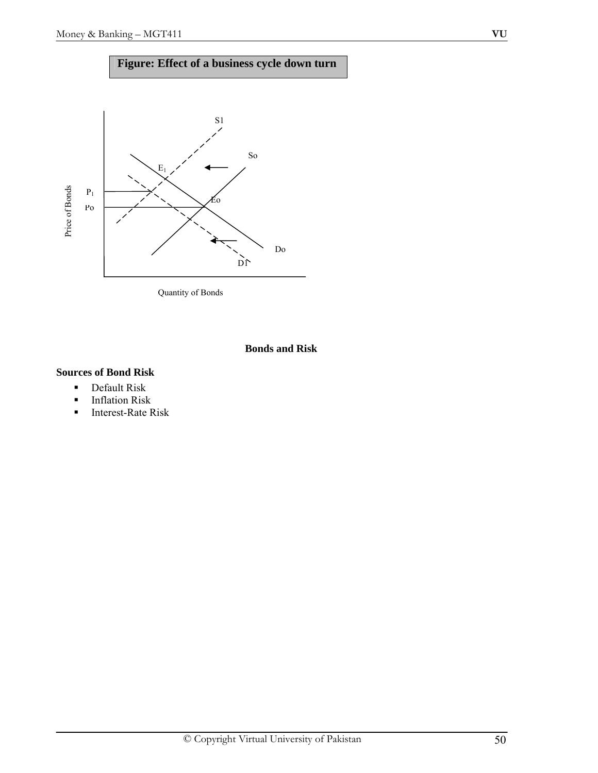**Figure: Effect of a business cycle down turn** 



Quantity of Bonds

#### **Bonds and Risk**

### **Sources of Bond Risk**

- **Default Risk**
- **Inflation Risk**
- **Interest-Rate Risk**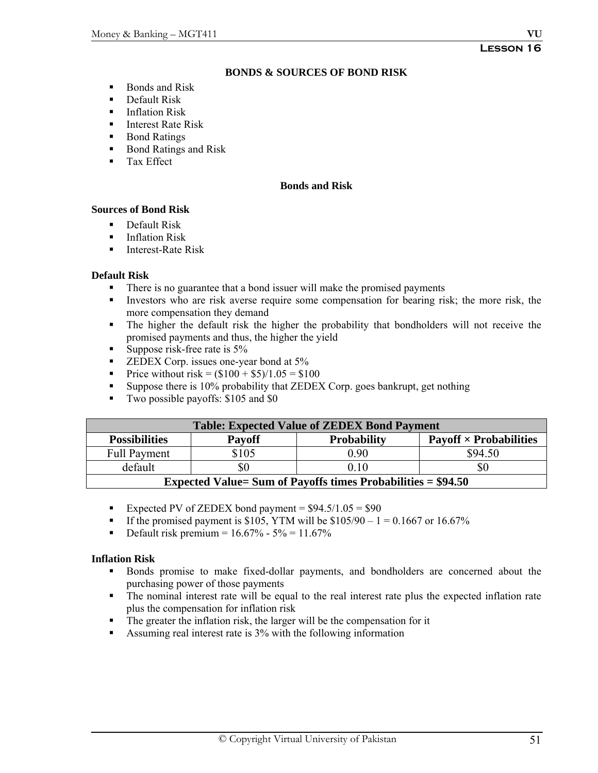## **BONDS & SOURCES OF BOND RISK**

- Bonds and Risk
- Default Risk
- $\blacksquare$  Inflation Risk
- **Interest Rate Risk**
- Bond Ratings
- Bond Ratings and Risk
- **Tax Effect**

### **Bonds and Risk**

#### **Sources of Bond Risk**

- **Default Risk**
- **Inflation Risk**
- **Interest-Rate Risk**

#### **Default Risk**

- There is no guarantee that a bond issuer will make the promised payments
- Investors who are risk averse require some compensation for bearing risk; the more risk, the more compensation they demand
- The higher the default risk the higher the probability that bondholders will not receive the promised payments and thus, the higher the yield
- Suppose risk-free rate is  $5\%$
- **ZEDEX Corp.** issues one-year bond at 5%
- Price without risk =  $(\$100 + \$5)/1.05 = \$100$
- Suppose there is 10% probability that ZEDEX Corp. goes bankrupt, get nothing
- Two possible payoffs: \$105 and \$0

| <b>Table: Expected Value of ZEDEX Bond Payment</b>                                           |  |  |  |  |  |  |
|----------------------------------------------------------------------------------------------|--|--|--|--|--|--|
| <b>Probability</b><br>Payoff $\times$ Probabilities<br><b>Pavoff</b><br><b>Possibilities</b> |  |  |  |  |  |  |
| \$105<br>\$94.50<br>0.90<br><b>Full Payment</b>                                              |  |  |  |  |  |  |
| default<br>0.10<br>\$0<br>\$0                                                                |  |  |  |  |  |  |
| Expected Value= Sum of Payoffs times Probabilities $= $94.50$                                |  |  |  |  |  |  |

- Expected PV of ZEDEX bond payment =  $$94.5/1.05 = $90$
- If the promised payment is \$105, YTM will be  $$105/90 1 = 0.1667$  or 16.67%
- Default risk premium =  $16.67\%$   $5\%$  =  $11.67\%$

#### **Inflation Risk**

- Bonds promise to make fixed-dollar payments, and bondholders are concerned about the purchasing power of those payments
- The nominal interest rate will be equal to the real interest rate plus the expected inflation rate plus the compensation for inflation risk
- The greater the inflation risk, the larger will be the compensation for it
- Assuming real interest rate is 3% with the following information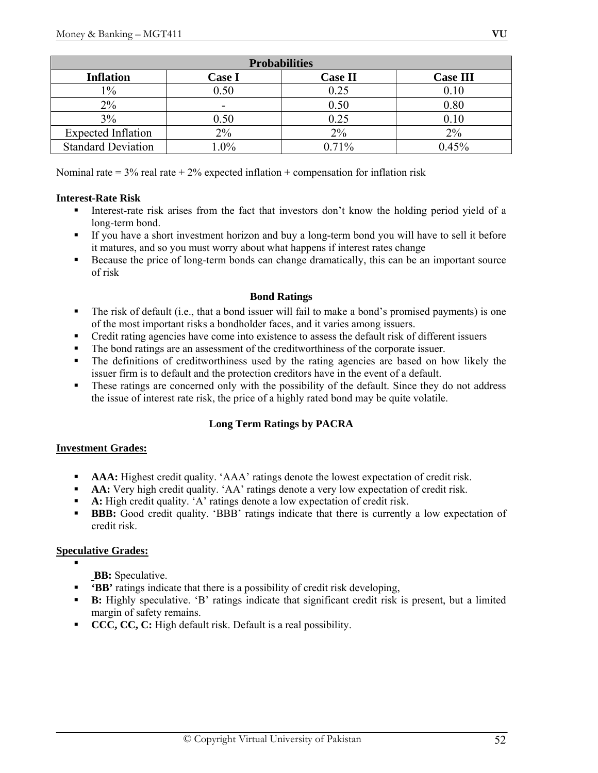| <b>Probabilities</b>                                                   |      |       |       |  |  |  |
|------------------------------------------------------------------------|------|-------|-------|--|--|--|
| <b>Inflation</b><br><b>Case I</b><br><b>Case II</b><br><b>Case III</b> |      |       |       |  |  |  |
| $1\%$                                                                  | 0.50 | 0.25  | 0.10  |  |  |  |
| $2\%$                                                                  |      | 0.50  | 0.80  |  |  |  |
| 3%                                                                     | 0.50 | 0.25  | 0.10  |  |  |  |
| <b>Expected Inflation</b>                                              | 2%   | 2%    | 2%    |  |  |  |
| <b>Standard Deviation</b>                                              | .0%  | 0.71% | 0.45% |  |  |  |

Nominal rate =  $3\%$  real rate +  $2\%$  expected inflation + compensation for inflation risk

## **Interest-Rate Risk**

- Interest-rate risk arises from the fact that investors don't know the holding period yield of a long-term bond.
- If you have a short investment horizon and buy a long-term bond you will have to sell it before it matures, and so you must worry about what happens if interest rates change
- Because the price of long-term bonds can change dramatically, this can be an important source of risk

## **Bond Ratings**

- The risk of default (i.e., that a bond issuer will fail to make a bond's promised payments) is one of the most important risks a bondholder faces, and it varies among issuers.
- Credit rating agencies have come into existence to assess the default risk of different issuers
- The bond ratings are an assessment of the creditworthiness of the corporate issuer.
- The definitions of creditworthiness used by the rating agencies are based on how likely the issuer firm is to default and the protection creditors have in the event of a default.
- These ratings are concerned only with the possibility of the default. Since they do not address the issue of interest rate risk, the price of a highly rated bond may be quite volatile.

# **Long Term Ratings by PACRA**

## **Investment Grades:**

- **AAA:** Highest credit quality. 'AAA' ratings denote the lowest expectation of credit risk.
- **AA:** Very high credit quality. 'AA' ratings denote a very low expectation of credit risk.
- **A:** High credit quality. 'A' ratings denote a low expectation of credit risk.
- **BBB:** Good credit quality. 'BBB' ratings indicate that there is currently a low expectation of credit risk.

## **Speculative Grades:**

- .
- **BB:** Speculative.
- **'BB'** ratings indicate that there is a possibility of credit risk developing,
- **B:** Highly speculative. 'B' ratings indicate that significant credit risk is present, but a limited margin of safety remains.
- **CCC, CC, C:** High default risk. Default is a real possibility.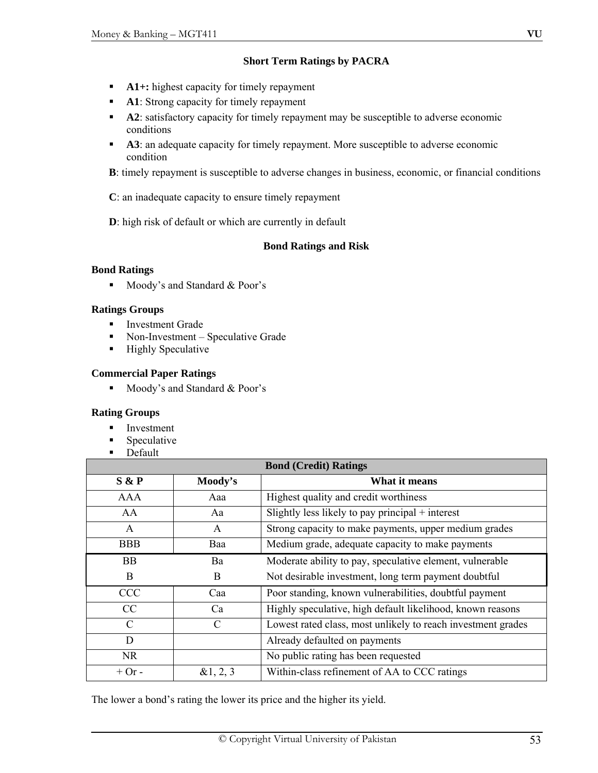## **Short Term Ratings by PACRA**

- **A1+:** highest capacity for timely repayment
- **A1**: Strong capacity for timely repayment
- **A2**: satisfactory capacity for timely repayment may be susceptible to adverse economic conditions
- **A3**: an adequate capacity for timely repayment. More susceptible to adverse economic condition
- **B**: timely repayment is susceptible to adverse changes in business, economic, or financial conditions

**C**: an inadequate capacity to ensure timely repayment

**D**: high risk of default or which are currently in default

### **Bond Ratings and Risk**

#### **Bond Ratings**

Moody's and Standard & Poor's

#### **Ratings Groups**

- **Investment Grade**
- Non-Investment Speculative Grade
- **Highly Speculative**

#### **Commercial Paper Ratings**

**Moody's and Standard & Poor's** 

### **Rating Groups**

- **Investment**
- **Speculative**
- **Default**

| <b>Bond (Credit) Ratings</b> |               |                                                              |  |  |
|------------------------------|---------------|--------------------------------------------------------------|--|--|
| S & P                        | Moody's       | What it means                                                |  |  |
| <b>AAA</b>                   | Aaa           | Highest quality and credit worthiness                        |  |  |
| AA                           | Aa            | Slightly less likely to pay principal + interest             |  |  |
| A                            | A             | Strong capacity to make payments, upper medium grades        |  |  |
| <b>BBB</b>                   | Baa           | Medium grade, adequate capacity to make payments             |  |  |
| <b>BB</b>                    | Ba            | Moderate ability to pay, speculative element, vulnerable     |  |  |
| B                            | B             | Not desirable investment, long term payment doubtful         |  |  |
| <b>CCC</b>                   | Caa           | Poor standing, known vulnerabilities, doubtful payment       |  |  |
| CC                           | Ca            | Highly speculative, high default likelihood, known reasons   |  |  |
| $\mathcal{C}$                | $\mathcal{C}$ | Lowest rated class, most unlikely to reach investment grades |  |  |
| D                            |               | Already defaulted on payments                                |  |  |
| <b>NR</b>                    |               | No public rating has been requested                          |  |  |
| $+Or-$                       | &1, 2, 3      | Within-class refinement of AA to CCC ratings                 |  |  |

The lower a bond's rating the lower its price and the higher its yield.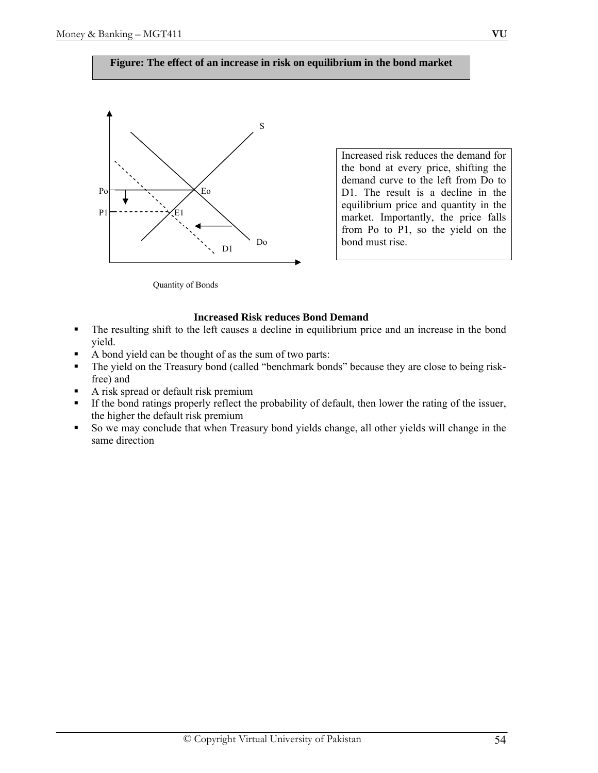# **Figure: The effect of an increase in risk on equilibrium in the bond market**



Increased risk reduces the demand for the bond at every price, shifting the demand curve to the left from Do to D1. The result is a decline in the equilibrium price and quantity in the market. Importantly, the price falls from Po to P1, so the yield on the bond must rise.

Quantity of Bonds

## **Increased Risk reduces Bond Demand**

- The resulting shift to the left causes a decline in equilibrium price and an increase in the bond yield.
- A bond yield can be thought of as the sum of two parts:
- The yield on the Treasury bond (called "benchmark bonds" because they are close to being riskfree) and
- A risk spread or default risk premium
- If the bond ratings properly reflect the probability of default, then lower the rating of the issuer, the higher the default risk premium
- So we may conclude that when Treasury bond yields change, all other yields will change in the same direction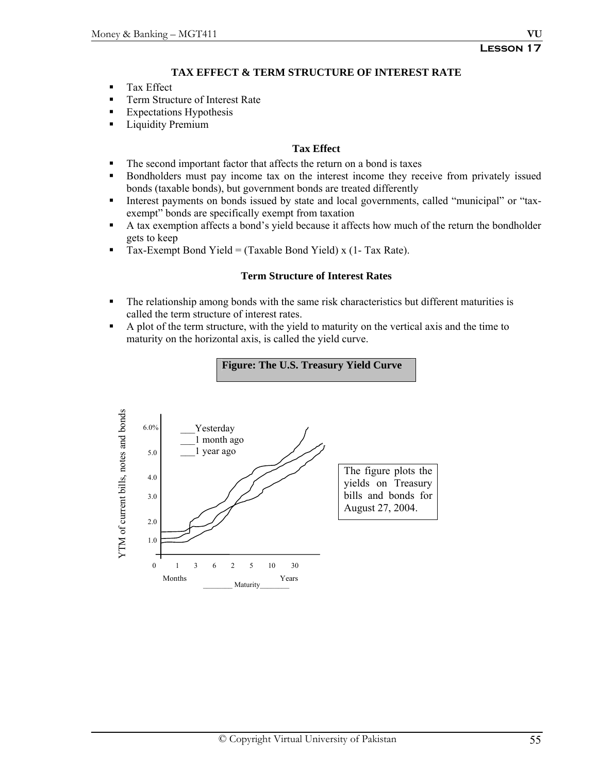## **TAX EFFECT & TERM STRUCTURE OF INTEREST RATE**

- **Tax Effect**
- Term Structure of Interest Rate
- **Expectations Hypothesis**
- **Liquidity Premium**

### **Tax Effect**

- The second important factor that affects the return on a bond is taxes
- **Bondholders must pay income tax on the interest income they receive from privately issued** bonds (taxable bonds), but government bonds are treated differently
- Interest payments on bonds issued by state and local governments, called "municipal" or "taxexempt" bonds are specifically exempt from taxation
- A tax exemption affects a bond's yield because it affects how much of the return the bondholder gets to keep
- Tax-Exempt Bond Yield = (Taxable Bond Yield) x (1- Tax Rate).

### **Term Structure of Interest Rates**

- The relationship among bonds with the same risk characteristics but different maturities is called the term structure of interest rates.
- A plot of the term structure, with the yield to maturity on the vertical axis and the time to maturity on the horizontal axis, is called the yield curve.

**Figure: The U.S. Treasury Yield Curve** 

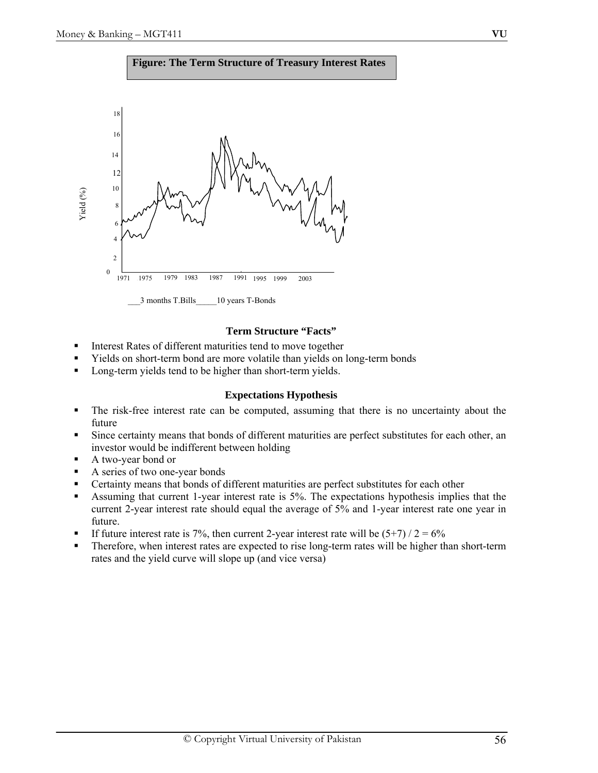## **Figure: The Term Structure of Treasury Interest Rates**



#### **Term Structure "Facts"**

- Interest Rates of different maturities tend to move together
- Yields on short-term bond are more volatile than yields on long-term bonds
- **Long-term yields tend to be higher than short-term yields.**

#### **Expectations Hypothesis**

- The risk-free interest rate can be computed, assuming that there is no uncertainty about the future
- Since certainty means that bonds of different maturities are perfect substitutes for each other, an investor would be indifferent between holding
- A two-year bond or
- A series of two one-year bonds
- Certainty means that bonds of different maturities are perfect substitutes for each other
- Assuming that current 1-year interest rate is 5%. The expectations hypothesis implies that the current 2-year interest rate should equal the average of 5% and 1-year interest rate one year in future.
- If future interest rate is 7%, then current 2-year interest rate will be  $(5+7)/2 = 6\%$
- Therefore, when interest rates are expected to rise long-term rates will be higher than short-term rates and the yield curve will slope up (and vice versa)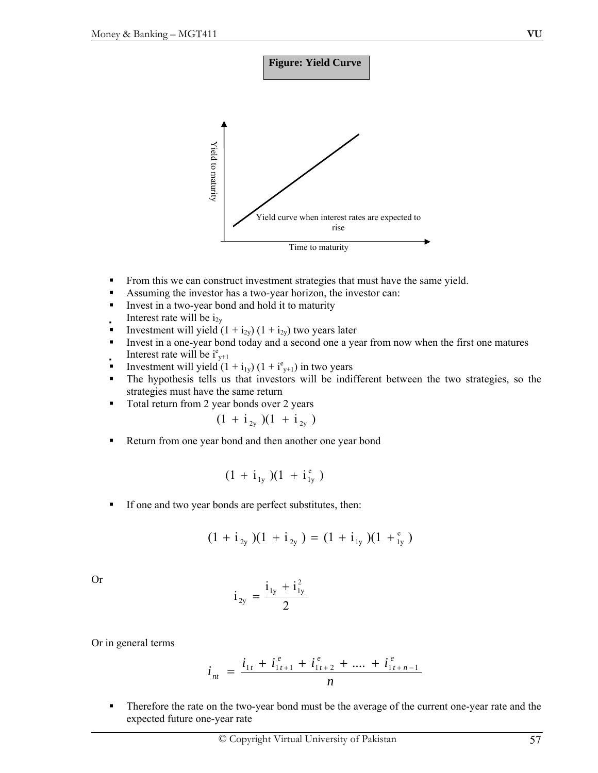

- From this we can construct investment strategies that must have the same yield.
- Assuming the investor has a two-year horizon, the investor can:
- Invest in a two-year bond and hold it to maturity
- Interest rate will be  $i_{2v}$
- Investment will yield  $(1 + i_{2y}) (1 + i_{2y})$  two years later
- Invest in a one-year bond today and a second one a year from now when the first one matures Interest rate will be  $i^{e}_{y+1}$
- **I** Investment will yield  $(1 + i_{1y})(1 + i_{y+1})$  in two years
- The hypothesis tells us that investors will be indifferent between the two strategies, so the strategies must have the same return
- Total return from 2 year bonds over 2 years

$$
(1 + i_{2y})(1 + i_{2y})
$$

Return from one year bond and then another one year bond

$$
(1 + i_{1y})(1 + i_{1y}^{e})
$$

If one and two year bonds are perfect substitutes, then:

$$
(1 + i_{2y})(1 + i_{2y}) = (1 + i_{1y})(1 + i_{1y})
$$

Or

$$
i_{2y} = \frac{i_{1y} + i_{1y}^2}{2}
$$

Or in general terms

$$
i_{nt} = \frac{i_{1t} + i_{1t+1}^e + i_{1t+2}^e + \dots + i_{1t+n-1}^e}{n}
$$

 Therefore the rate on the two-year bond must be the average of the current one-year rate and the expected future one-year rate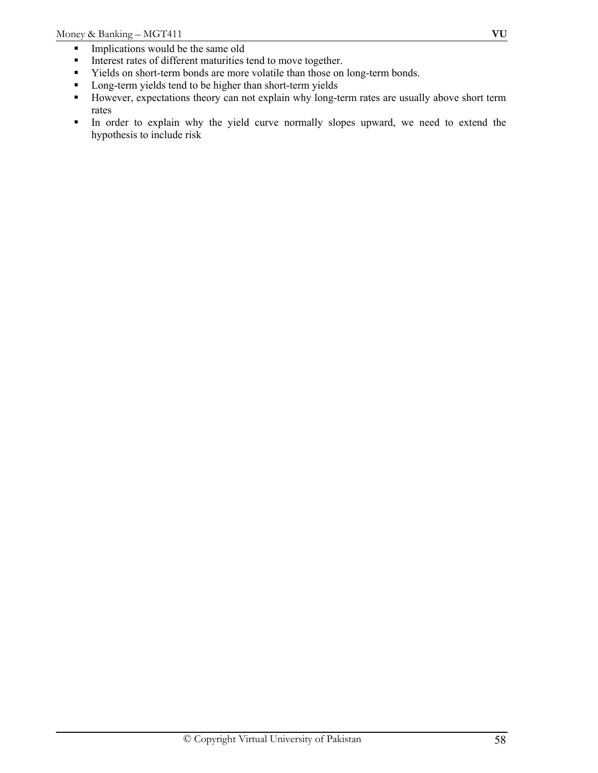- Implications would be the same old
- Interest rates of different maturities tend to move together.
- Yields on short-term bonds are more volatile than those on long-term bonds.
- **Long-term yields tend to be higher than short-term yields**
- However, expectations theory can not explain why long-term rates are usually above short term rates
- In order to explain why the yield curve normally slopes upward, we need to extend the hypothesis to include risk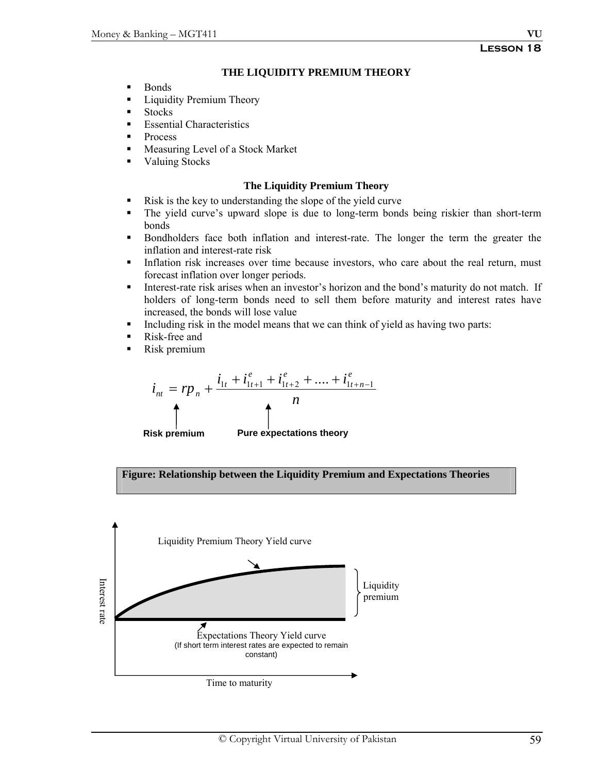### **THE LIQUIDITY PREMIUM THEORY**

- Bonds
- **Example 1** Liquidity Premium Theory
- **Stocks**
- **Essential Characteristics**
- Process
- **Measuring Level of a Stock Market**
- **Valuing Stocks**

### **The Liquidity Premium Theory**

- Risk is the key to understanding the slope of the yield curve
- The yield curve's upward slope is due to long-term bonds being riskier than short-term bonds
- **Bondholders** face both inflation and interest-rate. The longer the term the greater the inflation and interest-rate risk
- Inflation risk increases over time because investors, who care about the real return, must forecast inflation over longer periods.
- Interest-rate risk arises when an investor's horizon and the bond's maturity do not match. If holders of long-term bonds need to sell them before maturity and interest rates have increased, the bonds will lose value
- Including risk in the model means that we can think of yield as having two parts:
- Risk-free and
- Risk premium

$$
i_{nt} = rp_n + \frac{i_{1t} + i_{1t+1}^e + i_{1t+2}^e + \dots + i_{1t+n-1}^e}{n}
$$
  
Risk premium\n  
Pure expectations theory

**Figure: Relationship between the Liquidity Premium and Expectations Theories** 

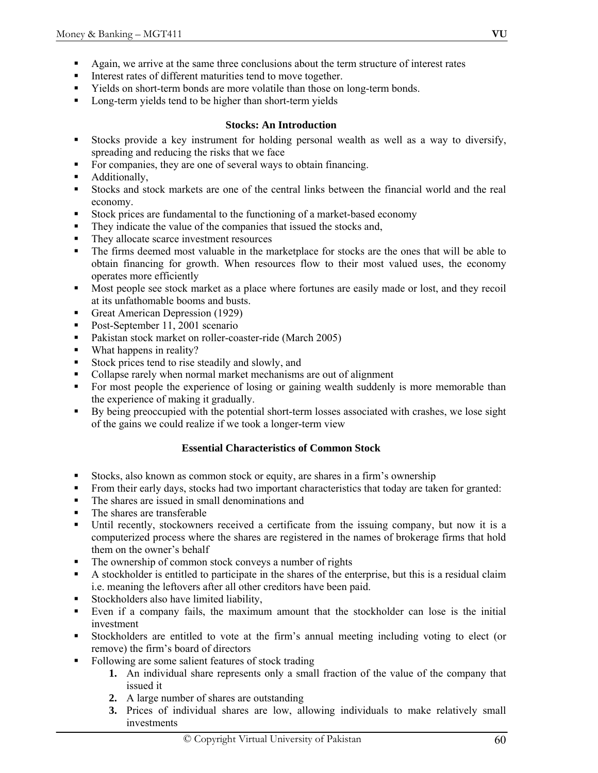- Again, we arrive at the same three conclusions about the term structure of interest rates
- Interest rates of different maturities tend to move together.
- Yields on short-term bonds are more volatile than those on long-term bonds.
- **Long-term yields tend to be higher than short-term yields**

## **Stocks: An Introduction**

- Stocks provide a key instrument for holding personal wealth as well as a way to diversify, spreading and reducing the risks that we face
- For companies, they are one of several ways to obtain financing.
- Additionally,
- Stocks and stock markets are one of the central links between the financial world and the real economy.
- Stock prices are fundamental to the functioning of a market-based economy
- They indicate the value of the companies that issued the stocks and,
- They allocate scarce investment resources
- The firms deemed most valuable in the marketplace for stocks are the ones that will be able to obtain financing for growth. When resources flow to their most valued uses, the economy operates more efficiently
- Most people see stock market as a place where fortunes are easily made or lost, and they recoil at its unfathomable booms and busts.
- Great American Depression (1929)
- Post-September 11, 2001 scenario
- Pakistan stock market on roller-coaster-ride (March 2005)
- What happens in reality?
- Stock prices tend to rise steadily and slowly, and
- Collapse rarely when normal market mechanisms are out of alignment
- For most people the experience of losing or gaining wealth suddenly is more memorable than the experience of making it gradually.
- By being preoccupied with the potential short-term losses associated with crashes, we lose sight of the gains we could realize if we took a longer-term view

# **Essential Characteristics of Common Stock**

- Stocks, also known as common stock or equity, are shares in a firm's ownership
- From their early days, stocks had two important characteristics that today are taken for granted:
- The shares are issued in small denominations and
- The shares are transferable
- Until recently, stockowners received a certificate from the issuing company, but now it is a computerized process where the shares are registered in the names of brokerage firms that hold them on the owner's behalf
- The ownership of common stock conveys a number of rights
- A stockholder is entitled to participate in the shares of the enterprise, but this is a residual claim i.e. meaning the leftovers after all other creditors have been paid.
- Stockholders also have limited liability,
- Even if a company fails, the maximum amount that the stockholder can lose is the initial investment
- Stockholders are entitled to vote at the firm's annual meeting including voting to elect (or remove) the firm's board of directors
- Following are some salient features of stock trading
	- **1.** An individual share represents only a small fraction of the value of the company that issued it
	- **2.** A large number of shares are outstanding
	- **3.** Prices of individual shares are low, allowing individuals to make relatively small investments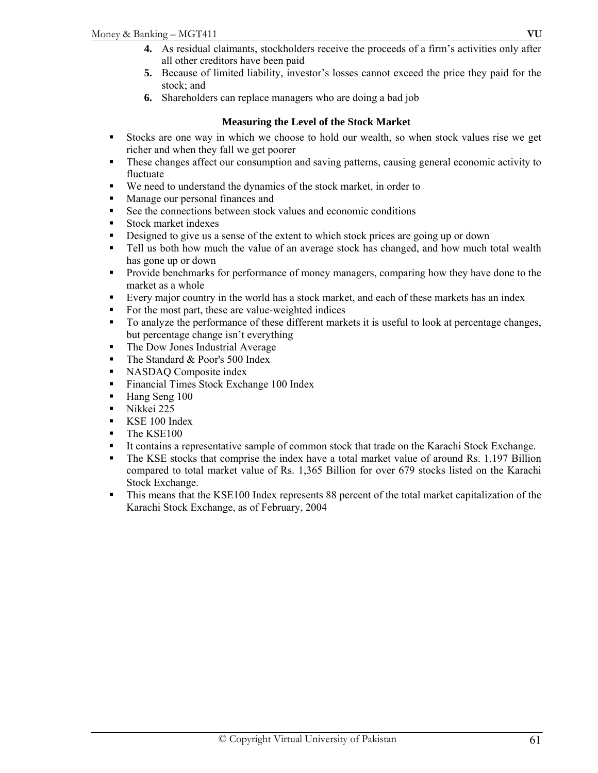- **5.** Because of limited liability, investor's losses cannot exceed the price they paid for the stock; and
- **6.** Shareholders can replace managers who are doing a bad job

# **Measuring the Level of the Stock Market**

- Stocks are one way in which we choose to hold our wealth, so when stock values rise we get richer and when they fall we get poorer
- These changes affect our consumption and saving patterns, causing general economic activity to fluctuate
- We need to understand the dynamics of the stock market, in order to
- Manage our personal finances and
- See the connections between stock values and economic conditions
- Stock market indexes
- Designed to give us a sense of the extent to which stock prices are going up or down
- Tell us both how much the value of an average stock has changed, and how much total wealth has gone up or down
- **Provide benchmarks for performance of money managers, comparing how they have done to the** market as a whole
- Every major country in the world has a stock market, and each of these markets has an index
- For the most part, these are value-weighted indices
- To analyze the performance of these different markets it is useful to look at percentage changes, but percentage change isn't everything
- The Dow Jones Industrial Average
- The Standard & Poor's 500 Index
- NASDAQ Composite index
- **Financial Times Stock Exchange 100 Index**
- Hang Seng 100
- Nikkei 225
- KSE 100 Index
- The KSE100
- It contains a representative sample of common stock that trade on the Karachi Stock Exchange.
- The KSE stocks that comprise the index have a total market value of around Rs. 1,197 Billion compared to total market value of Rs. 1,365 Billion for over 679 stocks listed on the Karachi Stock Exchange.
- This means that the KSE100 Index represents 88 percent of the total market capitalization of the Karachi Stock Exchange, as of February, 2004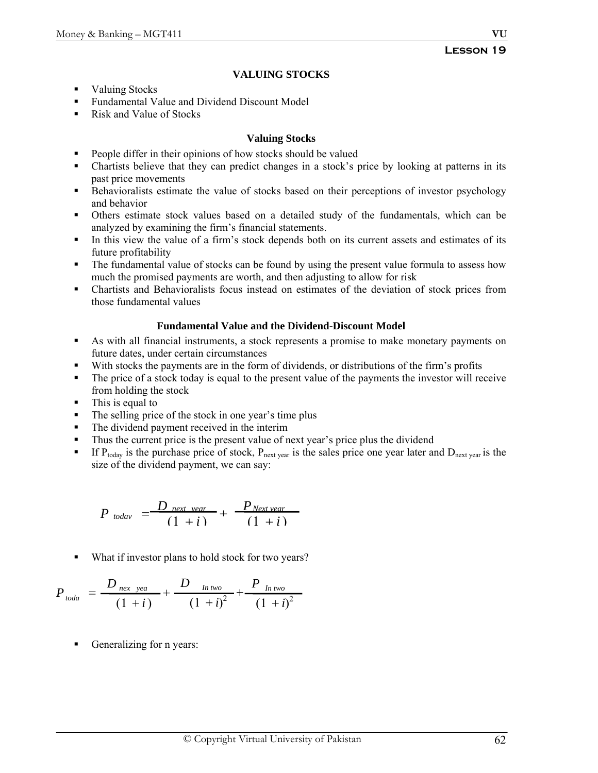## **VALUING STOCKS**

- **Valuing Stocks**
- Fundamental Value and Dividend Discount Model
- Risk and Value of Stocks

### **Valuing Stocks**

- **People differ in their opinions of how stocks should be valued**
- Chartists believe that they can predict changes in a stock's price by looking at patterns in its past price movements
- Behavioralists estimate the value of stocks based on their perceptions of investor psychology and behavior
- Others estimate stock values based on a detailed study of the fundamentals, which can be analyzed by examining the firm's financial statements.
- In this view the value of a firm's stock depends both on its current assets and estimates of its future profitability
- The fundamental value of stocks can be found by using the present value formula to assess how much the promised payments are worth, and then adjusting to allow for risk
- Chartists and Behavioralists focus instead on estimates of the deviation of stock prices from those fundamental values

### **Fundamental Value and the Dividend-Discount Model**

- As with all financial instruments, a stock represents a promise to make monetary payments on future dates, under certain circumstances
- With stocks the payments are in the form of dividends, or distributions of the firm's profits
- The price of a stock today is equal to the present value of the payments the investor will receive from holding the stock
- This is equal to
- The selling price of the stock in one year's time plus
- The dividend payment received in the interim
- Thus the current price is the present value of next year's price plus the dividend
- If  $P_{today}$  is the purchase price of stock,  $P_{next year}$  is the sales price one year later and  $D_{next year}$  is the size of the dividend payment, we can say:

$$
P_{today} = \frac{D_{next\space year}}{(1+i)} + \frac{P_{Next\space year}}{(1+i)}
$$

■ What if investor plans to hold stock for two years?

$$
P_{\text{toda}} = \frac{D_{\text{nex} \text{yea}}}{(1+i)} + \frac{D_{\text{In two}}}{(1+i)^2} + \frac{P_{\text{In two}}}{(1+i)^2}
$$

Generalizing for n years: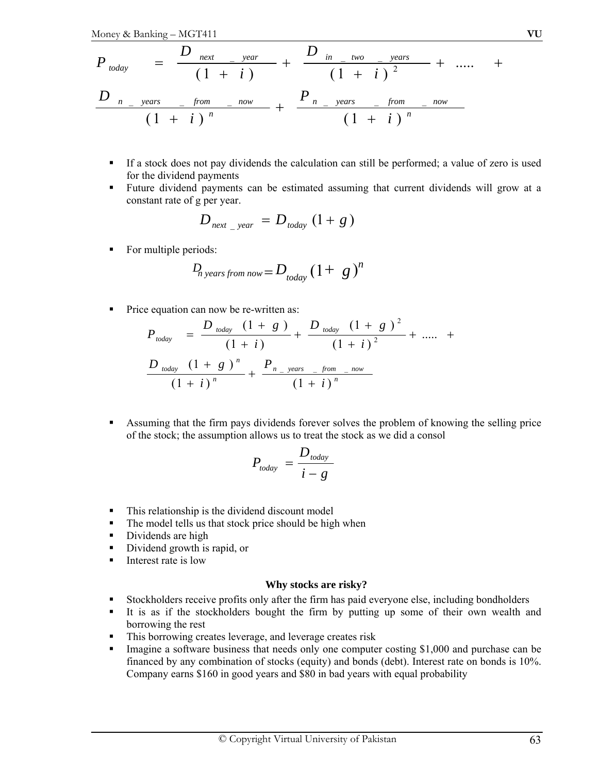$$
P_{today} = \frac{D_{next}}{(1 + i)} + \frac{D_{in\_two} - years}{(1 + i)^2} + \dots +
$$
  

$$
\frac{D_{n} - years - from - now}{(1 + i)^n} + \frac{P_{n} - years - from - now}{(1 + i)^n}
$$

- If a stock does not pay dividends the calculation can still be performed; a value of zero is used for the dividend payments
- Future dividend payments can be estimated assuming that current dividends will grow at a constant rate of g per year.

$$
D_{\text{next}}_{\text{1-year}} = D_{\text{today}} (1 + g)
$$

• For multiple periods:

$$
D_{n \text{ years from now}} = D_{\text{today}} \left( 1 + g \right)^n
$$

• Price equation can now be re-written as:

$$
P_{today} = \frac{D_{today} (1 + g)}{(1 + i)} + \frac{D_{today} (1 + g)^{2}}{(1 + i)^{2}} + \dots +
$$
  

$$
\frac{D_{today} (1 + g)^{n}}{(1 + i)^{n}} + \frac{P_{n\_years} - from - now}{(1 + i)^{n}}
$$

 Assuming that the firm pays dividends forever solves the problem of knowing the selling price of the stock; the assumption allows us to treat the stock as we did a consol

$$
P_{today} = \frac{D_{today}}{i - g}
$$

- This relationship is the dividend discount model
- The model tells us that stock price should be high when
- Dividends are high
- Dividend growth is rapid, or
- **Interest rate is low**

### **Why stocks are risky?**

- Stockholders receive profits only after the firm has paid everyone else, including bondholders
- It is as if the stockholders bought the firm by putting up some of their own wealth and borrowing the rest
- This borrowing creates leverage, and leverage creates risk
- Imagine a software business that needs only one computer costing  $$1,000$  and purchase can be financed by any combination of stocks (equity) and bonds (debt). Interest rate on bonds is 10%. Company earns \$160 in good years and \$80 in bad years with equal probability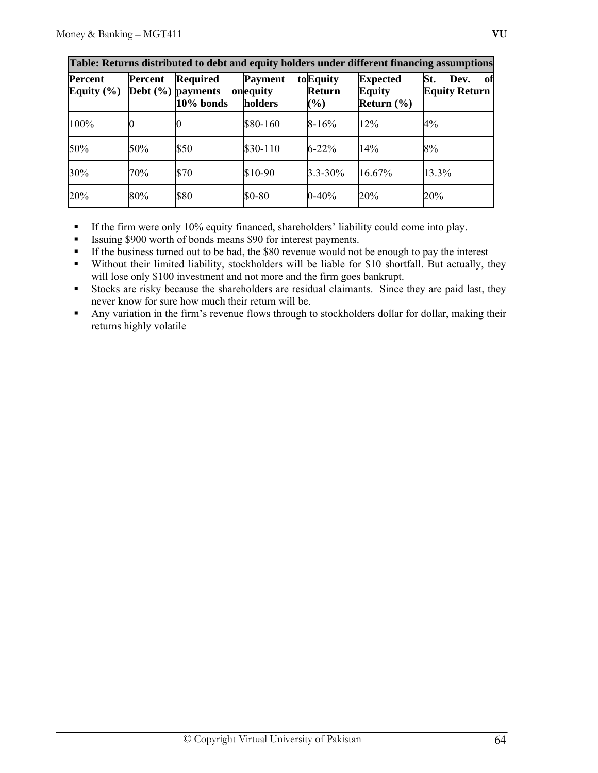| Table: Returns distributed to debt and equity holders under different financing assumptions |         |                                                  |                                       |                              |                                             |                                            |
|---------------------------------------------------------------------------------------------|---------|--------------------------------------------------|---------------------------------------|------------------------------|---------------------------------------------|--------------------------------------------|
| <b>Percent</b><br>Equity $(\% )$                                                            | Percent | Required<br>Debt $(\%)$ payments<br>$10\%$ bonds | <b>Payment</b><br>onequity<br>holders | toEquity<br>Return<br>$(\%)$ | <b>Expected</b><br>Equity<br>Return $(\% )$ | St.<br>Dev.<br>ofl<br><b>Equity Return</b> |
| 100%                                                                                        |         |                                                  | \$80-160                              | $8 - 16%$                    | 12%                                         | 4%                                         |
| 50%                                                                                         | 50%     | \$50                                             | $$30-110$                             | $6 - 22%$                    | 14%                                         | 8%                                         |
| 30%                                                                                         | 70%     | \$70                                             | \$10-90                               | $3.3 - 30\%$                 | 16.67%                                      | 13.3%                                      |
| 20%                                                                                         | $80\%$  | \$80                                             | \$0-80                                | $0 - 40\%$                   | 20%                                         | 20%                                        |

- If the firm were only 10% equity financed, shareholders' liability could come into play.
- Issuing \$900 worth of bonds means \$90 for interest payments.
- If the business turned out to be bad, the \$80 revenue would not be enough to pay the interest
- Without their limited liability, stockholders will be liable for \$10 shortfall. But actually, they will lose only \$100 investment and not more and the firm goes bankrupt.
- Stocks are risky because the shareholders are residual claimants. Since they are paid last, they never know for sure how much their return will be.
- Any variation in the firm's revenue flows through to stockholders dollar for dollar, making their returns highly volatile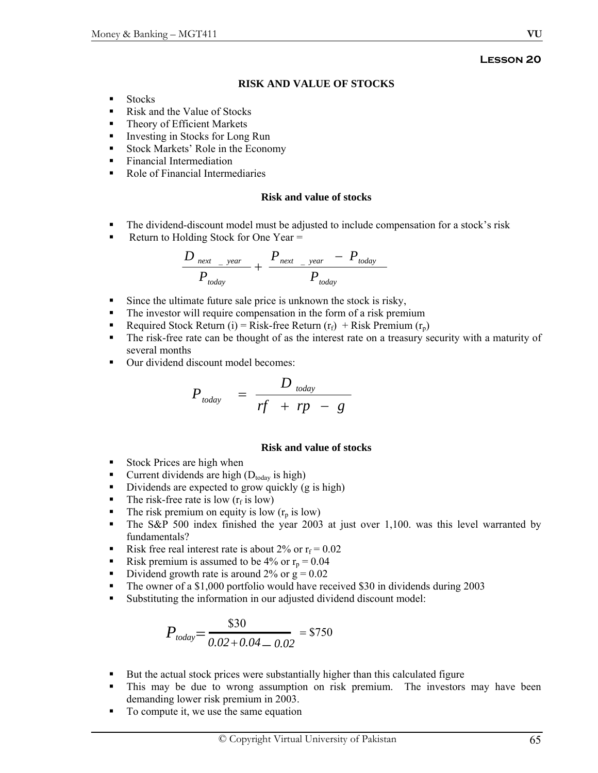#### **Lesson 20**

### **RISK AND VALUE OF STOCKS**

- $\blacksquare$  Stocks
- Risk and the Value of Stocks
- **Theory of Efficient Markets**
- Investing in Stocks for Long Run
- Stock Markets' Role in the Economy
- **Financial Intermediation**
- Role of Financial Intermediaries

#### **Risk and value of stocks**

- The dividend-discount model must be adjusted to include compensation for a stock's risk
- Return to Holding Stock for One Year =

$$
\frac{D_{next}}{P_{today}} + \frac{P_{next}}{P_{today}} = P_{today}
$$

- Since the ultimate future sale price is unknown the stock is risky,
- The investor will require compensation in the form of a risk premium
- Required Stock Return (i) = Risk-free Return  $(r_f)$  + Risk Premium  $(r_p)$
- The risk-free rate can be thought of as the interest rate on a treasury security with a maturity of several months
- Our dividend discount model becomes:

$$
P_{\text{today}} = \frac{D_{\text{today}}}{rf + rp - g}
$$

#### **Risk and value of stocks**

- Stock Prices are high when
- **Current dividends are high (D**<sub>today</sub> is high)
- Dividends are expected to grow quickly (g is high)
- The risk-free rate is low  $(r_f$  is low)
- The risk premium on equity is low  $(r_p \text{ is low})$
- The S&P 500 index finished the year 2003 at just over 1,100. was this level warranted by fundamentals?
- Risk free real interest rate is about 2% or  $r_f = 0.02$
- Risk premium is assumed to be 4% or  $r_p = 0.04$
- Dividend growth rate is around  $2\%$  or  $g = 0.02$
- The owner of a \$1,000 portfolio would have received \$30 in dividends during 2003
- Substituting the information in our adjusted dividend discount model:

$$
P_{today} = \frac{$30}{$0.02 + 0.04 = 0.02} = $750
$$

- But the actual stock prices were substantially higher than this calculated figure
- This may be due to wrong assumption on risk premium. The investors may have been demanding lower risk premium in 2003.
- To compute it, we use the same equation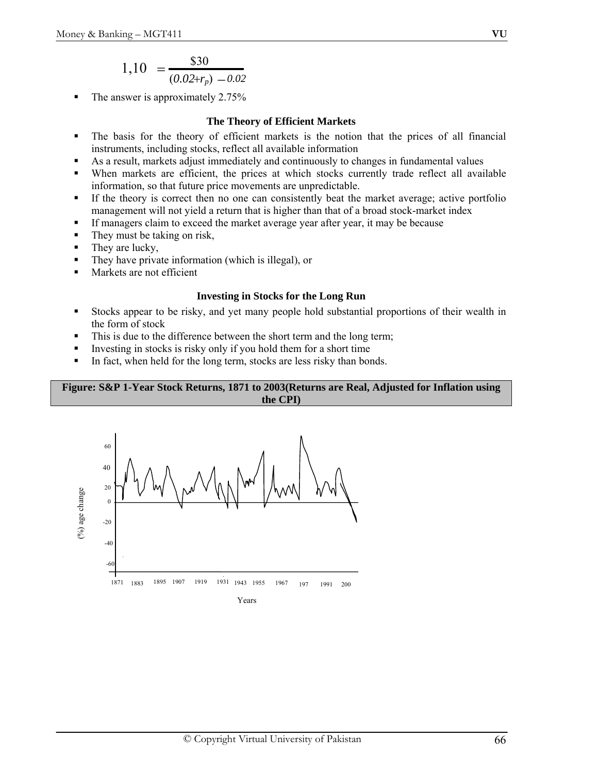$$
1,10 = \frac{$30}{(0.02+r_p) - 0.02}
$$

 $\blacksquare$  The answer is approximately 2.75%

## **The Theory of Efficient Markets**

- The basis for the theory of efficient markets is the notion that the prices of all financial instruments, including stocks, reflect all available information
- As a result, markets adjust immediately and continuously to changes in fundamental values
- When markets are efficient, the prices at which stocks currently trade reflect all available information, so that future price movements are unpredictable.
- If the theory is correct then no one can consistently beat the market average; active portfolio management will not yield a return that is higher than that of a broad stock-market index
- If managers claim to exceed the market average year after year, it may be because
- They must be taking on risk,
- $\blacksquare$  They are lucky,
- They have private information (which is illegal), or
- **Markets are not efficient**

## **Investing in Stocks for the Long Run**

- Stocks appear to be risky, and yet many people hold substantial proportions of their wealth in the form of stock
- This is due to the difference between the short term and the long term;
- Investing in stocks is risky only if you hold them for a short time
- In fact, when held for the long term, stocks are less risky than bonds.

### **Figure: S&P 1-Year Stock Returns, 1871 to 2003(Returns are Real, Adjusted for Inflation using the CPI)**

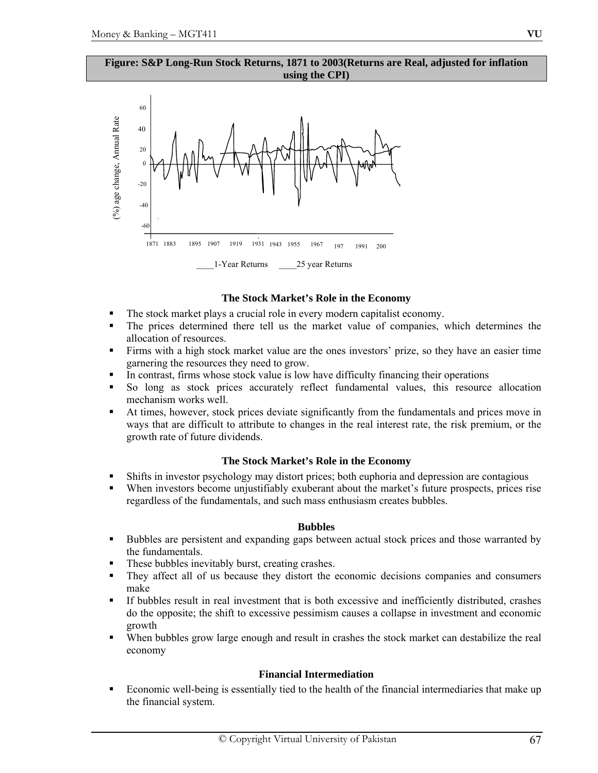**Figure: S&P Long-Run Stock Returns, 1871 to 2003(Returns are Real, adjusted for inflation using the CPI)** 



#### **The Stock Market's Role in the Economy**

- The stock market plays a crucial role in every modern capitalist economy.
- The prices determined there tell us the market value of companies, which determines the allocation of resources.
- Firms with a high stock market value are the ones investors' prize, so they have an easier time garnering the resources they need to grow.
- In contrast, firms whose stock value is low have difficulty financing their operations
- So long as stock prices accurately reflect fundamental values, this resource allocation mechanism works well.
- At times, however, stock prices deviate significantly from the fundamentals and prices move in ways that are difficult to attribute to changes in the real interest rate, the risk premium, or the growth rate of future dividends.

#### **The Stock Market's Role in the Economy**

- Shifts in investor psychology may distort prices; both euphoria and depression are contagious
- When investors become unjustifiably exuberant about the market's future prospects, prices rise regardless of the fundamentals, and such mass enthusiasm creates bubbles.

#### **Bubbles**

- Bubbles are persistent and expanding gaps between actual stock prices and those warranted by the fundamentals.
- These bubbles inevitably burst, creating crashes.
- They affect all of us because they distort the economic decisions companies and consumers make
- If bubbles result in real investment that is both excessive and inefficiently distributed, crashes do the opposite; the shift to excessive pessimism causes a collapse in investment and economic growth
- When bubbles grow large enough and result in crashes the stock market can destabilize the real economy

#### **Financial Intermediation**

 Economic well-being is essentially tied to the health of the financial intermediaries that make up the financial system.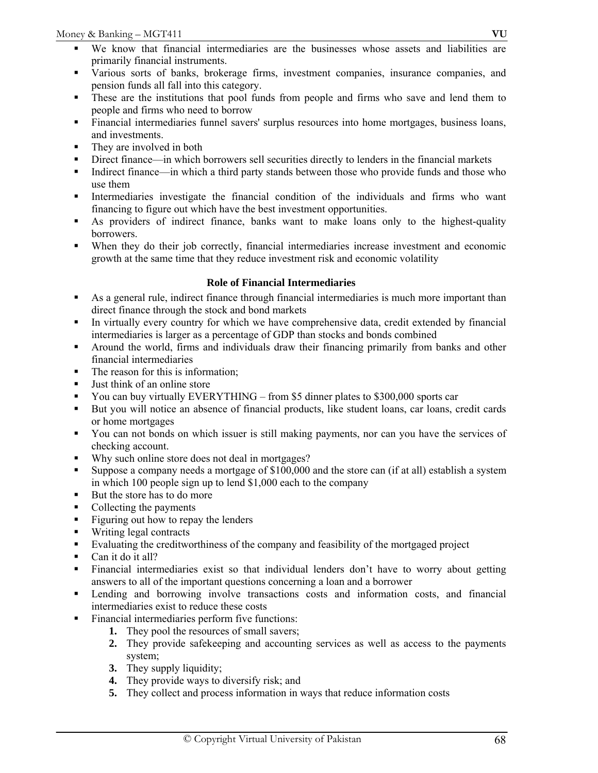- We know that financial intermediaries are the businesses whose assets and liabilities are primarily financial instruments.
- Various sorts of banks, brokerage firms, investment companies, insurance companies, and pension funds all fall into this category.
- These are the institutions that pool funds from people and firms who save and lend them to people and firms who need to borrow
- Financial intermediaries funnel savers' surplus resources into home mortgages, business loans, and investments.
- They are involved in both
- Direct finance—in which borrowers sell securities directly to lenders in the financial markets
- Indirect finance—in which a third party stands between those who provide funds and those who use them
- Intermediaries investigate the financial condition of the individuals and firms who want financing to figure out which have the best investment opportunities.
- As providers of indirect finance, banks want to make loans only to the highest-quality borrowers.
- When they do their job correctly, financial intermediaries increase investment and economic growth at the same time that they reduce investment risk and economic volatility

# **Role of Financial Intermediaries**

- As a general rule, indirect finance through financial intermediaries is much more important than direct finance through the stock and bond markets
- In virtually every country for which we have comprehensive data, credit extended by financial intermediaries is larger as a percentage of GDP than stocks and bonds combined
- Around the world, firms and individuals draw their financing primarily from banks and other financial intermediaries
- The reason for this is information;
- Just think of an online store
- You can buy virtually EVERYTHING from \$5 dinner plates to \$300,000 sports car
- But you will notice an absence of financial products, like student loans, car loans, credit cards or home mortgages
- You can not bonds on which issuer is still making payments, nor can you have the services of checking account.
- Why such online store does not deal in mortgages?
- Suppose a company needs a mortgage of \$100,000 and the store can (if at all) establish a system in which 100 people sign up to lend \$1,000 each to the company
- $\blacksquare$  But the store has to do more
- Collecting the payments
- Figuring out how to repay the lenders
- Writing legal contracts
- Evaluating the creditworthiness of the company and feasibility of the mortgaged project
- Can it do it all?
- Financial intermediaries exist so that individual lenders don't have to worry about getting answers to all of the important questions concerning a loan and a borrower
- Lending and borrowing involve transactions costs and information costs, and financial intermediaries exist to reduce these costs
- **Financial intermediaries perform five functions:** 
	- **1.** They pool the resources of small savers;
	- **2.** They provide safekeeping and accounting services as well as access to the payments system;
	- **3.** They supply liquidity;
	- **4.** They provide ways to diversify risk; and
	- **5.** They collect and process information in ways that reduce information costs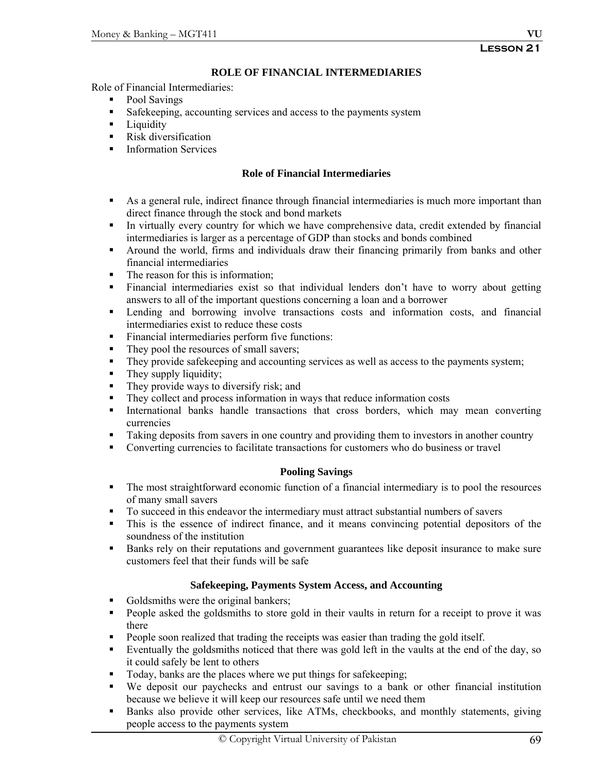### **ROLE OF FINANCIAL INTERMEDIARIES**

Role of Financial Intermediaries:

- Pool Savings
- Safekeeping, accounting services and access to the payments system
- **Liquidity**
- Risk diversification
- **Information Services**

#### **Role of Financial Intermediaries**

- As a general rule, indirect finance through financial intermediaries is much more important than direct finance through the stock and bond markets
- In virtually every country for which we have comprehensive data, credit extended by financial intermediaries is larger as a percentage of GDP than stocks and bonds combined
- Around the world, firms and individuals draw their financing primarily from banks and other financial intermediaries
- The reason for this is information;
- Financial intermediaries exist so that individual lenders don't have to worry about getting answers to all of the important questions concerning a loan and a borrower
- Lending and borrowing involve transactions costs and information costs, and financial intermediaries exist to reduce these costs
- **Financial intermediaries perform five functions:**
- They pool the resources of small savers;
- They provide safekeeping and accounting services as well as access to the payments system;
- $\blacksquare$  They supply liquidity;
- They provide ways to diversify risk; and
- They collect and process information in ways that reduce information costs
- International banks handle transactions that cross borders, which may mean converting currencies
- Taking deposits from savers in one country and providing them to investors in another country
- Converting currencies to facilitate transactions for customers who do business or travel

#### **Pooling Savings**

- The most straightforward economic function of a financial intermediary is to pool the resources of many small savers
- To succeed in this endeavor the intermediary must attract substantial numbers of savers
- This is the essence of indirect finance, and it means convincing potential depositors of the soundness of the institution
- **Banks rely on their reputations and government guarantees like deposit insurance to make sure** customers feel that their funds will be safe

## **Safekeeping, Payments System Access, and Accounting**

- Goldsmiths were the original bankers;
- People asked the goldsmiths to store gold in their vaults in return for a receipt to prove it was there
- People soon realized that trading the receipts was easier than trading the gold itself.
- Eventually the goldsmiths noticed that there was gold left in the vaults at the end of the day, so it could safely be lent to others
- Today, banks are the places where we put things for safekeeping;
- We deposit our paychecks and entrust our savings to a bank or other financial institution because we believe it will keep our resources safe until we need them
- Banks also provide other services, like ATMs, checkbooks, and monthly statements, giving people access to the payments system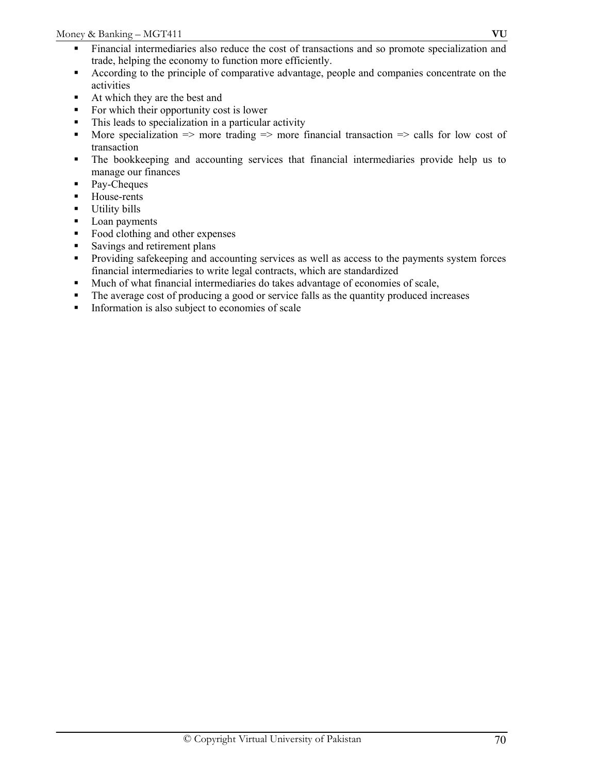- According to the principle of comparative advantage, people and companies concentrate on the activities
- At which they are the best and
- $\blacksquare$  For which their opportunity cost is lower
- This leads to specialization in a particular activity
- More specialization  $\Rightarrow$  more trading  $\Rightarrow$  more financial transaction  $\Rightarrow$  calls for low cost of transaction
- The bookkeeping and accounting services that financial intermediaries provide help us to manage our finances
- Pay-Cheques
- House-rents
- **Utility bills**
- Loan payments
- Food clothing and other expenses
- Savings and retirement plans
- **Providing safekeeping and accounting services as well as access to the payments system forces** financial intermediaries to write legal contracts, which are standardized
- Much of what financial intermediaries do takes advantage of economies of scale,
- The average cost of producing a good or service falls as the quantity produced increases
- Information is also subject to economies of scale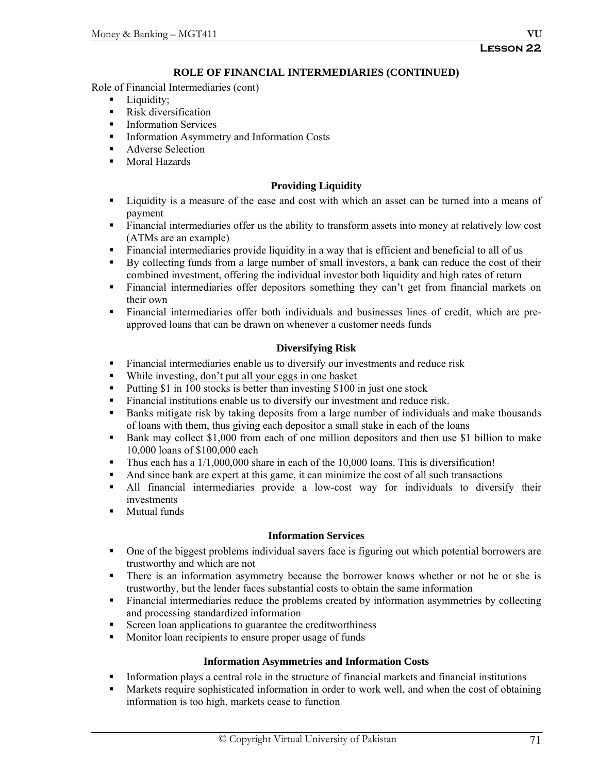## **ROLE OF FINANCIAL INTERMEDIARIES (CONTINUED)**

Role of Financial Intermediaries (cont)

- Liquidity;
- **Risk diversification**
- **Information Services**
- **Information Asymmetry and Information Costs**
- **Adverse Selection**
- **Moral Hazards**

### **Providing Liquidity**

- Liquidity is a measure of the ease and cost with which an asset can be turned into a means of payment
- Financial intermediaries offer us the ability to transform assets into money at relatively low cost (ATMs are an example)
- Financial intermediaries provide liquidity in a way that is efficient and beneficial to all of us
- By collecting funds from a large number of small investors, a bank can reduce the cost of their combined investment, offering the individual investor both liquidity and high rates of return
- Financial intermediaries offer depositors something they can't get from financial markets on their own
- Financial intermediaries offer both individuals and businesses lines of credit, which are preapproved loans that can be drawn on whenever a customer needs funds

### **Diversifying Risk**

- Financial intermediaries enable us to diversify our investments and reduce risk
- While investing, don't put all your eggs in one basket
- Putting \$1 in 100 stocks is better than investing \$100 in just one stock
- Financial institutions enable us to diversify our investment and reduce risk.
- Banks mitigate risk by taking deposits from a large number of individuals and make thousands of loans with them, thus giving each depositor a small stake in each of the loans
- Bank may collect \$1,000 from each of one million depositors and then use \$1 billion to make 10,000 loans of \$100,000 each
- Thus each has a  $1/1,000,000$  share in each of the 10,000 loans. This is diversification!
- And since bank are expert at this game, it can minimize the cost of all such transactions
- All financial intermediaries provide a low-cost way for individuals to diversify their investments
- Mutual funds

#### **Information Services**

- One of the biggest problems individual savers face is figuring out which potential borrowers are trustworthy and which are not
- There is an information asymmetry because the borrower knows whether or not he or she is trustworthy, but the lender faces substantial costs to obtain the same information
- Financial intermediaries reduce the problems created by information asymmetries by collecting and processing standardized information
- Screen loan applications to guarantee the creditworthiness
- Monitor loan recipients to ensure proper usage of funds

#### **Information Asymmetries and Information Costs**

- Information plays a central role in the structure of financial markets and financial institutions
- Markets require sophisticated information in order to work well, and when the cost of obtaining information is too high, markets cease to function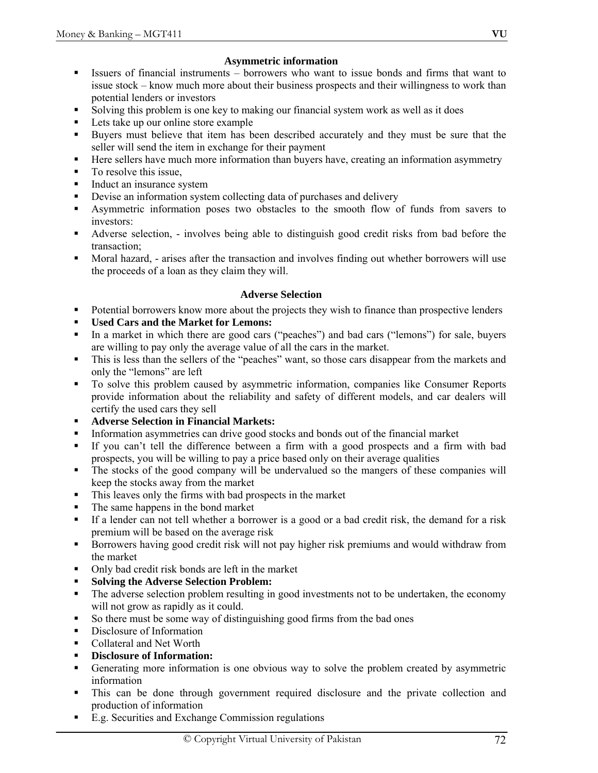## **Asymmetric information**

- Issuers of financial instruments borrowers who want to issue bonds and firms that want to issue stock – know much more about their business prospects and their willingness to work than potential lenders or investors
- Solving this problem is one key to making our financial system work as well as it does
- Lets take up our online store example
- Buyers must believe that item has been described accurately and they must be sure that the seller will send the item in exchange for their payment
- Here sellers have much more information than buyers have, creating an information asymmetry
- To resolve this issue.
- Induct an insurance system
- Devise an information system collecting data of purchases and delivery
- Asymmetric information poses two obstacles to the smooth flow of funds from savers to investors:
- Adverse selection, involves being able to distinguish good credit risks from bad before the transaction;
- Moral hazard, arises after the transaction and involves finding out whether borrowers will use the proceeds of a loan as they claim they will.

## **Adverse Selection**

- Potential borrowers know more about the projects they wish to finance than prospective lenders
- **Used Cars and the Market for Lemons:**
- In a market in which there are good cars ("peaches") and bad cars ("lemons") for sale, buyers are willing to pay only the average value of all the cars in the market.
- This is less than the sellers of the "peaches" want, so those cars disappear from the markets and only the "lemons" are left
- To solve this problem caused by asymmetric information, companies like Consumer Reports provide information about the reliability and safety of different models, and car dealers will certify the used cars they sell
- **Adverse Selection in Financial Markets:**
- Information asymmetries can drive good stocks and bonds out of the financial market
- If you can't tell the difference between a firm with a good prospects and a firm with bad prospects, you will be willing to pay a price based only on their average qualities
- The stocks of the good company will be undervalued so the mangers of these companies will keep the stocks away from the market
- This leaves only the firms with bad prospects in the market
- The same happens in the bond market
- If a lender can not tell whether a borrower is a good or a bad credit risk, the demand for a risk premium will be based on the average risk
- Borrowers having good credit risk will not pay higher risk premiums and would withdraw from the market
- Only bad credit risk bonds are left in the market
- **Solving the Adverse Selection Problem:**
- The adverse selection problem resulting in good investments not to be undertaken, the economy will not grow as rapidly as it could.
- So there must be some way of distinguishing good firms from the bad ones
- Disclosure of Information
- Collateral and Net Worth
- **Disclosure of Information:**
- Generating more information is one obvious way to solve the problem created by asymmetric information
- This can be done through government required disclosure and the private collection and production of information
- E.g. Securities and Exchange Commission regulations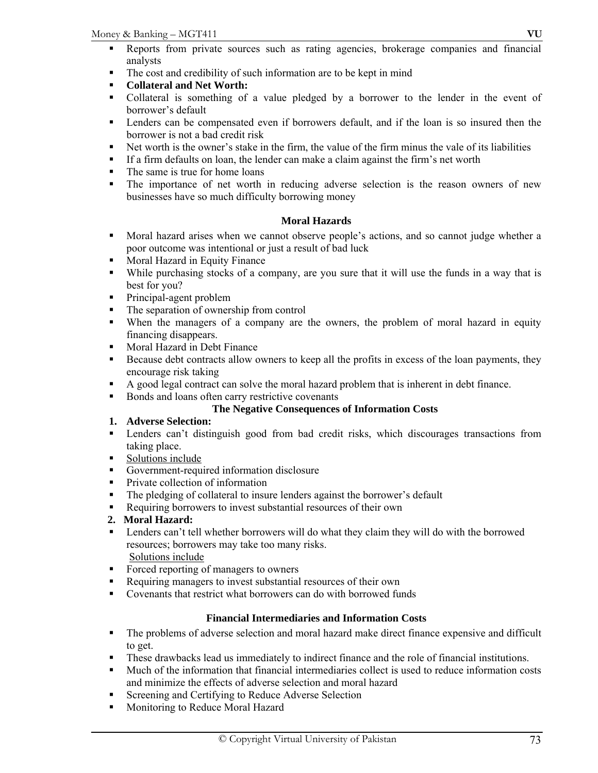- Reports from private sources such as rating agencies, brokerage companies and financial analysts
- The cost and credibility of such information are to be kept in mind
- **Collateral and Net Worth:**
- Collateral is something of a value pledged by a borrower to the lender in the event of borrower's default
- Lenders can be compensated even if borrowers default, and if the loan is so insured then the borrower is not a bad credit risk
- Net worth is the owner's stake in the firm, the value of the firm minus the vale of its liabilities
- If a firm defaults on loan, the lender can make a claim against the firm's net worth
- The same is true for home loans
- The importance of net worth in reducing adverse selection is the reason owners of new businesses have so much difficulty borrowing money

#### **Moral Hazards**

- Moral hazard arises when we cannot observe people's actions, and so cannot judge whether a poor outcome was intentional or just a result of bad luck
- Moral Hazard in Equity Finance
- While purchasing stocks of a company, are you sure that it will use the funds in a way that is best for you?
- **Principal-agent problem**
- The separation of ownership from control
- When the managers of a company are the owners, the problem of moral hazard in equity financing disappears.
- **Moral Hazard in Debt Finance**
- Because debt contracts allow owners to keep all the profits in excess of the loan payments, they encourage risk taking
- A good legal contract can solve the moral hazard problem that is inherent in debt finance.
- Bonds and loans often carry restrictive covenants

## **The Negative Consequences of Information Costs**

#### **1. Adverse Selection:**

- Lenders can't distinguish good from bad credit risks, which discourages transactions from taking place.
- **Solutions include**
- Government-required information disclosure
- Private collection of information<br>• The pledging of collateral to insur-
- The pledging of collateral to insure lenders against the borrower's default
- Requiring borrowers to invest substantial resources of their own
- **2. Moral Hazard:**
- Lenders can't tell whether borrowers will do what they claim they will do with the borrowed resources; borrowers may take too many risks. Solutions include
- Forced reporting of managers to owners
- Requiring managers to invest substantial resources of their own
- Covenants that restrict what borrowers can do with borrowed funds

## **Financial Intermediaries and Information Costs**

- The problems of adverse selection and moral hazard make direct finance expensive and difficult to get.
- These drawbacks lead us immediately to indirect finance and the role of financial institutions.
- Much of the information that financial intermediaries collect is used to reduce information costs and minimize the effects of adverse selection and moral hazard
- Screening and Certifying to Reduce Adverse Selection
- **Monitoring to Reduce Moral Hazard**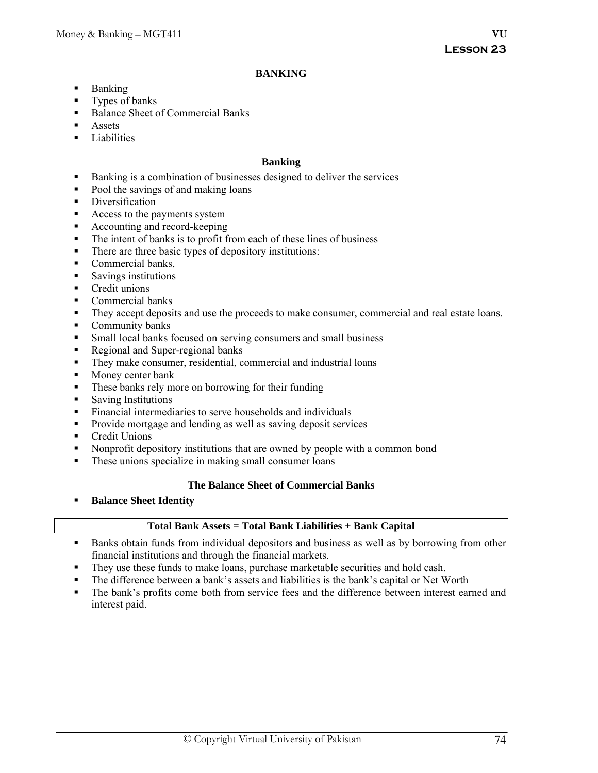## **BANKING**

- **Banking**
- **Types of banks**
- Balance Sheet of Commercial Banks
- **Assets**
- **Liabilities**

#### **Banking**

- Banking is a combination of businesses designed to deliver the services
- Pool the savings of and making loans
- Diversification
- Access to the payments system
- Accounting and record-keeping
- The intent of banks is to profit from each of these lines of business
- There are three basic types of depository institutions:
- Commercial banks,
- Savings institutions
- **Credit unions**
- **Commercial banks**
- They accept deposits and use the proceeds to make consumer, commercial and real estate loans.
- Community banks
- Small local banks focused on serving consumers and small business
- Regional and Super-regional banks
- They make consumer, residential, commercial and industrial loans
- **Money center bank**
- These banks rely more on borrowing for their funding
- **Saving Institutions**
- Financial intermediaries to serve households and individuals
- **Provide mortgage and lending as well as saving deposit services**
- Credit Unions
- Nonprofit depository institutions that are owned by people with a common bond
- These unions specialize in making small consumer loans

## **The Balance Sheet of Commercial Banks**

**Balance Sheet Identity** 

## **Total Bank Assets = Total Bank Liabilities + Bank Capital**

- Banks obtain funds from individual depositors and business as well as by borrowing from other financial institutions and through the financial markets.
- They use these funds to make loans, purchase marketable securities and hold cash.
- The difference between a bank's assets and liabilities is the bank's capital or Net Worth
- The bank's profits come both from service fees and the difference between interest earned and interest paid.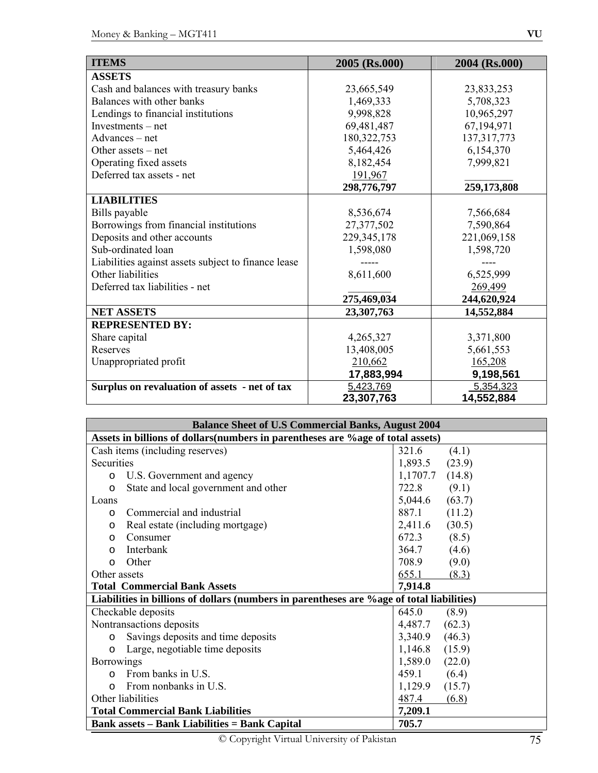| <b>ITEMS</b>                                        | 2005 (Rs.000) | 2004 (Rs.000) |
|-----------------------------------------------------|---------------|---------------|
| <b>ASSETS</b>                                       |               |               |
| Cash and balances with treasury banks               | 23,665,549    | 23,833,253    |
| Balances with other banks                           | 1,469,333     | 5,708,323     |
| Lendings to financial institutions                  | 9,998,828     | 10,965,297    |
| $Investments - net$                                 | 69,481,487    | 67,194,971    |
| Advances – net                                      | 180, 322, 753 | 137, 317, 773 |
| Other assets $-$ net                                | 5,464,426     | 6,154,370     |
| Operating fixed assets                              | 8,182,454     | 7,999,821     |
| Deferred tax assets - net                           | 191,967       |               |
|                                                     | 298,776,797   | 259,173,808   |
| <b>LIABILITIES</b>                                  |               |               |
| Bills payable                                       | 8,536,674     | 7,566,684     |
| Borrowings from financial institutions              | 27,377,502    | 7,590,864     |
| Deposits and other accounts                         | 229, 345, 178 | 221,069,158   |
| Sub-ordinated loan                                  | 1,598,080     | 1,598,720     |
| Liabilities against assets subject to finance lease |               |               |
| Other liabilities                                   | 8,611,600     | 6,525,999     |
| Deferred tax liabilities - net                      |               | 269,499       |
|                                                     | 275,469,034   | 244,620,924   |
| <b>NET ASSETS</b>                                   | 23,307,763    | 14,552,884    |
| <b>REPRESENTED BY:</b>                              |               |               |
| Share capital                                       | 4,265,327     | 3,371,800     |
| <b>Reserves</b>                                     | 13,408,005    | 5,661,553     |
| Unappropriated profit                               | 210,662       | 165,208       |
|                                                     | 17,883,994    | 9,198,561     |
| Surplus on revaluation of assets - net of tax       | 5,423,769     | 5,354,323     |
|                                                     | 23,307,763    | 14,552,884    |

| <b>Balance Sheet of U.S Commercial Banks, August 2004</b>                                  |                    |  |
|--------------------------------------------------------------------------------------------|--------------------|--|
| Assets in billions of dollars (numbers in parentheses are %age of total assets)            |                    |  |
| Cash items (including reserves)                                                            | 321.6<br>(4.1)     |  |
| Securities                                                                                 | 1,893.5<br>(23.9)  |  |
| U.S. Government and agency<br>$\circ$                                                      | (14.8)<br>1,1707.7 |  |
| State and local government and other<br>$\circ$                                            | 722.8<br>(9.1)     |  |
| Loans                                                                                      | 5,044.6<br>(63.7)  |  |
| Commercial and industrial<br>$\circ$                                                       | 887.1<br>(11.2)    |  |
| Real estate (including mortgage)<br>$\circ$                                                | 2,411.6<br>(30.5)  |  |
| Consumer<br>$\circ$                                                                        | 672.3<br>(8.5)     |  |
| Interbank<br>$\circ$                                                                       | 364.7<br>(4.6)     |  |
| Other<br>$\circ$                                                                           | 708.9<br>(9.0)     |  |
| Other assets                                                                               | 655.1<br>(8.3)     |  |
| <b>Total Commercial Bank Assets</b><br>7,914.8                                             |                    |  |
| Liabilities in billions of dollars (numbers in parentheses are % age of total liabilities) |                    |  |
| Checkable deposits                                                                         | 645.0<br>(8.9)     |  |
| Nontransactions deposits                                                                   | 4,487.7<br>(62.3)  |  |
| Savings deposits and time deposits<br>$\circ$                                              | 3,340.9<br>(46.3)  |  |
| Large, negotiable time deposits<br>$\circ$                                                 | 1,146.8<br>(15.9)  |  |
| <b>Borrowings</b>                                                                          | 1,589.0<br>(22.0)  |  |
| From banks in U.S.<br>$\circ$                                                              | 459.1<br>(6.4)     |  |
| From nonbanks in U.S.<br>$\circ$                                                           | 1,129.9<br>(15.7)  |  |
| Other liabilities                                                                          | 487.4<br>(6.8)     |  |
| <b>Total Commercial Bank Liabilities</b><br>7,209.1                                        |                    |  |
| <b>Bank assets – Bank Liabilities = Bank Capital</b>                                       | 705.7              |  |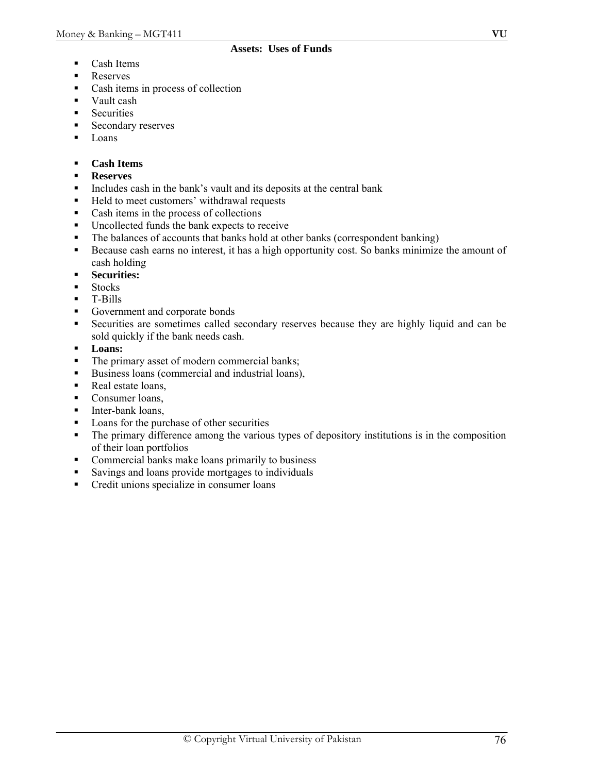#### **Assets: Uses of Funds**

- Cash Items
- **Reserves**
- Cash items in process of collection
- Vault cash
- $S$ ecurities
- Secondary reserves
- **Loans**

# **Cash Items**

- **Reserves**
- Includes cash in the bank's vault and its deposits at the central bank
- Held to meet customers' withdrawal requests
- Cash items in the process of collections
- Uncollected funds the bank expects to receive
- The balances of accounts that banks hold at other banks (correspondent banking)
- Because cash earns no interest, it has a high opportunity cost. So banks minimize the amount of cash holding
- **Securities:**
- $\blacksquare$  Stocks
- **T-Bills**
- Government and corporate bonds
- Securities are sometimes called secondary reserves because they are highly liquid and can be sold quickly if the bank needs cash.
- **Loans:**
- The primary asset of modern commercial banks;
- Business loans (commercial and industrial loans),
- Real estate loans,
- Consumer loans,
- **Inter-bank loans.**
- Loans for the purchase of other securities
- The primary difference among the various types of depository institutions is in the composition of their loan portfolios
- Commercial banks make loans primarily to business
- s avings and loans provide mortgages to individuals
- Credit unions specialize in consumer loans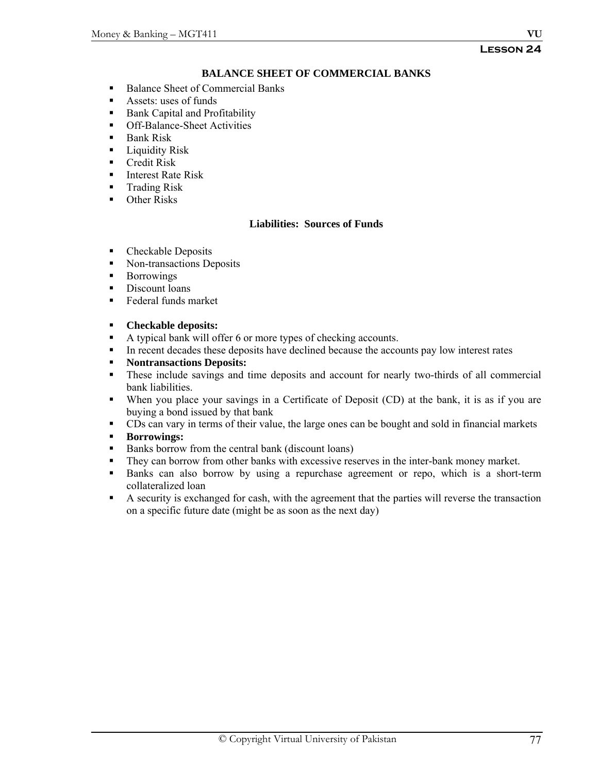#### **BALANCE SHEET OF COMMERCIAL BANKS**

- Balance Sheet of Commercial Banks
- Assets: uses of funds
- Bank Capital and Profitability
- Off-Balance-Sheet Activities
- $\blacksquare$  Bank Risk
- **Liquidity Risk**
- **Credit Risk**
- **Interest Rate Risk**
- **Trading Risk**
- **Other Risks**

#### **Liabilities: Sources of Funds**

- Checkable Deposits
- Non-transactions Deposits
- **Borrowings**
- Discount loans
- Federal funds market

#### **Checkable deposits:**

- A typical bank will offer 6 or more types of checking accounts.
- In recent decades these deposits have declined because the accounts pay low interest rates
- **Nontransactions Deposits:**
- These include savings and time deposits and account for nearly two-thirds of all commercial bank liabilities.
- When you place your savings in a Certificate of Deposit (CD) at the bank, it is as if you are buying a bond issued by that bank
- CDs can vary in terms of their value, the large ones can be bought and sold in financial markets
- **Borrowings:**
- Banks borrow from the central bank (discount loans)
- They can borrow from other banks with excessive reserves in the inter-bank money market.
- Banks can also borrow by using a repurchase agreement or repo, which is a short-term collateralized loan
- A security is exchanged for cash, with the agreement that the parties will reverse the transaction on a specific future date (might be as soon as the next day)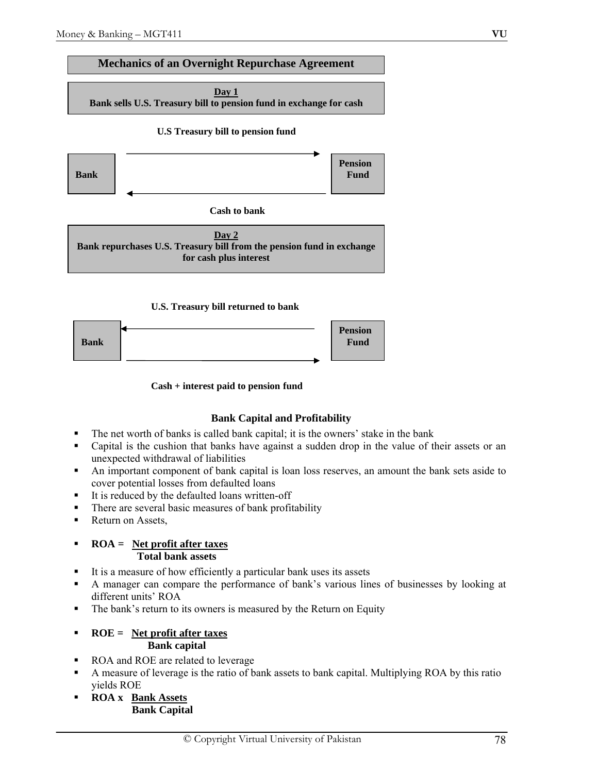



#### **Cash + interest paid to pension fund**

#### **Bank Capital and Profitability**

- The net worth of banks is called bank capital; it is the owners' stake in the bank
- Capital is the cushion that banks have against a sudden drop in the value of their assets or an unexpected withdrawal of liabilities
- An important component of bank capital is loan loss reserves, an amount the bank sets aside to cover potential losses from defaulted loans
- It is reduced by the defaulted loans written-off
- There are several basic measures of bank profitability
- Return on Assets,

# **ROA = Net profit after taxes**

#### **Total bank assets**

- It is a measure of how efficiently a particular bank uses its assets
- A manager can compare the performance of bank's various lines of businesses by looking at different units' ROA
- The bank's return to its owners is measured by the Return on Equity

#### **ROE** = <u>Net profit after taxes</u>  **Bank capital**

- ROA and ROE are related to leverage
- A measure of leverage is the ratio of bank assets to bank capital. Multiplying ROA by this ratio yields ROE
- **ROA x Bank Assets Bank Capital**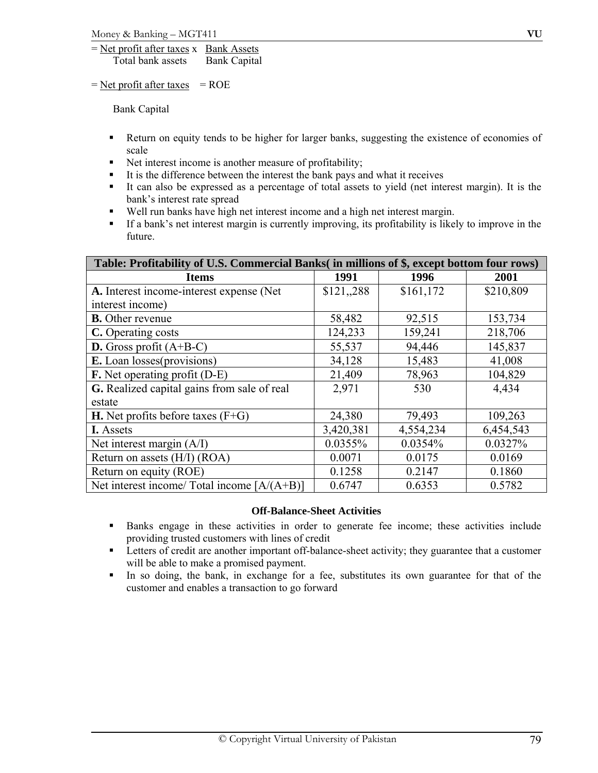- $=$  Net profit after taxes x Bank Assets Total bank assets Bank Capital
- $=$  Net profit after taxes  $=$  ROE

Bank Capital

- Return on equity tends to be higher for larger banks, suggesting the existence of economies of scale
- Net interest income is another measure of profitability;
- It is the difference between the interest the bank pays and what it receives
- It can also be expressed as a percentage of total assets to yield (net interest margin). It is the bank's interest rate spread
- Well run banks have high net interest income and a high net interest margin.
- If a bank's net interest margin is currently improving, its profitability is likely to improve in the future.

| Table: Profitability of U.S. Commercial Banks(in millions of \$, except bottom four rows) |            |           |           |
|-------------------------------------------------------------------------------------------|------------|-----------|-----------|
| <b>Items</b>                                                                              | 1991       | 1996      | 2001      |
| A. Interest income-interest expense (Net                                                  | \$121, 288 | \$161,172 | \$210,809 |
| interest income)                                                                          |            |           |           |
| <b>B.</b> Other revenue                                                                   | 58,482     | 92,515    | 153,734   |
| C. Operating costs                                                                        | 124,233    | 159,241   | 218,706   |
| <b>D.</b> Gross profit $(A+B-C)$                                                          | 55,537     | 94,446    | 145,837   |
| <b>E.</b> Loan losses (provisions)                                                        | 34,128     | 15,483    | 41,008    |
| $\bf{F}$ . Net operating profit (D-E)                                                     | 21,409     | 78,963    | 104,829   |
| G. Realized capital gains from sale of real                                               | 2,971      | 530       | 4,434     |
| estate                                                                                    |            |           |           |
| <b>H.</b> Net profits before taxes $(F+G)$                                                | 24,380     | 79,493    | 109,263   |
| I. Assets                                                                                 | 3,420,381  | 4,554,234 | 6,454,543 |
| Net interest margin (A/I)                                                                 | 0.0355%    | 0.0354%   | 0.0327%   |
| Return on assets (H/I) (ROA)                                                              | 0.0071     | 0.0175    | 0.0169    |
| Return on equity (ROE)                                                                    | 0.1258     | 0.2147    | 0.1860    |
| Net interest income/ Total income $[A/(A+B)]$                                             | 0.6747     | 0.6353    | 0.5782    |

#### **Off-Balance-Sheet Activities**

- Banks engage in these activities in order to generate fee income; these activities include providing trusted customers with lines of credit
- **EXECUTE:** Letters of credit are another important off-balance-sheet activity; they guarantee that a customer will be able to make a promised payment.
- In so doing, the bank, in exchange for a fee, substitutes its own guarantee for that of the customer and enables a transaction to go forward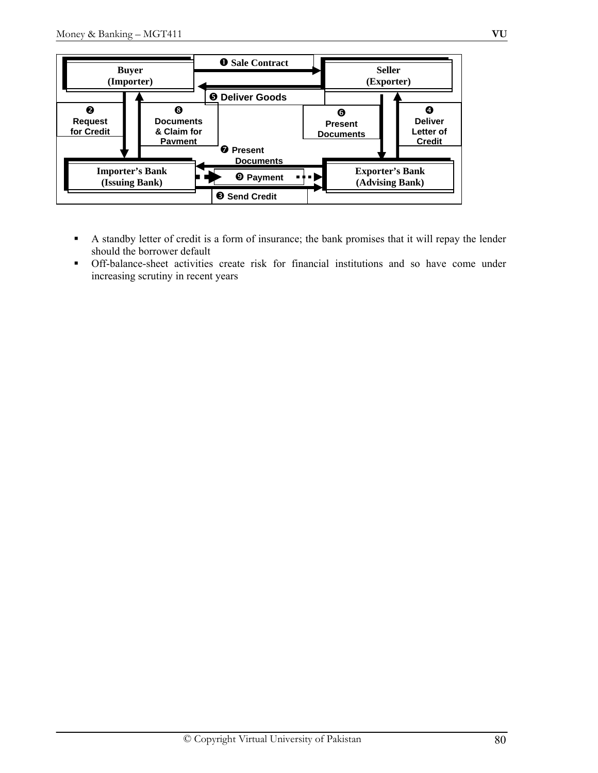

- A standby letter of credit is a form of insurance; the bank promises that it will repay the lender should the borrower default
- Off-balance-sheet activities create risk for financial institutions and so have come under increasing scrutiny in recent years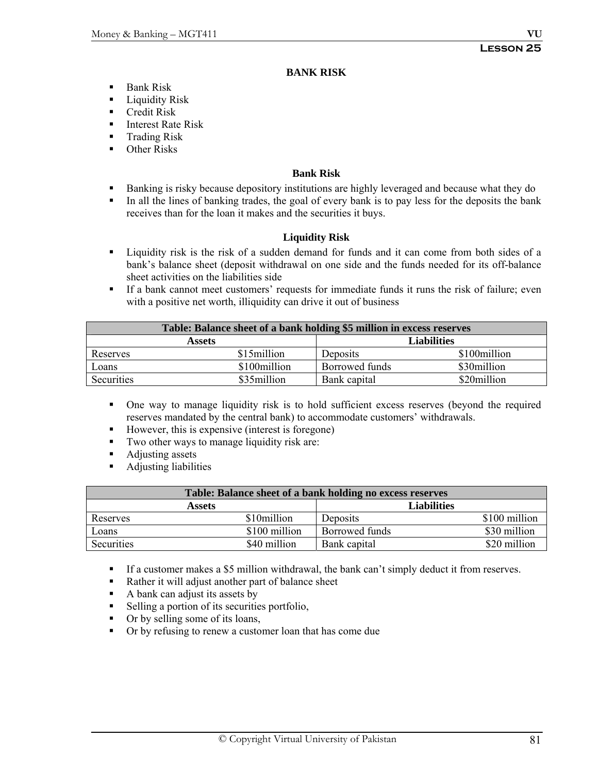#### **BANK RISK**

- $\blacksquare$  Bank Risk
- **Liquidity Risk**
- **Credit Risk**
- Interest Rate Risk
- **Trading Risk**
- **Other Risks**

#### **Bank Risk**

- Banking is risky because depository institutions are highly leveraged and because what they do
- In all the lines of banking trades, the goal of every bank is to pay less for the deposits the bank receives than for the loan it makes and the securities it buys.

#### **Liquidity Risk**

- Liquidity risk is the risk of a sudden demand for funds and it can come from both sides of a bank's balance sheet (deposit withdrawal on one side and the funds needed for its off-balance sheet activities on the liabilities side
- If a bank cannot meet customers' requests for immediate funds it runs the risk of failure; even with a positive net worth, illiquidity can drive it out of business

| Table: Balance sheet of a bank holding \$5 million in excess reserves |               |                |                    |
|-----------------------------------------------------------------------|---------------|----------------|--------------------|
|                                                                       | <b>Assets</b> |                | <b>Liabilities</b> |
| Reserves                                                              | \$15million   | Deposits       | \$100million       |
| Loans                                                                 | \$100million  | Borrowed funds | \$30million        |
| Securities                                                            | \$35million   | Bank capital   | \$20million        |

- One way to manage liquidity risk is to hold sufficient excess reserves (beyond the required reserves mandated by the central bank) to accommodate customers' withdrawals.
- However, this is expensive (interest is foregone)
- Two other ways to manage liquidity risk are:
- Adjusting assets
- Adjusting liabilities

| Table: Balance sheet of a bank holding no excess reserves |               |                |                    |
|-----------------------------------------------------------|---------------|----------------|--------------------|
|                                                           | Assets        |                | <b>Liabilities</b> |
| Reserves                                                  | \$10million   | Deposits       | \$100 million      |
| Loans                                                     | \$100 million | Borrowed funds | \$30 million       |
| Securities                                                | \$40 million  | Bank capital   | \$20 million       |

- If a customer makes a \$5 million withdrawal, the bank can't simply deduct it from reserves.
- Rather it will adjust another part of balance sheet
- A bank can adjust its assets by
- Selling a portion of its securities portfolio,
- Or by selling some of its loans,
- Or by refusing to renew a customer loan that has come due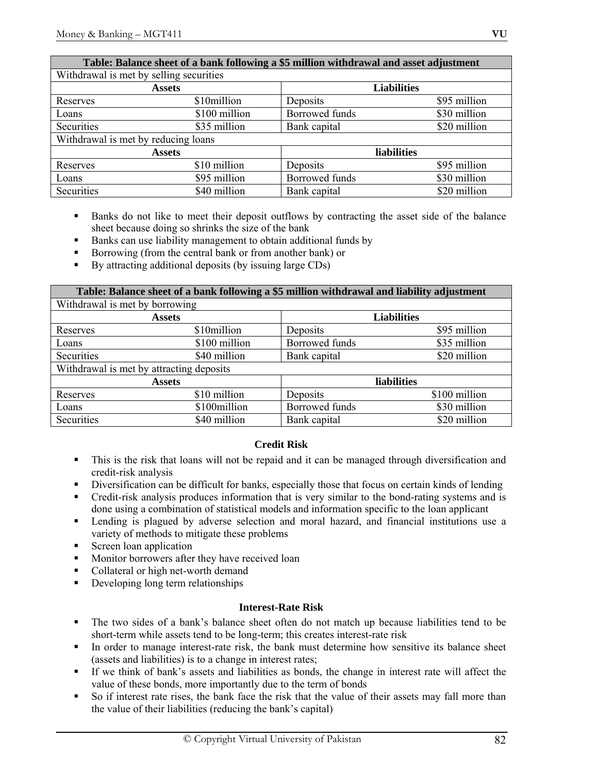|                                         |               | Table: Balance sheet of a bank following a \$5 million withdrawal and asset adjustment |                    |
|-----------------------------------------|---------------|----------------------------------------------------------------------------------------|--------------------|
| Withdrawal is met by selling securities |               |                                                                                        |                    |
|                                         | <b>Assets</b> |                                                                                        | <b>Liabilities</b> |
| Reserves                                | \$10million   | Deposits                                                                               | \$95 million       |
| Loans                                   | \$100 million | Borrowed funds                                                                         | \$30 million       |
| Securities                              | \$35 million  | Bank capital                                                                           | \$20 million       |
| Withdrawal is met by reducing loans     |               |                                                                                        |                    |
|                                         | <b>Assets</b> |                                                                                        | <b>liabilities</b> |
| Reserves                                | \$10 million  | Deposits                                                                               | \$95 million       |
| Loans                                   | \$95 million  | Borrowed funds                                                                         | \$30 million       |
| Securities                              | \$40 million  | Bank capital                                                                           | \$20 million       |

# **Table: Balance sheet of a bank following a \$5 million withdrawal and asset adjustment**

- **Banks** do not like to meet their deposit outflows by contracting the asset side of the balance sheet because doing so shrinks the size of the bank
- Banks can use liability management to obtain additional funds by
- Borrowing (from the central bank or from another bank) or
- By attracting additional deposits (by issuing large CDs)

| Table: Balance sheet of a bank following a \$5 million withdrawal and liability adjustment |               |                       |                    |
|--------------------------------------------------------------------------------------------|---------------|-----------------------|--------------------|
| Withdrawal is met by borrowing                                                             |               |                       |                    |
|                                                                                            | <b>Assets</b> |                       | <b>Liabilities</b> |
| Reserves                                                                                   | \$10million   | Deposits              | \$95 million       |
| Loans                                                                                      | \$100 million | <b>Borrowed funds</b> | \$35 million       |
| Securities                                                                                 | \$40 million  | Bank capital          | \$20 million       |
| Withdrawal is met by attracting deposits                                                   |               |                       |                    |
|                                                                                            | <b>Assets</b> |                       | <b>liabilities</b> |
| Reserves                                                                                   | \$10 million  | Deposits              | \$100 million      |
| Loans                                                                                      | \$100million  | Borrowed funds        | \$30 million       |
| Securities                                                                                 | \$40 million  | Bank capital          | \$20 million       |

#### **Credit Risk**

- This is the risk that loans will not be repaid and it can be managed through diversification and credit-risk analysis
- Diversification can be difficult for banks, especially those that focus on certain kinds of lending
- Credit-risk analysis produces information that is very similar to the bond-rating systems and is done using a combination of statistical models and information specific to the loan applicant
- Lending is plagued by adverse selection and moral hazard, and financial institutions use a variety of methods to mitigate these problems
- Screen loan application
- **Monitor borrowers after they have received loan**
- Collateral or high net-worth demand
- **•** Developing long term relationships

#### **Interest-Rate Risk**

- The two sides of a bank's balance sheet often do not match up because liabilities tend to be short-term while assets tend to be long-term; this creates interest-rate risk
- In order to manage interest-rate risk, the bank must determine how sensitive its balance sheet (assets and liabilities) is to a change in interest rates;
- If we think of bank's assets and liabilities as bonds, the change in interest rate will affect the value of these bonds, more importantly due to the term of bonds
- So if interest rate rises, the bank face the risk that the value of their assets may fall more than the value of their liabilities (reducing the bank's capital)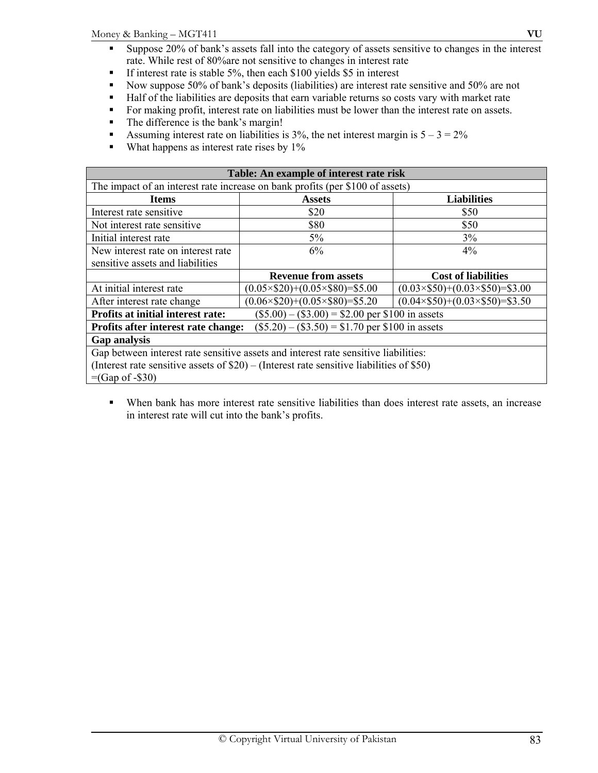- If interest rate is stable 5%, then each  $$100$  yields \$5 in interest
- Now suppose 50% of bank's deposits (liabilities) are interest rate sensitive and 50% are not
- Half of the liabilities are deposits that earn variable returns so costs vary with market rate
- For making profit, interest rate on liabilities must be lower than the interest rate on assets.
- The difference is the bank's margin!
- Assuming interest rate on liabilities is 3%, the net interest margin is  $5 3 = 2\%$
- $\blacksquare$  What happens as interest rate rises by 1%

| Table: An example of interest rate risk                                                      |                                                                                     |                                              |
|----------------------------------------------------------------------------------------------|-------------------------------------------------------------------------------------|----------------------------------------------|
|                                                                                              | The impact of an interest rate increase on bank profits (per \$100 of assets)       |                                              |
| <b>Items</b>                                                                                 | <b>Assets</b>                                                                       | <b>Liabilities</b>                           |
| Interest rate sensitive                                                                      | \$20                                                                                | \$50                                         |
| Not interest rate sensitive                                                                  | \$80                                                                                | \$50                                         |
| Initial interest rate                                                                        | $5\%$                                                                               | 3%                                           |
| New interest rate on interest rate                                                           | 6%                                                                                  | $4\%$                                        |
| sensitive assets and liabilities                                                             |                                                                                     |                                              |
|                                                                                              | <b>Revenue from assets</b>                                                          | <b>Cost of liabilities</b>                   |
| At initial interest rate                                                                     | $(0.05 \times $20)+(0.05 \times $80)= $5.00$                                        | $(0.03\times$50)+(0.03\times$50)=\$3.00$     |
| After interest rate change                                                                   | $(0.06 \times $20)+(0.05 \times $80)= $5.20$                                        | $(0.04 \times $50)+(0.03 \times $50)= $3.50$ |
| Profits at initial interest rate:<br>$($5.00) - ($3.00) = $2.00$ per \$100 in assets         |                                                                                     |                                              |
| $($5.20) - ($3.50) = $1.70$ per \$100 in assets<br>Profits after interest rate change:       |                                                                                     |                                              |
| Gap analysis                                                                                 |                                                                                     |                                              |
|                                                                                              | Gap between interest rate sensitive assets and interest rate sensitive liabilities: |                                              |
| (Interest rate sensitive assets of $$20$ ) – (Interest rate sensitive liabilities of $$50$ ) |                                                                                     |                                              |
| $=(Gap \text{ of } -\$30)$                                                                   |                                                                                     |                                              |

 When bank has more interest rate sensitive liabilities than does interest rate assets, an increase in interest rate will cut into the bank's profits.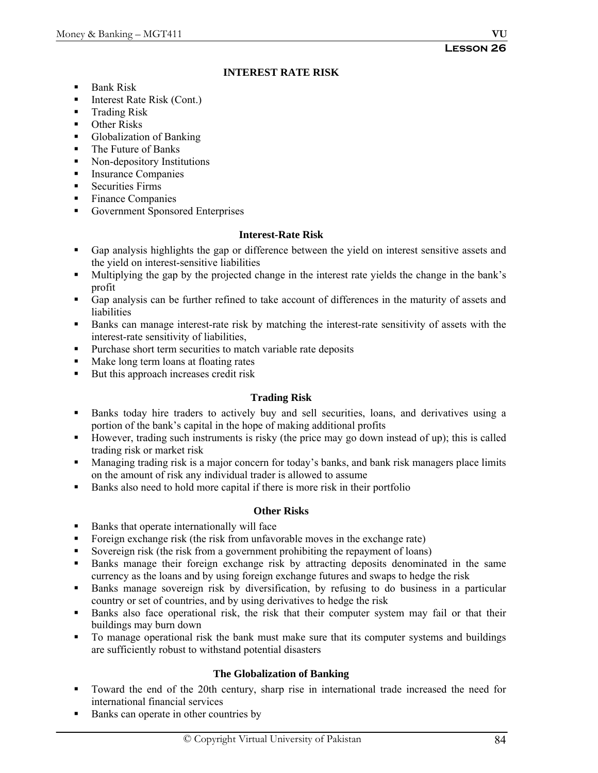## **INTEREST RATE RISK**

- $\blacksquare$  Bank Risk
- $\blacksquare$  Interest Rate Risk (Cont.)
- **Trading Risk**
- **Other Risks**
- Globalization of Banking
- The Future of Banks
- Non-depository Institutions
- **Insurance Companies**
- Securities Firms
- Finance Companies
- Government Sponsored Enterprises

#### **Interest-Rate Risk**

- Gap analysis highlights the gap or difference between the yield on interest sensitive assets and the yield on interest-sensitive liabilities
- Multiplying the gap by the projected change in the interest rate yields the change in the bank's profit
- Gap analysis can be further refined to take account of differences in the maturity of assets and **liabilities**
- Banks can manage interest-rate risk by matching the interest-rate sensitivity of assets with the interest-rate sensitivity of liabilities,
- **Purchase short term securities to match variable rate deposits**
- Make long term loans at floating rates
- But this approach increases credit risk

#### **Trading Risk**

- Banks today hire traders to actively buy and sell securities, loans, and derivatives using a portion of the bank's capital in the hope of making additional profits
- However, trading such instruments is risky (the price may go down instead of up); this is called trading risk or market risk
- **Managing trading risk is a major concern for today's banks, and bank risk managers place limits** on the amount of risk any individual trader is allowed to assume
- Banks also need to hold more capital if there is more risk in their portfolio

#### **Other Risks**

- **Banks that operate internationally will face**
- Foreign exchange risk (the risk from unfavorable moves in the exchange rate)
- Sovereign risk (the risk from a government prohibiting the repayment of loans)
- Banks manage their foreign exchange risk by attracting deposits denominated in the same currency as the loans and by using foreign exchange futures and swaps to hedge the risk
- Banks manage sovereign risk by diversification, by refusing to do business in a particular country or set of countries, and by using derivatives to hedge the risk
- Banks also face operational risk, the risk that their computer system may fail or that their buildings may burn down
- To manage operational risk the bank must make sure that its computer systems and buildings are sufficiently robust to withstand potential disasters

## **The Globalization of Banking**

- Toward the end of the 20th century, sharp rise in international trade increased the need for international financial services
- Banks can operate in other countries by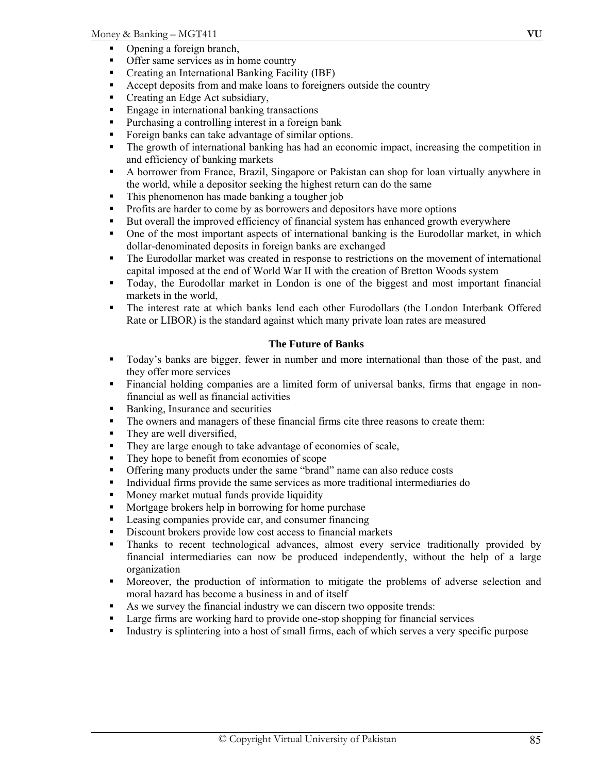- Opening a foreign branch,
- **•** Offer same services as in home country
- Creating an International Banking Facility (IBF)
- Accept deposits from and make loans to foreigners outside the country
- Creating an Edge Act subsidiary,
- **Engage in international banking transactions**
- **Purchasing a controlling interest in a foreign bank**
- Foreign banks can take advantage of similar options.
- The growth of international banking has had an economic impact, increasing the competition in and efficiency of banking markets
- A borrower from France, Brazil, Singapore or Pakistan can shop for loan virtually anywhere in the world, while a depositor seeking the highest return can do the same
- This phenomenon has made banking a tougher job
- Profits are harder to come by as borrowers and depositors have more options
- But overall the improved efficiency of financial system has enhanced growth everywhere
- One of the most important aspects of international banking is the Eurodollar market, in which dollar-denominated deposits in foreign banks are exchanged
- The Eurodollar market was created in response to restrictions on the movement of international capital imposed at the end of World War II with the creation of Bretton Woods system
- Today, the Eurodollar market in London is one of the biggest and most important financial markets in the world,
- The interest rate at which banks lend each other Eurodollars (the London Interbank Offered Rate or LIBOR) is the standard against which many private loan rates are measured

## **The Future of Banks**

- Today's banks are bigger, fewer in number and more international than those of the past, and they offer more services
- Financial holding companies are a limited form of universal banks, firms that engage in nonfinancial as well as financial activities
- Banking, Insurance and securities
- The owners and managers of these financial firms cite three reasons to create them:
- They are well diversified,
- They are large enough to take advantage of economies of scale,
- They hope to benefit from economies of scope
- Offering many products under the same "brand" name can also reduce costs
- Individual firms provide the same services as more traditional intermediaries do
- Money market mutual funds provide liquidity
- **Mortgage brokers help in borrowing for home purchase**
- **Leasing companies provide car, and consumer financing**
- Discount brokers provide low cost access to financial markets
- Thanks to recent technological advances, almost every service traditionally provided by financial intermediaries can now be produced independently, without the help of a large organization
- Moreover, the production of information to mitigate the problems of adverse selection and moral hazard has become a business in and of itself
- As we survey the financial industry we can discern two opposite trends:
- Large firms are working hard to provide one-stop shopping for financial services
- Industry is splintering into a host of small firms, each of which serves a very specific purpose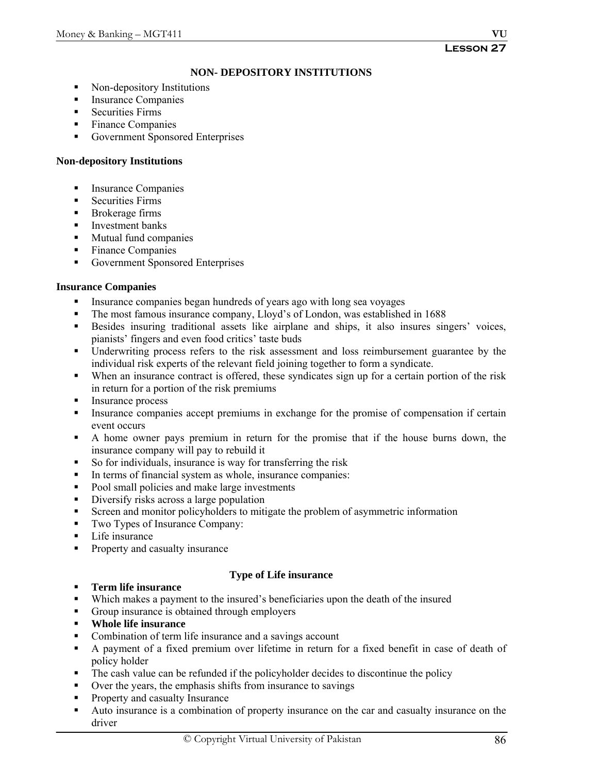## **NON- DEPOSITORY INSTITUTIONS**

- Non-depository Institutions
- **Insurance Companies**
- **Securities Firms**
- Finance Companies
- Government Sponsored Enterprises

#### **Non-depository Institutions**

- **Insurance Companies**
- **Securities Firms**
- **Brokerage firms**
- **Investment banks**
- **Mutual fund companies**
- Finance Companies
- **Government Sponsored Enterprises**

#### **Insurance Companies**

- Insurance companies began hundreds of years ago with long sea voyages
- The most famous insurance company, Lloyd's of London, was established in 1688
- Besides insuring traditional assets like airplane and ships, it also insures singers' voices, pianists' fingers and even food critics' taste buds
- Underwriting process refers to the risk assessment and loss reimbursement guarantee by the individual risk experts of the relevant field joining together to form a syndicate.
- When an insurance contract is offered, these syndicates sign up for a certain portion of the risk in return for a portion of the risk premiums
- Insurance process
- Insurance companies accept premiums in exchange for the promise of compensation if certain event occurs
- A home owner pays premium in return for the promise that if the house burns down, the insurance company will pay to rebuild it
- So for individuals, insurance is way for transferring the risk
- In terms of financial system as whole, insurance companies:
- Pool small policies and make large investments
- Diversify risks across a large population
- Screen and monitor policyholders to mitigate the problem of asymmetric information
- Two Types of Insurance Company:
- Life insurance
- Property and casualty insurance

#### **Type of Life insurance**

- **Term life insurance**
- Which makes a payment to the insured's beneficiaries upon the death of the insured
- Group insurance is obtained through employers
- **Whole life insurance**
- Combination of term life insurance and a savings account
- A payment of a fixed premium over lifetime in return for a fixed benefit in case of death of policy holder
- The cash value can be refunded if the policyholder decides to discontinue the policy
- Over the years, the emphasis shifts from insurance to savings
- Property and casualty Insurance
- Auto insurance is a combination of property insurance on the car and casualty insurance on the driver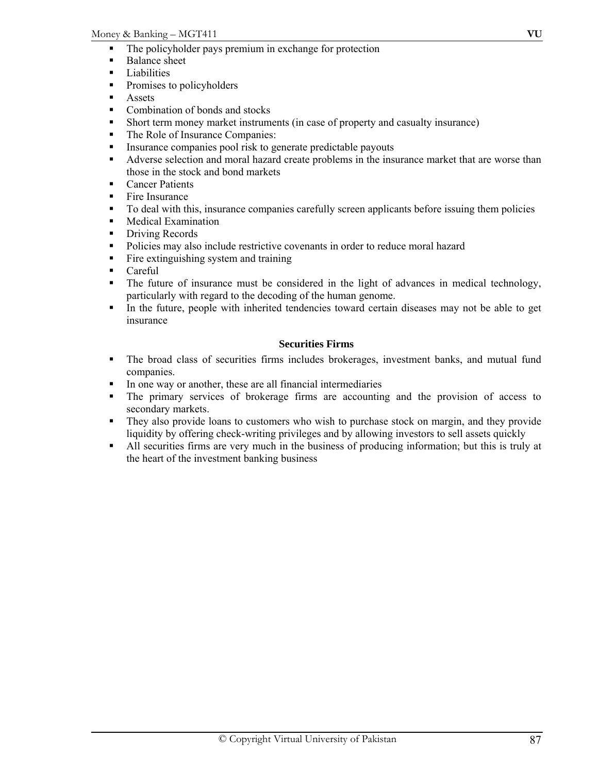- The policyholder pays premium in exchange for protection
- Balance sheet
- **Liabilities**
- **•** Promises to policyholders
- Assets
- Combination of bonds and stocks
- Short term money market instruments (in case of property and casualty insurance)
- The Role of Insurance Companies:
- Insurance companies pool risk to generate predictable payouts
- Adverse selection and moral hazard create problems in the insurance market that are worse than those in the stock and bond markets
- **Cancer Patients**
- Fire Insurance
- To deal with this, insurance companies carefully screen applicants before issuing them policies
- **Medical Examination**
- Driving Records
- Policies may also include restrictive covenants in order to reduce moral hazard
- Fire extinguishing system and training
- Careful
- The future of insurance must be considered in the light of advances in medical technology, particularly with regard to the decoding of the human genome.
- In the future, people with inherited tendencies toward certain diseases may not be able to get insurance

## **Securities Firms**

- The broad class of securities firms includes brokerages, investment banks, and mutual fund companies.
- In one way or another, these are all financial intermediaries
- The primary services of brokerage firms are accounting and the provision of access to secondary markets.
- They also provide loans to customers who wish to purchase stock on margin, and they provide liquidity by offering check-writing privileges and by allowing investors to sell assets quickly
- All securities firms are very much in the business of producing information; but this is truly at the heart of the investment banking business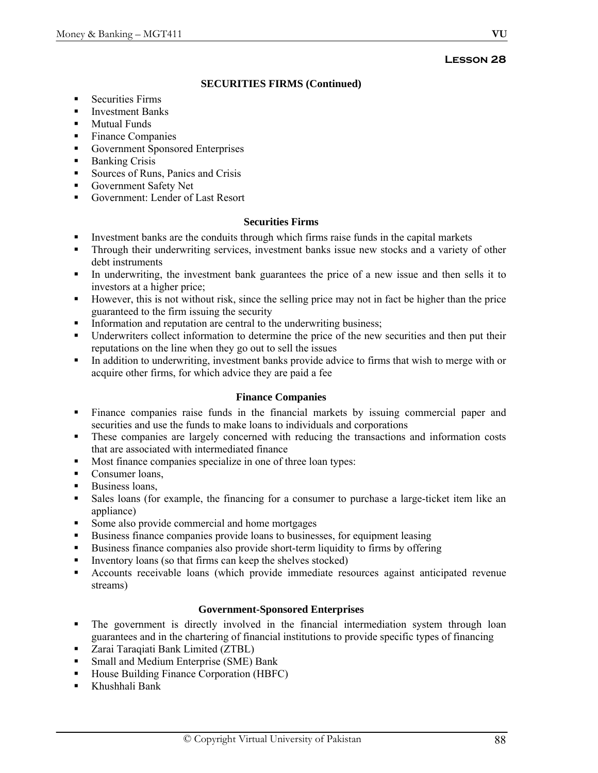## **Lesson 28**

#### **SECURITIES FIRMS (Continued)**

- Securities Firms
- **Investment Banks**
- Mutual Funds
- Finance Companies
- Government Sponsored Enterprises
- Banking Crisis
- Sources of Runs, Panics and Crisis
- Government Safety Net
- Government: Lender of Last Resort

#### **Securities Firms**

- Investment banks are the conduits through which firms raise funds in the capital markets
- **Through their underwriting services, investment banks issue new stocks and a variety of other** debt instruments
- In underwriting, the investment bank guarantees the price of a new issue and then sells it to investors at a higher price;
- However, this is not without risk, since the selling price may not in fact be higher than the price guaranteed to the firm issuing the security
- Information and reputation are central to the underwriting business;
- Underwriters collect information to determine the price of the new securities and then put their reputations on the line when they go out to sell the issues
- In addition to underwriting, investment banks provide advice to firms that wish to merge with or acquire other firms, for which advice they are paid a fee

#### **Finance Companies**

- Finance companies raise funds in the financial markets by issuing commercial paper and securities and use the funds to make loans to individuals and corporations
- These companies are largely concerned with reducing the transactions and information costs that are associated with intermediated finance
- Most finance companies specialize in one of three loan types:
- Consumer loans,
- $\blacksquare$  Business loans,
- Sales loans (for example, the financing for a consumer to purchase a large-ticket item like an appliance)
- Some also provide commercial and home mortgages
- Business finance companies provide loans to businesses, for equipment leasing
- Business finance companies also provide short-term liquidity to firms by offering
- Inventory loans (so that firms can keep the shelves stocked)
- Accounts receivable loans (which provide immediate resources against anticipated revenue streams)

## **Government-Sponsored Enterprises**

- The government is directly involved in the financial intermediation system through loan guarantees and in the chartering of financial institutions to provide specific types of financing
- Zarai Taraqiati Bank Limited (ZTBL)
- **Small and Medium Enterprise (SME) Bank**
- House Building Finance Corporation (HBFC)
- Khushhali Bank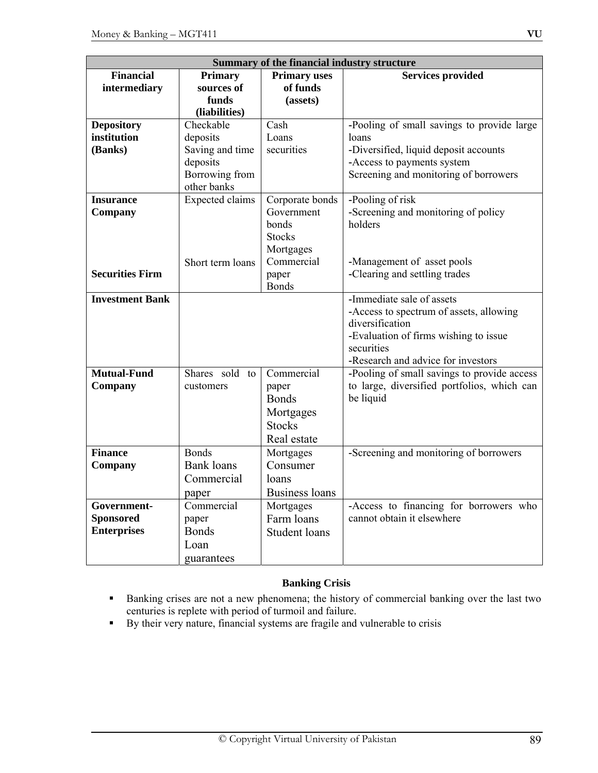| <b>Financial</b><br><b>Services provided</b><br><b>Primary</b><br><b>Primary uses</b><br>sources of<br>of funds<br>intermediary<br>funds<br>(assets)<br>(liabilities)<br>Cash<br><b>Depository</b><br>Checkable<br>-Pooling of small savings to provide large<br>institution<br>Loans<br>deposits<br>loans |
|------------------------------------------------------------------------------------------------------------------------------------------------------------------------------------------------------------------------------------------------------------------------------------------------------------|
|                                                                                                                                                                                                                                                                                                            |
|                                                                                                                                                                                                                                                                                                            |
|                                                                                                                                                                                                                                                                                                            |
|                                                                                                                                                                                                                                                                                                            |
|                                                                                                                                                                                                                                                                                                            |
|                                                                                                                                                                                                                                                                                                            |
| Saving and time<br>securities<br>-Diversified, liquid deposit accounts<br>(Banks)                                                                                                                                                                                                                          |
| deposits<br>-Access to payments system                                                                                                                                                                                                                                                                     |
| Borrowing from<br>Screening and monitoring of borrowers                                                                                                                                                                                                                                                    |
| other banks                                                                                                                                                                                                                                                                                                |
| -Pooling of risk<br>Corporate bonds<br><b>Expected claims</b><br><b>Insurance</b>                                                                                                                                                                                                                          |
| Government<br>-Screening and monitoring of policy<br>Company                                                                                                                                                                                                                                               |
| holders<br>bonds                                                                                                                                                                                                                                                                                           |
| <b>Stocks</b>                                                                                                                                                                                                                                                                                              |
| Mortgages                                                                                                                                                                                                                                                                                                  |
| Commercial<br>-Management of asset pools<br>Short term loans                                                                                                                                                                                                                                               |
| <b>Securities Firm</b><br>-Clearing and settling trades<br>paper                                                                                                                                                                                                                                           |
| <b>Bonds</b>                                                                                                                                                                                                                                                                                               |
| -Immediate sale of assets<br><b>Investment Bank</b>                                                                                                                                                                                                                                                        |
| -Access to spectrum of assets, allowing                                                                                                                                                                                                                                                                    |
| diversification                                                                                                                                                                                                                                                                                            |
| -Evaluation of firms wishing to issue                                                                                                                                                                                                                                                                      |
| securities                                                                                                                                                                                                                                                                                                 |
| -Research and advice for investors                                                                                                                                                                                                                                                                         |
| <b>Mutual-Fund</b><br>Shares sold to<br>-Pooling of small savings to provide access<br>Commercial                                                                                                                                                                                                          |
| to large, diversified portfolios, which can<br>Company<br>customers<br>paper                                                                                                                                                                                                                               |
| be liquid<br><b>Bonds</b>                                                                                                                                                                                                                                                                                  |
| Mortgages                                                                                                                                                                                                                                                                                                  |
| <b>Stocks</b>                                                                                                                                                                                                                                                                                              |
| Real estate                                                                                                                                                                                                                                                                                                |
| <b>Bonds</b><br><b>Finance</b><br>Mortgages<br>-Screening and monitoring of borrowers                                                                                                                                                                                                                      |
| <b>Bank loans</b><br>Consumer<br>Company                                                                                                                                                                                                                                                                   |
| Commercial<br>loans                                                                                                                                                                                                                                                                                        |
| <b>Business loans</b><br>paper                                                                                                                                                                                                                                                                             |
| Commercial<br>Mortgages<br>-Access to financing for borrowers who<br>Government-                                                                                                                                                                                                                           |
| cannot obtain it elsewhere<br>Farm loans<br><b>Sponsored</b><br>paper                                                                                                                                                                                                                                      |
| <b>Enterprises</b><br><b>Bonds</b><br><b>Student loans</b>                                                                                                                                                                                                                                                 |
| Loan                                                                                                                                                                                                                                                                                                       |
| guarantees                                                                                                                                                                                                                                                                                                 |

#### **Banking Crisis**

- Banking crises are not a new phenomena; the history of commercial banking over the last two centuries is replete with period of turmoil and failure.
- By their very nature, financial systems are fragile and vulnerable to crisis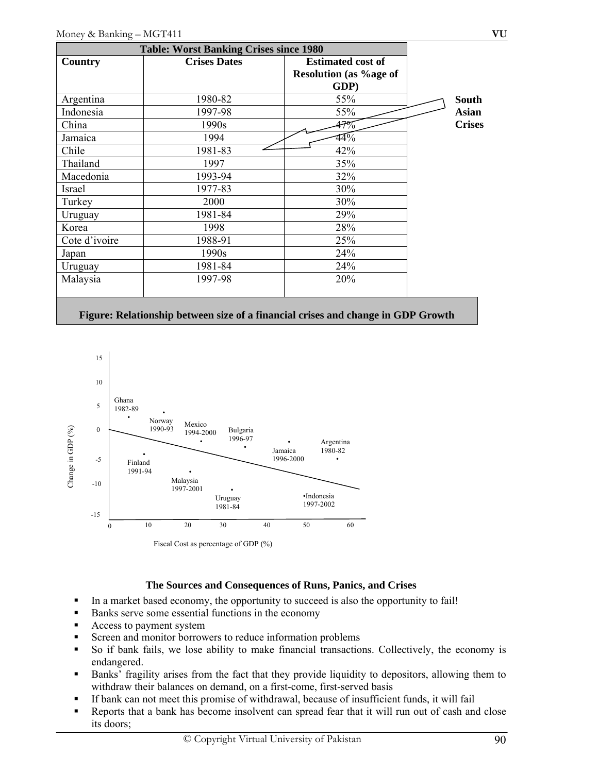| <b>Table: Worst Banking Crises since 1980</b> |                     |                                                                    |               |
|-----------------------------------------------|---------------------|--------------------------------------------------------------------|---------------|
| Country                                       | <b>Crises Dates</b> | <b>Estimated cost of</b><br><b>Resolution</b> (as % age of<br>GDP) |               |
| Argentina                                     | 1980-82             | 55%                                                                | South         |
| Indonesia                                     | 1997-98             | 55%                                                                | Asian         |
| China                                         | 1990s               | 47%                                                                | <b>Crises</b> |
| Jamaica                                       | 1994                | 44%                                                                |               |
| Chile                                         | 1981-83             | 42%                                                                |               |
| Thailand                                      | 1997                | 35%                                                                |               |
| Macedonia                                     | 1993-94             | 32%                                                                |               |
| Israel                                        | 1977-83             | 30%                                                                |               |
| Turkey                                        | 2000                | 30%                                                                |               |
| Uruguay                                       | 1981-84             | 29%                                                                |               |
| Korea                                         | 1998                | 28%                                                                |               |
| Cote d'ivoire                                 | 1988-91             | 25%                                                                |               |
| Japan                                         | 1990s               | 24%                                                                |               |
| Uruguay                                       | 1981-84             | 24%                                                                |               |
| Malaysia                                      | 1997-98             | 20%                                                                |               |

#### **Figure: Relationship between size of a financial crises and change in GDP Growth**



#### **The Sources and Consequences of Runs, Panics, and Crises**

- In a market based economy, the opportunity to succeed is also the opportunity to fail!
- Banks serve some essential functions in the economy
- Access to payment system
- **Screen and monitor borrowers to reduce information problems**
- So if bank fails, we lose ability to make financial transactions. Collectively, the economy is endangered.
- **Banks'** fragility arises from the fact that they provide liquidity to depositors, allowing them to withdraw their balances on demand, on a first-come, first-served basis
- If bank can not meet this promise of withdrawal, because of insufficient funds, it will fail
- Reports that a bank has become insolvent can spread fear that it will run out of cash and close its doors;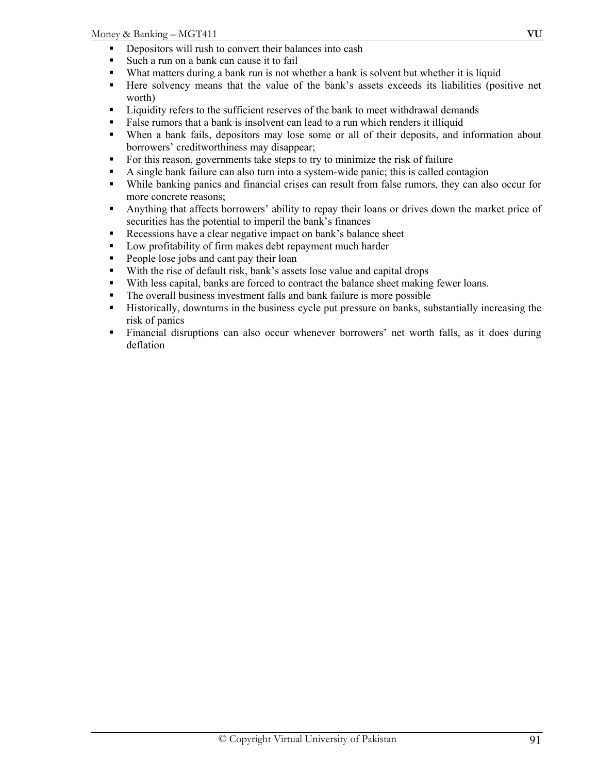- Depositors will rush to convert their balances into cash
- Such a run on a bank can cause it to fail
- What matters during a bank run is not whether a bank is solvent but whether it is liquid
- Here solvency means that the value of the bank's assets exceeds its liabilities (positive net worth)
- Liquidity refers to the sufficient reserves of the bank to meet withdrawal demands
- False rumors that a bank is insolvent can lead to a run which renders it illiquid
- When a bank fails, depositors may lose some or all of their deposits, and information about borrowers' creditworthiness may disappear;
- For this reason, governments take steps to try to minimize the risk of failure
- A single bank failure can also turn into a system-wide panic; this is called contagion
- While banking panics and financial crises can result from false rumors, they can also occur for more concrete reasons;
- Anything that affects borrowers' ability to repay their loans or drives down the market price of securities has the potential to imperil the bank's finances
- Recessions have a clear negative impact on bank's balance sheet
- **Low profitability of firm makes debt repayment much harder**
- People lose jobs and cant pay their loan
- With the rise of default risk, bank's assets lose value and capital drops
- With less capital, banks are forced to contract the balance sheet making fewer loans.
- The overall business investment falls and bank failure is more possible
- Historically, downturns in the business cycle put pressure on banks, substantially increasing the risk of panics
- Financial disruptions can also occur whenever borrowers' net worth falls, as it does during deflation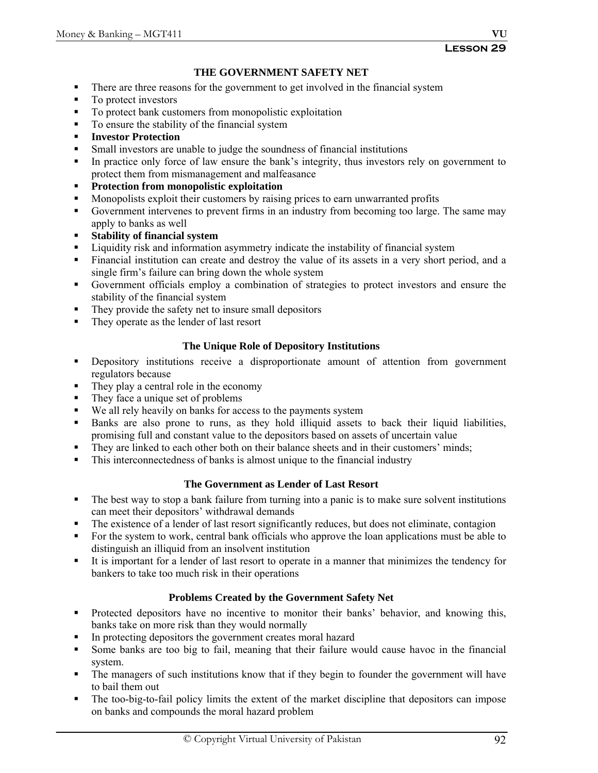## **THE GOVERNMENT SAFETY NET**

- There are three reasons for the government to get involved in the financial system
- To protect investors
- To protect bank customers from monopolistic exploitation
- To ensure the stability of the financial system
- **Investor Protection**
- Small investors are unable to judge the soundness of financial institutions
- In practice only force of law ensure the bank's integrity, thus investors rely on government to protect them from mismanagement and malfeasance
- **Protection from monopolistic exploitation**
- **Monopolists exploit their customers by raising prices to earn unwarranted profits**
- Government intervenes to prevent firms in an industry from becoming too large. The same may apply to banks as well
- **Stability of financial system**
- Liquidity risk and information asymmetry indicate the instability of financial system
- Financial institution can create and destroy the value of its assets in a very short period, and a single firm's failure can bring down the whole system
- Government officials employ a combination of strategies to protect investors and ensure the stability of the financial system
- They provide the safety net to insure small depositors
- They operate as the lender of last resort

#### **The Unique Role of Depository Institutions**

- Depository institutions receive a disproportionate amount of attention from government regulators because
- They play a central role in the economy
- They face a unique set of problems
- We all rely heavily on banks for access to the payments system
- Banks are also prone to runs, as they hold illiquid assets to back their liquid liabilities, promising full and constant value to the depositors based on assets of uncertain value
- They are linked to each other both on their balance sheets and in their customers' minds;
- This interconnectedness of banks is almost unique to the financial industry

#### **The Government as Lender of Last Resort**

- The best way to stop a bank failure from turning into a panic is to make sure solvent institutions can meet their depositors' withdrawal demands
- The existence of a lender of last resort significantly reduces, but does not eliminate, contagion
- For the system to work, central bank officials who approve the loan applications must be able to distinguish an illiquid from an insolvent institution
- It is important for a lender of last resort to operate in a manner that minimizes the tendency for bankers to take too much risk in their operations

#### **Problems Created by the Government Safety Net**

- Protected depositors have no incentive to monitor their banks' behavior, and knowing this, banks take on more risk than they would normally
- In protecting depositors the government creates moral hazard
- Some banks are too big to fail, meaning that their failure would cause havoc in the financial system.
- The managers of such institutions know that if they begin to founder the government will have to bail them out
- The too-big-to-fail policy limits the extent of the market discipline that depositors can impose on banks and compounds the moral hazard problem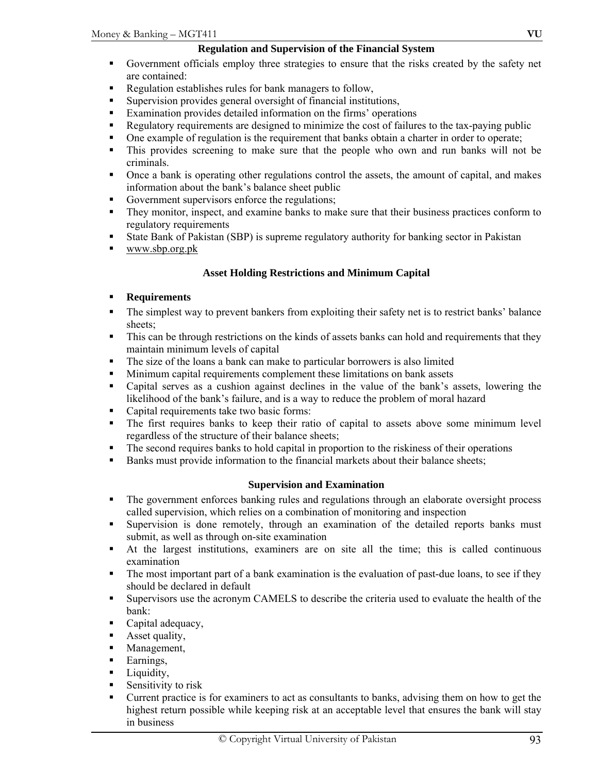#### **Regulation and Supervision of the Financial System**

- Government officials employ three strategies to ensure that the risks created by the safety net are contained:
- Regulation establishes rules for bank managers to follow,
- Supervision provides general oversight of financial institutions,
- Examination provides detailed information on the firms' operations
- Regulatory requirements are designed to minimize the cost of failures to the tax-paying public
- One example of regulation is the requirement that banks obtain a charter in order to operate;
- This provides screening to make sure that the people who own and run banks will not be criminals.
- Once a bank is operating other regulations control the assets, the amount of capital, and makes information about the bank's balance sheet public
- Government supervisors enforce the regulations;
- They monitor, inspect, and examine banks to make sure that their business practices conform to regulatory requirements
- State Bank of Pakistan (SBP) is supreme regulatory authority for banking sector in Pakistan
- www.sbp.org.pk

## **Asset Holding Restrictions and Minimum Capital**

- **Requirements**
- The simplest way to prevent bankers from exploiting their safety net is to restrict banks' balance sheets;
- This can be through restrictions on the kinds of assets banks can hold and requirements that they maintain minimum levels of capital
- The size of the loans a bank can make to particular borrowers is also limited
- Minimum capital requirements complement these limitations on bank assets
- Capital serves as a cushion against declines in the value of the bank's assets, lowering the likelihood of the bank's failure, and is a way to reduce the problem of moral hazard
- Capital requirements take two basic forms:
- The first requires banks to keep their ratio of capital to assets above some minimum level regardless of the structure of their balance sheets;
- The second requires banks to hold capital in proportion to the riskiness of their operations
- **Banks must provide information to the financial markets about their balance sheets;**

#### **Supervision and Examination**

- The government enforces banking rules and regulations through an elaborate oversight process called supervision, which relies on a combination of monitoring and inspection
- Supervision is done remotely, through an examination of the detailed reports banks must submit, as well as through on-site examination
- At the largest institutions, examiners are on site all the time; this is called continuous examination
- The most important part of a bank examination is the evaluation of past-due loans, to see if they should be declared in default
- Supervisors use the acronym CAMELS to describe the criteria used to evaluate the health of the bank:
- Capital adequacy,
- Asset quality,
- Management,
- Earnings,
- Liquidity.
- **Sensitivity to risk**
- Current practice is for examiners to act as consultants to banks, advising them on how to get the highest return possible while keeping risk at an acceptable level that ensures the bank will stay in business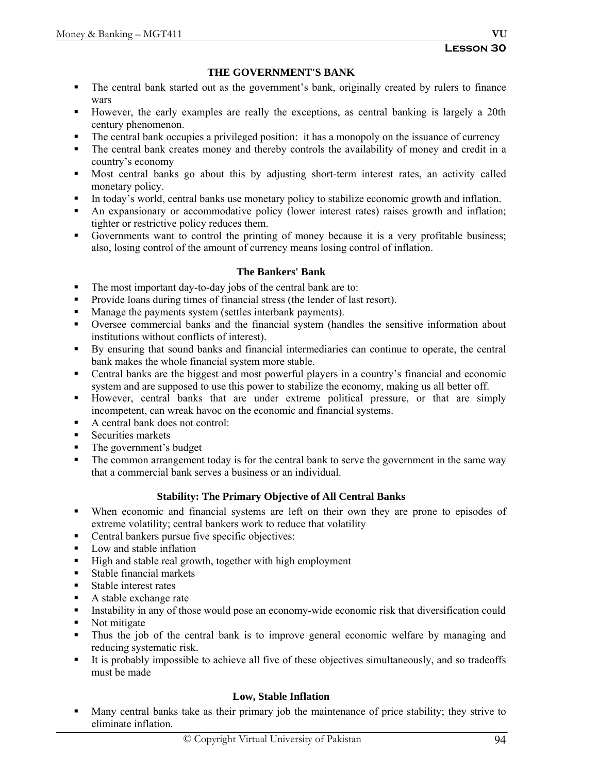## **THE GOVERNMENT'S BANK**

- The central bank started out as the government's bank, originally created by rulers to finance wars
- However, the early examples are really the exceptions, as central banking is largely a 20th century phenomenon.
- The central bank occupies a privileged position: it has a monopoly on the issuance of currency
- The central bank creates money and thereby controls the availability of money and credit in a country's economy
- Most central banks go about this by adjusting short-term interest rates, an activity called monetary policy.
- In today's world, central banks use monetary policy to stabilize economic growth and inflation.
- An expansionary or accommodative policy (lower interest rates) raises growth and inflation; tighter or restrictive policy reduces them.
- Governments want to control the printing of money because it is a very profitable business; also, losing control of the amount of currency means losing control of inflation.

## **The Bankers' Bank**

- The most important day-to-day jobs of the central bank are to:
- **Provide loans during times of financial stress (the lender of last resort).**
- Manage the payments system (settles interbank payments).
- Oversee commercial banks and the financial system (handles the sensitive information about institutions without conflicts of interest).
- By ensuring that sound banks and financial intermediaries can continue to operate, the central bank makes the whole financial system more stable.
- Central banks are the biggest and most powerful players in a country's financial and economic system and are supposed to use this power to stabilize the economy, making us all better off.
- However, central banks that are under extreme political pressure, or that are simply incompetent, can wreak havoc on the economic and financial systems.
- A central bank does not control:
- **Securities markets**
- The government's budget
- The common arrangement today is for the central bank to serve the government in the same way that a commercial bank serves a business or an individual.

## **Stability: The Primary Objective of All Central Banks**

- When economic and financial systems are left on their own they are prone to episodes of extreme volatility; central bankers work to reduce that volatility
- Central bankers pursue five specific objectives:
- Low and stable inflation
- High and stable real growth, together with high employment
- Stable financial markets
- Stable interest rates
- A stable exchange rate
- Instability in any of those would pose an economy-wide economic risk that diversification could
- Not mitigate
- Thus the job of the central bank is to improve general economic welfare by managing and reducing systematic risk.
- It is probably impossible to achieve all five of these objectives simultaneously, and so tradeoffs must be made

#### **Low, Stable Inflation**

 Many central banks take as their primary job the maintenance of price stability; they strive to eliminate inflation.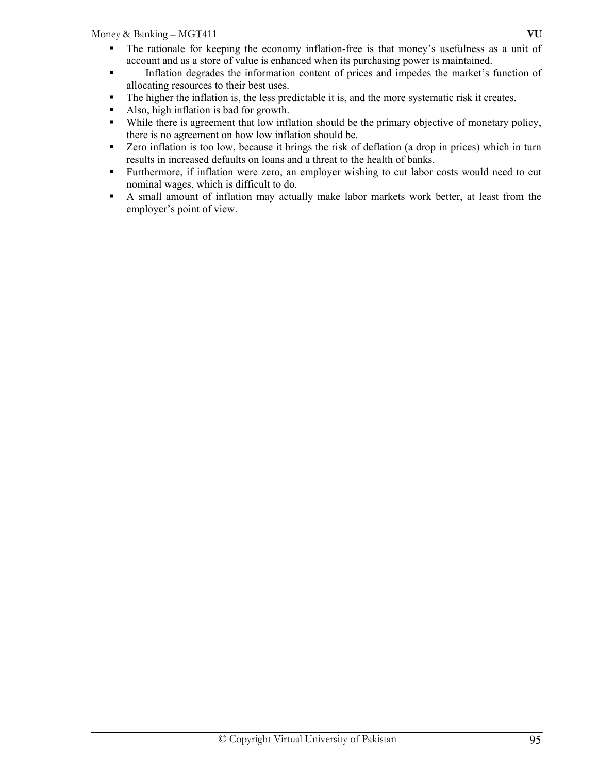- Inflation degrades the information content of prices and impedes the market's function of allocating resources to their best uses.
- The higher the inflation is, the less predictable it is, and the more systematic risk it creates.
- Also, high inflation is bad for growth.
- While there is agreement that low inflation should be the primary objective of monetary policy, there is no agreement on how low inflation should be.
- Zero inflation is too low, because it brings the risk of deflation (a drop in prices) which in turn results in increased defaults on loans and a threat to the health of banks.
- Furthermore, if inflation were zero, an employer wishing to cut labor costs would need to cut nominal wages, which is difficult to do.
- A small amount of inflation may actually make labor markets work better, at least from the employer's point of view.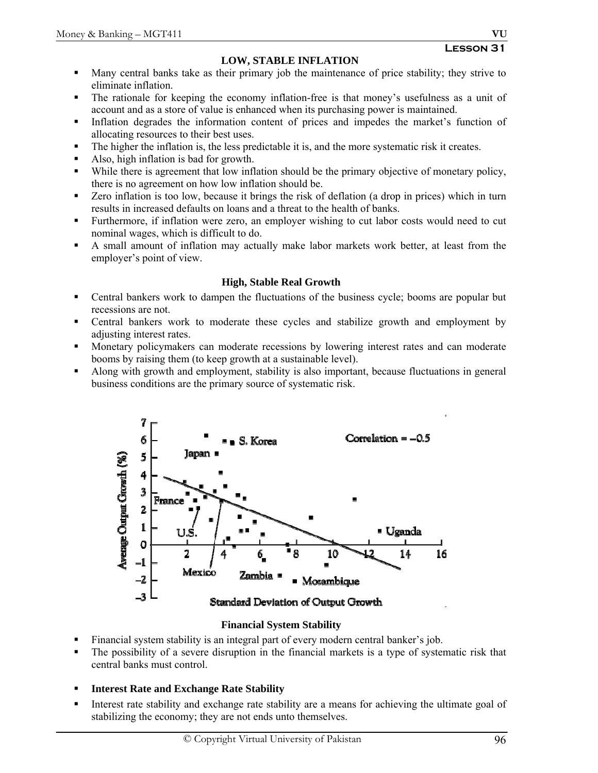## **LOW, STABLE INFLATION**

- Many central banks take as their primary job the maintenance of price stability; they strive to eliminate inflation.
- The rationale for keeping the economy inflation-free is that money's usefulness as a unit of account and as a store of value is enhanced when its purchasing power is maintained.
- Inflation degrades the information content of prices and impedes the market's function of allocating resources to their best uses.
- The higher the inflation is, the less predictable it is, and the more systematic risk it creates.
- Also, high inflation is bad for growth.
- While there is agreement that low inflation should be the primary objective of monetary policy, there is no agreement on how low inflation should be.
- Zero inflation is too low, because it brings the risk of deflation (a drop in prices) which in turn results in increased defaults on loans and a threat to the health of banks.
- Furthermore, if inflation were zero, an employer wishing to cut labor costs would need to cut nominal wages, which is difficult to do.
- A small amount of inflation may actually make labor markets work better, at least from the employer's point of view.

## **High, Stable Real Growth**

- Central bankers work to dampen the fluctuations of the business cycle; booms are popular but recessions are not.
- Central bankers work to moderate these cycles and stabilize growth and employment by adjusting interest rates.
- **Monetary policymakers can moderate recessions by lowering interest rates and can moderate** booms by raising them (to keep growth at a sustainable level).
- Along with growth and employment, stability is also important, because fluctuations in general business conditions are the primary source of systematic risk.



#### **Financial System Stability**

- Financial system stability is an integral part of every modern central banker's job.
- The possibility of a severe disruption in the financial markets is a type of systematic risk that central banks must control.
- **Interest Rate and Exchange Rate Stability**
- Interest rate stability and exchange rate stability are a means for achieving the ultimate goal of stabilizing the economy; they are not ends unto themselves.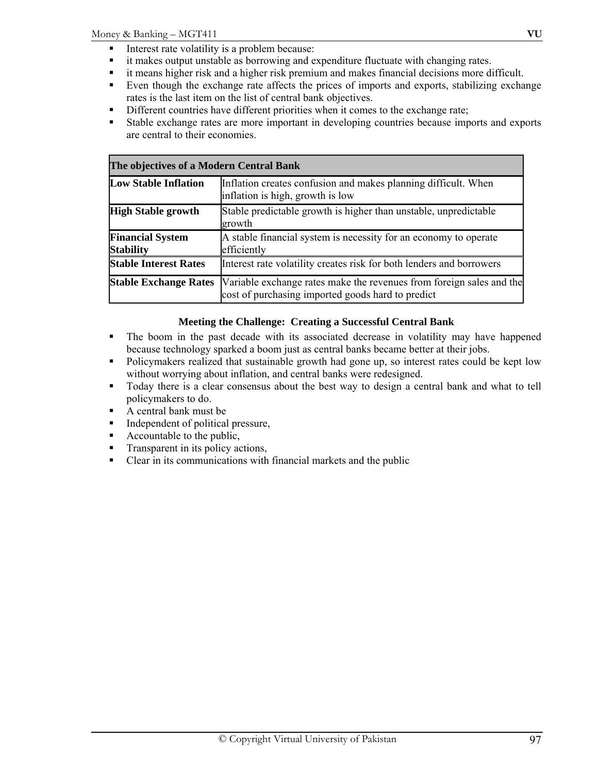- it makes output unstable as borrowing and expenditure fluctuate with changing rates.
- it means higher risk and a higher risk premium and makes financial decisions more difficult.
- Even though the exchange rate affects the prices of imports and exports, stabilizing exchange rates is the last item on the list of central bank objectives.
- Different countries have different priorities when it comes to the exchange rate;
- Stable exchange rates are more important in developing countries because imports and exports are central to their economies.

| The objectives of a Modern Central Bank     |                                                                                                                           |
|---------------------------------------------|---------------------------------------------------------------------------------------------------------------------------|
| <b>Low Stable Inflation</b>                 | Inflation creates confusion and makes planning difficult. When<br>inflation is high, growth is low                        |
| <b>High Stable growth</b>                   | Stable predictable growth is higher than unstable, unpredictable<br>growth                                                |
| <b>Financial System</b><br><b>Stability</b> | A stable financial system is necessity for an economy to operate<br>efficiently                                           |
| <b>Stable Interest Rates</b>                | Interest rate volatility creates risk for both lenders and borrowers                                                      |
| <b>Stable Exchange Rates</b>                | Variable exchange rates make the revenues from foreign sales and the<br>cost of purchasing imported goods hard to predict |

## **Meeting the Challenge: Creating a Successful Central Bank**

- The boom in the past decade with its associated decrease in volatility may have happened because technology sparked a boom just as central banks became better at their jobs.
- Policymakers realized that sustainable growth had gone up, so interest rates could be kept low without worrying about inflation, and central banks were redesigned.
- Today there is a clear consensus about the best way to design a central bank and what to tell policymakers to do.
- A central bank must be
- Independent of political pressure,
- Accountable to the public,
- **Transparent in its policy actions,**
- Clear in its communications with financial markets and the public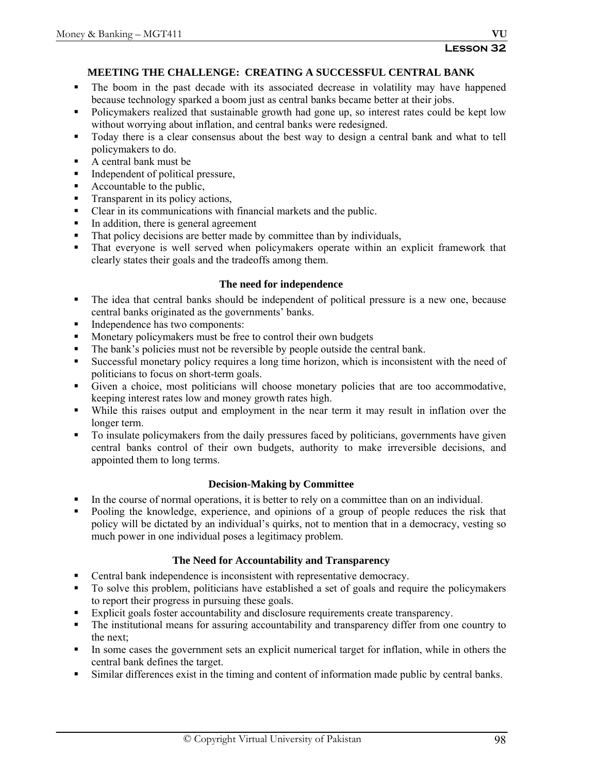#### **MEETING THE CHALLENGE: CREATING A SUCCESSFUL CENTRAL BANK**

- The boom in the past decade with its associated decrease in volatility may have happened because technology sparked a boom just as central banks became better at their jobs.
- Policymakers realized that sustainable growth had gone up, so interest rates could be kept low without worrying about inflation, and central banks were redesigned.
- Today there is a clear consensus about the best way to design a central bank and what to tell policymakers to do.
- A central bank must be
- Independent of political pressure,
- Accountable to the public,
- **Transparent in its policy actions,**
- Clear in its communications with financial markets and the public.
- In addition, there is general agreement
- That policy decisions are better made by committee than by individuals,
- That everyone is well served when policymakers operate within an explicit framework that clearly states their goals and the tradeoffs among them.

## **The need for independence**

- The idea that central banks should be independent of political pressure is a new one, because central banks originated as the governments' banks.
- Independence has two components:
- **Monetary policymakers must be free to control their own budgets**
- The bank's policies must not be reversible by people outside the central bank.
- Successful monetary policy requires a long time horizon, which is inconsistent with the need of politicians to focus on short-term goals.
- Given a choice, most politicians will choose monetary policies that are too accommodative, keeping interest rates low and money growth rates high.
- While this raises output and employment in the near term it may result in inflation over the longer term.
- To insulate policymakers from the daily pressures faced by politicians, governments have given central banks control of their own budgets, authority to make irreversible decisions, and appointed them to long terms.

## **Decision-Making by Committee**

- In the course of normal operations, it is better to rely on a committee than on an individual.
- Pooling the knowledge, experience, and opinions of a group of people reduces the risk that policy will be dictated by an individual's quirks, not to mention that in a democracy, vesting so much power in one individual poses a legitimacy problem.

# **The Need for Accountability and Transparency**

- Central bank independence is inconsistent with representative democracy.
- To solve this problem, politicians have established a set of goals and require the policymakers to report their progress in pursuing these goals.
- Explicit goals foster accountability and disclosure requirements create transparency.
- The institutional means for assuring accountability and transparency differ from one country to the next;
- In some cases the government sets an explicit numerical target for inflation, while in others the central bank defines the target.
- Similar differences exist in the timing and content of information made public by central banks.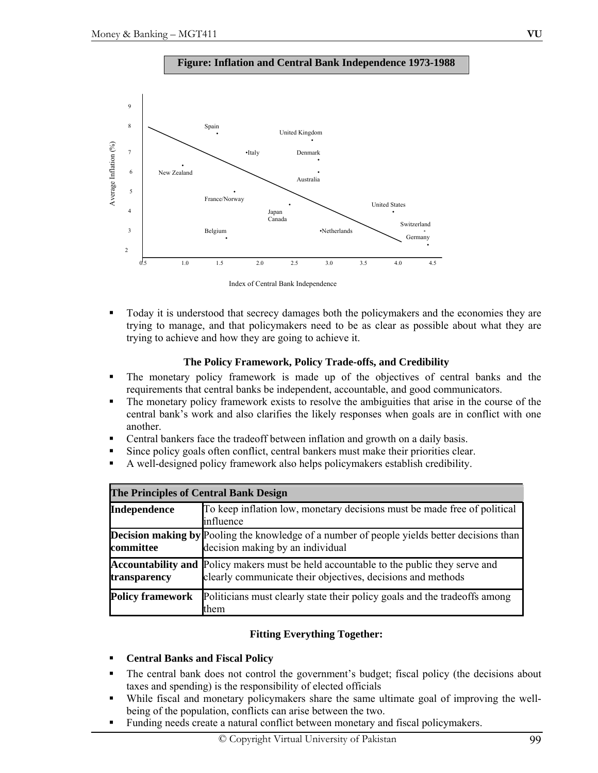



Index of Central Bank Independence

 Today it is understood that secrecy damages both the policymakers and the economies they are trying to manage, and that policymakers need to be as clear as possible about what they are trying to achieve and how they are going to achieve it.

#### **The Policy Framework, Policy Trade-offs, and Credibility**

- The monetary policy framework is made up of the objectives of central banks and the requirements that central banks be independent, accountable, and good communicators.
- The monetary policy framework exists to resolve the ambiguities that arise in the course of the central bank's work and also clarifies the likely responses when goals are in conflict with one another.
- Central bankers face the tradeoff between inflation and growth on a daily basis.
- Since policy goals often conflict, central bankers must make their priorities clear.
- A well-designed policy framework also helps policymakers establish credibility.

| <b>The Principles of Central Bank Design</b> |                                                                                                                                                       |  |
|----------------------------------------------|-------------------------------------------------------------------------------------------------------------------------------------------------------|--|
| Independence                                 | To keep inflation low, monetary decisions must be made free of political<br>influence                                                                 |  |
| committee                                    | <b>Decision making by Pooling the knowledge of a number of people yields better decisions than</b><br>decision making by an individual                |  |
| transparency                                 | Accountability and Policy makers must be held accountable to the public they serve and<br>clearly communicate their objectives, decisions and methods |  |
| <b>Policy framework</b>                      | Politicians must clearly state their policy goals and the tradeoffs among<br>them                                                                     |  |

#### **Fitting Everything Together:**

- **Central Banks and Fiscal Policy**
- The central bank does not control the government's budget; fiscal policy (the decisions about taxes and spending) is the responsibility of elected officials
- While fiscal and monetary policymakers share the same ultimate goal of improving the wellbeing of the population, conflicts can arise between the two.
- **Funding needs create a natural conflict between monetary and fiscal policymakers.**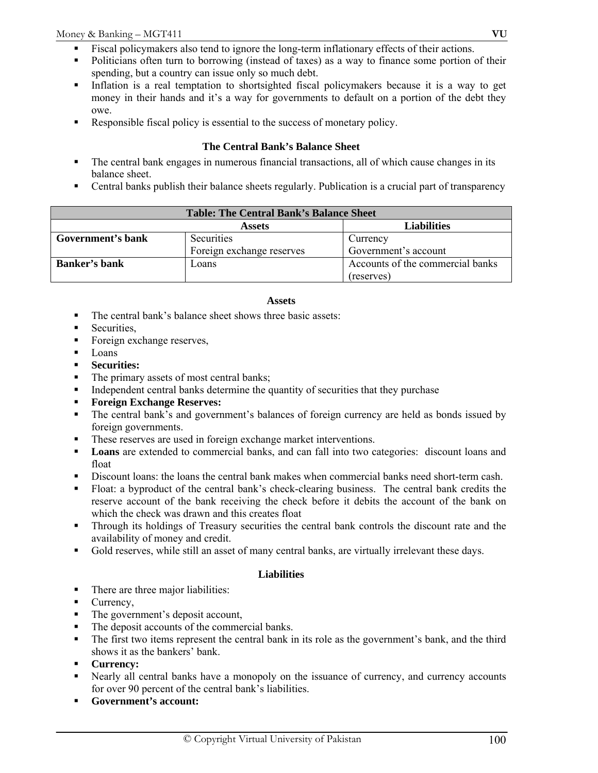- Fiscal policymakers also tend to ignore the long-term inflationary effects of their actions.
- Politicians often turn to borrowing (instead of taxes) as a way to finance some portion of their spending, but a country can issue only so much debt.
- Inflation is a real temptation to shortsighted fiscal policymakers because it is a way to get money in their hands and it's a way for governments to default on a portion of the debt they owe.
- Responsible fiscal policy is essential to the success of monetary policy.

#### **The Central Bank's Balance Sheet**

- The central bank engages in numerous financial transactions, all of which cause changes in its balance sheet.
- Central banks publish their balance sheets regularly. Publication is a crucial part of transparency

| <b>Table: The Central Bank's Balance Sheet</b> |                           |                                  |  |
|------------------------------------------------|---------------------------|----------------------------------|--|
| <b>Liabilities</b><br><b>Assets</b>            |                           |                                  |  |
| Government's bank                              | Securities                | Currency                         |  |
|                                                | Foreign exchange reserves | Government's account             |  |
| <b>Banker's bank</b>                           | Loans                     | Accounts of the commercial banks |  |
|                                                |                           | (reserves)                       |  |

#### **Assets**

- The central bank's balance sheet shows three basic assets:
- Securities,
- Foreign exchange reserves,
- **Loans**
- **Securities:**
- The primary assets of most central banks;
- Independent central banks determine the quantity of securities that they purchase
- **Foreign Exchange Reserves:**
- The central bank's and government's balances of foreign currency are held as bonds issued by foreign governments.
- These reserves are used in foreign exchange market interventions.
- **Loans** are extended to commercial banks, and can fall into two categories: discount loans and float
- Discount loans: the loans the central bank makes when commercial banks need short-term cash.
- Float: a byproduct of the central bank's check-clearing business. The central bank credits the reserve account of the bank receiving the check before it debits the account of the bank on which the check was drawn and this creates float
- Through its holdings of Treasury securities the central bank controls the discount rate and the availability of money and credit.
- Gold reserves, while still an asset of many central banks, are virtually irrelevant these days.

#### **Liabilities**

- There are three major liabilities:
- $^\blacksquare$  Currency,
- The government's deposit account,
- The deposit accounts of the commercial banks.
- The first two items represent the central bank in its role as the government's bank, and the third shows it as the bankers' bank.
- **Currency:**
- Nearly all central banks have a monopoly on the issuance of currency, and currency accounts for over 90 percent of the central bank's liabilities.
- **Government's account:**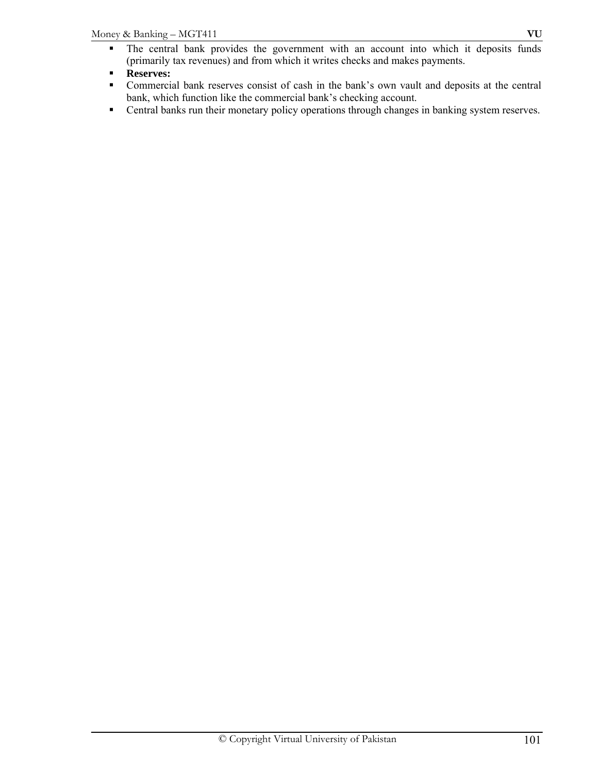- The central bank provides the government with an account into which it deposits funds (primarily tax revenues) and from which it writes checks and makes payments.
- **Reserves:**
- Commercial bank reserves consist of cash in the bank's own vault and deposits at the central bank, which function like the commercial bank's checking account.
- **•** Central banks run their monetary policy operations through changes in banking system reserves.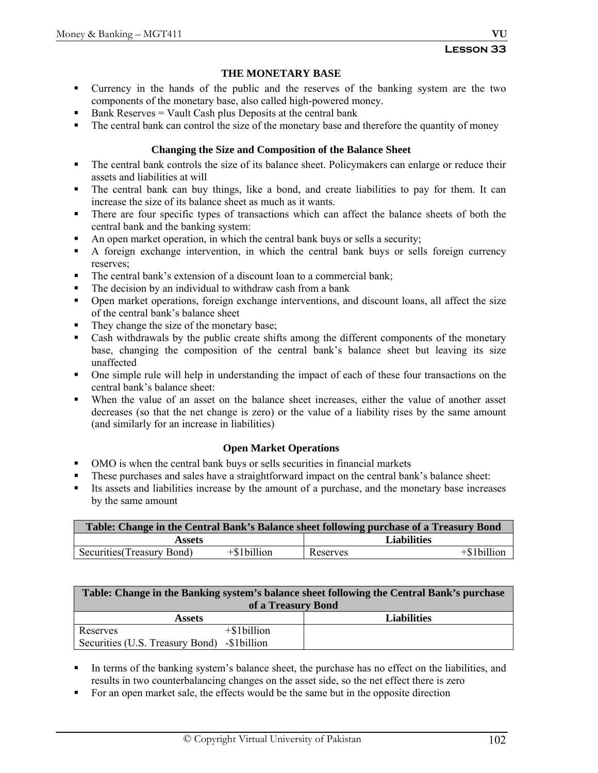#### **THE MONETARY BASE**

- Currency in the hands of the public and the reserves of the banking system are the two components of the monetary base, also called high-powered money.
- Bank Reserves = Vault Cash plus Deposits at the central bank
- The central bank can control the size of the monetary base and therefore the quantity of money

#### **Changing the Size and Composition of the Balance Sheet**

- The central bank controls the size of its balance sheet. Policymakers can enlarge or reduce their assets and liabilities at will
- The central bank can buy things, like a bond, and create liabilities to pay for them. It can increase the size of its balance sheet as much as it wants.
- There are four specific types of transactions which can affect the balance sheets of both the central bank and the banking system:
- An open market operation, in which the central bank buys or sells a security;
- A foreign exchange intervention, in which the central bank buys or sells foreign currency reserves;
- The central bank's extension of a discount loan to a commercial bank;
- The decision by an individual to withdraw cash from a bank
- Open market operations, foreign exchange interventions, and discount loans, all affect the size of the central bank's balance sheet
- They change the size of the monetary base;
- Cash withdrawals by the public create shifts among the different components of the monetary base, changing the composition of the central bank's balance sheet but leaving its size unaffected
- One simple rule will help in understanding the impact of each of these four transactions on the central bank's balance sheet:
- When the value of an asset on the balance sheet increases, either the value of another asset decreases (so that the net change is zero) or the value of a liability rises by the same amount (and similarly for an increase in liabilities)

#### **Open Market Operations**

- OMO is when the central bank buys or sells securities in financial markets
- These purchases and sales have a straightforward impact on the central bank's balance sheet:
- Its assets and liabilities increase by the amount of a purchase, and the monetary base increases by the same amount

| Table: Change in the Central Bank's Balance sheet following purchase of a Treasury Bond |                |          |                    |
|-----------------------------------------------------------------------------------------|----------------|----------|--------------------|
| <b>Assets</b>                                                                           |                |          | <b>Liabilities</b> |
| Securities (Treasury Bond)                                                              | $+$ \$1billion | Reserves | $+$ \$1billion     |

| Table: Change in the Banking system's balance sheet following the Central Bank's purchase |                |                    |
|-------------------------------------------------------------------------------------------|----------------|--------------------|
| of a Treasury Bond                                                                        |                |                    |
| <b>Assets</b>                                                                             |                | <b>Liabilities</b> |
| Reserves                                                                                  | $+$ \$1billion |                    |
| Securities (U.S. Treasury Bond) -\$1 billion                                              |                |                    |

- In terms of the banking system's balance sheet, the purchase has no effect on the liabilities, and results in two counterbalancing changes on the asset side, so the net effect there is zero
- For an open market sale, the effects would be the same but in the opposite direction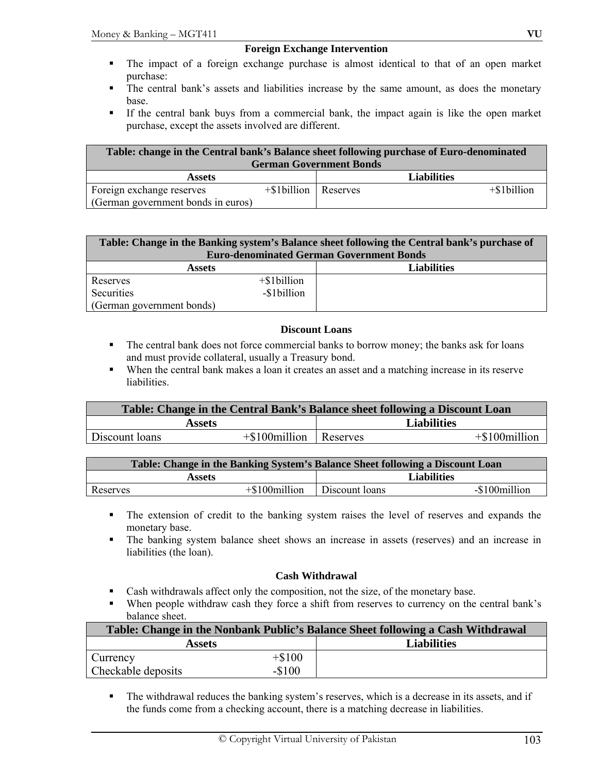## **Foreign Exchange Intervention**

- The impact of a foreign exchange purchase is almost identical to that of an open market purchase:
- The central bank's assets and liabilities increase by the same amount, as does the monetary base.
- If the central bank buys from a commercial bank, the impact again is like the open market purchase, except the assets involved are different.

| Table: change in the Central bank's Balance sheet following purchase of Euro-denominated |                                |                    |                |  |
|------------------------------------------------------------------------------------------|--------------------------------|--------------------|----------------|--|
|                                                                                          | <b>German Government Bonds</b> |                    |                |  |
| <b>Assets</b>                                                                            |                                | <b>Liabilities</b> |                |  |
| Foreign exchange reserves                                                                | $+$ \$1billion   Reserves      |                    | $+$ \$1billion |  |
| (German government bonds in euros)                                                       |                                |                    |                |  |

| Table: Change in the Banking system's Balance sheet following the Central bank's purchase of |                |                    |
|----------------------------------------------------------------------------------------------|----------------|--------------------|
| <b>Euro-denominated German Government Bonds</b>                                              |                |                    |
| <b>Assets</b>                                                                                |                | <b>Liabilities</b> |
| Reserves                                                                                     | $+$ \$1billion |                    |
| Securities                                                                                   | -\$1billion    |                    |
| (German government bonds)                                                                    |                |                    |

#### **Discount Loans**

- The central bank does not force commercial banks to borrow money; the banks ask for loans and must provide collateral, usually a Treasury bond.
- When the central bank makes a loan it creates an asset and a matching increase in its reserve liabilities.

| Table: Change in the Central Bank's Balance sheet following a Discount Loan |                               |                    |                  |
|-----------------------------------------------------------------------------|-------------------------------|--------------------|------------------|
| <b>Assets</b>                                                               |                               | <b>Liabilities</b> |                  |
| Discount loans                                                              | $+$ \$100 $m$ illion Reserves |                    | $+$ \$100million |

| Table: Change in the Banking System's Balance Sheet following a Discount Loan |                  |                    |               |
|-------------------------------------------------------------------------------|------------------|--------------------|---------------|
| Assets                                                                        |                  | <b>Liabilities</b> |               |
| Reserves                                                                      | $+$ \$100million | Discount loans     | -\$100million |

- The extension of credit to the banking system raises the level of reserves and expands the monetary base.
- The banking system balance sheet shows an increase in assets (reserves) and an increase in liabilities (the loan).

#### **Cash Withdrawal**

- Cash withdrawals affect only the composition, not the size, of the monetary base.
- When people withdraw cash they force a shift from reserves to currency on the central bank's balance sheet.

| Table: Change in the Nonbank Public's Balance Sheet following a Cash Withdrawal |          |                    |
|---------------------------------------------------------------------------------|----------|--------------------|
| <b>Assets</b>                                                                   |          | <b>Liabilities</b> |
| <b>Currency</b>                                                                 | $+ $100$ |                    |
| Checkable deposits                                                              | $-$100$  |                    |

 The withdrawal reduces the banking system's reserves, which is a decrease in its assets, and if the funds come from a checking account, there is a matching decrease in liabilities.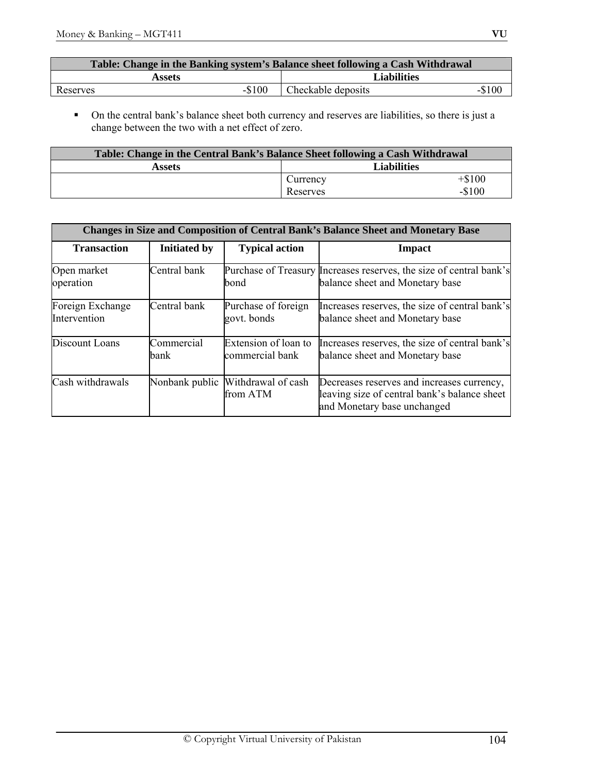| Table: Change in the Banking system's Balance sheet following a Cash Withdrawal |         |                    |         |
|---------------------------------------------------------------------------------|---------|--------------------|---------|
| <b>Liabilities</b><br><b>Assets</b>                                             |         |                    |         |
| Reserves                                                                        | $-$100$ | Checkable deposits | $-$100$ |

 On the central bank's balance sheet both currency and reserves are liabilities, so there is just a change between the two with a net effect of zero.

| Table: Change in the Central Bank's Balance Sheet following a Cash Withdrawal |                    |          |
|-------------------------------------------------------------------------------|--------------------|----------|
| Assets                                                                        | <b>Liabilities</b> |          |
|                                                                               | Currency           | $+\$100$ |
|                                                                               | Reserves           | $-$100$  |

|                                  | <b>Changes in Size and Composition of Central Bank's Balance Sheet and Monetary Base</b> |                                               |                                                                                                                           |  |
|----------------------------------|------------------------------------------------------------------------------------------|-----------------------------------------------|---------------------------------------------------------------------------------------------------------------------------|--|
| <b>Transaction</b>               | <b>Initiated by</b>                                                                      | <b>Typical action</b>                         | <b>Impact</b>                                                                                                             |  |
| Open market<br>operation         | Central bank                                                                             | bond                                          | Purchase of Treasury Increases reserves, the size of central bank's<br>balance sheet and Monetary base                    |  |
| Foreign Exchange<br>Intervention | Central bank                                                                             | Purchase of foreign<br>govt. bonds            | Increases reserves, the size of central bank's<br>balance sheet and Monetary base                                         |  |
| Discount Loans                   | Commercial<br>bank                                                                       | Extension of loan to<br>commercial bank       | Increases reserves, the size of central bank's<br>balance sheet and Monetary base                                         |  |
| Cash withdrawals                 |                                                                                          | Nonbank public Withdrawal of cash<br>from ATM | Decreases reserves and increases currency,<br>leaving size of central bank's balance sheet<br>and Monetary base unchanged |  |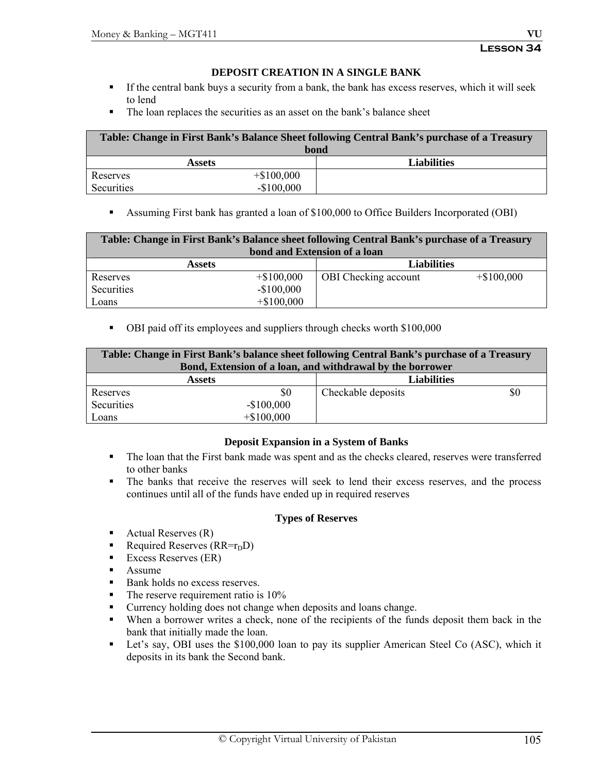#### **DEPOSIT CREATION IN A SINGLE BANK**

- If the central bank buys a security from a bank, the bank has excess reserves, which it will seek to lend
- The loan replaces the securities as an asset on the bank's balance sheet

| Table: Change in First Bank's Balance Sheet following Central Bank's purchase of a Treasury |               |                    |
|---------------------------------------------------------------------------------------------|---------------|--------------------|
| bond                                                                                        |               |                    |
|                                                                                             | <b>Assets</b> | <b>Liabilities</b> |
| Reserves                                                                                    | $+$ \$100,000 |                    |
| Securities                                                                                  | $-$100,000$   |                    |

Assuming First bank has granted a loan of \$100,000 to Office Builders Incorporated (OBI)

| Table: Change in First Bank's Balance sheet following Central Bank's purchase of a Treasury<br>bond and Extension of a loan |               |                             |              |  |
|-----------------------------------------------------------------------------------------------------------------------------|---------------|-----------------------------|--------------|--|
| <b>Assets</b>                                                                                                               |               | <b>Liabilities</b>          |              |  |
| Reserves                                                                                                                    | $+$ \$100,000 | <b>OBI</b> Checking account | $+\$100,000$ |  |
| Securities                                                                                                                  | $-$100,000$   |                             |              |  |
| Loans                                                                                                                       | $+$ \$100,000 |                             |              |  |

OBI paid off its employees and suppliers through checks worth \$100,000

| Table: Change in First Bank's balance sheet following Central Bank's purchase of a Treasury |              |                    |     |  |
|---------------------------------------------------------------------------------------------|--------------|--------------------|-----|--|
| Bond, Extension of a loan, and withdrawal by the borrower                                   |              |                    |     |  |
| <b>Assets</b>                                                                               |              | Liabilities        |     |  |
| Reserves                                                                                    | \$0          | Checkable deposits | \$0 |  |
| Securities                                                                                  | $-$100,000$  |                    |     |  |
| Loans                                                                                       | $+\$100,000$ |                    |     |  |

#### **Deposit Expansion in a System of Banks**

- The loan that the First bank made was spent and as the checks cleared, reserves were transferred to other banks
- The banks that receive the reserves will seek to lend their excess reserves, and the process continues until all of the funds have ended up in required reserves

#### **Types of Reserves**

- Actual Reserves  $(R)$
- Required Reserves  $(RR=r<sub>D</sub>D)$
- **Excess Reserves (ER)**
- Assume
- Bank holds no excess reserves.
- $\blacksquare$  The reserve requirement ratio is 10%
- Currency holding does not change when deposits and loans change.
- When a borrower writes a check, none of the recipients of the funds deposit them back in the bank that initially made the loan.
- Let's say, OBI uses the \$100,000 loan to pay its supplier American Steel Co (ASC), which it deposits in its bank the Second bank.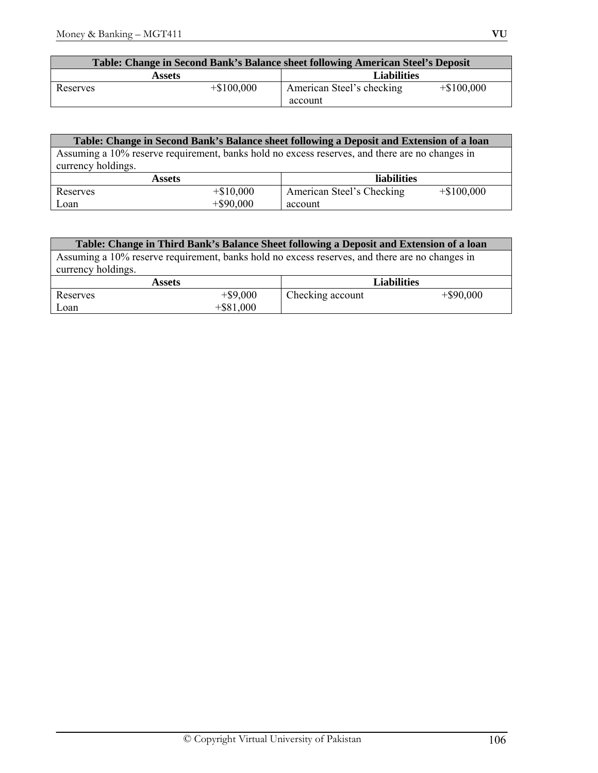| Table: Change in Second Bank's Balance sheet following American Steel's Deposit |              |                           |              |  |
|---------------------------------------------------------------------------------|--------------|---------------------------|--------------|--|
| Assets                                                                          |              | <b>Liabilities</b>        |              |  |
| Reserves                                                                        | $+\$100,000$ | American Steel's checking | $+\$100,000$ |  |
|                                                                                 |              | account                   |              |  |

| Table: Change in Second Bank's Balance sheet following a Deposit and Extension of a loan       |              |                           |              |  |
|------------------------------------------------------------------------------------------------|--------------|---------------------------|--------------|--|
| Assuming a 10% reserve requirement, banks hold no excess reserves, and there are no changes in |              |                           |              |  |
| currency holdings.                                                                             |              |                           |              |  |
| <b>Assets</b>                                                                                  |              | <b>liabilities</b>        |              |  |
| Reserves                                                                                       | $+\$10,000$  | American Steel's Checking | $+\$100,000$ |  |
| Loan                                                                                           | $+$ \$90,000 | account                   |              |  |

| Table: Change in Third Bank's Balance Sheet following a Deposit and Extension of a loan        |             |                    |              |  |
|------------------------------------------------------------------------------------------------|-------------|--------------------|--------------|--|
| Assuming a 10% reserve requirement, banks hold no excess reserves, and there are no changes in |             |                    |              |  |
| currency holdings.                                                                             |             |                    |              |  |
| <b>Assets</b>                                                                                  |             | <b>Liabilities</b> |              |  |
|                                                                                                | $+$ \$9,000 | Checking account   | $+$ \$90,000 |  |
| Reserves                                                                                       |             |                    |              |  |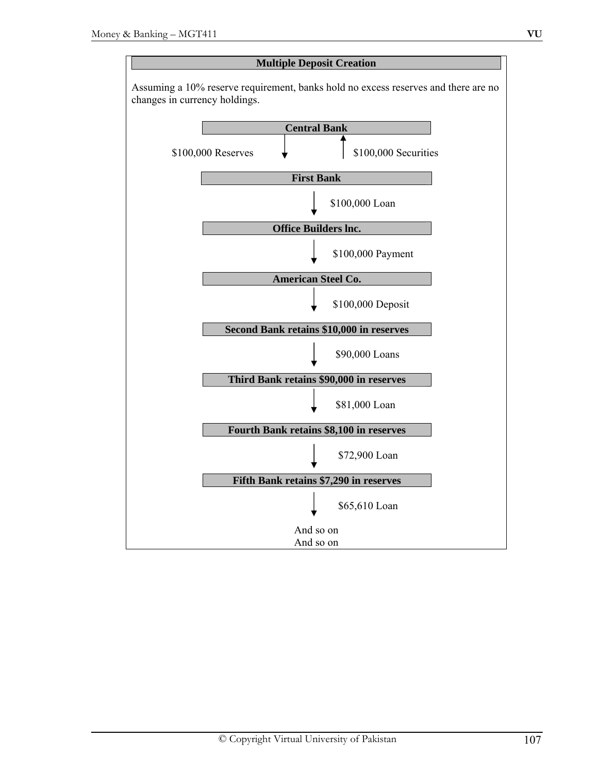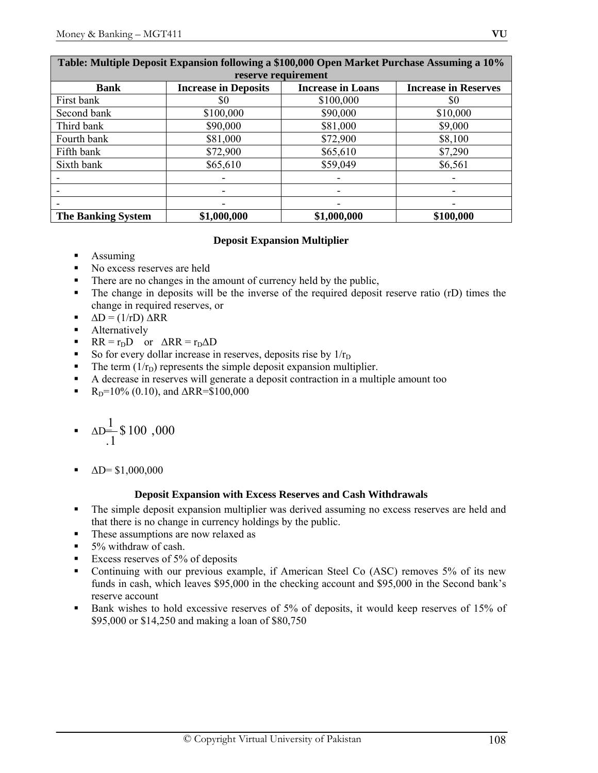| Tublet requiring to popular mapulished following a strongood open required to chase resources a to be |                             |                          |                             |  |
|-------------------------------------------------------------------------------------------------------|-----------------------------|--------------------------|-----------------------------|--|
| reserve requirement                                                                                   |                             |                          |                             |  |
| <b>Bank</b>                                                                                           | <b>Increase in Deposits</b> | <b>Increase in Loans</b> | <b>Increase in Reserves</b> |  |
| First bank                                                                                            | \$0                         | \$100,000                | \$0                         |  |
| Second bank                                                                                           | \$100,000                   | \$90,000                 | \$10,000                    |  |
| Third bank                                                                                            | \$90,000                    | \$81,000                 | \$9,000                     |  |
| Fourth bank                                                                                           | \$81,000                    | \$72,900                 | \$8,100                     |  |
| Fifth bank                                                                                            | \$72,900                    | \$65,610                 | \$7,290                     |  |
| Sixth bank                                                                                            | \$65,610                    | \$59,049                 | \$6,561                     |  |
|                                                                                                       |                             |                          |                             |  |
|                                                                                                       |                             |                          |                             |  |
|                                                                                                       |                             |                          |                             |  |
| <b>The Banking System</b>                                                                             | \$1,000,000                 | \$1,000,000              | \$100,000                   |  |

**Table: Multiple Deposit Expansion following a \$100,000 Open Market Purchase Assuming a 10%** 

## **Deposit Expansion Multiplier**

- **Assuming**
- No excess reserves are held
- There are no changes in the amount of currency held by the public,
- The change in deposits will be the inverse of the required deposit reserve ratio (rD) times the change in required reserves, or
- $\triangle D = (1/rD) \triangle R R$
- Alternatively
- RR =  $r_D D$  or  $\Delta RR = r_D \Delta D$
- So for every dollar increase in reserves, deposits rise by  $1/r_D$
- The term  $(1/r_D)$  represents the simple deposit expansion multiplier.
- A decrease in reserves will generate a deposit contraction in a multiple amount too
- R<sub>D</sub>=10% (0.10), and  $\Delta RR$ =\$100,000

$$
\bullet \quad \Delta D = \frac{1}{1} \$100 \ ,000
$$

 $\triangle$ D= \$1,000,000

#### **Deposit Expansion with Excess Reserves and Cash Withdrawals**

- The simple deposit expansion multiplier was derived assuming no excess reserves are held and that there is no change in currency holdings by the public.
- These assumptions are now relaxed as
- $\blacksquare$  5% withdraw of cash.
- Excess reserves of  $5%$  of deposits
- Continuing with our previous example, if American Steel Co (ASC) removes 5% of its new funds in cash, which leaves \$95,000 in the checking account and \$95,000 in the Second bank's reserve account
- Bank wishes to hold excessive reserves of 5% of deposits, it would keep reserves of 15% of \$95,000 or \$14,250 and making a loan of \$80,750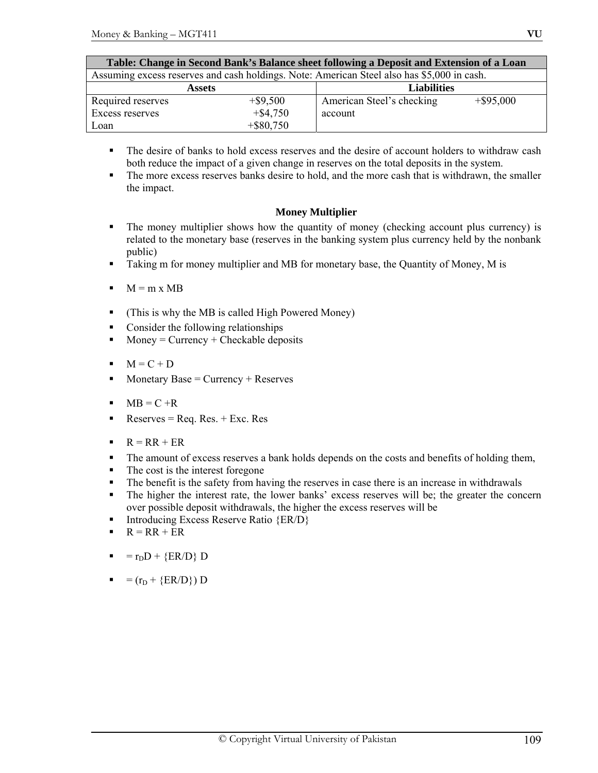| Table: Change in Second Bank's Balance sheet following a Deposit and Extension of a Loan   |              |                           |              |
|--------------------------------------------------------------------------------------------|--------------|---------------------------|--------------|
| Assuming excess reserves and cash holdings. Note: American Steel also has \$5,000 in cash. |              |                           |              |
| <b>Assets</b>                                                                              |              | <b>Liabilities</b>        |              |
| Required reserves                                                                          | $+$ \$9,500  | American Steel's checking | $+$ \$95,000 |
| Excess reserves                                                                            | $+$ \$4,750  | account                   |              |
| Loan                                                                                       | $+$ \$80,750 |                           |              |

- The desire of banks to hold excess reserves and the desire of account holders to withdraw cash both reduce the impact of a given change in reserves on the total deposits in the system.
- The more excess reserves banks desire to hold, and the more cash that is withdrawn, the smaller the impact.

### **Money Multiplier**

- The money multiplier shows how the quantity of money (checking account plus currency) is related to the monetary base (reserves in the banking system plus currency held by the nonbank public)
- Taking m for money multiplier and MB for monetary base, the Quantity of Money, M is
- $M = m x MB$
- (This is why the MB is called High Powered Money)
- Consider the following relationships
- $Money = Currency + Checkable deposits$
- $M = C + D$
- $Momentum Base = Currency + Reserves$
- $M = C + R$
- Reserves =  $\text{Req. Res.} + \text{Exc. Res}$
- $\blacksquare$  R = RR + ER
- The amount of excess reserves a bank holds depends on the costs and benefits of holding them,
- The cost is the interest foregone
- The benefit is the safety from having the reserves in case there is an increase in withdrawals
- The higher the interest rate, the lower banks' excess reserves will be; the greater the concern over possible deposit withdrawals, the higher the excess reserves will be
- Introducing Excess Reserve Ratio  $\{ER/D\}$
- $R = RR + ER$
- $=r_{\text{D}}D + \{\text{ER}/D\}$  D
- $= (r_D + \{ER/D\}) D$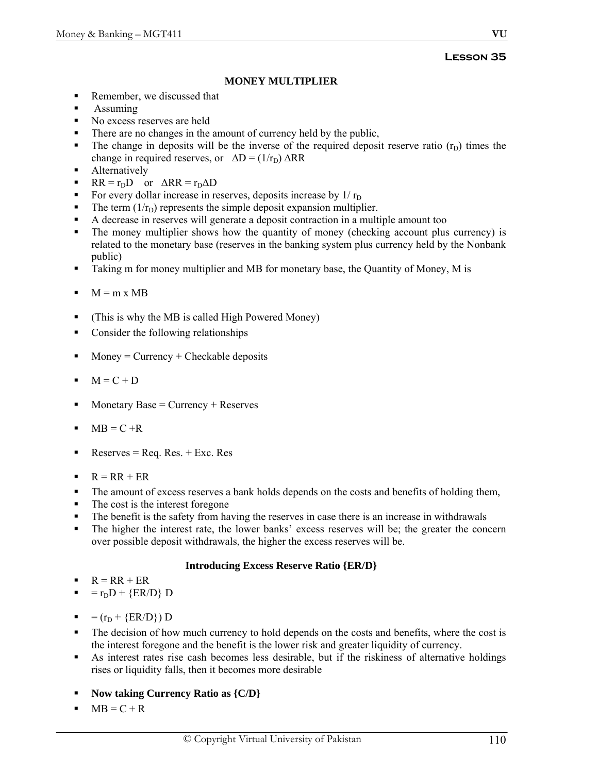# **MONEY MULTIPLIER**

- Remember, we discussed that
- **Assuming**
- No excess reserves are held
- There are no changes in the amount of currency held by the public,
- The change in deposits will be the inverse of the required deposit reserve ratio  $(r<sub>D</sub>)$  times the change in required reserves, or  $\Delta D = (1/r_D) \Delta RR$
- Alternatively
- RR =  $r_D D$  or  $\Delta RR = r_D \Delta D$
- For every dollar increase in reserves, deposits increase by  $1/r_D$
- The term  $(1/r_D)$  represents the simple deposit expansion multiplier.
- A decrease in reserves will generate a deposit contraction in a multiple amount too
- The money multiplier shows how the quantity of money (checking account plus currency) is related to the monetary base (reserves in the banking system plus currency held by the Nonbank public)
- **Taking m for money multiplier and MB for monetary base, the Quantity of Money, M is**
- $M = m x MB$
- (This is why the MB is called High Powered Money)
- Consider the following relationships
- $Money = Currency + Checkable deposits$
- $M = C + D$
- $Momentum Base = Currence + Reserves$
- $M = C + R$
- Reserves =  $\text{Re}$ g. Res. + Exc. Res
- $R = RR + ER$
- The amount of excess reserves a bank holds depends on the costs and benefits of holding them,
- $\blacksquare$  The cost is the interest foregone
- The benefit is the safety from having the reserves in case there is an increase in withdrawals
- The higher the interest rate, the lower banks' excess reserves will be; the greater the concern over possible deposit withdrawals, the higher the excess reserves will be.

# **Introducing Excess Reserve Ratio {ER/D}**

- $R = RR + ER$
- $=r<sub>D</sub>D + {ER/D} D D$
- $= (r_D + \{ER/D\}) D$
- The decision of how much currency to hold depends on the costs and benefits, where the cost is the interest foregone and the benefit is the lower risk and greater liquidity of currency.
- As interest rates rise cash becomes less desirable, but if the riskiness of alternative holdings rises or liquidity falls, then it becomes more desirable
- **Now taking Currency Ratio as {C/D}**
- $M = C + R$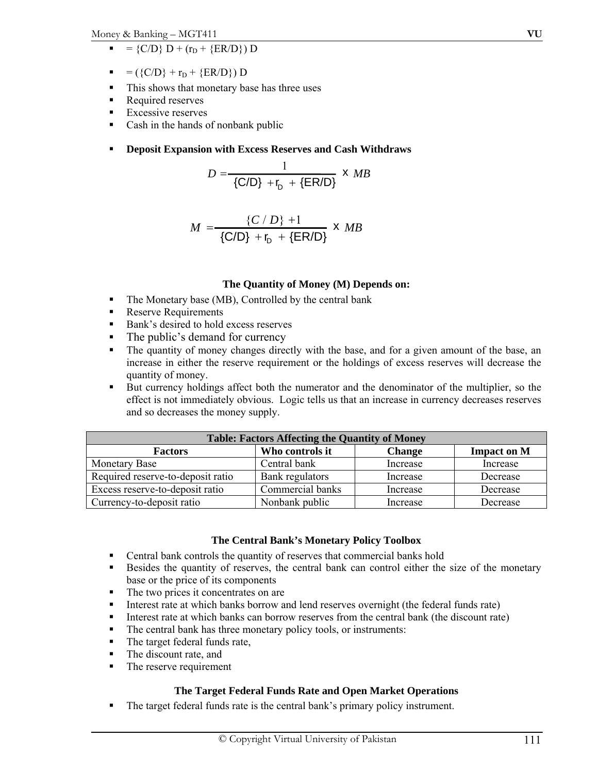#### Money & Banking – MGT411 **VU**

- $= {C/D} D + (r_D + {E R/D}) D$
- $= ({C/D} + r_D + {ER/D}) D$
- This shows that monetary base has three uses
- Required reserves
- **Excessive reserves**
- Cash in the hands of nonbank public
- **Deposit Expansion with Excess Reserves and Cash Withdraws**

$$
D = \frac{1}{\{C/D\} + r_{D} + \{ER/D\}} \times MB
$$

$$
M = \frac{\{C/D\} + 1}{\{C/D\} + r_{D} + \{ER/D\}} \times MB
$$

### **The Quantity of Money (M) Depends on:**

- The Monetary base (MB), Controlled by the central bank
- Reserve Requirements
- Bank's desired to hold excess reserves
- The public's demand for currency
- The quantity of money changes directly with the base, and for a given amount of the base, an increase in either the reserve requirement or the holdings of excess reserves will decrease the quantity of money.
- But currency holdings affect both the numerator and the denominator of the multiplier, so the effect is not immediately obvious. Logic tells us that an increase in currency decreases reserves and so decreases the money supply.

| <b>Table: Factors Affecting the Quantity of Money</b> |                  |               |                    |
|-------------------------------------------------------|------------------|---------------|--------------------|
| <b>Factors</b>                                        | Who controls it  | <b>Change</b> | <b>Impact on M</b> |
| <b>Monetary Base</b>                                  | Central bank     | Increase      | Increase           |
| Required reserve-to-deposit ratio                     | Bank regulators  | Increase      | Decrease           |
| Excess reserve-to-deposit ratio                       | Commercial banks | Increase      | Decrease           |
| Currency-to-deposit ratio                             | Nonbank public   | Increase      | Decrease           |

#### **The Central Bank's Monetary Policy Toolbox**

- Central bank controls the quantity of reserves that commercial banks hold
- Besides the quantity of reserves, the central bank can control either the size of the monetary base or the price of its components
- The two prices it concentrates on are
- Interest rate at which banks borrow and lend reserves overnight (the federal funds rate)
- Interest rate at which banks can borrow reserves from the central bank (the discount rate)
- The central bank has three monetary policy tools, or instruments:
- The target federal funds rate,
- The discount rate, and
- The reserve requirement

# **The Target Federal Funds Rate and Open Market Operations**

The target federal funds rate is the central bank's primary policy instrument.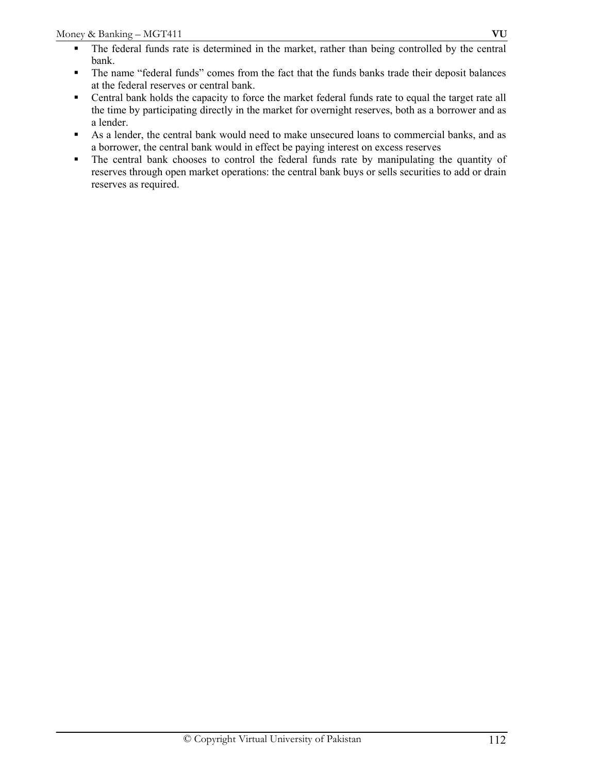- The name "federal funds" comes from the fact that the funds banks trade their deposit balances at the federal reserves or central bank.
- Central bank holds the capacity to force the market federal funds rate to equal the target rate all the time by participating directly in the market for overnight reserves, both as a borrower and as a lender.
- As a lender, the central bank would need to make unsecured loans to commercial banks, and as a borrower, the central bank would in effect be paying interest on excess reserves
- The central bank chooses to control the federal funds rate by manipulating the quantity of reserves through open market operations: the central bank buys or sells securities to add or drain reserves as required.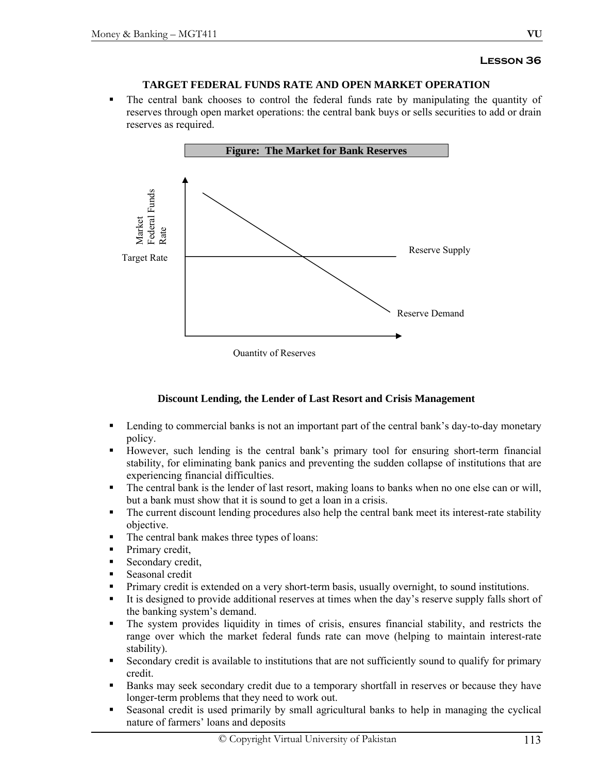### **TARGET FEDERAL FUNDS RATE AND OPEN MARKET OPERATION**

 The central bank chooses to control the federal funds rate by manipulating the quantity of reserves through open market operations: the central bank buys or sells securities to add or drain reserves as required.



# **Discount Lending, the Lender of Last Resort and Crisis Management**

- **Example 1** Lending to commercial banks is not an important part of the central bank's day-to-day monetary policy.
- However, such lending is the central bank's primary tool for ensuring short-term financial stability, for eliminating bank panics and preventing the sudden collapse of institutions that are experiencing financial difficulties.
- The central bank is the lender of last resort, making loans to banks when no one else can or will, but a bank must show that it is sound to get a loan in a crisis.
- The current discount lending procedures also help the central bank meet its interest-rate stability objective.
- The central bank makes three types of loans:
- Primary credit,
- Secondary credit,
- Seasonal credit
- Primary credit is extended on a very short-term basis, usually overnight, to sound institutions.
- It is designed to provide additional reserves at times when the day's reserve supply falls short of the banking system's demand.
- The system provides liquidity in times of crisis, ensures financial stability, and restricts the range over which the market federal funds rate can move (helping to maintain interest-rate stability).
- Secondary credit is available to institutions that are not sufficiently sound to qualify for primary credit.
- **Banks may seek secondary credit due to a temporary shortfall in reserves or because they have** longer-term problems that they need to work out.
- Seasonal credit is used primarily by small agricultural banks to help in managing the cyclical nature of farmers' loans and deposits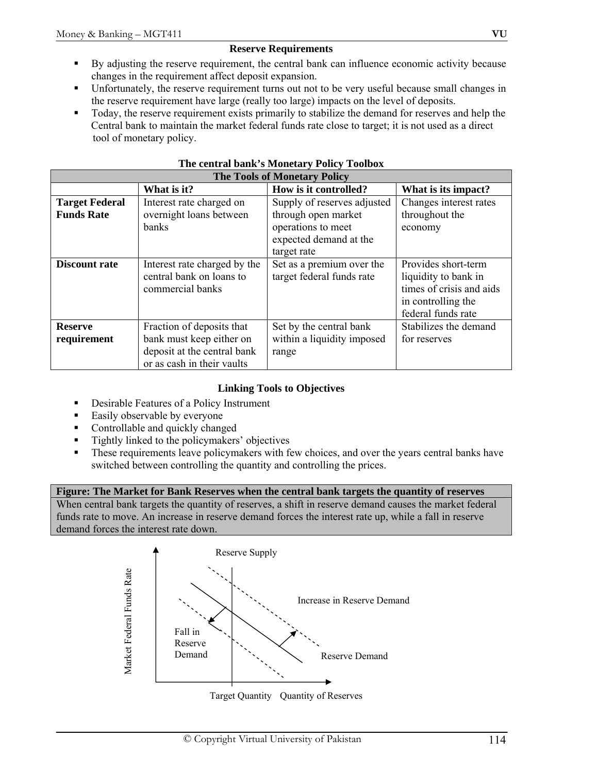# **Reserve Requirements**

- By adjusting the reserve requirement, the central bank can influence economic activity because changes in the requirement affect deposit expansion.
- Unfortunately, the reserve requirement turns out not to be very useful because small changes in the reserve requirement have large (really too large) impacts on the level of deposits.
- Today, the reserve requirement exists primarily to stabilize the demand for reserves and help the Central bank to maintain the market federal funds rate close to target; it is not used as a direct tool of monetary policy.

| <b>The Tools of Monetary Policy</b> |                                                                                                                    |                                                                                    |                                                                                                                     |
|-------------------------------------|--------------------------------------------------------------------------------------------------------------------|------------------------------------------------------------------------------------|---------------------------------------------------------------------------------------------------------------------|
|                                     | What is it?                                                                                                        | How is it controlled?                                                              | What is its impact?                                                                                                 |
| <b>Target Federal</b>               | Interest rate charged on                                                                                           | Supply of reserves adjusted                                                        | Changes interest rates                                                                                              |
| <b>Funds Rate</b>                   | overnight loans between<br>banks                                                                                   | through open market<br>operations to meet<br>expected demand at the<br>target rate | throughout the<br>economy                                                                                           |
| <b>Discount rate</b>                | Interest rate charged by the<br>central bank on loans to<br>commercial banks                                       | Set as a premium over the<br>target federal funds rate                             | Provides short-term<br>liquidity to bank in<br>times of crisis and aids<br>in controlling the<br>federal funds rate |
| <b>Reserve</b><br>requirement       | Fraction of deposits that<br>bank must keep either on<br>deposit at the central bank<br>or as cash in their vaults | Set by the central bank<br>within a liquidity imposed<br>range                     | Stabilizes the demand<br>for reserves                                                                               |

# **The central bank's Monetary Policy Toolbox**

# **Linking Tools to Objectives**

- Desirable Features of a Policy Instrument
- Easily observable by everyone
- Controllable and quickly changed
- **Tightly linked to the policymakers' objectives**
- These requirements leave policymakers with few choices, and over the years central banks have switched between controlling the quantity and controlling the prices.

# **Figure: The Market for Bank Reserves when the central bank targets the quantity of reserves**

When central bank targets the quantity of reserves, a shift in reserve demand causes the market federal funds rate to move. An increase in reserve demand forces the interest rate up, while a fall in reserve demand forces the interest rate down.



Target Quantity Quantity of Reserves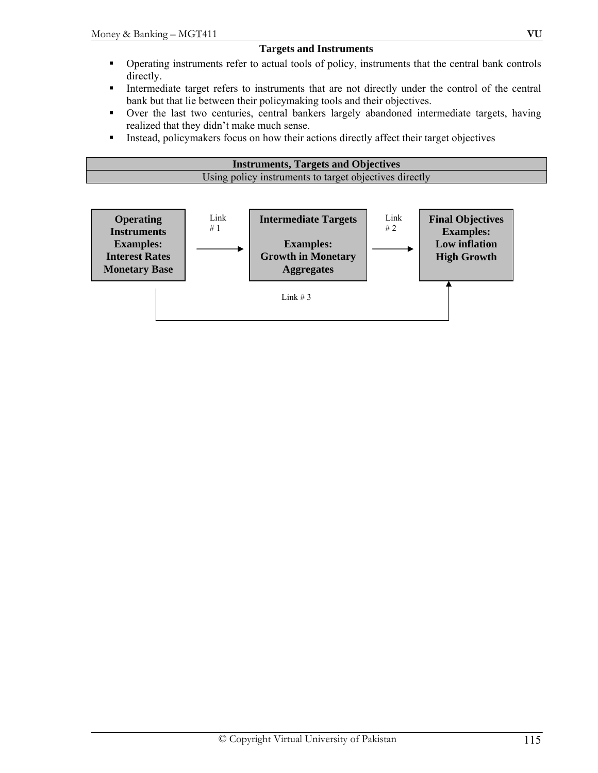# **Targets and Instruments**

- Operating instruments refer to actual tools of policy, instruments that the central bank controls directly.
- Intermediate target refers to instruments that are not directly under the control of the central bank but that lie between their policymaking tools and their objectives.
- Over the last two centuries, central bankers largely abandoned intermediate targets, having realized that they didn't make much sense.
- Instead, policymakers focus on how their actions directly affect their target objectives

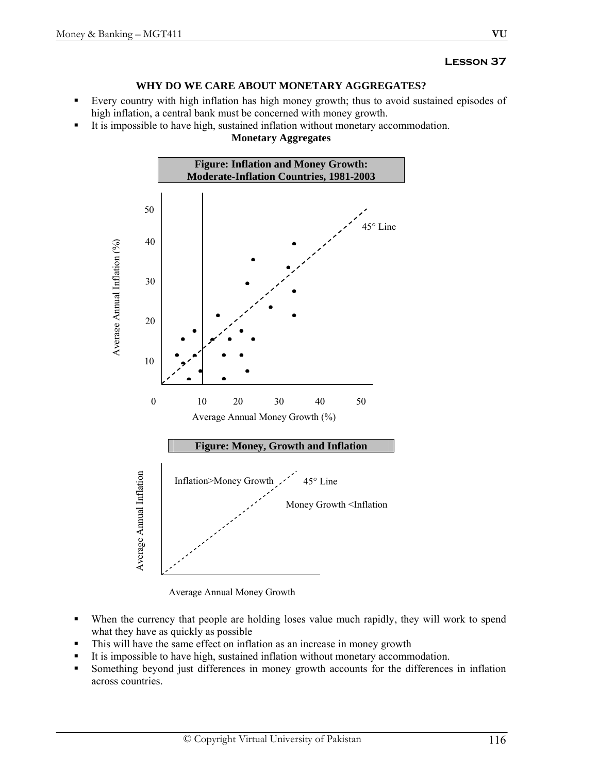# **WHY DO WE CARE ABOUT MONETARY AGGREGATES?**

- Every country with high inflation has high money growth; thus to avoid sustained episodes of high inflation, a central bank must be concerned with money growth.
- It is impossible to have high, sustained inflation without monetary accommodation.

# **Monetary Aggregates**



Average Annual Money Growth

- When the currency that people are holding loses value much rapidly, they will work to spend what they have as quickly as possible
- This will have the same effect on inflation as an increase in money growth
- It is impossible to have high, sustained inflation without monetary accommodation.
- Something beyond just differences in money growth accounts for the differences in inflation across countries.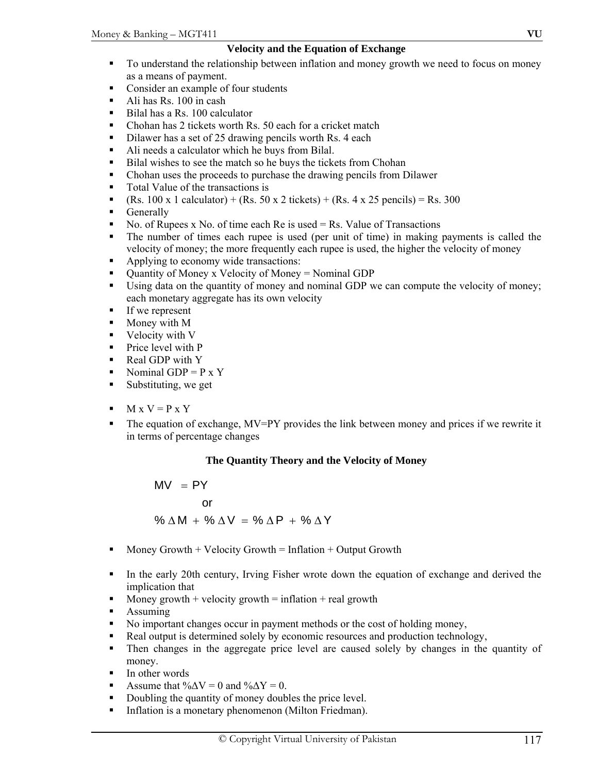# **Velocity and the Equation of Exchange**

- To understand the relationship between inflation and money growth we need to focus on money as a means of payment.
- Consider an example of four students
- Ali has Rs. 100 in cash
- $\blacksquare$  Bilal has a Rs. 100 calculator
- $\blacksquare$  Chohan has 2 tickets worth Rs. 50 each for a cricket match
- Dilawer has a set of 25 drawing pencils worth Rs. 4 each
- Ali needs a calculator which he buys from Bilal.
- Bilal wishes to see the match so he buys the tickets from Chohan
- Chohan uses the proceeds to purchase the drawing pencils from Dilawer
- Total Value of the transactions is
- (Rs.  $100 \times 1$  calculator) + (Rs.  $50 \times 2$  tickets) + (Rs.  $4 \times 25$  pencils) = Rs. 300
- Generally
- No. of Rupees x No. of time each Re is used  $=$  Rs. Value of Transactions
- The number of times each rupee is used (per unit of time) in making payments is called the velocity of money; the more frequently each rupee is used, the higher the velocity of money
- Applying to economy wide transactions:
- Quantity of Money x Velocity of Money = Nominal GDP
- Using data on the quantity of money and nominal GDP we can compute the velocity of money; each monetary aggregate has its own velocity
- $\blacksquare$  If we represent
- $\blacksquare$  Money with M
- Velocity with V
- $\blacksquare$  Price level with P
- Real GDP with Y
- Nominal GDP =  $P X Y$
- $\blacksquare$  Substituting, we get
- $M x V = P x Y$
- The equation of exchange, MV=PY provides the link between money and prices if we rewrite it in terms of percentage changes

# **The Quantity Theory and the Velocity of Money**

 $% \Delta M + \% \Delta V = % \Delta P + \% \Delta Y$  or  $MV = PY$ 

- $\blacksquare$  Money Growth + Velocity Growth = Inflation + Output Growth
- In the early 20th century, Irving Fisher wrote down the equation of exchange and derived the implication that
- Money growth + velocity growth = inflation + real growth
- Assuming
- No important changes occur in payment methods or the cost of holding money,
- Real output is determined solely by economic resources and production technology,
- Then changes in the aggregate price level are caused solely by changes in the quantity of money.
- $\blacksquare$  In other words
- Assume that  $\% \Delta V = 0$  and  $\% \Delta Y = 0$ .
- Doubling the quantity of money doubles the price level.
- Inflation is a monetary phenomenon (Milton Friedman).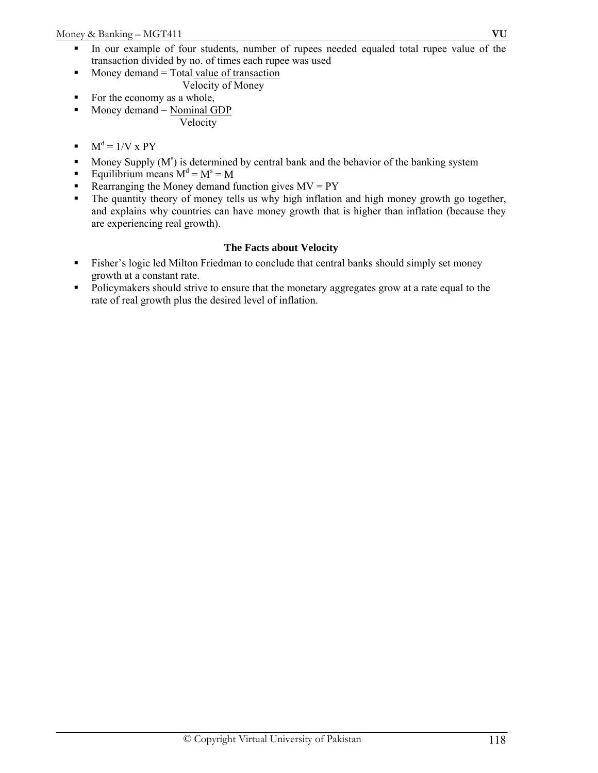- In our example of four students, number of rupees needed equaled total rupee value of the transaction divided by no. of times each rupee was used
- $Money$  demand = Total value of transaction

Velocity of Money

- For the economy as a whole,
- $Money$  demand = Nominal GDP
	- Velocity
- $\blacksquare$   $M^d = 1/V \times PY$
- Money Supply  $(M^s)$  is determined by central bank and the behavior of the banking system
- Equilibrium means  $M<sup>d</sup> = M<sup>s</sup> = M$
- Rearranging the Money demand function gives  $MV = PY$
- The quantity theory of money tells us why high inflation and high money growth go together, and explains why countries can have money growth that is higher than inflation (because they are experiencing real growth).

# **The Facts about Velocity**

- Fisher's logic led Milton Friedman to conclude that central banks should simply set money growth at a constant rate.
- **Policymakers should strive to ensure that the monetary aggregates grow at a rate equal to the** rate of real growth plus the desired level of inflation.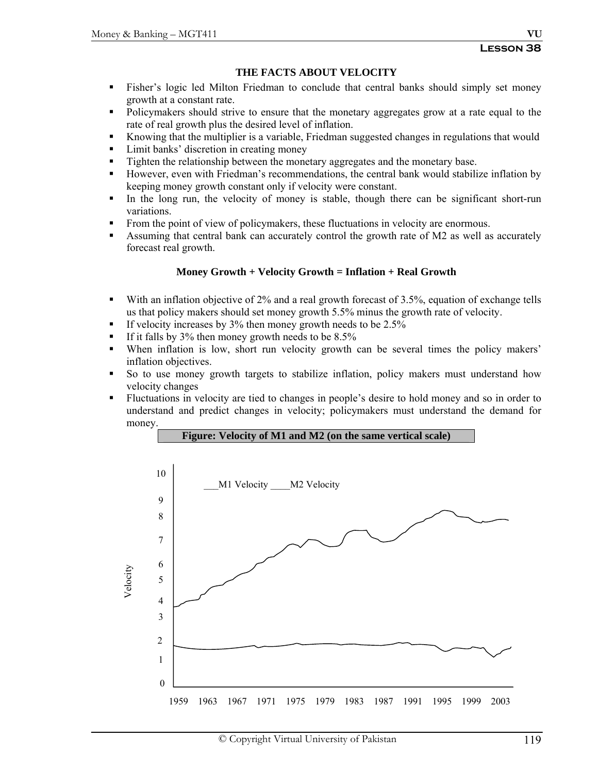# **THE FACTS ABOUT VELOCITY**

- Fisher's logic led Milton Friedman to conclude that central banks should simply set money growth at a constant rate.
- Policymakers should strive to ensure that the monetary aggregates grow at a rate equal to the rate of real growth plus the desired level of inflation.
- Knowing that the multiplier is a variable, Friedman suggested changes in regulations that would
- Limit banks' discretion in creating money
- Tighten the relationship between the monetary aggregates and the monetary base.
- However, even with Friedman's recommendations, the central bank would stabilize inflation by keeping money growth constant only if velocity were constant.
- In the long run, the velocity of money is stable, though there can be significant short-run variations.
- From the point of view of policymakers, these fluctuations in velocity are enormous.
- Assuming that central bank can accurately control the growth rate of M2 as well as accurately forecast real growth.

# **Money Growth + Velocity Growth = Inflation + Real Growth**

- With an inflation objective of 2% and a real growth forecast of 3.5%, equation of exchange tells us that policy makers should set money growth 5.5% minus the growth rate of velocity.
- If velocity increases by  $3\%$  then money growth needs to be 2.5%
- If it falls by 3% then money growth needs to be 8.5%
- When inflation is low, short run velocity growth can be several times the policy makers' inflation objectives.
- So to use money growth targets to stabilize inflation, policy makers must understand how velocity changes
- Fluctuations in velocity are tied to changes in people's desire to hold money and so in order to understand and predict changes in velocity; policymakers must understand the demand for money.

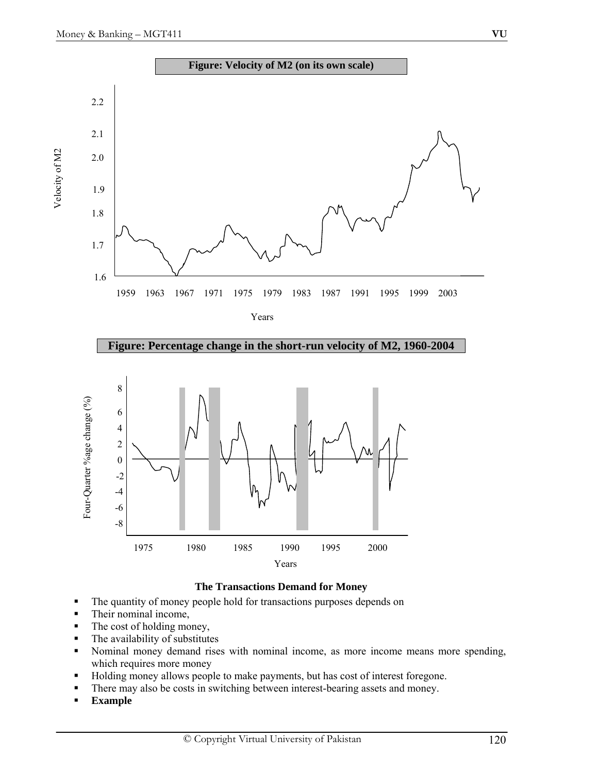





#### **The Transactions Demand for Money**

- The quantity of money people hold for transactions purposes depends on
- Their nominal income,
- $\blacksquare$  The cost of holding money,
- The availability of substitutes
- Nominal money demand rises with nominal income, as more income means more spending, which requires more money
- Holding money allows people to make payments, but has cost of interest foregone.
- There may also be costs in switching between interest-bearing assets and money.
- **Example**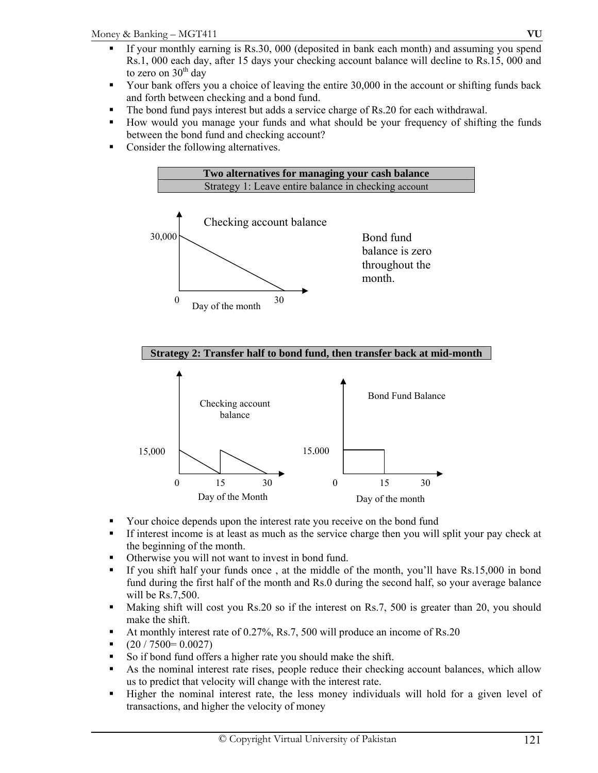- If your monthly earning is Rs.30, 000 (deposited in bank each month) and assuming you spend Rs.1, 000 each day, after 15 days your checking account balance will decline to Rs.15, 000 and to zero on  $30<sup>th</sup>$  day
- Your bank offers you a choice of leaving the entire 30,000 in the account or shifting funds back and forth between checking and a bond fund.
- The bond fund pays interest but adds a service charge of Rs.20 for each withdrawal.
- How would you manage your funds and what should be your frequency of shifting the funds between the bond fund and checking account?
- Consider the following alternatives.



- Your choice depends upon the interest rate you receive on the bond fund
- If interest income is at least as much as the service charge then you will split your pay check at the beginning of the month.
- Otherwise you will not want to invest in bond fund.
- If you shift half your funds once , at the middle of the month, you'll have Rs.15,000 in bond fund during the first half of the month and Rs.0 during the second half, so your average balance will be Rs.7,500.
- Making shift will cost you Rs.20 so if the interest on Rs.7, 500 is greater than 20, you should make the shift.
- At monthly interest rate of 0.27%, Rs.7, 500 will produce an income of Rs.20
- $(20/7500=0.0027)$
- So if bond fund offers a higher rate you should make the shift.
- As the nominal interest rate rises, people reduce their checking account balances, which allow us to predict that velocity will change with the interest rate.
- Higher the nominal interest rate, the less money individuals will hold for a given level of transactions, and higher the velocity of money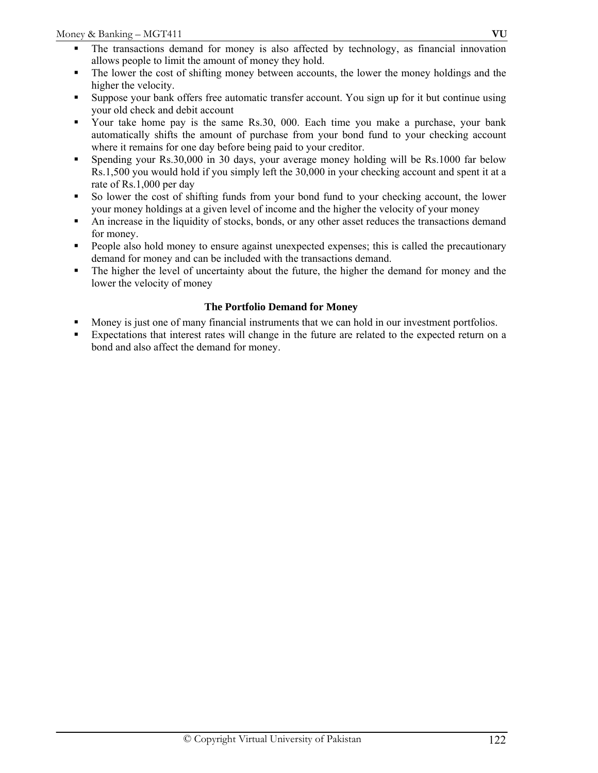- The lower the cost of shifting money between accounts, the lower the money holdings and the higher the velocity.
- Suppose your bank offers free automatic transfer account. You sign up for it but continue using your old check and debit account
- Your take home pay is the same Rs.30, 000. Each time you make a purchase, your bank automatically shifts the amount of purchase from your bond fund to your checking account where it remains for one day before being paid to your creditor.
- Spending your Rs.30,000 in 30 days, your average money holding will be Rs.1000 far below Rs.1,500 you would hold if you simply left the 30,000 in your checking account and spent it at a rate of Rs.1,000 per day
- So lower the cost of shifting funds from your bond fund to your checking account, the lower your money holdings at a given level of income and the higher the velocity of your money
- An increase in the liquidity of stocks, bonds, or any other asset reduces the transactions demand for money.
- **People also hold money to ensure against unexpected expenses; this is called the precautionary** demand for money and can be included with the transactions demand.
- The higher the level of uncertainty about the future, the higher the demand for money and the lower the velocity of money

# **The Portfolio Demand for Money**

- Money is just one of many financial instruments that we can hold in our investment portfolios.
- Expectations that interest rates will change in the future are related to the expected return on a bond and also affect the demand for money.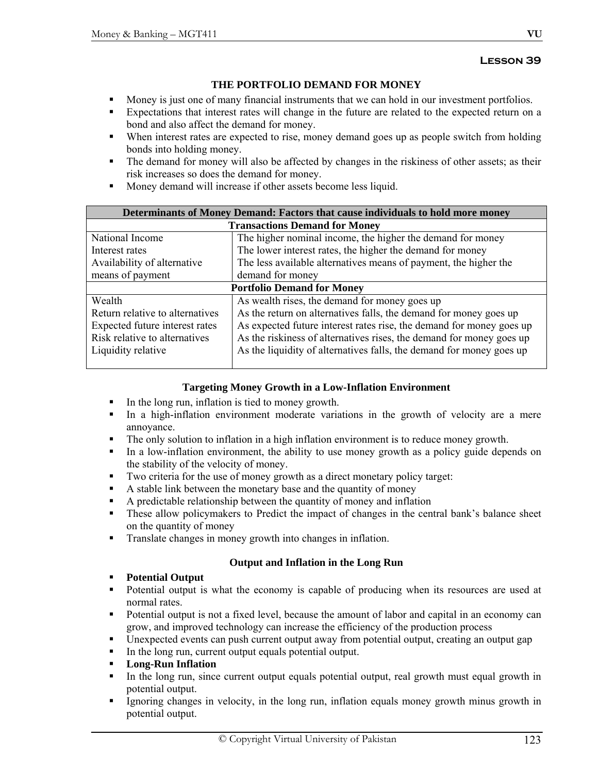# **THE PORTFOLIO DEMAND FOR MONEY**

- Money is just one of many financial instruments that we can hold in our investment portfolios.
- Expectations that interest rates will change in the future are related to the expected return on a bond and also affect the demand for money.
- When interest rates are expected to rise, money demand goes up as people switch from holding bonds into holding money.
- The demand for money will also be affected by changes in the riskiness of other assets; as their risk increases so does the demand for money.
- Money demand will increase if other assets become less liquid.

| Determinants of Money Demand: Factors that cause individuals to hold more money |                                                                      |  |  |
|---------------------------------------------------------------------------------|----------------------------------------------------------------------|--|--|
| <b>Transactions Demand for Money</b>                                            |                                                                      |  |  |
| National Income                                                                 | The higher nominal income, the higher the demand for money           |  |  |
| Interest rates                                                                  | The lower interest rates, the higher the demand for money            |  |  |
| Availability of alternative                                                     | The less available alternatives means of payment, the higher the     |  |  |
| means of payment                                                                | demand for money                                                     |  |  |
| <b>Portfolio Demand for Money</b>                                               |                                                                      |  |  |
| Wealth                                                                          | As wealth rises, the demand for money goes up                        |  |  |
| Return relative to alternatives                                                 | As the return on alternatives falls, the demand for money goes up    |  |  |
| Expected future interest rates                                                  | As expected future interest rates rise, the demand for money goes up |  |  |
| Risk relative to alternatives                                                   | As the riskiness of alternatives rises, the demand for money goes up |  |  |
| Liquidity relative                                                              | As the liquidity of alternatives falls, the demand for money goes up |  |  |
|                                                                                 |                                                                      |  |  |

# **Targeting Money Growth in a Low-Inflation Environment**

- In the long run, inflation is tied to money growth.
- In a high-inflation environment moderate variations in the growth of velocity are a mere annoyance.
- The only solution to inflation in a high inflation environment is to reduce money growth.
- In a low-inflation environment, the ability to use money growth as a policy guide depends on the stability of the velocity of money.
- Two criteria for the use of money growth as a direct monetary policy target:
- A stable link between the monetary base and the quantity of money
- A predictable relationship between the quantity of money and inflation
- These allow policymakers to Predict the impact of changes in the central bank's balance sheet on the quantity of money
- **Translate changes in money growth into changes in inflation.**

# **Output and Inflation in the Long Run**

# **Potential Output**

- Potential output is what the economy is capable of producing when its resources are used at normal rates.
- Potential output is not a fixed level, because the amount of labor and capital in an economy can grow, and improved technology can increase the efficiency of the production process
- Unexpected events can push current output away from potential output, creating an output gap
- In the long run, current output equals potential output.
- **Long-Run Inflation**
- In the long run, since current output equals potential output, real growth must equal growth in potential output.
- Ignoring changes in velocity, in the long run, inflation equals money growth minus growth in potential output.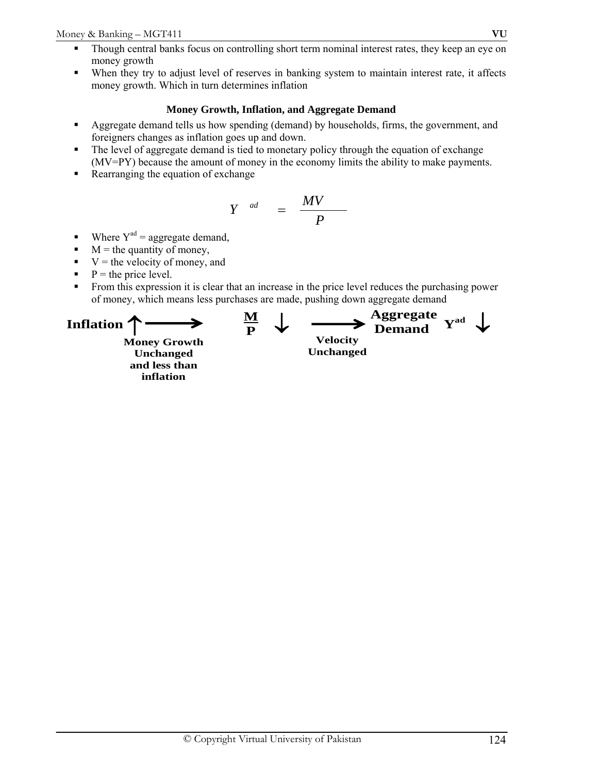- Though central banks focus on controlling short term nominal interest rates, they keep an eye on money growth
- When they try to adjust level of reserves in banking system to maintain interest rate, it affects money growth. Which in turn determines inflation

# **Money Growth, Inflation, and Aggregate Demand**

- Aggregate demand tells us how spending (demand) by households, firms, the government, and foreigners changes as inflation goes up and down.
- The level of aggregate demand is tied to monetary policy through the equation of exchange (MV=PY) because the amount of money in the economy limits the ability to make payments.
- Rearranging the equation of exchange

$$
Y \quad \stackrel{ad}{=} \frac{MV}{P}
$$

- Where  $Y^{ad}$  = aggregate demand,
- $M =$  the quantity of money,
- $V =$  the velocity of money, and
- $P =$  the price level.
- From this expression it is clear that an increase in the price level reduces the purchasing power of money, which means less purchases are made, pushing down aggregate demand

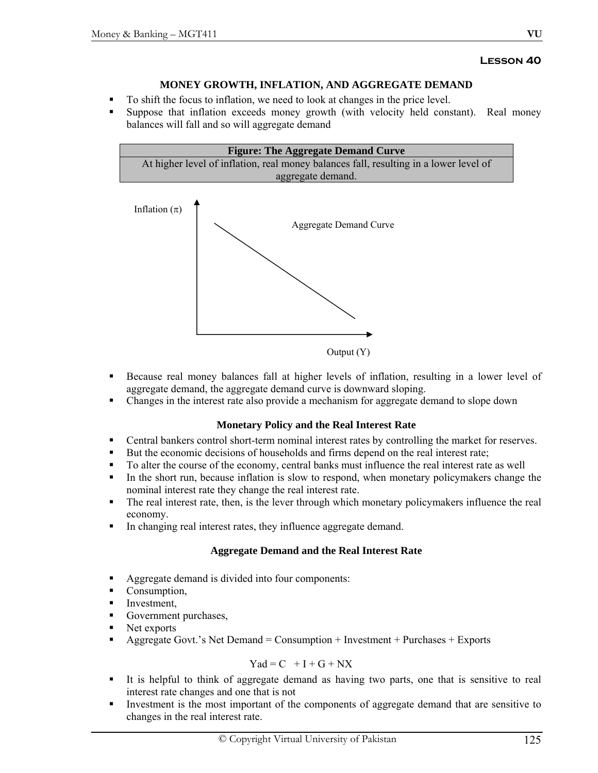# **MONEY GROWTH, INFLATION, AND AGGREGATE DEMAND**

- To shift the focus to inflation, we need to look at changes in the price level.
- Suppose that inflation exceeds money growth (with velocity held constant). Real money balances will fall and so will aggregate demand





- Output (Y)
- Because real money balances fall at higher levels of inflation, resulting in a lower level of aggregate demand, the aggregate demand curve is downward sloping.
- Changes in the interest rate also provide a mechanism for aggregate demand to slope down

# **Monetary Policy and the Real Interest Rate**

- Central bankers control short-term nominal interest rates by controlling the market for reserves.
- But the economic decisions of households and firms depend on the real interest rate;
- To alter the course of the economy, central banks must influence the real interest rate as well
- In the short run, because inflation is slow to respond, when monetary policymakers change the nominal interest rate they change the real interest rate.
- The real interest rate, then, is the lever through which monetary policymakers influence the real economy.
- In changing real interest rates, they influence aggregate demand.

# **Aggregate Demand and the Real Interest Rate**

- Aggregate demand is divided into four components:
- Consumption,
- Investment,
- Government purchases,
- Net exports
- Aggregate Govt.'s Net Demand = Consumption + Investment + Purchases + Exports

# $Yad = C + I + G + NX$

- It is helpful to think of aggregate demand as having two parts, one that is sensitive to real interest rate changes and one that is not
- Investment is the most important of the components of aggregate demand that are sensitive to changes in the real interest rate.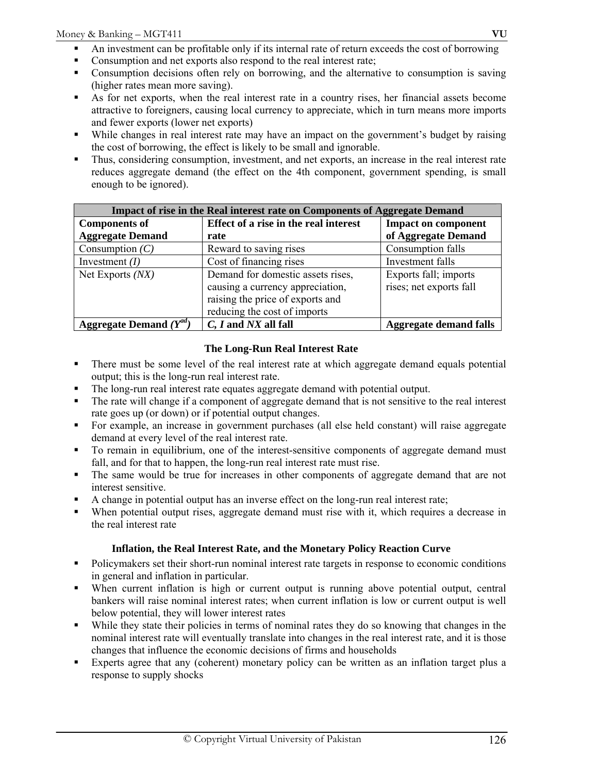- An investment can be profitable only if its internal rate of return exceeds the cost of borrowing
- Consumption and net exports also respond to the real interest rate;
- Consumption decisions often rely on borrowing, and the alternative to consumption is saving (higher rates mean more saving).
- As for net exports, when the real interest rate in a country rises, her financial assets become attractive to foreigners, causing local currency to appreciate, which in turn means more imports and fewer exports (lower net exports)
- While changes in real interest rate may have an impact on the government's budget by raising the cost of borrowing, the effect is likely to be small and ignorable.
- Thus, considering consumption, investment, and net exports, an increase in the real interest rate reduces aggregate demand (the effect on the 4th component, government spending, is small enough to be ignored).

| <b>Impact of rise in the Real interest rate on Components of Aggregate Demand</b> |                                                                     |                               |  |
|-----------------------------------------------------------------------------------|---------------------------------------------------------------------|-------------------------------|--|
| <b>Components of</b>                                                              | Effect of a rise in the real interest<br><b>Impact on component</b> |                               |  |
| <b>Aggregate Demand</b>                                                           | rate                                                                | of Aggregate Demand           |  |
| Consumption $(C)$                                                                 | Reward to saving rises                                              | Consumption falls             |  |
| Investment $(I)$                                                                  | Cost of financing rises                                             | Investment falls              |  |
| Net Exports $(NX)$                                                                | Demand for domestic assets rises,                                   | Exports fall; imports         |  |
|                                                                                   | causing a currency appreciation,                                    | rises; net exports fall       |  |
|                                                                                   | raising the price of exports and                                    |                               |  |
|                                                                                   | reducing the cost of imports                                        |                               |  |
| Aggregate Demand $(Y^{ad})$                                                       | $C, I$ and $NX$ all fall                                            | <b>Aggregate demand falls</b> |  |

# **The Long-Run Real Interest Rate**

- There must be some level of the real interest rate at which aggregate demand equals potential output; this is the long-run real interest rate.
- The long-run real interest rate equates aggregate demand with potential output.
- The rate will change if a component of aggregate demand that is not sensitive to the real interest rate goes up (or down) or if potential output changes.
- For example, an increase in government purchases (all else held constant) will raise aggregate demand at every level of the real interest rate.
- To remain in equilibrium, one of the interest-sensitive components of aggregate demand must fall, and for that to happen, the long-run real interest rate must rise.
- The same would be true for increases in other components of aggregate demand that are not interest sensitive.
- A change in potential output has an inverse effect on the long-run real interest rate;
- When potential output rises, aggregate demand must rise with it, which requires a decrease in the real interest rate

# **Inflation, the Real Interest Rate, and the Monetary Policy Reaction Curve**

- Policymakers set their short-run nominal interest rate targets in response to economic conditions in general and inflation in particular.
- When current inflation is high or current output is running above potential output, central bankers will raise nominal interest rates; when current inflation is low or current output is well below potential, they will lower interest rates
- While they state their policies in terms of nominal rates they do so knowing that changes in the nominal interest rate will eventually translate into changes in the real interest rate, and it is those changes that influence the economic decisions of firms and households
- Experts agree that any (coherent) monetary policy can be written as an inflation target plus a response to supply shocks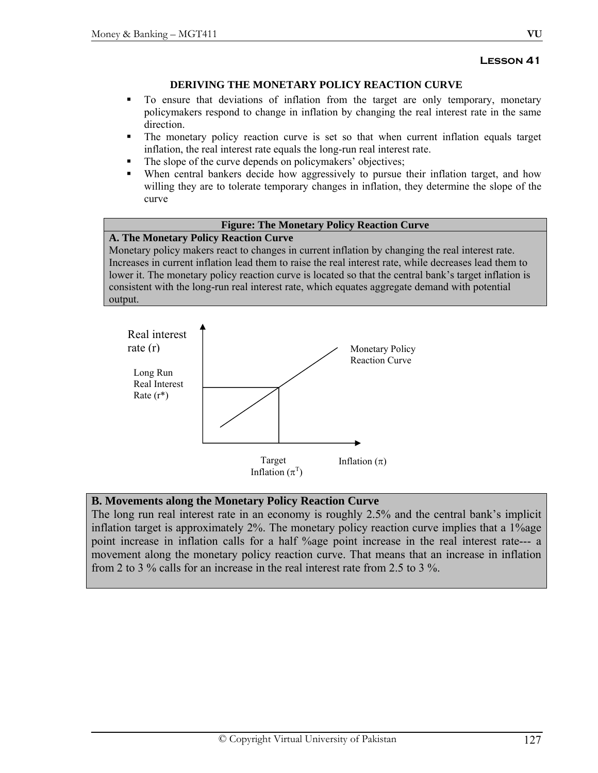### **DERIVING THE MONETARY POLICY REACTION CURVE**

- To ensure that deviations of inflation from the target are only temporary, monetary policymakers respond to change in inflation by changing the real interest rate in the same direction.
- The monetary policy reaction curve is set so that when current inflation equals target inflation, the real interest rate equals the long-run real interest rate.
- The slope of the curve depends on policymakers' objectives;
- When central bankers decide how aggressively to pursue their inflation target, and how willing they are to tolerate temporary changes in inflation, they determine the slope of the curve

# **Figure: The Monetary Policy Reaction Curve**

### **A. The Monetary Policy Reaction Curve**

Monetary policy makers react to changes in current inflation by changing the real interest rate. Increases in current inflation lead them to raise the real interest rate, while decreases lead them to lower it. The monetary policy reaction curve is located so that the central bank's target inflation is consistent with the long-run real interest rate, which equates aggregate demand with potential output.



# **B. Movements along the Monetary Policy Reaction Curve**

The long run real interest rate in an economy is roughly 2.5% and the central bank's implicit inflation target is approximately 2%. The monetary policy reaction curve implies that a 1%age point increase in inflation calls for a half %age point increase in the real interest rate--- a movement along the monetary policy reaction curve. That means that an increase in inflation from 2 to 3 % calls for an increase in the real interest rate from 2.5 to 3 %.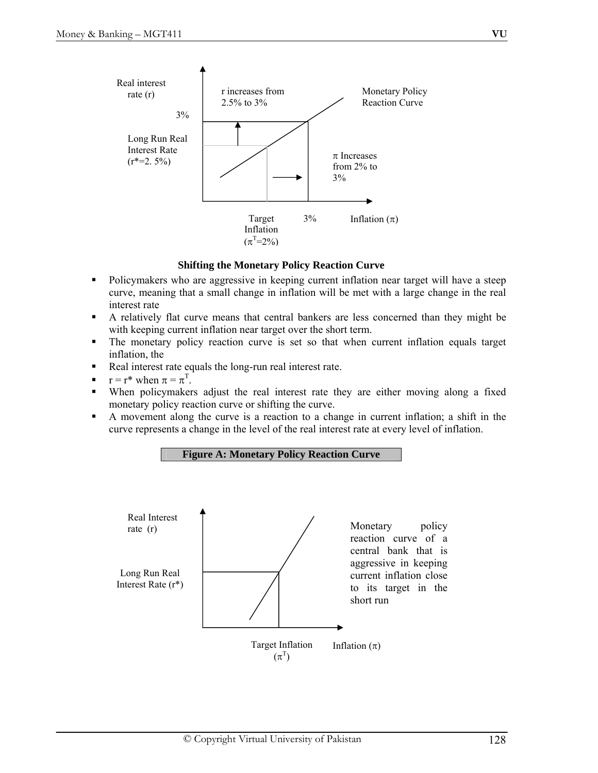

#### **Shifting the Monetary Policy Reaction Curve**

- Policymakers who are aggressive in keeping current inflation near target will have a steep curve, meaning that a small change in inflation will be met with a large change in the real interest rate
- A relatively flat curve means that central bankers are less concerned than they might be with keeping current inflation near target over the short term.
- The monetary policy reaction curve is set so that when current inflation equals target inflation, the
- Real interest rate equals the long-run real interest rate.
- $r = r^*$  when  $\pi = \pi^T$ .
- When policymakers adjust the real interest rate they are either moving along a fixed monetary policy reaction curve or shifting the curve.
- A movement along the curve is a reaction to a change in current inflation; a shift in the curve represents a change in the level of the real interest rate at every level of inflation.



**Figure A: Monetary Policy Reaction Curve**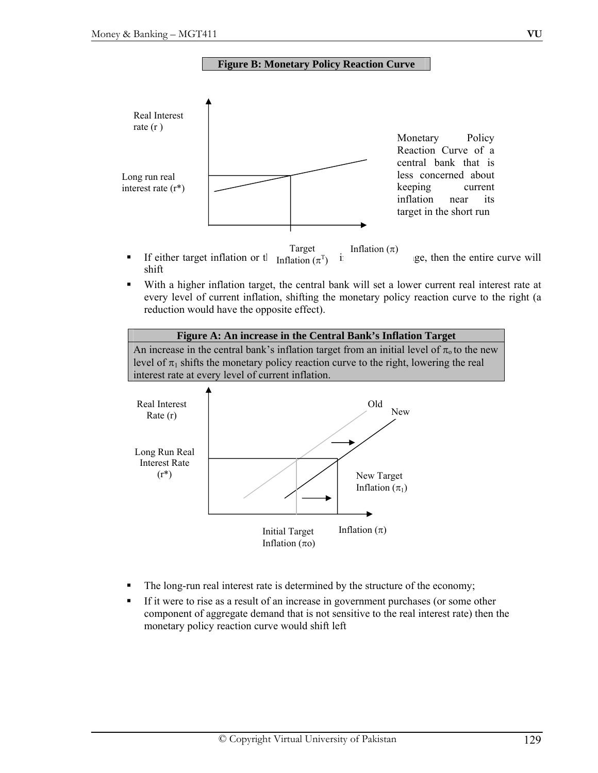#### **Figure B: Monetary Policy Reaction Curve**



- If either target inflation or the long-run real interest rate curve will ge, then the entire curve will shift
- With a higher inflation target, the central bank will set a lower current real interest rate at every level of current inflation, shifting the monetary policy reaction curve to the right (a reduction would have the opposite effect).



- The long-run real interest rate is determined by the structure of the economy;
- If it were to rise as a result of an increase in government purchases (or some other component of aggregate demand that is not sensitive to the real interest rate) then the monetary policy reaction curve would shift left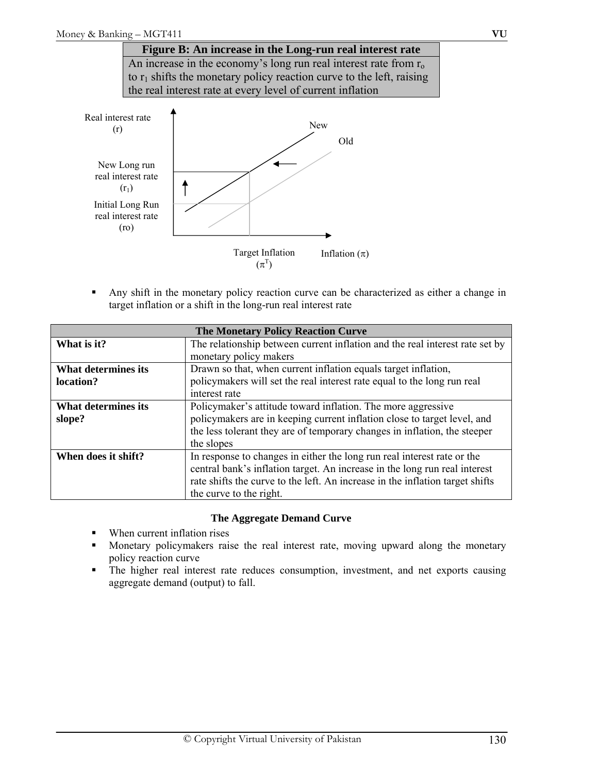

 Any shift in the monetary policy reaction curve can be characterized as either a change in target inflation or a shift in the long-run real interest rate

| <b>The Monetary Policy Reaction Curve</b> |                                                                               |  |  |
|-------------------------------------------|-------------------------------------------------------------------------------|--|--|
| What is it?                               | The relationship between current inflation and the real interest rate set by  |  |  |
|                                           | monetary policy makers                                                        |  |  |
| <b>What determines its</b>                | Drawn so that, when current inflation equals target inflation,                |  |  |
| location?                                 | policymakers will set the real interest rate equal to the long run real       |  |  |
|                                           | interest rate                                                                 |  |  |
| <b>What determines its</b>                | Policymaker's attitude toward inflation. The more aggressive                  |  |  |
| slope?                                    | policymakers are in keeping current inflation close to target level, and      |  |  |
|                                           | the less tolerant they are of temporary changes in inflation, the steeper     |  |  |
|                                           | the slopes                                                                    |  |  |
| When does it shift?                       | In response to changes in either the long run real interest rate or the       |  |  |
|                                           | central bank's inflation target. An increase in the long run real interest    |  |  |
|                                           | rate shifts the curve to the left. An increase in the inflation target shifts |  |  |
|                                           | the curve to the right.                                                       |  |  |

# **The Aggregate Demand Curve**

- When current inflation rises
- **Monetary policymakers raise the real interest rate, moving upward along the monetary** policy reaction curve
- The higher real interest rate reduces consumption, investment, and net exports causing aggregate demand (output) to fall.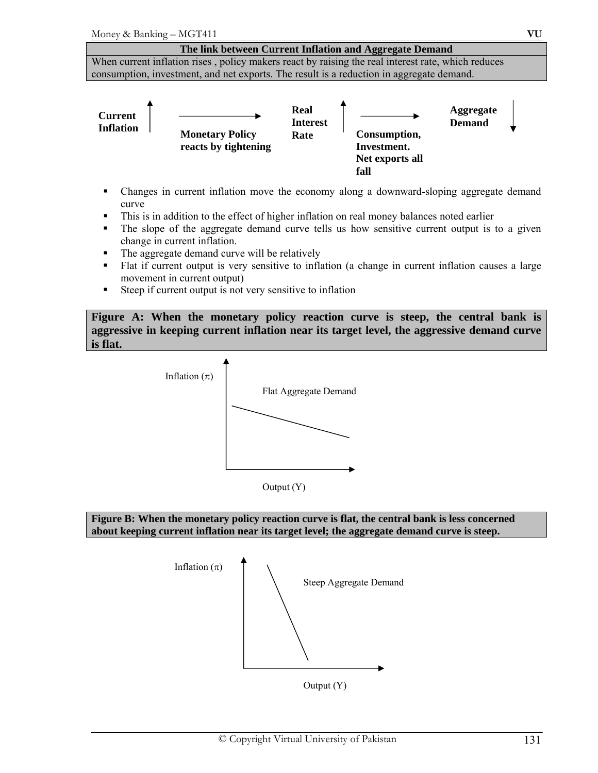

- Changes in current inflation move the economy along a downward-sloping aggregate demand curve
- This is in addition to the effect of higher inflation on real money balances noted earlier
- The slope of the aggregate demand curve tells us how sensitive current output is to a given change in current inflation.
- The aggregate demand curve will be relatively
- Flat if current output is very sensitive to inflation (a change in current inflation causes a large movement in current output)
- Steep if current output is not very sensitive to inflation

**Figure A: When the monetary policy reaction curve is steep, the central bank is aggressive in keeping current inflation near its target level, the aggressive demand curve is flat.** 



**Figure B: When the monetary policy reaction curve is flat, the central bank is less concerned about keeping current inflation near its target level; the aggregate demand curve is steep.** 

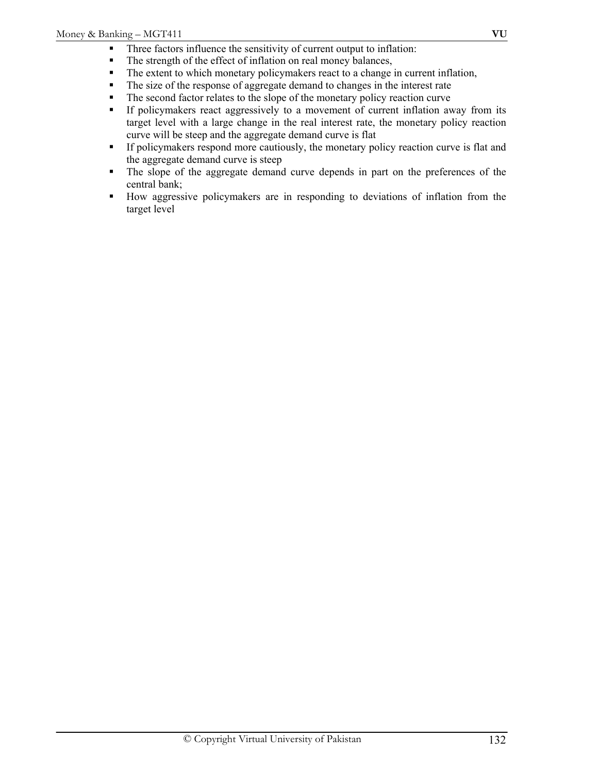- Three factors influence the sensitivity of current output to inflation:
- The strength of the effect of inflation on real money balances,
- The extent to which monetary policymakers react to a change in current inflation,
- The size of the response of aggregate demand to changes in the interest rate
- The second factor relates to the slope of the monetary policy reaction curve
- If policymakers react aggressively to a movement of current inflation away from its target level with a large change in the real interest rate, the monetary policy reaction curve will be steep and the aggregate demand curve is flat
- If policymakers respond more cautiously, the monetary policy reaction curve is flat and the aggregate demand curve is steep
- The slope of the aggregate demand curve depends in part on the preferences of the central bank;
- How aggressive policymakers are in responding to deviations of inflation from the target level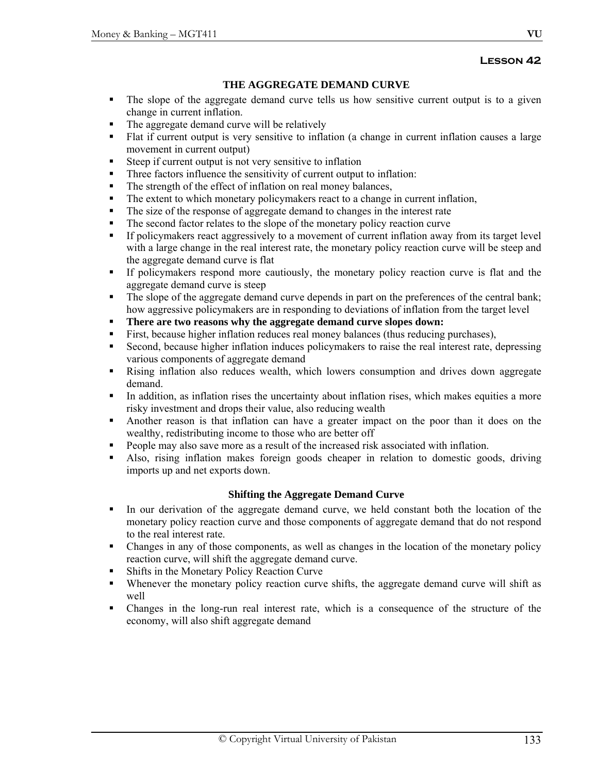# **THE AGGREGATE DEMAND CURVE**

- The slope of the aggregate demand curve tells us how sensitive current output is to a given change in current inflation.
- The aggregate demand curve will be relatively
- Flat if current output is very sensitive to inflation (a change in current inflation causes a large movement in current output)
- Steep if current output is not very sensitive to inflation
- Three factors influence the sensitivity of current output to inflation:
- The strength of the effect of inflation on real money balances,
- The extent to which monetary policymakers react to a change in current inflation,
- The size of the response of aggregate demand to changes in the interest rate
- The second factor relates to the slope of the monetary policy reaction curve
- If policymakers react aggressively to a movement of current inflation away from its target level with a large change in the real interest rate, the monetary policy reaction curve will be steep and the aggregate demand curve is flat
- If policymakers respond more cautiously, the monetary policy reaction curve is flat and the aggregate demand curve is steep
- The slope of the aggregate demand curve depends in part on the preferences of the central bank; how aggressive policymakers are in responding to deviations of inflation from the target level
- **There are two reasons why the aggregate demand curve slopes down:**
- First, because higher inflation reduces real money balances (thus reducing purchases),
- Second, because higher inflation induces policymakers to raise the real interest rate, depressing various components of aggregate demand
- Rising inflation also reduces wealth, which lowers consumption and drives down aggregate demand.
- In addition, as inflation rises the uncertainty about inflation rises, which makes equities a more risky investment and drops their value, also reducing wealth
- Another reason is that inflation can have a greater impact on the poor than it does on the wealthy, redistributing income to those who are better off
- **People may also save more as a result of the increased risk associated with inflation.**
- Also, rising inflation makes foreign goods cheaper in relation to domestic goods, driving imports up and net exports down.

# **Shifting the Aggregate Demand Curve**

- In our derivation of the aggregate demand curve, we held constant both the location of the monetary policy reaction curve and those components of aggregate demand that do not respond to the real interest rate.
- Changes in any of those components, as well as changes in the location of the monetary policy reaction curve, will shift the aggregate demand curve.
- Shifts in the Monetary Policy Reaction Curve
- Whenever the monetary policy reaction curve shifts, the aggregate demand curve will shift as well
- Changes in the long-run real interest rate, which is a consequence of the structure of the economy, will also shift aggregate demand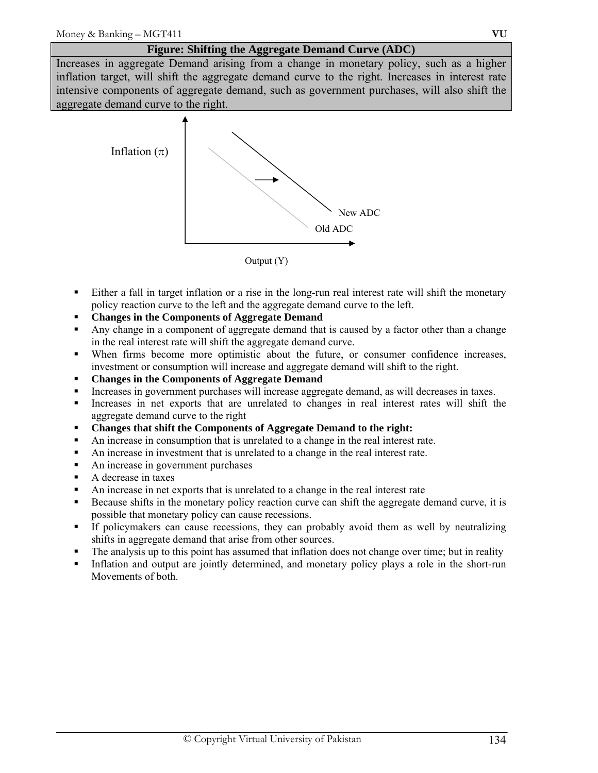# **Figure: Shifting the Aggregate Demand Curve (ADC)**

Increases in aggregate Demand arising from a change in monetary policy, such as a higher inflation target, will shift the aggregate demand curve to the right. Increases in interest rate intensive components of aggregate demand, such as government purchases, will also shift the aggregate demand curve to the right.



 Either a fall in target inflation or a rise in the long-run real interest rate will shift the monetary policy reaction curve to the left and the aggregate demand curve to the left.

- **Changes in the Components of Aggregate Demand**
- Any change in a component of aggregate demand that is caused by a factor other than a change in the real interest rate will shift the aggregate demand curve.
- When firms become more optimistic about the future, or consumer confidence increases, investment or consumption will increase and aggregate demand will shift to the right.
- **Changes in the Components of Aggregate Demand**
- Increases in government purchases will increase aggregate demand, as will decreases in taxes.
- Increases in net exports that are unrelated to changes in real interest rates will shift the aggregate demand curve to the right
- **Changes that shift the Components of Aggregate Demand to the right:**
- An increase in consumption that is unrelated to a change in the real interest rate.
- An increase in investment that is unrelated to a change in the real interest rate.
- An increase in government purchases
- A decrease in taxes
- An increase in net exports that is unrelated to a change in the real interest rate
- Because shifts in the monetary policy reaction curve can shift the aggregate demand curve, it is possible that monetary policy can cause recessions.
- If policymakers can cause recessions, they can probably avoid them as well by neutralizing shifts in aggregate demand that arise from other sources.
- The analysis up to this point has assumed that inflation does not change over time; but in reality
- Inflation and output are jointly determined, and monetary policy plays a role in the short-run Movements of both.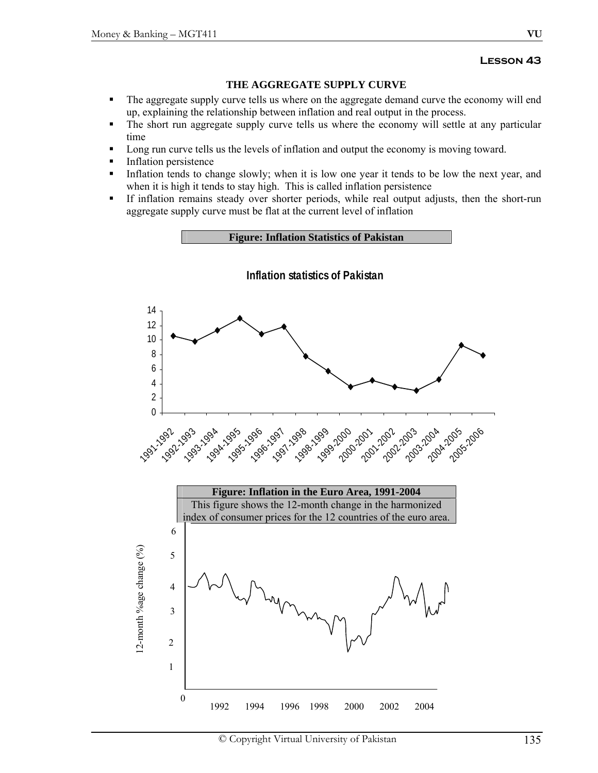#### **THE AGGREGATE SUPPLY CURVE**

- The aggregate supply curve tells us where on the aggregate demand curve the economy will end up, explaining the relationship between inflation and real output in the process.
- The short run aggregate supply curve tells us where the economy will settle at any particular time
- **Long run curve tells us the levels of inflation and output the economy is moving toward.**
- **Inflation persistence**
- Inflation tends to change slowly; when it is low one year it tends to be low the next year, and when it is high it tends to stay high. This is called inflation persistence
- If inflation remains steady over shorter periods, while real output adjusts, then the short-run aggregate supply curve must be flat at the current level of inflation

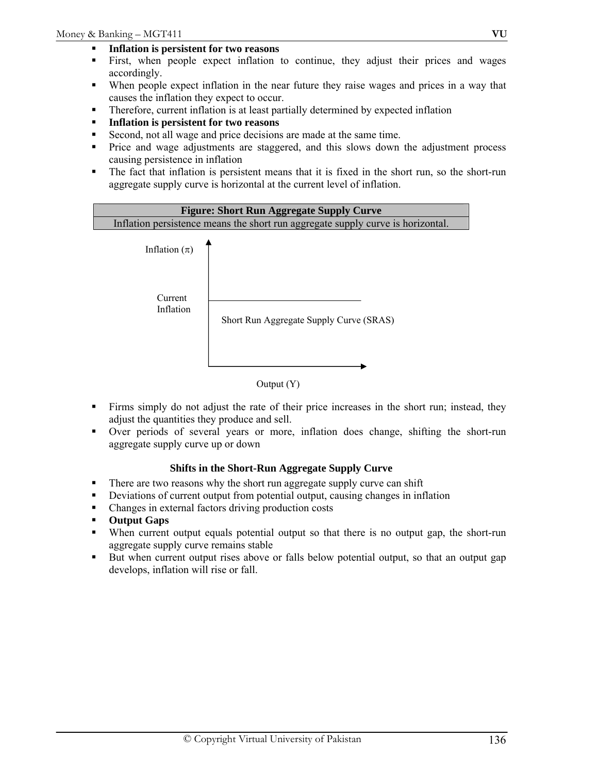- First, when people expect inflation to continue, they adjust their prices and wages accordingly.
- When people expect inflation in the near future they raise wages and prices in a way that causes the inflation they expect to occur.
- Therefore, current inflation is at least partially determined by expected inflation
- **Inflation is persistent for two reasons**
- Second, not all wage and price decisions are made at the same time.
- **Price and wage adjustments are staggered, and this slows down the adjustment process** causing persistence in inflation
- The fact that inflation is persistent means that it is fixed in the short run, so the short-run aggregate supply curve is horizontal at the current level of inflation.

| <b>Figure: Short Run Aggregate Supply Curve</b>                                 |                                         |  |  |
|---------------------------------------------------------------------------------|-----------------------------------------|--|--|
| Inflation persistence means the short run aggregate supply curve is horizontal. |                                         |  |  |
| Inflation $(\pi)$                                                               |                                         |  |  |
| Current<br>Inflation                                                            | Short Run Aggregate Supply Curve (SRAS) |  |  |
|                                                                                 |                                         |  |  |

Output  $(Y)$ 

- Firms simply do not adjust the rate of their price increases in the short run; instead, they adjust the quantities they produce and sell.
- Over periods of several years or more, inflation does change, shifting the short-run aggregate supply curve up or down

# **Shifts in the Short-Run Aggregate Supply Curve**

- There are two reasons why the short run aggregate supply curve can shift
- Deviations of current output from potential output, causing changes in inflation
- Changes in external factors driving production costs
- **Output Gaps**
- When current output equals potential output so that there is no output gap, the short-run aggregate supply curve remains stable
- But when current output rises above or falls below potential output, so that an output gap develops, inflation will rise or fall.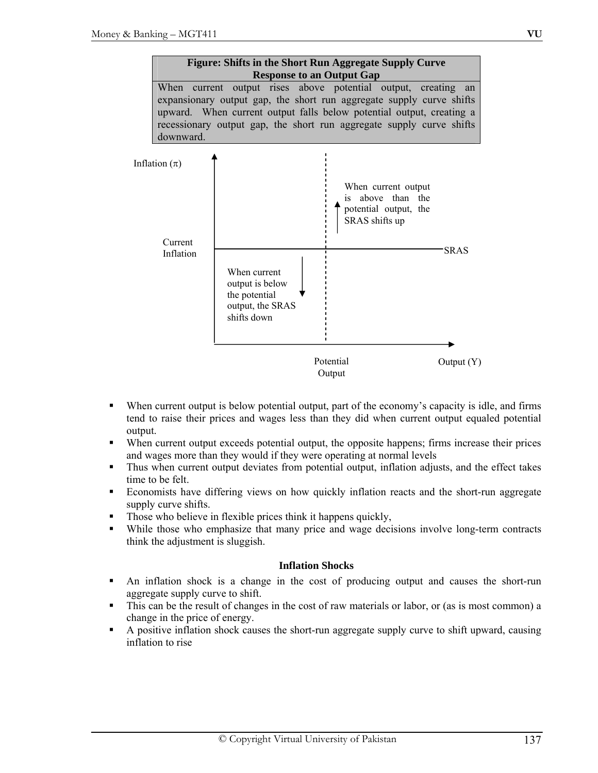

- When current output is below potential output, part of the economy's capacity is idle, and firms tend to raise their prices and wages less than they did when current output equaled potential output.
- When current output exceeds potential output, the opposite happens; firms increase their prices and wages more than they would if they were operating at normal levels
- Thus when current output deviates from potential output, inflation adjusts, and the effect takes time to be felt.
- Economists have differing views on how quickly inflation reacts and the short-run aggregate supply curve shifts.
- Those who believe in flexible prices think it happens quickly,
- While those who emphasize that many price and wage decisions involve long-term contracts think the adjustment is sluggish.

### **Inflation Shocks**

- An inflation shock is a change in the cost of producing output and causes the short-run aggregate supply curve to shift.
- This can be the result of changes in the cost of raw materials or labor, or (as is most common) a change in the price of energy.
- A positive inflation shock causes the short-run aggregate supply curve to shift upward, causing inflation to rise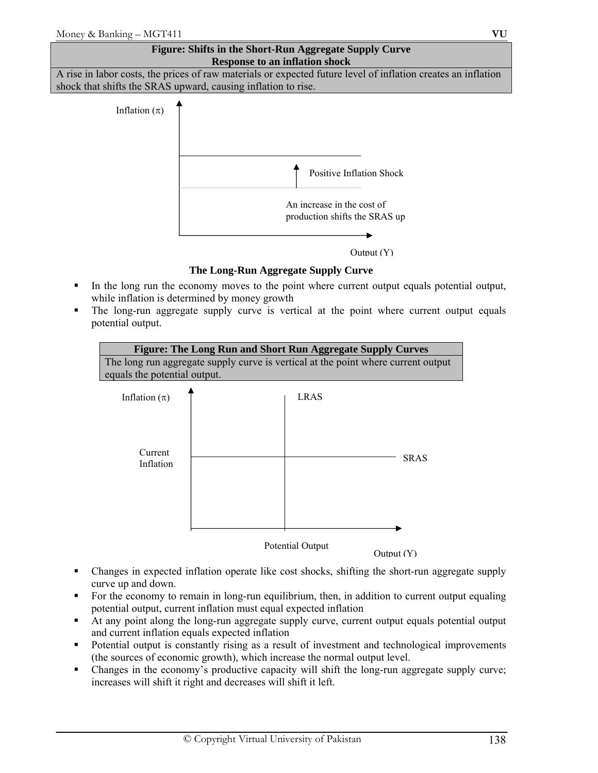

# **The Long-Run Aggregate Supply Curve**

- In the long run the economy moves to the point where current output equals potential output, while inflation is determined by money growth
- The long-run aggregate supply curve is vertical at the point where current output equals potential output.



- Changes in expected inflation operate like cost shocks, shifting the short-run aggregate supply curve up and down.
- For the economy to remain in long-run equilibrium, then, in addition to current output equaling potential output, current inflation must equal expected inflation
- At any point along the long-run aggregate supply curve, current output equals potential output and current inflation equals expected inflation
- Potential output is constantly rising as a result of investment and technological improvements (the sources of economic growth), which increase the normal output level.
- Changes in the economy's productive capacity will shift the long-run aggregate supply curve; increases will shift it right and decreases will shift it left.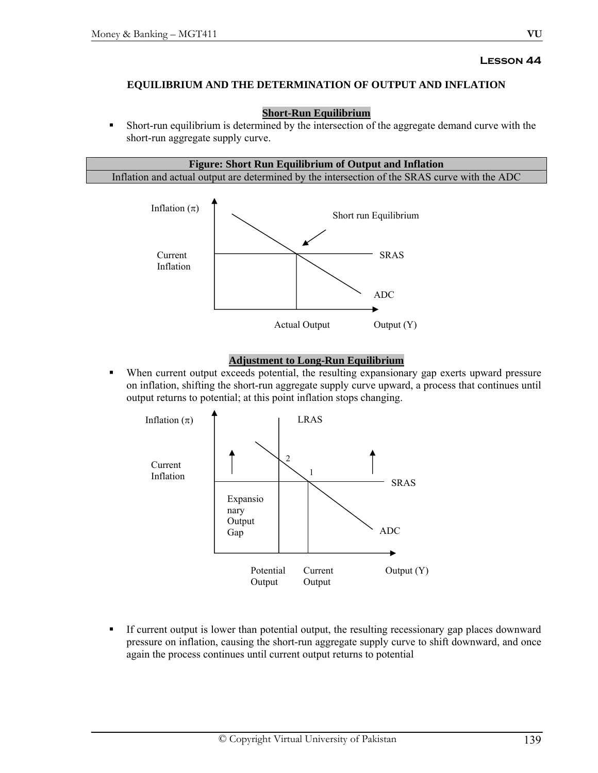# **EQUILIBRIUM AND THE DETERMINATION OF OUTPUT AND INFLATION**

### **Short-Run Equilibrium**

 Short-run equilibrium is determined by the intersection of the aggregate demand curve with the short-run aggregate supply curve.





# **Adjustment to Long-Run Equilibrium**

 When current output exceeds potential, the resulting expansionary gap exerts upward pressure on inflation, shifting the short-run aggregate supply curve upward, a process that continues until output returns to potential; at this point inflation stops changing.



 If current output is lower than potential output, the resulting recessionary gap places downward pressure on inflation, causing the short-run aggregate supply curve to shift downward, and once again the process continues until current output returns to potential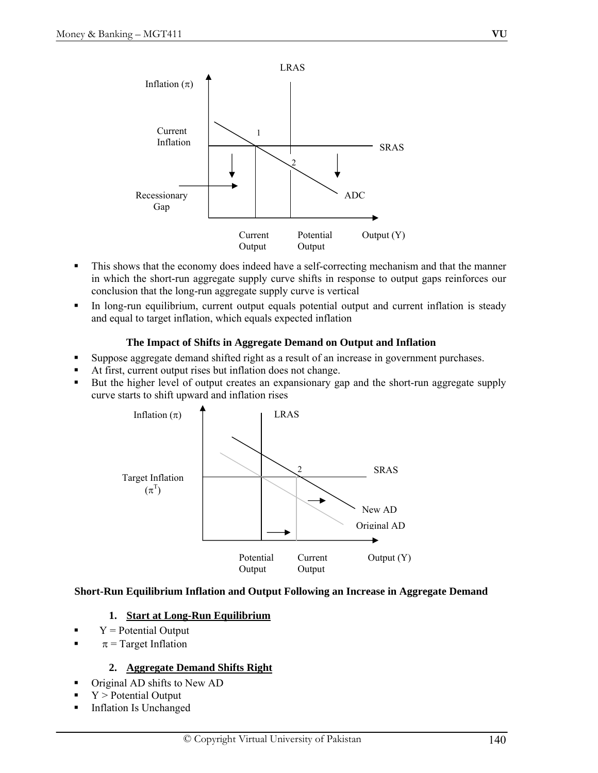

- This shows that the economy does indeed have a self-correcting mechanism and that the manner in which the short-run aggregate supply curve shifts in response to output gaps reinforces our conclusion that the long-run aggregate supply curve is vertical
- In long-run equilibrium, current output equals potential output and current inflation is steady and equal to target inflation, which equals expected inflation

#### **The Impact of Shifts in Aggregate Demand on Output and Inflation**

- Suppose aggregate demand shifted right as a result of an increase in government purchases.
- At first, current output rises but inflation does not change.
- But the higher level of output creates an expansionary gap and the short-run aggregate supply curve starts to shift upward and inflation rises



#### **Short-Run Equilibrium Inflation and Output Following an Increase in Aggregate Demand**

#### **1. Start at Long-Run Equilibrium**

- $Y =$  Potential Output
- $\pi$  = Target Inflation

#### **2. Aggregate Demand Shifts Right**

- Original AD shifts to New AD
- $\blacksquare$  Y > Potential Output
- **Inflation Is Unchanged**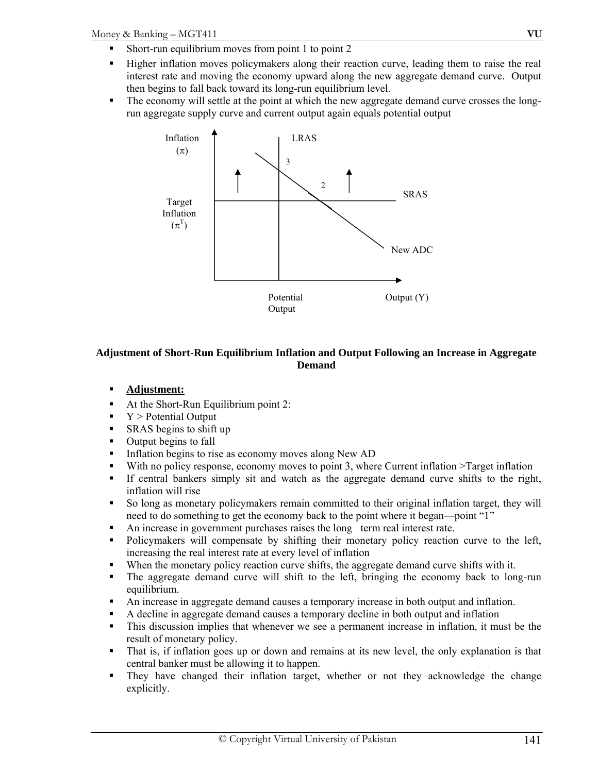- Short-run equilibrium moves from point 1 to point 2
- Higher inflation moves policymakers along their reaction curve, leading them to raise the real interest rate and moving the economy upward along the new aggregate demand curve. Output then begins to fall back toward its long-run equilibrium level.
- The economy will settle at the point at which the new aggregate demand curve crosses the longrun aggregate supply curve and current output again equals potential output



# **Adjustment of Short-Run Equilibrium Inflation and Output Following an Increase in Aggregate Demand**

- **Adjustment:**
- At the Short-Run Equilibrium point 2:
- $\blacksquare$  Y > Potential Output
- **SRAS** begins to shift up
- Output begins to fall
- Inflation begins to rise as economy moves along New AD
- With no policy response, economy moves to point 3, where Current inflation >Target inflation
- If central bankers simply sit and watch as the aggregate demand curve shifts to the right, inflation will rise
- So long as monetary policymakers remain committed to their original inflation target, they will need to do something to get the economy back to the point where it began—point "1"
- $\blacksquare$  An increase in government purchases raises the long term real interest rate.
- Policymakers will compensate by shifting their monetary policy reaction curve to the left, increasing the real interest rate at every level of inflation
- When the monetary policy reaction curve shifts, the aggregate demand curve shifts with it.
- The aggregate demand curve will shift to the left, bringing the economy back to long-run equilibrium.
- An increase in aggregate demand causes a temporary increase in both output and inflation.
- A decline in aggregate demand causes a temporary decline in both output and inflation
- This discussion implies that whenever we see a permanent increase in inflation, it must be the result of monetary policy.
- That is, if inflation goes up or down and remains at its new level, the only explanation is that central banker must be allowing it to happen.
- They have changed their inflation target, whether or not they acknowledge the change explicitly.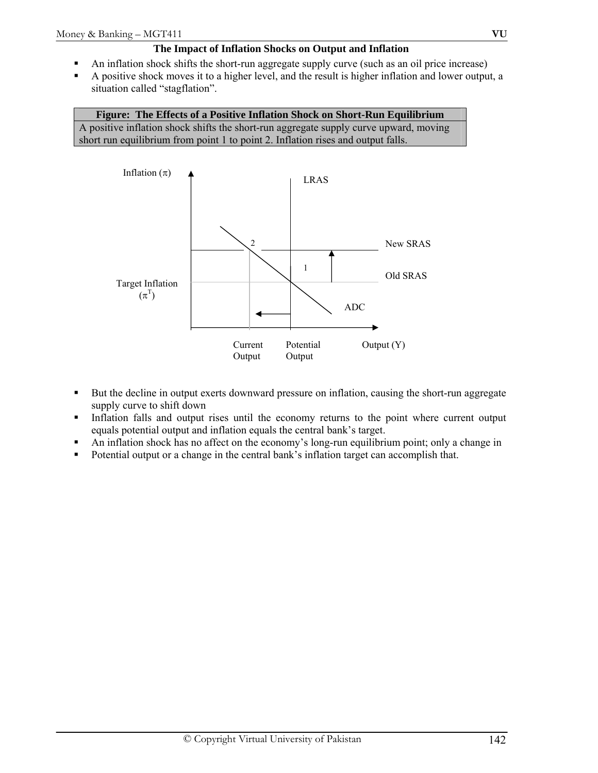# **The Impact of Inflation Shocks on Output and Inflation**

- An inflation shock shifts the short-run aggregate supply curve (such as an oil price increase)
- A positive shock moves it to a higher level, and the result is higher inflation and lower output, a situation called "stagflation".

**Figure: The Effects of a Positive Inflation Shock on Short-Run Equilibrium**  A positive inflation shock shifts the short-run aggregate supply curve upward, moving short run equilibrium from point 1 to point 2. Inflation rises and output falls.



- But the decline in output exerts downward pressure on inflation, causing the short-run aggregate supply curve to shift down
- Inflation falls and output rises until the economy returns to the point where current output equals potential output and inflation equals the central bank's target.
- An inflation shock has no affect on the economy's long-run equilibrium point; only a change in
- **Potential output or a change in the central bank's inflation target can accomplish that.**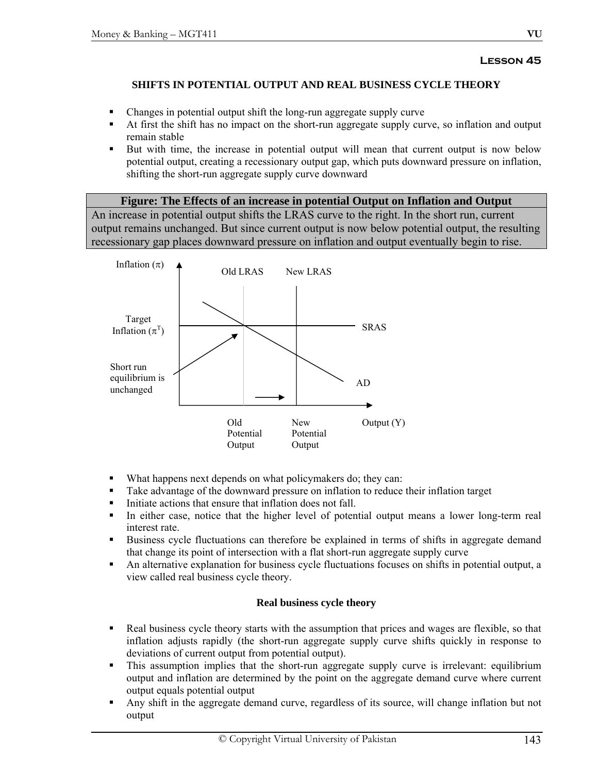# **SHIFTS IN POTENTIAL OUTPUT AND REAL BUSINESS CYCLE THEORY**

- Changes in potential output shift the long-run aggregate supply curve
- At first the shift has no impact on the short-run aggregate supply curve, so inflation and output remain stable
- But with time, the increase in potential output will mean that current output is now below potential output, creating a recessionary output gap, which puts downward pressure on inflation, shifting the short-run aggregate supply curve downward

#### **Figure: The Effects of an increase in potential Output on Inflation and Output**

An increase in potential output shifts the LRAS curve to the right. In the short run, current output remains unchanged. But since current output is now below potential output, the resulting recessionary gap places downward pressure on inflation and output eventually begin to rise.



- What happens next depends on what policymakers do; they can:
- Take advantage of the downward pressure on inflation to reduce their inflation target
- Initiate actions that ensure that inflation does not fall.
- In either case, notice that the higher level of potential output means a lower long-term real interest rate.
- **Business cycle fluctuations can therefore be explained in terms of shifts in aggregate demand** that change its point of intersection with a flat short-run aggregate supply curve
- An alternative explanation for business cycle fluctuations focuses on shifts in potential output, a view called real business cycle theory.

# **Real business cycle theory**

- Real business cycle theory starts with the assumption that prices and wages are flexible, so that inflation adjusts rapidly (the short-run aggregate supply curve shifts quickly in response to deviations of current output from potential output).
- This assumption implies that the short-run aggregate supply curve is irrelevant: equilibrium output and inflation are determined by the point on the aggregate demand curve where current output equals potential output
- Any shift in the aggregate demand curve, regardless of its source, will change inflation but not output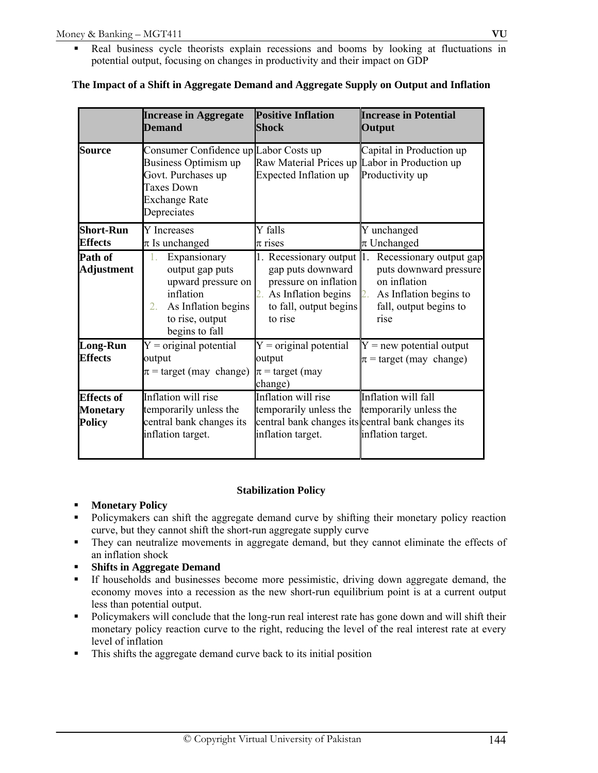|                                                       | <b>Increase in Aggregate</b><br><b>Demand</b>                                                                                                   | <b>Positive Inflation</b><br>Shock                                                                                                  | <b>Increase in Potential</b><br>Output                                                                                                    |
|-------------------------------------------------------|-------------------------------------------------------------------------------------------------------------------------------------------------|-------------------------------------------------------------------------------------------------------------------------------------|-------------------------------------------------------------------------------------------------------------------------------------------|
| Source                                                | Consumer Confidence up Labor Costs up<br>Business Optimism up<br>Govt. Purchases up<br><b>Taxes Down</b><br><b>Exchange Rate</b><br>Depreciates | Raw Material Prices up Labor in Production up<br><b>Expected Inflation up</b>                                                       | Capital in Production up<br>Productivity up                                                                                               |
| <b>Short-Run</b><br><b>Effects</b>                    | <b>Y</b> Increases<br>$\pi$ Is unchanged                                                                                                        | Y falls<br>$\pi$ rises                                                                                                              | Y unchanged<br>$\pi$ Unchanged                                                                                                            |
| Path of<br><b>Adjustment</b>                          | Expansionary<br>1.<br>output gap puts<br>upward pressure on<br>inflation<br>As Inflation begins<br>$2_{-}$<br>to rise, output<br>begins to fall | 1. Recessionary output<br>gap puts downward<br>pressure on inflation<br>2. As Inflation begins<br>to fall, output begins<br>to rise | 1.<br>Recessionary output gap<br>puts downward pressure<br>on inflation<br>As Inflation begins to<br>2.<br>fall, output begins to<br>rise |
| <b>Long-Run</b><br><b>Effects</b>                     | $Y = original potential$<br>output<br>$\pi$ = target (may change)                                                                               | $Y = original potential$<br>output<br>$\pi$ = target (may<br>change)                                                                | $Y = new potential output$<br>$\pi$ = target (may change)                                                                                 |
| <b>Effects of</b><br><b>Monetary</b><br><b>Policy</b> | Inflation will rise<br>temporarily unless the<br>central bank changes its<br>inflation target.                                                  | Inflation will rise<br>temporarily unless the<br>inflation target.                                                                  | Inflation will fall<br>temporarily unless the<br>central bank changes its central bank changes its<br>inflation target.                   |

### **The Impact of a Shift in Aggregate Demand and Aggregate Supply on Output and Inflation**

#### **Stabilization Policy**

#### **Monetary Policy**

- Policymakers can shift the aggregate demand curve by shifting their monetary policy reaction curve, but they cannot shift the short-run aggregate supply curve
- They can neutralize movements in aggregate demand, but they cannot eliminate the effects of an inflation shock
- **Shifts in Aggregate Demand**
- If households and businesses become more pessimistic, driving down aggregate demand, the economy moves into a recession as the new short-run equilibrium point is at a current output less than potential output.
- Policymakers will conclude that the long-run real interest rate has gone down and will shift their monetary policy reaction curve to the right, reducing the level of the real interest rate at every level of inflation
- This shifts the aggregate demand curve back to its initial position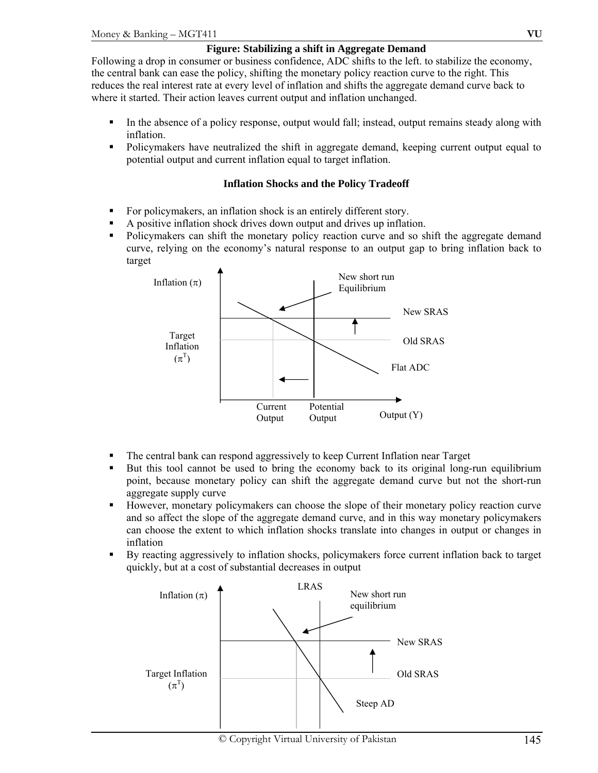## **Figure: Stabilizing a shift in Aggregate Demand**

Following a drop in consumer or business confidence, ADC shifts to the left. to stabilize the economy, the central bank can ease the policy, shifting the monetary policy reaction curve to the right. This reduces the real interest rate at every level of inflation and shifts the aggregate demand curve back to where it started. Their action leaves current output and inflation unchanged.

- In the absence of a policy response, output would fall; instead, output remains steady along with inflation.
- Policymakers have neutralized the shift in aggregate demand, keeping current output equal to potential output and current inflation equal to target inflation.

## **Inflation Shocks and the Policy Tradeoff**

- For policymakers, an inflation shock is an entirely different story.
- A positive inflation shock drives down output and drives up inflation.
- Policymakers can shift the monetary policy reaction curve and so shift the aggregate demand curve, relying on the economy's natural response to an output gap to bring inflation back to target



- The central bank can respond aggressively to keep Current Inflation near Target
- But this tool cannot be used to bring the economy back to its original long-run equilibrium point, because monetary policy can shift the aggregate demand curve but not the short-run aggregate supply curve
- However, monetary policymakers can choose the slope of their monetary policy reaction curve and so affect the slope of the aggregate demand curve, and in this way monetary policymakers can choose the extent to which inflation shocks translate into changes in output or changes in inflation
- By reacting aggressively to inflation shocks, policymakers force current inflation back to target quickly, but at a cost of substantial decreases in output